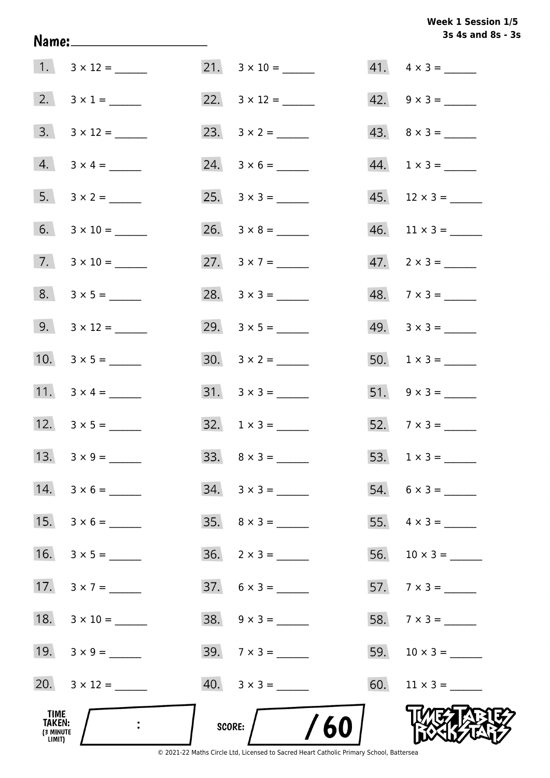## Week 1 Session 1/5 3s 4s and 8s - 3s

| TIME<br>TAKEN:<br>(3 MINUTE<br>LIMIT) |                          | /60<br>SCORE:               |                             |
|---------------------------------------|--------------------------|-----------------------------|-----------------------------|
|                                       |                          | $40. \quad 3 \times 3 =$    |                             |
|                                       | 19. $3 \times 9 =$       | $39.7 \times 3 =$           |                             |
|                                       | 18. $3 \times 10 =$      | $38. 9 \times 3 =$          | 58. $7 \times 3 =$          |
| 17.                                   | $3 \times 7 =$           | $37. 6 \times 3 =$          | 57. $7 \times 3 =$          |
| 16.                                   |                          |                             |                             |
| 15.                                   |                          | $35. \quad 8 \times 3 =$    |                             |
|                                       |                          | $34. 3 \times 3 =$          |                             |
|                                       |                          |                             |                             |
|                                       |                          | $32. 1 \times 3 =$          | $52.7 \times 3 =$           |
|                                       | 11. $3 \times 4 =$       | $31. \quad 3 \times 3 =$    | $51. 9 \times 3 =$          |
|                                       | 10. $3 \times 5 =$       |                             | 50. $1 \times 3 =$          |
|                                       | 9. $3 \times 12 =$       |                             | $49. \quad 3 \times 3 =$    |
|                                       |                          |                             | $48. 7 \times 3 =$          |
|                                       | $7. \quad 3 \times 10 =$ | 27. $3 \times 7 =$          | $47.2 \times 3 =$           |
|                                       |                          | $26. \quad 3 \times 8 = \_$ | $46.$ 11 × 3 = _______      |
|                                       |                          |                             |                             |
|                                       | $4. 3 \times 4 =$        |                             | $44. \quad 1 \times 3 = \_$ |
|                                       | $3. 3 \times 12 =$       |                             |                             |
|                                       | $2. 3 \times 1 =$        |                             | $42. 9 \times 3 =$          |
|                                       | $1. 3 \times 12 =$       |                             | $41. \quad 4 \times 3 =$    |

Name: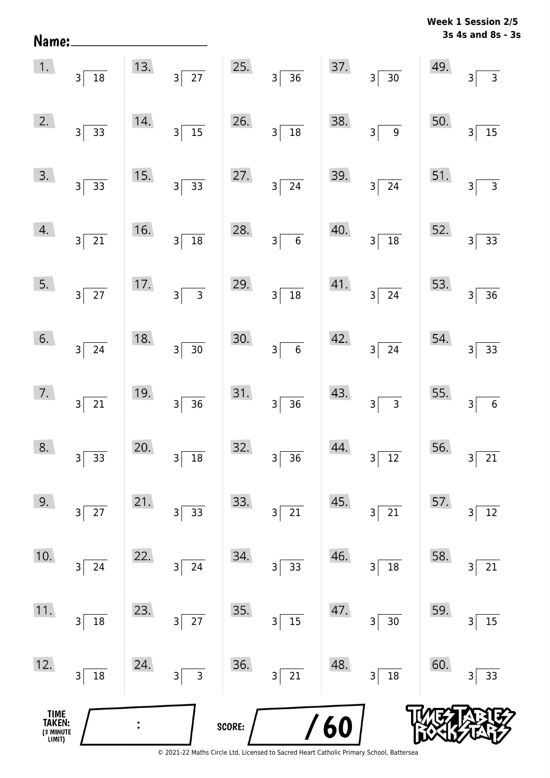| Name:                                 |                                   |                |                                   |        |                                            |     |                                   | <b>VACCV</b> | ÷<br>$3531011$ $23$<br>3s 4s and 8s - 3s  |
|---------------------------------------|-----------------------------------|----------------|-----------------------------------|--------|--------------------------------------------|-----|-----------------------------------|--------------|-------------------------------------------|
| 1.                                    | $3\overline{)18}$                 | 13.            | $\overline{27}$<br>3 <sup>5</sup> | 25.    | $3\overline{)36}$                          | 37. | $\overline{30}$<br>3 <sup>2</sup> | 49.          | 3 <sup>5</sup><br>$\overline{\mathbf{3}}$ |
| 2.                                    | $3 \overline{)33}$                | 14.            | $\frac{15}{15}$<br>$3\vert$       | 26.    | $\frac{1}{18}$<br>$\overline{3}$           | 38. | $\overline{9}$<br>3 <sup>2</sup>  | 50.          | $\overline{15}$<br>$\overline{3}$         |
| 3.                                    | $3\overline{)33}$                 | 15.            | $3\vert$<br>$\overline{33}$       | 27.    | $3\overline{24}$                           | 39. | $3\sqrt{24}$                      | 51.          | $\overline{3}$<br>$\overline{3}$          |
| 4.                                    | $3\sqrt{21}$                      | 16.            | $\overline{3}$<br>$\overline{18}$ | 28.    | $\overline{6}$<br>$\overline{3}$           | 40. | $\overline{18}$<br>3              | 52.          | $\overline{3}$<br>$33$                    |
| 5.                                    | $3\sqrt{27}$                      | 17.            | $3\vert$                          | 29.    | $\overline{18}$<br>$\overline{\mathbf{3}}$ | 41. | $3\overline{)24}$                 | 53.          | 36<br>3                                   |
| 6.                                    | $3\sqrt{24}$                      | 18.            | $\overline{30}$<br>$\overline{3}$ | 30.    | $\overline{6}$<br>$\overline{\mathbf{3}}$  | 42. | $\overline{24}$<br>3              | 54.          | 33<br>$\mathsf{3}$                        |
| 7.                                    | $3\overline{21}$                  | 19.            | $\overline{36}$<br>3              | 31.    | $\overline{36}$<br>$\overline{3}$          | 43. | $3\overline{3}$                   | 55.          | $\,$ 6 $\,$<br>3                          |
| 8.                                    | 33<br>3                           | 20.            | $18\,$<br>3                       | 32.    | 36<br>3                                    | 44. | $\overline{12}$<br>3              | 56.          | 21<br>3                                   |
| 9.                                    | $27\,$<br>$\overline{\mathbf{3}}$ | 21.            | 33<br>3                           | 33.    | 21<br>$\mathsf 3$                          | 45. | 21<br>3                           | 57.          | $12\,$<br>3                               |
| 10.                                   | $24\,$<br>$\overline{\mathbf{3}}$ | 22.            | $24\,$<br>3                       | 34.    | 33<br>3                                    | 46. | $18\,$<br>3                       | 58.          | 21<br>3                                   |
| 11.                                   | 18<br>3                           | 23.            | $\overline{27}$<br>3              | 35.    | 15<br>$\mathsf 3$                          | 47. | 30<br>3                           | 59.          | 15<br>3                                   |
| 12.                                   | 18<br>3                           | 24.            | $\overline{3}$<br>3               | 36.    | $\overline{21}$<br>3                       | 48. | $\overline{18}$<br>3              | 60.          | 33<br>3                                   |
| TIME<br>TAKEN:<br>(3 MINUTE<br>LIMIT) |                                   | $\ddot{\cdot}$ |                                   | SCORE: |                                            | 60  |                                   |              |                                           |

**Week 1 Session 2/5** 

<sup>© 2021-22</sup> Maths Circle Ltd, Licensed to Sacred Heart Catholic Primary School, Battersea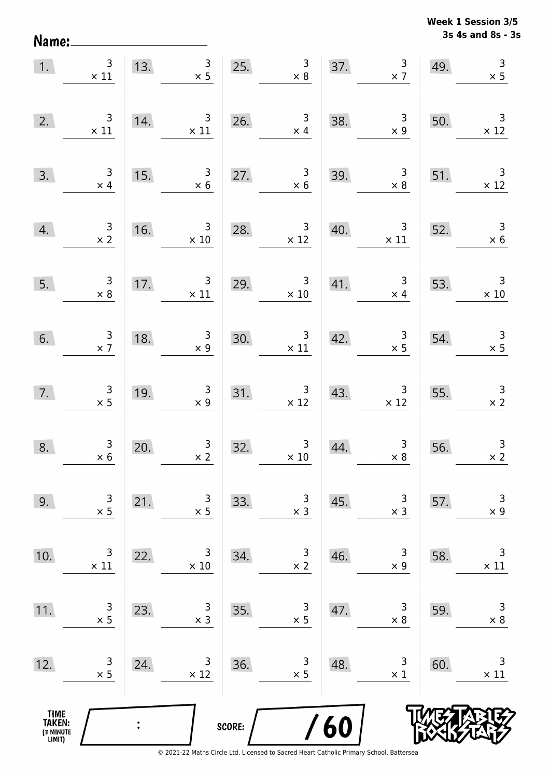Name:

**3s 4s and 8s - 3s Week 1 Session 3/5** 

|                                               | 1. $\begin{array}{c} 3 \\ \times 11 \end{array}$ |                | 13. $\begin{array}{ c c } \hline 3 & 25. \\ \hline 13. & 25. \\ \hline \end{array}$     |        | $\begin{array}{c} 3 \\ \times 8 \end{array}$      |     | $\frac{3}{x}$<br>37.                                   | 49. | $\begin{array}{c} 3 \\ \times 5 \end{array}$ |
|-----------------------------------------------|--------------------------------------------------|----------------|-----------------------------------------------------------------------------------------|--------|---------------------------------------------------|-----|--------------------------------------------------------|-----|----------------------------------------------|
| 2.                                            | $\begin{array}{c} 3 \\ \times 11 \end{array}$    | 14.            | $\frac{3}{11}$                                                                          |        | 26. $\begin{array}{r} 3 \\ \times 4 \end{array}$  | 38. | $\begin{array}{c} 3 \\ \times 9 \end{array}$           | 50. | $\overline{\phantom{a}}$ 3<br>$\times$ 12    |
| 3.                                            | $\begin{array}{r} 3 \\ \times 4 \end{array}$     | 15.            | $\begin{array}{r} 3 \\ \times 6 \end{array}$                                            | 27.    | $\begin{array}{c}\n3 \\ \times 6\n\end{array}$    | 39. | $\begin{array}{c c}\n 3 \\  \times 8\n \end{array}$    | 51. | $\overline{\phantom{a}}$<br>$\times$ 12      |
| 4.                                            | $\frac{3}{x^2}$                                  |                | $\begin{array}{r} 3 \\ \times 10 \end{array}$<br>$\begin{array}{c}\n16. \\ \end{array}$ | 28.    | $\frac{3}{2}$                                     | 40. | $\begin{array}{c c} 3 & 52. \ \times 11 & \end{array}$ |     | $\begin{array}{r} 3 \\ \times 6 \end{array}$ |
| 5.                                            | $\begin{array}{c} 3 \\ \times 8 \end{array}$     |                | 17. $\begin{array}{c} 3 \\ \times 11 \end{array}$                                       |        | 29. $3 \times 10$                                 |     | 41. $\begin{array}{c} 3 \\ \times 4 \end{array}$ 53.   |     | 53. $3 \times 10$                            |
| 6.                                            | $\frac{3}{x}$                                    | 18.            | $\begin{array}{c c}\n 3 \\  \times 9\n \end{array}$                                     |        | $30.$ $3 \times 11$                               | 42. | $\begin{array}{c} 3 \\ \times 5 \end{array}$           | 54. | $\begin{array}{r} 3 \\ \times 5 \end{array}$ |
| 7.                                            | $\begin{array}{c} 3 \\ \times 5 \end{array}$     | 19.            | $\frac{3}{x 9}$                                                                         |        | 31. $\begin{array}{r} 3 \\ \times 12 \end{array}$ | 43. | $\begin{array}{r} 3 \\ \times 12 \end{array}$          | 55. | $\begin{array}{r} 3 \\ \times 2 \end{array}$ |
| 8.                                            | $\begin{array}{r} 3 \\ \times 6 \end{array}$     | 20.            | $\frac{3}{x^2}$                                                                         | 32.    | $\begin{array}{r} 3 \\ \times 10 \end{array}$     | 44. | $\begin{array}{c} 3 \\ \times 8 \end{array}$           | 56. | $\mathsf{3}$<br>$\times 2$                   |
| 9.                                            | 3<br>$\times$ 5                                  | 21.            | 3<br>$\times$ 5                                                                         | 33.    | $\overline{3}$<br>$\times$ 3                      | 45. | 3<br>$\times$ 3                                        | 57. | 3<br>$\times$ 9                              |
| 10.                                           | 3<br>$\times$ 11                                 | 22.            | 3<br>$\times 10$                                                                        | 34.    | $\overline{\mathsf{c}}$<br>$\times 2$             | 46. | 3<br>$\times$ 9                                        | 58. | $\mathsf 3$<br>$\times$ 11                   |
| 11.                                           | 3<br>$\times$ 5                                  | 23.            | 3<br>$\times$ 3                                                                         | 35.    | 3<br>$\times$ 5                                   | 47. | 3<br>$\times 8$                                        | 59. | 3<br>$\times$ 8                              |
| 12.                                           | 3<br>$\times$ 5                                  | 24.            | 3<br>$\times$ 12                                                                        | 36.    | 3<br>$\times$ 5                                   | 48. | 3<br>$\times$ 1                                        | 60. | 3<br>$\times$ 11                             |
| <b>TIME<br/>TAKEN:</b><br>(3 MINUTE<br>LIMIT) |                                                  | $\ddot{\cdot}$ |                                                                                         | SCORE: |                                                   | 60  |                                                        |     |                                              |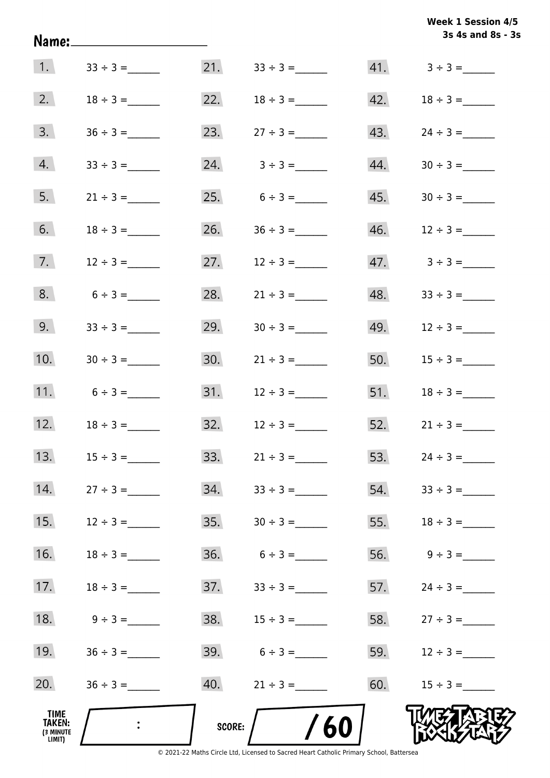|                                       | Name:______________________ |        |                   |     | 3s 4s and 8s - 3s |
|---------------------------------------|-----------------------------|--------|-------------------|-----|-------------------|
|                                       |                             |        |                   |     |                   |
| 2.                                    | $18 \div 3 =$               |        | 22. $18 \div 3 =$ |     |                   |
| 3.                                    |                             |        | 23. $27 \div 3 =$ |     |                   |
| 4.                                    |                             |        | 24. $3 \div 3 =$  |     | $44. 30 \div 3 =$ |
| 5.                                    | $21 \div 3 =$               |        | 25. $6 \div 3 =$  |     |                   |
| 6.                                    | $18 \div 3 =$               |        | 26. $36 \div 3 =$ | 46. | $12 \div 3 =$     |
| 7.                                    | $12 \div 3 =$               |        | 27. $12 \div 3 =$ |     |                   |
| 8.                                    | $6 \div 3 =$                |        | 28. $21 \div 3 =$ |     |                   |
| 9.                                    | $33 \div 3 =$               | 29.    | $30 \div 3 =$     |     | 49. $12 \div 3 =$ |
| 10.                                   |                             |        |                   |     | 50. $15 \div 3 =$ |
| 11.                                   | $6 \div 3 =$                |        |                   |     | 51. $18 \div 3 =$ |
| 12.                                   | $18 \div 3 =$               |        |                   |     | 52. $21 \div 3 =$ |
| 13.                                   |                             | 33.    | $21 \div 3 =$     |     | 53. $24 \div 3 =$ |
| 14.                                   | $27 \div 3 =$               | 34.    |                   | 54. |                   |
| 15.                                   | $12 \div 3 =$               | 35.    | $30 \div 3 =$     | 55. |                   |
| 16.                                   | $18 \div 3 =$               |        |                   | 56. | $9 \div 3 =$      |
| 17.                                   | $18 \div 3 =$               |        |                   |     | 57. $24 \div 3 =$ |
| 18.                                   | $9 \div 3 =$                |        | 38. $15 \div 3 =$ |     | 58. $27 \div 3 =$ |
| 19.                                   |                             |        | 39. $6 \div 3 =$  |     | 59. $12 \div 3 =$ |
| 20.                                   |                             |        |                   |     | 60. $15 \div 3 =$ |
| TIME<br>TAKEN:<br>(3 MINUTE<br>LIMIT) |                             | SCORE: | /60               |     |                   |

© 2021-22 Maths Circle Ltd, Licensed to Sacred Heart Catholic Primary School, Battersea

**3s 4s and 8s - 3s Week 1 Session 4/5**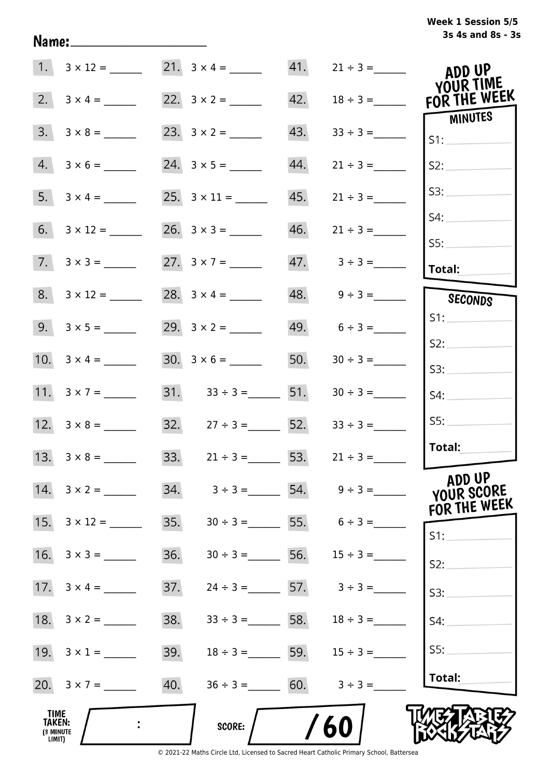## **3s 4s and 8s - 3s Week 1 Session 5/5**

|                                                     |                         |     | 21. $3 \times 4 =$              |     |                                 | ADD UP<br>YOUR TIME                  |
|-----------------------------------------------------|-------------------------|-----|---------------------------------|-----|---------------------------------|--------------------------------------|
|                                                     |                         |     |                                 | 42. | $18 \div 3 =$                   | FOR THE WEEK                         |
| 3.                                                  | $3 \times 8 =$          |     |                                 | 43. | $33 \div 3 =$                   | MINUTES<br>S1:                       |
|                                                     | $4. 3 \times 6 =$       |     |                                 | 44. | $21 \div 3 =$                   | S2:                                  |
|                                                     |                         |     |                                 | 45. |                                 | S3:                                  |
|                                                     |                         |     |                                 | 46. | $21 \div 3 =$                   | S4:                                  |
|                                                     | $7. \quad 3 \times 3 =$ |     |                                 |     | $47. \hspace{1.5cm} 3 \div 3 =$ | SS:<br>Total:                        |
|                                                     | $8. 3 \times 12 =$      |     | 28. $3 \times 4 =$              |     | $48. \qquad 9 \div 3 =$         | SECONDS                              |
|                                                     |                         |     | 29. $3 \times 2 =$              |     | $49. 6 \div 3 =$                | S1:                                  |
|                                                     |                         |     |                                 | 50. |                                 | S2:<br>S3:                           |
|                                                     | 11. $3 \times 7 =$      |     | $31.$ $33 \div 3 =$ 51.         |     | $30 \div 3 =$                   | S4:                                  |
|                                                     |                         |     | 32. $27 \div 3 =$ 52.           |     | $33 \div 3 =$                   | SS:                                  |
|                                                     | 13. $3 \times 8 =$      |     | 33. $21 \div 3 =$ 53.           |     | $21 \div 3 =$                   | Total:                               |
|                                                     | 14. $3 \times 2 =$      |     | $34. \hspace{1.5cm} 3 \div 3 =$ |     |                                 | ADD UP<br>YOUR SCORE<br>FOR THE WEEK |
|                                                     |                         | 35. |                                 |     | $30 \div 3 =$ 55. $6 \div 3 =$  | S1:                                  |
|                                                     |                         | 36. | $30 \div 3 =$                   |     | 56. $15 \div 3 =$               | S2:                                  |
|                                                     |                         | 37. |                                 |     | $24 \div 3 = 57.$ $3 \div 3 =$  | S3:                                  |
|                                                     |                         | 38. |                                 |     | $33 \div 3 =$ 58. $18 \div 3 =$ | S4:                                  |
|                                                     | 19. $3 \times 1 =$      | 39. |                                 |     | $18 \div 3 =$ 59. $15 \div 3 =$ | SS:                                  |
|                                                     | 20. $3 \times 7 =$      | 40. | $36 \div 3 =$ 60. $3 \div 3 =$  |     |                                 | Total:                               |
| <b>TIME</b><br><b>TAKEN:</b><br>(3 MINUTE<br>LIMIT) |                         |     | SCORE:                          |     | 60                              |                                      |

Name: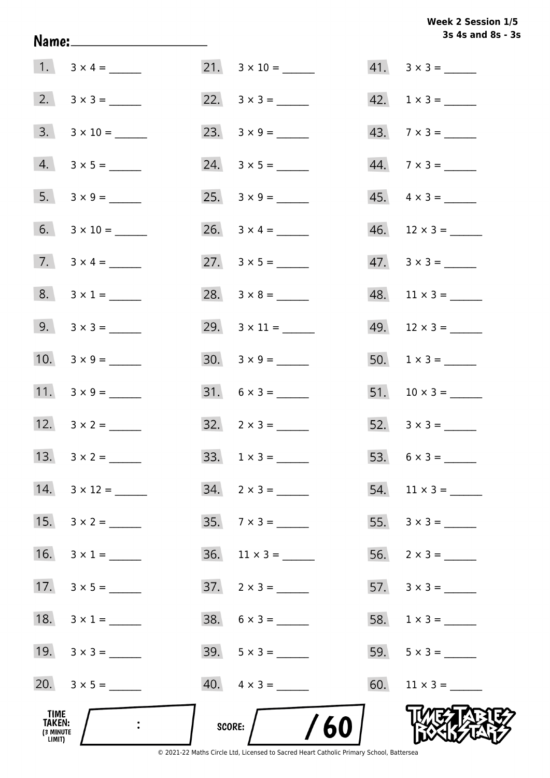## Week 2 Session 1/5 3s 4s and 8s - 3s

|                                              |                           |                           | 3s 4s and 8s - 3            |
|----------------------------------------------|---------------------------|---------------------------|-----------------------------|
|                                              |                           | $21. \quad 3 \times 10 =$ | $41. \quad 3 \times 3 =$    |
|                                              |                           |                           | $42. \quad 1 \times 3 = \_$ |
|                                              |                           |                           | $43.7 \times 3 =$           |
|                                              | $4. 3 \times 5 =$         |                           | $44. 7 \times 3 =$          |
|                                              |                           |                           | $45. \quad 4 \times 3 =$    |
|                                              | 6. $3 \times 10 =$        | 26. $3 \times 4 =$        | $46.$ 12 × 3 = ______       |
|                                              |                           | 27. $3 \times 5 =$        | $47. \quad 3 \times 3 =$    |
|                                              | $8. 3 \times 1 =$         |                           | $48.$ 11 × 3 = _______      |
|                                              | 9. $3 \times 3 =$         |                           | $49. 12 \times 3 =$         |
|                                              | 10. $3 \times 9 =$        |                           | $50. 1 \times 3 =$          |
|                                              |                           |                           |                             |
|                                              | 12. $3 \times 2 =$        | $32. \quad 2 \times 3 =$  |                             |
|                                              | 13. $3 \times 2 =$        | $33. 1 \times 3 =$        |                             |
|                                              | $14. \quad 3 \times 12 =$ | $34. 2 \times 3 =$        |                             |
| 15.                                          | $3 \times 2 =$            | $35.7 \times 3 =$         |                             |
|                                              | 16. $3 \times 1 =$        | $36.$ 11 x 3 = ______     | $56. 2 \times 3 =$          |
|                                              |                           | $37. \quad 2 \times 3 =$  |                             |
| 18.                                          | $3 \times 1 =$            |                           |                             |
|                                              | 19. $3 \times 3 =$        |                           | 59. $5 \times 3 =$          |
|                                              | 20. $3 \times 5 =$        | $40. \quad 4 \times 3 =$  | 60. $11 \times 3 =$         |
| TIME<br><b>TAKEN:</b><br>(3 MINUTE<br>LIMIT) |                           | /60<br>SCORE:             |                             |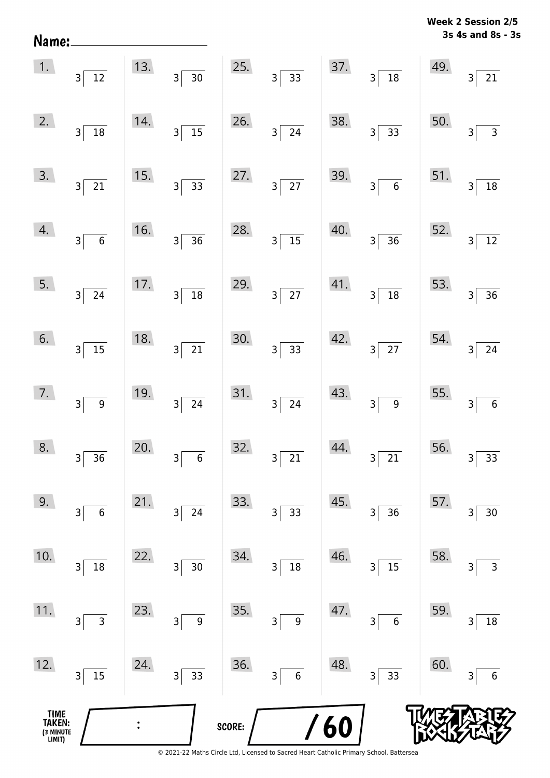| Name:                                 |                                           |     |                                            |        |                                            |     |                                            |     | 3s 4s and 8s - 3s             |
|---------------------------------------|-------------------------------------------|-----|--------------------------------------------|--------|--------------------------------------------|-----|--------------------------------------------|-----|-------------------------------|
| 1.                                    | $3\overline{)12}$                         | 13. | 3<br>$\overline{30}$                       | 25.    | $3 \overline{)33}$                         | 37. | $\overline{18}$<br>3                       | 49. | 21<br>3                       |
| 2.                                    | $3\vert$<br>$\boxed{18}$                  | 14. | $\frac{15}{15}$<br>$\overline{\mathbf{3}}$ | 26.    | 24<br>$\overline{\mathbf{3}}$              | 38. | $\overline{33}$<br>$\overline{\mathsf{3}}$ | 50. | $\overline{3}$<br>3           |
| 3.                                    | $3\sqrt{21}$                              | 15. | $\overline{33}$<br>$\mathsf{3}$            | 27.    | $\overline{27}$<br>$\overline{\mathbf{3}}$ | 39. | $\overline{6}$<br>$\overline{\mathsf{3}}$  | 51. | 18<br>$\mathsf{3}$            |
| 4.                                    | $\overline{\phantom{0}}$ 6<br>$3\sqrt{ }$ | 16. | $\overline{36}$<br>3                       | 28.    | $\overline{15}$<br>$\overline{\mathbf{3}}$ | 40. | $\overline{36}$<br>$\overline{\mathbf{3}}$ | 52. | $12$<br>$\mathsf{3}$          |
| 5.                                    | $3\sqrt{ }$<br>$\overline{24}$            | 17. | $\overline{18}$<br>$\mathsf{3}$            | 29.    | $\overline{27}$<br>3                       | 41. | $\frac{1}{18}$<br>3                        | 53. | 36<br>$\mathsf{3}$            |
| 6.                                    | $3\sqrt{ }$<br>$\overline{15}$            | 18. | $\overline{21}$<br>$\overline{\mathbf{3}}$ | 30.    | $\overline{33}$<br>$\overline{\mathbf{3}}$ | 42. | $3\overline{27}$                           | 54. | $\mathsf{3}$<br>$24\,$        |
| 7.                                    | $\overline{9}$<br>3 <sup>5</sup>          | 19. | $\overline{24}$<br>$\mathsf{3}$            | 31.    | 24<br>$\overline{\mathbf{3}}$              | 43. | $\overline{9}$<br>3                        | 55. | $\overline{6}$<br>$\mathsf 3$ |
| 8.                                    | $\overline{36}$<br>3                      | 20. | 6<br>3                                     | 32.    | 21<br>3                                    | 44. | 21<br>3                                    | 56. | 33<br>3                       |
| 9.                                    | $\overline{6}$<br>3                       | 21. | 24<br>3                                    | 33.    | 33<br>3                                    | 45. | 36<br>3                                    | 57. | $30\,$<br>3                   |
| 10.                                   | 18<br>3                                   | 22. | $30\,$<br>3                                | 34.    | 18<br>3                                    | 46. | 15<br>3                                    | 58. | $\mathsf{3}$<br>3             |
| 11.                                   | 3<br>$\mathsf{3}$                         | 23. | $\boldsymbol{9}$<br>3                      | 35.    | $\boldsymbol{9}$<br>3                      | 47. | $\boldsymbol{6}$<br>3                      | 59. | $18\,$<br>3                   |
| 12.                                   | 15<br>3                                   | 24. | 33<br>3                                    | 36.    | $\boldsymbol{6}$<br>3                      | 48. | 33<br>3                                    | 60. | $\boldsymbol{6}$<br>3         |
| TIME<br>TAKEN:<br>(3 MINUTE<br>LIMIT) |                                           |     |                                            | SCORE: |                                            | 60  |                                            |     |                               |

**Week 2 Session 2/5**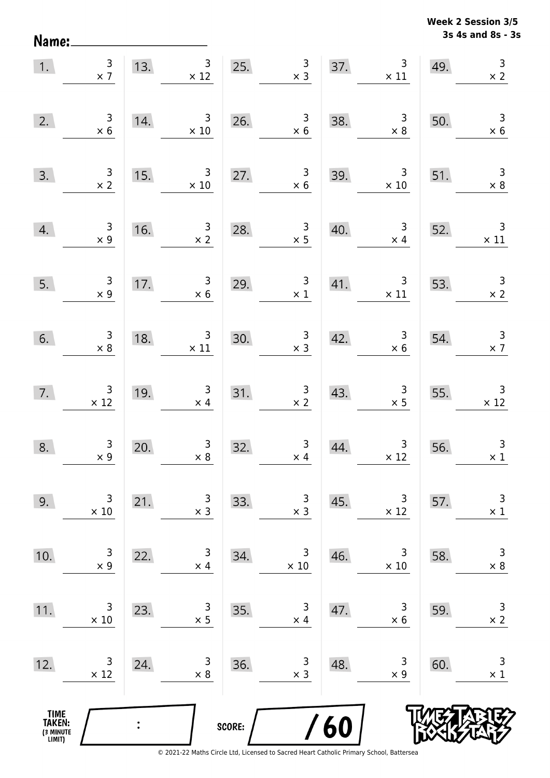Name:

**3s 4s and 8s - 3s Week 2 Session 3/5** 

| 1.                                    | $\frac{3}{x}$                                 |                | 13. $3 \times 12$                                | 25.    | $\begin{array}{c} 3 \\ \times 3 \end{array}$        |     | $\mathsf{3}$<br>37. $3 \times 11$                | 49. | $\begin{array}{c} 3 \\ \times 2 \end{array}$  |
|---------------------------------------|-----------------------------------------------|----------------|--------------------------------------------------|--------|-----------------------------------------------------|-----|--------------------------------------------------|-----|-----------------------------------------------|
| 2.                                    | $\begin{array}{c} 3 \\ \times 6 \end{array}$  | 14.            | $\overline{\phantom{a}}$<br>$\times 10$          |        | $\begin{array}{c} 3 \\ \times 6 \end{array}$<br>26. | 38. | $\begin{array}{r} 3 \\ \times 8 \end{array}$     | 50. | $\begin{array}{r} 3 \\ \times 6 \end{array}$  |
| 3.                                    | $\frac{3}{x}$                                 | 15.            | $\overline{\mathbf{3}}$<br>$\times$ 10           | 27.    | $\begin{array}{c} 3 \\ \times 6 \end{array}$        | 39. | $\overline{\mathbf{3}}$<br>$\times$ 10           | 51. | $\begin{array}{c} 3 \\ \times 8 \end{array}$  |
| 4.                                    | $\begin{array}{c} 3 \\ \times 9 \end{array}$  | 16.            | $\begin{array}{c} 3 \\ x 2 \end{array}$          | 28.    | $\begin{array}{c} 3 \\ \times 5 \end{array}$        | 40. | $\begin{array}{c c}\n3 \\ \times 4\n\end{array}$ | 52. | $\begin{array}{c} 3 \\ \times 11 \end{array}$ |
| 5.                                    | $\begin{array}{c} 3 \\ \times 9 \end{array}$  |                | 17. $\begin{array}{r} 3 \\ \times 6 \end{array}$ |        | 29. $\begin{array}{r} 3 \\ \times 1 \end{array}$    | 41. | $\begin{array}{c}3\\ \times 11\end{array}$       | 53. | $\frac{3}{x^2}$                               |
| 6.                                    | $\begin{array}{c} 3 \\ \times 8 \end{array}$  | 18.            | $\begin{array}{c} 3 \\ \times 11 \end{array}$    | 30.    | $\begin{array}{c} 3 \\ \times 3 \end{array}$        | 42. | $\begin{array}{c} 3 \\ \times 6 \end{array}$     | 54. | $\begin{array}{c} 3 \\ \times 7 \end{array}$  |
| 7.                                    | $\begin{array}{r} 3 \\ \times 12 \end{array}$ | 19.            | $\begin{array}{c} 3 \\ \times 4 \end{array}$     |        | 31. $\begin{array}{r} 3 \\ \times 2 \end{array}$    | 43. | $\begin{array}{r} 3 \\ \times 5 \end{array}$     | 55. | $\begin{array}{r} 3 \\ \times 12 \end{array}$ |
| 8.                                    | $\begin{array}{c} 3 \\ \times 9 \end{array}$  | 20.            | $\begin{array}{c} 3 \\ \times 8 \end{array}$     | 32.    | $\begin{array}{c} 3 \\ \times 4 \end{array}$        | 44. | $\begin{array}{c} 3 \\ \times 12 \end{array}$    | 56. | $\mathbf{3}$<br>$\times$ 1                    |
| 9.                                    | 3<br>$\times$ 10                              | 21.            | 3<br>$\times$ 3                                  | 33.    | $\begin{array}{c} 3 \\ x 3 \end{array}$             | 45. | 3<br>$\times$ 12                                 | 57. | 3<br>$\times$ 1                               |
| 10.                                   | 3<br>$\times$ 9                               | 22.            | 3<br>$\times$ 4                                  | 34.    | 3<br>$\times 10$                                    | 46. | 3<br>$\times 10$                                 | 58. | $\mathsf 3$<br>$\times$ 8                     |
| 11.                                   | 3<br>$\times$ 10                              | 23.            | 3<br>$\times$ 5                                  | 35.    | 3<br>$\times$ 4                                     | 47. | 3<br>$\times$ 6                                  | 59. | $\mathsf 3$<br>$\times$ 2                     |
| 12.                                   | 3<br>$\times$ 12                              | 24.            | 3<br>$\times$ 8                                  | 36.    | 3<br>$\times$ 3                                     | 48. | 3<br>$\times$ 9                                  | 60. | 3<br>$\times$ 1                               |
| TIME<br>TAKEN:<br>(3 MINUTE<br>LIMIT) |                                               | $\ddot{\cdot}$ |                                                  | SCORE: |                                                     | 60  |                                                  |     |                                               |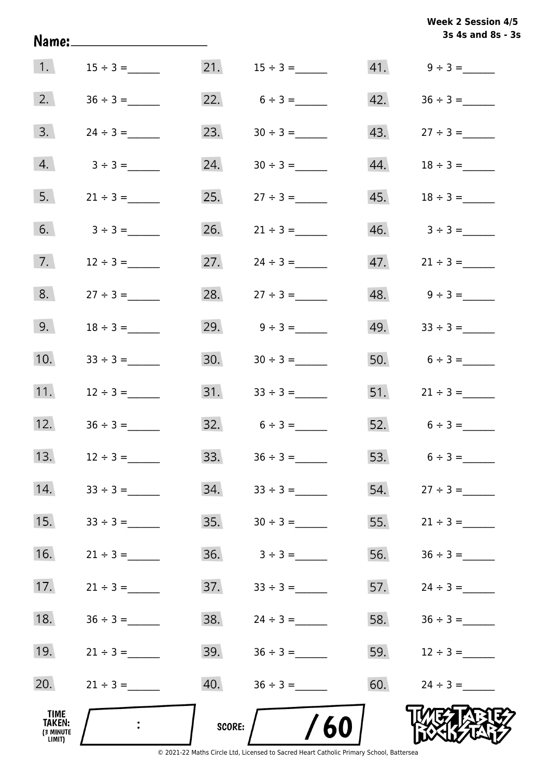|                                       | Name:_____________________ |        |                   |     | 3s 4s and 8s - 3s   |
|---------------------------------------|----------------------------|--------|-------------------|-----|---------------------|
|                                       | 1. $15 \div 3 =$           |        |                   |     |                     |
|                                       | 2. $36 \div 3 =$           |        | 22. $6 \div 3 =$  |     |                     |
| 3.                                    | $24 \div 3 =$              | 23.    | $30 \div 3 =$     |     |                     |
| 4.                                    | $3 \div 3 =$               |        |                   |     |                     |
| 5.                                    | $21 \div 3 =$              |        | 25. $27 \div 3 =$ |     |                     |
| 6.                                    | $3 \div 3 =$               |        | 26. $21 \div 3 =$ |     |                     |
| 7.                                    | $12 \div 3 =$              | 27.    |                   |     |                     |
| 8.                                    | $27 \div 3 =$              | 28.    | $27 \div 3 =$     |     | $48.$ $9 \div 3 =$  |
| 9.                                    | $18 \div 3 =$              |        | 29. $9 \div 3 =$  |     | $49.$ $33 \div 3 =$ |
| 10.                                   | $33 \div 3 =$              |        |                   |     | 50. $6 \div 3 =$    |
| 11.                                   | $12 \div 3 =$              |        |                   |     |                     |
| 12.                                   | $36 \div 3 =$              |        | $32. 6 \div 3 =$  |     | 52. $6 \div 3 =$    |
| 13.                                   | $12 \div 3 =$              | 33.    |                   | 53. | $6 \div 3 =$        |
| 14.                                   |                            | 34.    | $33 \div 3 =$     | 54. | $27 \div 3 =$       |
| 15.                                   |                            | 35.    | $30 \div 3 =$     | 55. | $21 \div 3 =$       |
| 16.                                   |                            | 36.    | $3 \div 3 =$      | 56. |                     |
| 17.                                   | $21 \div 3 =$              | 37.    | $33 \div 3 =$     | 57. | $24 \div 3 =$       |
| 18.                                   | $36 \div 3 =$              | 38.    |                   | 58. | $36 \div 3 =$       |
| 19.                                   | $21 \div 3 =$              | 39.    |                   | 59. | $12 \div 3 =$       |
| 20.                                   | $21 \div 3 =$              | 40.    |                   | 60. | $24 \div 3 =$       |
| TIME<br>TAKEN:<br>(3 MINUTE<br>LIMIT) |                            | SCORE: | /60               |     |                     |

© 2021-22 Maths Circle Ltd, Licensed to Sacred Heart Catholic Primary School, Battersea

**3s 4s and 8s - 3s Week 2 Session 4/5**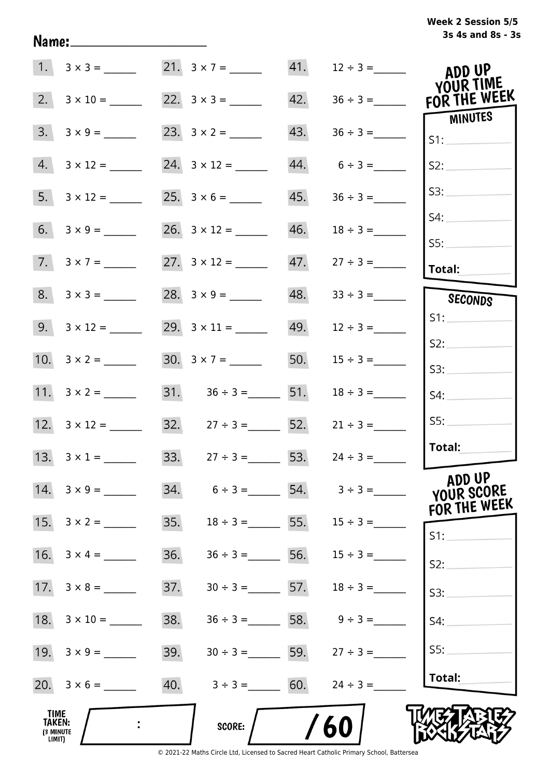## **3s 4s and 8s - 3s Week 2 Session 5/5**

|                                              | $1. 3 \times 3 =$   | 21. $3 \times 7 =$                  |     |                   | ADD UP                                  |
|----------------------------------------------|---------------------|-------------------------------------|-----|-------------------|-----------------------------------------|
|                                              |                     |                                     | 42. |                   | YOUR TIME<br>$36 \div 3 =$ FOR THE WEEK |
|                                              |                     | 23. $3 \times 2 =$                  | 43. |                   | MINUTES<br>S1:                          |
| 4.                                           |                     |                                     |     | $44. 6 \div 3 =$  | S2:                                     |
|                                              |                     | $25. 3 \times 6 =$                  | 45. | $36 \div 3 =$     | S3:                                     |
|                                              |                     | $26. \quad 3 \times 12 =$           | 46. | $18 \div 3 =$     | S4:                                     |
|                                              | $7. 3 \times 7 =$   |                                     |     |                   | SS:                                     |
|                                              |                     |                                     |     |                   | Total:                                  |
|                                              | $8. 3 \times 3 =$   |                                     |     | $48. 33 \div 3 =$ | SECONDS                                 |
|                                              |                     |                                     | 49. | $12 \div 3 =$     | S1:                                     |
|                                              |                     |                                     |     |                   | S2:                                     |
|                                              |                     |                                     | 50. | $15 \div 3 =$     | S3:                                     |
|                                              |                     | $31.$ $36 \div 3 =$ 51.             |     | $18 \div 3 =$     | S4:                                     |
|                                              | 12. $3 \times 12 =$ | 32. $27 \div 3 =$ 52.               |     | $21 \div 3 =$     | SS:                                     |
|                                              | 13. $3 \times 1 =$  | 33. $27 \div 3 =$ 53. $24 \div 3 =$ |     |                   | Total:                                  |
|                                              | 14. $3 \times 9 =$  | 34.<br>$6 \div 3 =$                 |     |                   | ADD UP<br>YOUR SCORE<br>FOR THE WEEK    |
|                                              |                     | 35.<br>$18 \div 3 =$ 55.            |     | $15 \div 3 =$     | $S1$ :                                  |
|                                              |                     | 36.<br>$36 \div 3 =$                | 56. | $15 \div 3 =$     | S2:                                     |
|                                              |                     | 37.<br>$30 \div 3 =$ 57.            |     | $18 \div 3 =$     | S3:                                     |
| 18.                                          | $3 \times 10 =$     | 38.<br>$36 \div 3 =$ 58.            |     | $9 \div 3 =$      | S4:                                     |
| 19.                                          | $3 \times 9 =$      | 39.<br>$30 \div 3 =$ 59.            |     | $27 \div 3 =$     | S5:                                     |
|                                              |                     | 40.<br>$3 \div 3 =$                 | 60. | $24 \div 3 =$     | Total:                                  |
| TIME<br><b>TAKEN:</b><br>(3 MINUTE<br>LIMIT) |                     | <b>SCORE:</b>                       |     | 60                |                                         |

Name: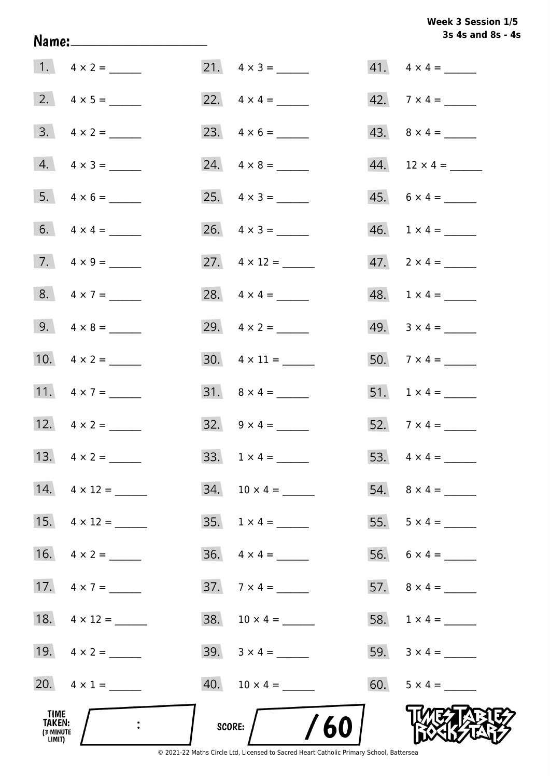## Week 3 Session 1/5 3s 4s and 8s - 4s

|                                              |                         |                             | 3s 4s and 8s - 4         |
|----------------------------------------------|-------------------------|-----------------------------|--------------------------|
|                                              |                         | 21. $4 \times 3 =$          | $41. \quad 4 \times 4 =$ |
|                                              |                         |                             | $42.7 \times 4 =$        |
|                                              | $3. \quad 4 \times 2 =$ |                             |                          |
|                                              | $4. \quad 4 \times 3 =$ |                             |                          |
|                                              | $5. 4 \times 6 =$       |                             | $45. 6 \times 4 =$       |
|                                              | 6. $4 \times 4 =$       | 26. $4 \times 3 =$          | $46. 1 \times 4 =$       |
|                                              | 7. $4 \times 9 =$       | 27. $4 \times 12 =$         | $47. 2 \times 4 =$       |
|                                              | 8. $4 \times 7 =$       | 28. $4 \times 4 =$          | $48. 1 \times 4 =$       |
|                                              | 9. $4 \times 8 =$       | 29. $4 \times 2 =$          | 49. $3 \times 4 =$       |
|                                              | 10. $4 \times 2 =$      | $30. \quad 4 \times 11 =$   | $50.7 \times 4 =$        |
|                                              | 11. $4 \times 7 =$      |                             |                          |
|                                              | 12. $4 \times 2 =$      | 32. $9 \times 4 =$          | 52. $7 \times 4 =$       |
|                                              |                         |                             | 53. $4 \times 4 =$       |
|                                              | 14. $4 \times 12 =$     |                             |                          |
|                                              |                         | $35. 1 \times 4 =$          | 55. $5 \times 4 =$       |
|                                              |                         | $36. \quad 4 \times 4 =$    |                          |
|                                              | 17. $4 \times 7 =$      | $37.7 \times 4 =$           |                          |
|                                              | 18. $4 \times 12 =$     |                             |                          |
|                                              | 19. $4 \times 2 =$      | $39. \quad 3 \times 4 = \_$ | 59. $3 \times 4 =$       |
|                                              | 20. $4 \times 1 =$      | 40. $10 \times 4 =$         | 60. $5 \times 4 =$       |
| TIME<br><b>TAKEN:</b><br>(3 MINUTE<br>LIMIT) |                         | /60<br>SCORE:               |                          |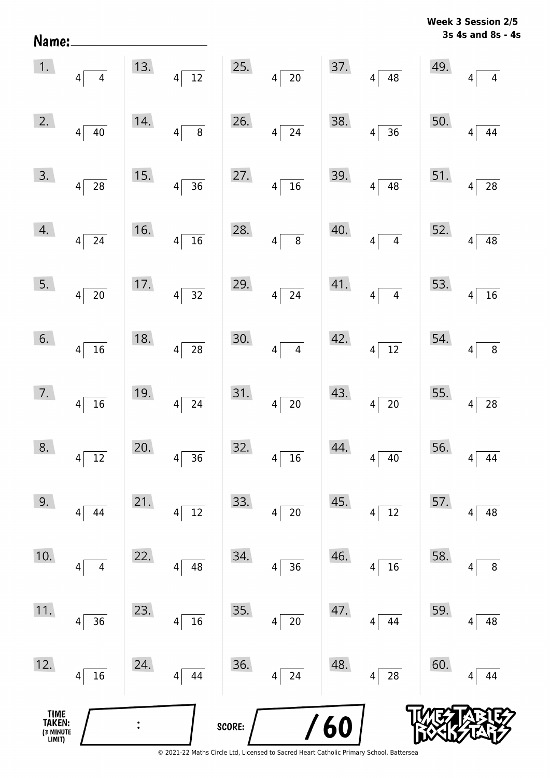| Name:                                 |                                                    |     |                                    |        |                                    |     |                                       |     | 3s 4s and 8s - 4s    |
|---------------------------------------|----------------------------------------------------|-----|------------------------------------|--------|------------------------------------|-----|---------------------------------------|-----|----------------------|
| 1.                                    | 4 <br>$\overline{4}$                               | 13. | $\overline{12}$<br>$\vert 4 \vert$ | 25.    | $4\sqrt{20}$                       | 37. | $4 \overline{)48}$                    | 49. | $\overline{4}$<br>4  |
| 2.                                    | $4\vert$<br>$40\,$                                 | 14. | $\overline{8}$<br>$\vert 4 \vert$  | 26.    | 24<br> 4                           | 38. | $\overline{36}$<br>4                  | 50. | 44<br>$\overline{4}$ |
| 3.                                    | $4\overline{28}$                                   | 15. | $\overline{36}$<br>$4\vert$        | 27.    | $\overline{16}$<br> 4              | 39. | $\overline{48}$<br>$4\vert$           | 51. | 28<br>4              |
| 4.                                    | $4\sqrt{24}$                                       | 16. | $\overline{16}$<br> 4              | 28.    | $\overline{8}$<br>$\overline{4}$   | 40. | $\overline{4}$<br>4                   | 52. | 48<br>4              |
| 5.                                    | $4\sqrt{20}$                                       | 17. | $\overline{32}$<br>$4\vert$        | 29.    | $\overline{24}$<br> 4              | 41. | $\overline{4}$<br>4                   | 53. | 16<br>4              |
| 6.                                    | $4\overline{16}$                                   | 18. | $\overline{28}$<br>$\vert 4 \vert$ | 30.    | $\overline{4}$<br>$\vert 4 \vert$  | 42. | $4\overline{12}$                      | 54. | $\,8\,$<br>4         |
| 7.                                    | $4\overline{16}$                                   | 19. | $\overline{24}$<br>$\vert 4 \vert$ | 31.    | $\overline{20}$<br>$\vert 4 \vert$ | 43. | $4\overline{20}$                      | 55. | 28<br>4              |
| 8.                                    | 12<br> 4                                           | 20. | 36<br>4                            | 32.    | 16<br>4                            | 44. | 40<br>4                               | 56. | 44<br>4              |
| 9.                                    | 44<br>$\vert 4 \vert$                              | 21. | $12\,$<br>4                        | 33.    | 20<br>4                            | 45. | $12\,$<br>4                           | 57. | 48<br>4              |
| 10.                                   | $\overline{\mathbf{4}}$<br>$\overline{\mathbf{4}}$ | 22. | 48<br>4                            | 34.    | 36<br>4                            | 46. | 16<br>4                               | 58. | 8<br>4               |
| 11.                                   | 36<br> 4                                           | 23. | 16<br>4                            | 35.    | 20<br>4                            | 47. | 44<br>4                               | 59. | 48<br>4              |
| 12.                                   | $16\,$<br>$\vert 4 \vert$                          | 24. | 44<br>4                            | 36.    | 24<br>4                            | 48. | ${\bf 28}$<br>$\overline{\mathbf{4}}$ | 60. | 44<br>4              |
| TIME<br>TAKEN:<br>(3 MINUTE<br>LIMIT) |                                                    |     |                                    | SCORE: |                                    | 60  |                                       |     |                      |

**Week 3 Session 2/5**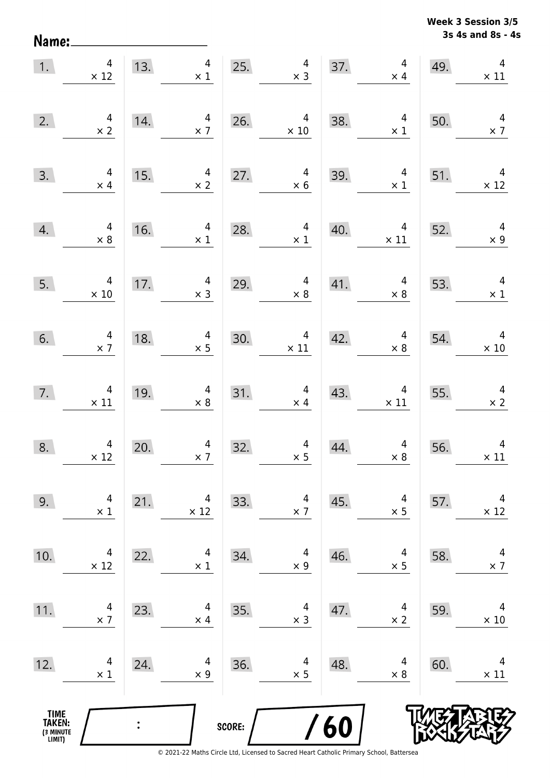Name:

**3s 4s and 8s - 4s Week 3 Session 3/5** 

| 1.                                            | $\overline{\mathbf{4}}$<br>$\times$ 12        | 13.            | $\overline{4}$<br>$\times$ 1 | 25.    | $\overline{\mathcal{A}}$<br>$\times$ 3          | 37. | $\overline{4}$<br>$\times$ 4  | 49. | $\overline{\mathbf{4}}$<br>$\times$ 11       |
|-----------------------------------------------|-----------------------------------------------|----------------|------------------------------|--------|-------------------------------------------------|-----|-------------------------------|-----|----------------------------------------------|
| 2.                                            | $\begin{array}{c} 4 \\ \times 2 \end{array}$  | 14.            | 4<br>$\times$ 7              | 26.    | 4<br>$\times$ 10                                | 38. | 4<br>$\times$ 1               | 50. | $\overline{4}$<br>$\times$ 7                 |
| 3.                                            | $\overline{4}$<br>$\times$ 4                  | 15.            | 4<br>$\times$ 2              | 27.    | $\overline{\mathbf{4}}$<br>$\times 6$           | 39. | $\overline{4}$<br>$\times$ 1  | 51. | $\overline{4}$<br>$\times$ 12                |
| 4.                                            | $\overline{a}$<br>$\times 8$                  | 16.            | $\overline{4}$<br>$\times$ 1 | 28.    | $\overline{a}$<br>$\times$ 1                    | 40. | $\overline{4}$<br>$\times$ 11 | 52. | $\overline{4}$<br>$\times$ 9                 |
| 5.                                            | $\overline{4}$<br>$\times$ 10                 | 17.            | $\overline{4}$<br>$\times$ 3 | 29.    | $\overline{\mathbf{r}}$<br>$\times$ 8           | 41. | $\overline{4}$<br>$\times$ 8  | 53. | $\overline{4}$<br>$\times$ 1                 |
| 6.                                            | $\begin{array}{c} 4 \\ \times 7 \end{array}$  | 18.            | $\overline{4}$<br>$\times$ 5 | 30.    | $\begin{array}{c} 4 \\ \times \ 11 \end{array}$ | 42. | $\overline{4}$<br>$\times 8$  | 54. | $\overline{4}$<br>$\times 10$                |
| 7.                                            | $\begin{array}{c} 4 \\ \times 11 \end{array}$ | 19.            | $\overline{a}$<br>$\times$ 8 | 31.    | $\overline{a}$<br>$\times$ 4                    | 43. | $\overline{4}$<br>$\times$ 11 | 55. | $\begin{array}{c} 4 \\ \times 2 \end{array}$ |
| 8.                                            | $\overline{\mathbf{r}}$<br>$\times$ 12        | 20.            | $\overline{4}$<br>$\times$ 7 | 32.    | $\begin{array}{c} 4 \\ \times 5 \end{array}$    | 44. | $\overline{4}$<br>$\times 8$  | 56. | $\overline{4}$<br>$\times$ 11                |
| 9.                                            | 4<br>$\times$ 1                               | 21.            | 4<br>$\times$ 12             | 33.    | 4<br>$\times$ 7                                 | 45. | 4<br>$\times$ 5               | 57. | 4<br>$\times$ 12                             |
| 10.                                           | 4<br>$\times$ 12                              | 22.            | 4<br>$\times$ 1              | 34.    | 4<br>$\times$ 9                                 | 46. | 4<br>$\times$ 5               | 58. | 4<br>$\times$ 7                              |
| 11.                                           | 4<br>$\times$ 7                               | 23.            | 4<br>$\times$ 4              | 35.    | 4<br>$\times$ 3                                 | 47. | 4<br>$\times$ 2               | 59. | 4<br>$\times$ 10                             |
| 12.                                           | 4<br>$\times$ 1                               | 24.            | 4<br>$\times$ 9              | 36.    | 4<br>$\times$ 5                                 | 48. | 4<br>$\times$ 8               | 60. | 4<br>$\times$ 11                             |
| <b>TIME<br/>TAKEN:</b><br>(3 MINUTE<br>LIMIT) |                                               | $\ddot{\cdot}$ |                              | SCORE: | $\prime$                                        | 60  |                               |     |                                              |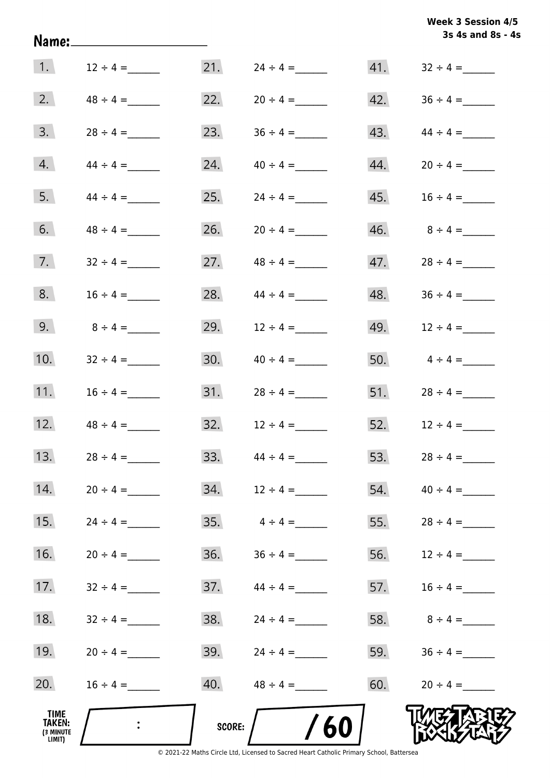| Week 3 Session 4/5 |                   |  |
|--------------------|-------------------|--|
|                    | 3s 4s and 8s - 4s |  |

|                                                     | Name:________________________ |        |               |     | 3s 4s and 8s - 4s |
|-----------------------------------------------------|-------------------------------|--------|---------------|-----|-------------------|
| $\vert 1. \vert$                                    | $12 \div 4 =$                 | 21.    | $24 \div 4 =$ |     |                   |
| 2.                                                  | $48 \div 4 =$                 | 22.    |               | 42. |                   |
| 3.                                                  |                               | 23.    | $36 \div 4 =$ | 43. | $44 \div 4 =$     |
| 4.                                                  |                               | 24.    | $40 \div 4 =$ | 44. | $20 \div 4 =$     |
| 5.                                                  | $44 \div 4 =$                 | 25.    | $24 \div 4 =$ | 45. | $16 \div 4 =$     |
| 6.                                                  | $48 \div 4 =$                 | 26.    | $20 \div 4 =$ |     |                   |
| 7.                                                  | $32 \div 4 =$                 | 27.    | $48 \div 4 =$ |     |                   |
| 8.                                                  | $16 \div 4 =$                 | 28.    | $44 \div 4 =$ |     |                   |
| 9.                                                  | $8 \div 4 =$                  | 29.    | $12 \div 4 =$ |     | 49. $12 \div 4 =$ |
| 10.                                                 | $32 \div 4 =$                 | 30.    | $40 \div 4 =$ |     | 50. $4 \div 4 =$  |
| 11.                                                 | $16 \div 4 =$                 | 31.    | $28 \div 4 =$ |     | 51. $28 \div 4 =$ |
| 12.                                                 | $48 \div 4 =$                 | 32.    | $12 \div 4 =$ |     | 52. $12 \div 4 =$ |
| 13.                                                 | $28 \div 4 =$                 | 33.    | $44 \div 4 =$ | 53. | $28 \div 4 =$     |
| 14.                                                 | $20 \div 4 =$                 | 34.    | $12 \div 4 =$ |     |                   |
| 15.                                                 | $24 \div 4 =$                 | 35.    | $4 \div 4 =$  | 55. | $28 \div 4 =$     |
| 16.                                                 |                               | 36.    | $36 \div 4 =$ |     | 56. $12 \div 4 =$ |
| 17.                                                 | $32 \div 4 =$                 | 37.    | $44 \div 4 =$ | 57. | $16 \div 4 =$     |
| 18.                                                 | $32 \div 4 =$                 | 38.    | $24 \div 4 =$ | 58. | $8 \div 4 =$      |
| 19.                                                 | $20 \div 4 =$                 | 39.    | $24 \div 4 =$ |     | 59. $36 \div 4 =$ |
| 20.                                                 | $16 \div 4 =$                 | 40.    | $48 \div 4 =$ | 60. | $20 \div 4 =$     |
| <b>TIME</b><br><b>TAKEN:</b><br>(3 MINUTE<br>LIMIT) |                               | SCORE: | 60            |     |                   |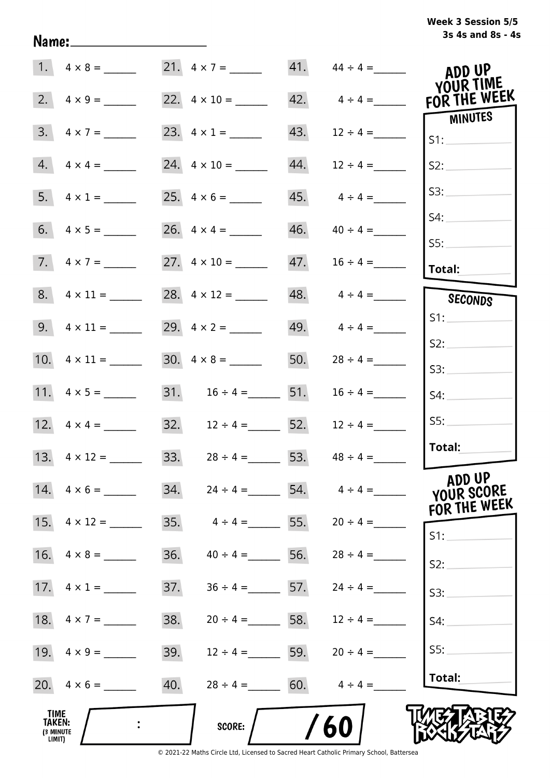## **3s 4s and 8s - 4s Week 3 Session 5/5**

| 1.                                                  |                    |                     | 21. $4 \times 7 =$    |     |                         | ADD UP<br><b>YOUR TIME</b>           |
|-----------------------------------------------------|--------------------|---------------------|-----------------------|-----|-------------------------|--------------------------------------|
| 2.                                                  | $4 \times 9 =$     |                     |                       |     | $42. \qquad 4 \div 4 =$ | FOR THE WEEK                         |
| 3.                                                  | $4 \times 7 =$     |                     |                       | 43. | $12 \div 4 =$           | MINUTES<br>S1:                       |
| 4.                                                  | $4 \times 4 =$     | 24. $4 \times 10 =$ |                       | 44. | $12 \div 4 =$           | S2:                                  |
|                                                     |                    |                     |                       |     | $45.$ $4 \div 4 =$      | S3:                                  |
|                                                     |                    |                     |                       | 46. | $40 \div 4 =$           | S4:                                  |
|                                                     | 7. $4 \times 7 =$  | 27. $4 \times 10 =$ |                       | 47. | $16 \div 4 =$           | S5:<br>Total:                        |
|                                                     |                    |                     | 28. $4 \times 12 =$   |     | $48. \qquad 4 \div 4 =$ | SECONDS                              |
|                                                     |                    |                     |                       |     | 49. $4 \div 4 =$        | S1:                                  |
|                                                     |                    |                     |                       | 50. | $28 \div 4 =$           | S2:<br>S3:                           |
|                                                     |                    |                     | 31. $16 \div 4 =$ 51. |     | $16 \div 4 =$           | S4:                                  |
|                                                     |                    |                     | 32. $12 \div 4 =$ 52. |     | $12 \div 4 =$           | S5:                                  |
|                                                     |                    | 33.                 | $28 \div 4 =$ 53.     |     | $48 \div 4 =$           | Total:                               |
|                                                     | 14. $4 \times 6 =$ | 34.                 | $24 \div 4 =$         |     | 54. $4 \div 4 =$        | ADD UP<br>YOUR SCORE<br>FOR THE WEEK |
| 15.                                                 | $4 \times 12 =$    | 35.                 | $4 \div 4 =$ 55.      |     | $20 \div 4 =$           | $S1$ :                               |
| 16.                                                 | $4 \times 8 =$     | 36.                 | $40 \div 4 =$ 56.     |     | $28 \div 4 =$           | S2:                                  |
|                                                     |                    | 37.                 | $36 \div 4 =$ 57.     |     | $24 \div 4 =$           | S3:                                  |
| 18.                                                 | $4 \times 7 =$     | 38.                 | $20 \div 4 =$ 58.     |     | $12 \div 4 =$           | S4:                                  |
|                                                     | 19. $4 \times 9 =$ | 39.                 | $12 \div 4 =$ 59.     |     | $20 \div 4 =$           | S5:                                  |
|                                                     |                    | 40.                 | $28 \div 4 = 60.$     |     | $4 \div 4 =$            | Total:                               |
| <b>TIME</b><br><b>TAKEN:</b><br>(3 MINUTE<br>LIMIT) |                    |                     | SCORE:                |     | 60                      |                                      |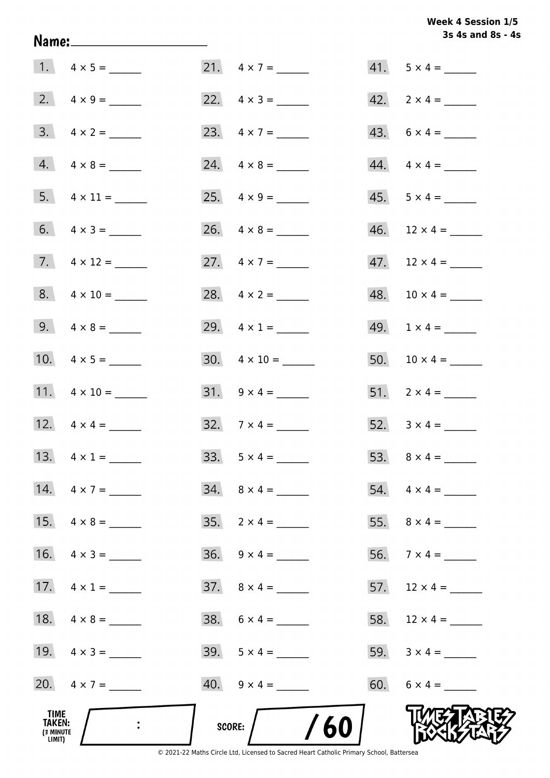## Week 4 Session 1/5 3s 4s and 8s - 4s

|                                              |                         |                             | 3s 4s and 8s - 4         |
|----------------------------------------------|-------------------------|-----------------------------|--------------------------|
|                                              |                         | 21. $4 \times 7 =$          | $41. 5 \times 4 =$       |
|                                              | 2. $4 \times 9 =$       | 22. $4 \times 3 =$          | $42. \quad 2 \times 4 =$ |
|                                              | $3. \quad 4 \times 2 =$ | 23. $4 \times 7 =$          | $43. 6 \times 4 =$       |
|                                              | $4. \quad 4 \times 8 =$ |                             | $44. \quad 4 \times 4 =$ |
|                                              | 5. $4 \times 11 =$      |                             | $45. 5 \times 4 =$       |
|                                              | 6. $4 \times 3 =$       |                             |                          |
|                                              | 7. $4 \times 12 =$      | 27. $4 \times 7 =$          |                          |
|                                              | $8. 4 \times 10 =$      | 28. $4 \times 2 =$          | $48. 10 \times 4 =$      |
|                                              | 9. $4 \times 8 =$       | 29. $4 \times 1 =$          | 49. $1 \times 4 =$       |
|                                              | 10. $4 \times 5 =$      | $30. \quad 4 \times 10 =$   |                          |
|                                              | 11. $4 \times 10 =$     |                             | 51. $2 \times 4 =$       |
|                                              | 12. $4 \times 4 =$      | 32. $7 \times 4 =$          | 52. $3 \times 4 =$       |
|                                              | 13. $4 \times 1 =$      | $33. 5 \times 4 =$          | 53. $8 \times 4 =$       |
|                                              | 14. $4 \times 7 =$      | $34. \quad 8 \times 4 =$    |                          |
|                                              | 15. $4 \times 8 =$      | $35. \quad 2 \times 4 =$    |                          |
|                                              | 16. $4 \times 3 =$      | $36. \quad 9 \times 4 =$    | 56. $7 \times 4 =$       |
|                                              | 17. $4 \times 1 =$      | $37. \quad 8 \times 4 = \_$ | 57. $12 \times 4 =$      |
|                                              |                         |                             |                          |
|                                              | 19. $4 \times 3 =$      | $39.5 \times 4 =$           |                          |
|                                              | 20. $4 \times 7 =$      | $40.$ $9 \times 4 =$        |                          |
| TIME<br><b>TAKEN:</b><br>(3 MINUTE<br>LIMIT) |                         | /60<br>SCORE:               |                          |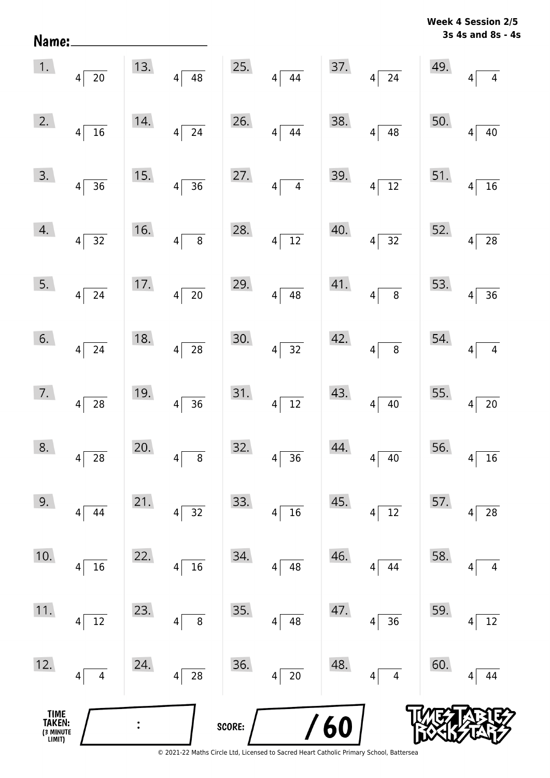**Week 4 Session 2/5**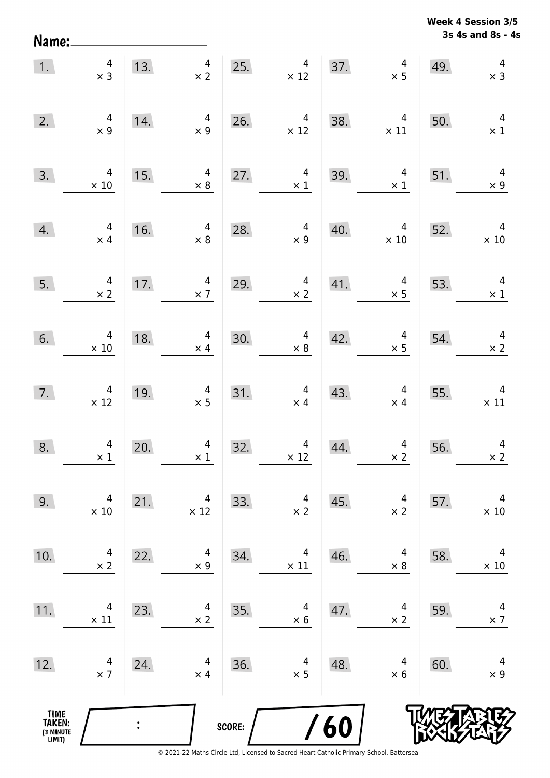**3s 4s and 8s - 4s Week 4 Session 3/5** 

| 1.                                            | $\begin{array}{c} 4 \\ \times 3 \end{array}$    |     | $\overline{4}$<br>13.<br>$\times$ 2          | 25.    | $\overline{4}$<br>$\times$ 12                                  |     | 37.<br>$\overline{a}$<br>$\times$ 5           | 49. | $\begin{array}{c} 4 \\ \times 3 \end{array}$  |
|-----------------------------------------------|-------------------------------------------------|-----|----------------------------------------------|--------|----------------------------------------------------------------|-----|-----------------------------------------------|-----|-----------------------------------------------|
| 2.                                            | $4$<br>$\times$ 9                               | 14. | $\overline{4}$<br>$\times$ 9                 | 26.    | $\overline{4}$<br>$\times$ 12                                  | 38. | $\overline{4}$<br>$\times$ 11                 | 50. | $\overline{4}$<br>$\times$ 1                  |
| 3.                                            | $\overline{4}$<br>$\times$ 10                   | 15. | $\overline{4}$<br>$\times$ 8                 | 27.    | $\overline{4}$<br>$\begin{array}{c} 4 \\ \times 1 \end{array}$ | 39. | $\overline{4}$<br>$\times$ 1                  | 51. | $\overline{4}$<br>$\times$ 9                  |
| 4.                                            | $\begin{array}{c} 4 \\ \times 4 \end{array}$    | 16. | $\overline{4}$<br>$\times$ 8                 | 28.    | $\overline{a}$<br>$\times 9$                                   | 40. | $\begin{array}{r} 4 \\ \times 10 \end{array}$ | 52. | $\begin{array}{r} 4 \\ \times 10 \end{array}$ |
| 5.                                            | $\begin{array}{c} 4 \\ \times 2 \end{array}$    | 17. | $\frac{4}{\times 7}$                         | 29.    | $\frac{4}{\times 2}$                                           | 41. | $\overline{4}$<br>$\times$ 5                  | 53. | $\overline{4}$<br>$\times$ 1                  |
| 6.                                            | $\begin{array}{c} 4 \\ \times \ 10 \end{array}$ | 18. | $\begin{array}{r} 4 \\ \times 4 \end{array}$ | 30.    | $4 \times 8$                                                   | 42. | $\begin{array}{c} 4 \\ \times 5 \end{array}$  | 54. | $\begin{array}{r} 4 \\ \times 2 \end{array}$  |
| 7.                                            | $\begin{array}{r} 4 \\ \times 12 \end{array}$   | 19. | $\begin{array}{c} 4 \\ \times 5 \end{array}$ |        | 31. $4 \times 4$<br>$\times$ 4                                 | 43. | $\overline{4}$<br>$\times$ 4                  | 55. | $\overline{4}$<br>$\times$ 11                 |
| 8.                                            | $\begin{array}{c} 4 \\ \times 1 \end{array}$    | 20. | $\begin{array}{c} 4 \\ \times 1 \end{array}$ | 32.    | $\begin{array}{c} 4 \\ \times 12 \end{array}$                  | 44. | $\frac{4}{x^2}$                               | 56. | $\overline{a}$<br>$\times 2$                  |
| 9.                                            | 4<br>$\times 10$                                | 21. | 4<br>$\times$ 12                             | 33.    | 4<br>$\times 2$                                                | 45. | 4<br>$\times$ 2                               | 57. | 4<br>$\times$ 10                              |
| 10.                                           | 4<br>$\times$ 2                                 | 22. | 4<br>$\times$ 9                              | 34.    | 4<br>$\times$ 11                                               | 46. | 4<br>$\times$ 8                               | 58. | 4<br>$\times$ 10                              |
| 11.                                           | 4<br>$\times$ 11                                | 23. | 4<br>$\times$ 2                              | 35.    | 4<br>$\times$ 6                                                | 47. | 4<br>$\times$ 2                               | 59. | 4<br>$\times$ 7                               |
| 12.                                           | 4<br>$\times$ 7                                 | 24. | 4<br>$\times$ 4                              | 36.    | 4<br>$\times$ 5                                                | 48. | 4<br>$\times$ 6                               | 60. | 4<br>$\times$ 9                               |
| <b>TIME<br/>TAKEN:</b><br>(3 MINUTE<br>LIMIT) |                                                 |     |                                              | SCORE: |                                                                | 60  |                                               |     |                                               |

Name: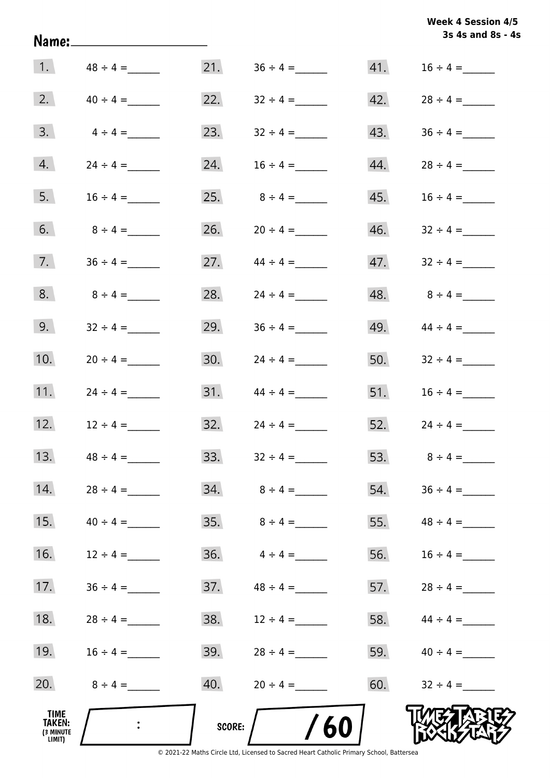| Week 4 Session 4/5 |  |
|--------------------|--|
| 3s 4s and 8s - 4s  |  |
|                    |  |

| TIME<br><b>TAKEN:</b><br>(3 MINUTE<br>LIMIT) |               | SCORE: | 60                 |     |                   |
|----------------------------------------------|---------------|--------|--------------------|-----|-------------------|
| 20.                                          | $8 \div 4 =$  | 40.    | $20 \div 4 =$      | 60. | $32 \div 4 =$     |
| 19.                                          | $16 \div 4 =$ | 39.    | $28 \div 4 =$      | 59. | $40 \div 4 =$     |
| 18.                                          | $28 \div 4 =$ | 38.    | $12 \div 4 =$      | 58. | $44 \div 4 =$     |
| 17.                                          | $36 \div 4 =$ | 37.    | $48 \div 4 =$      | 57. | $28 \div 4 =$     |
| 16.                                          | $12 \div 4 =$ | 36.    | $4 \div 4 =$       | 56. | $16 \div 4 =$     |
| 15.                                          | $40 \div 4 =$ |        | $35.$ $8 \div 4 =$ |     | 55. $48 \div 4 =$ |
| 14.                                          | $28 \div 4 =$ |        |                    |     | 54. $36 \div 4 =$ |
| 13.                                          | $48 \div 4 =$ | 33.    | $32 \div 4 =$      | 53. | $8 \div 4 =$      |
| 12.                                          | $12 \div 4 =$ | 32.    | $24 \div 4 =$      | 52. | $24 \div 4 =$     |
| 11.                                          | $24 \div 4 =$ | 31.    | $44 \div 4 =$      | 51. | $16 \div 4 =$     |
| 10.                                          |               | 30.    |                    | 50. | $32 \div 4 =$     |
| 9.                                           | $32 \div 4 =$ | 29.    | $36 \div 4 =$      | 49. | $44 \div 4 =$     |
| 8.                                           | $8 \div 4 =$  | 28.    |                    | 48. | $8 \div 4 =$      |
| 7.                                           |               | 27.    | $44 \div 4 =$      | 47. | $32 \div 4 =$     |
| 6.                                           | $8 \div 4 =$  | 26.    | $20 \div 4 =$      | 46. | $32 \div 4 =$     |
| 5.                                           | $16 \div 4 =$ | 25.    | $8 \div 4 =$       | 45. | $16 \div 4 =$     |
| 4.                                           |               | 24.    | $16 \div 4 =$      | 44. | $28 \div 4 =$     |
| 3.                                           | $4 \div 4 =$  | 23.    |                    | 43. |                   |
| 2.                                           | $40 \div 4 =$ | 22.    | $32 \div 4 =$      | 42. | $28 \div 4 =$     |
| 1.                                           | $48 \div 4 =$ | 21.    |                    | 41. | $16 \div 4 =$     |

Name: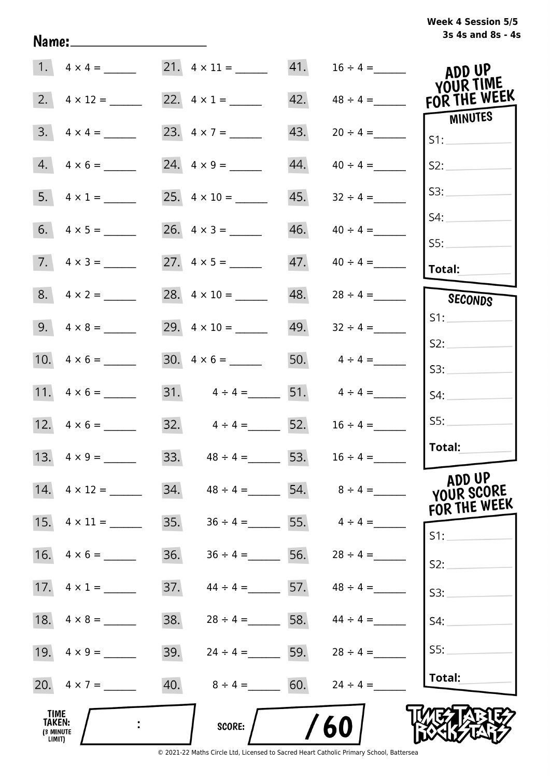## **3s 4s and 8s - 4s Week 4 Session 5/5**

|                                              |                           | 21. $4 \times 11 =$               | 41. | $16 \div 4 =$    | ADD UP                               |
|----------------------------------------------|---------------------------|-----------------------------------|-----|------------------|--------------------------------------|
| 2.                                           |                           | 22. $4 \times 1 =$                | 42. | $48 \div 4 =$    | YOUR TIME<br>FOR THE WEEK            |
| 3.                                           | $4 \times 4 =$            | 23. $4 \times 7 =$                | 43. | $20 \div 4 =$    | MINUTES<br>S1:                       |
|                                              | $4.4 \times 6 =$          |                                   | 44. | $40 \div 4 =$    | S2:                                  |
|                                              | 5. $4 \times 1 =$         | 25. $4 \times 10 =$               | 45. | $32 \div 4 =$    | S3:                                  |
|                                              |                           | 26. $4 \times 3 =$                | 46. | $40 \div 4 =$    | S4:                                  |
|                                              | $7. \quad 4 \times 3 =$   |                                   | 47. | $40 \div 4 =$    | SS:<br>Total:                        |
|                                              | $8. 4 \times 2 =$         | 28. $4 \times 10 =$               | 48. | $28 \div 4 =$    | SECONDS                              |
|                                              |                           | 29. $4 \times 10 =$               | 49. | $32 \div 4 =$    | S1:                                  |
|                                              |                           | $30. \quad 4 \times 6 =$          |     | 50. $4 \div 4 =$ | S2:<br>S3:                           |
|                                              |                           | 31. $4 \div 4 =$ 51. $4 \div 4 =$ |     |                  | S4:                                  |
|                                              |                           | 32. $4 \div 4 = 52$ .             |     | $16 \div 4 =$    | SS:                                  |
|                                              | 13. $4 \times 9 =$        | 33. $48 \div 4 = 53$ .            |     | $16 \div 4 =$    | Total:                               |
|                                              | $14. \quad 4 \times 12 =$ | 34.<br>$48 \div 4 =$              |     | 54. $8 \div 4 =$ | ADD UP<br>YOUR SCORE<br>FOR THE WEEK |
| 15.                                          | $4 \times 11 =$           | 35.<br>$36 \div 4 =$              |     | 55. $4 \div 4 =$ | $S1$ :                               |
| 16.                                          | $4 \times 6 =$            | 36.<br>$36 \div 4 =$              | 56. | $28 \div 4 =$    | S2:                                  |
|                                              | 17. $4 \times 1 =$        | 37.<br>$44 \div 4 = 57$ .         |     | $48 \div 4 =$    | S3:                                  |
|                                              |                           | 38.<br>$28 \div 4 = 58.$          |     | $44 \div 4 =$    | S4:                                  |
|                                              |                           | 39.<br>$24 \div 4 =$ 59.          |     | $28 \div 4 =$    | S5:                                  |
|                                              | 20. $4 \times 7 =$        | 40.<br>$8 \div 4 = 60.$           |     | $24 \div 4 =$    | Total:                               |
| <b>TIME</b><br>TAKEN:<br>(3 MINUTE<br>LIMIT) |                           | <b>SCORE:</b>                     |     | 60               |                                      |

Name: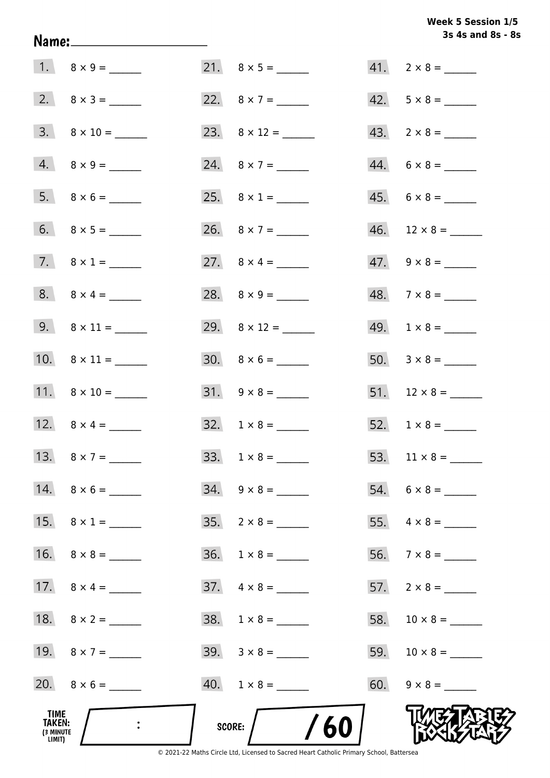## Week 5 Session 1/5 3s 4s and 8s - 8s

| TIME<br>TAKEN:<br>(3 MINUTE<br>LIMIT) |                          | /60<br>SCORE:            |                          |
|---------------------------------------|--------------------------|--------------------------|--------------------------|
|                                       |                          | $40. 1 \times 8 =$       | $60. 9 \times 8 =$       |
|                                       | 19. $8 \times 7 =$       | $39. \quad 3 \times 8 =$ |                          |
|                                       |                          |                          |                          |
|                                       | 17. $8 \times 4 =$       | $37. \quad 4 \times 8 =$ |                          |
|                                       |                          |                          |                          |
|                                       | 15. $8 \times 1 =$       | $35. \quad 2 \times 8 =$ |                          |
|                                       | 14. $8 \times 6 =$       | $34. \quad 9 \times 8 =$ |                          |
|                                       |                          |                          |                          |
|                                       | 12. $8 \times 4 =$       | $32. 1 \times 8 =$       |                          |
|                                       | 11. $8 \times 10 =$      | $31. 9 \times 8 =$       |                          |
|                                       | 10. $8 \times 11 =$      | $30. 8 \times 6 =$       |                          |
|                                       |                          |                          | $49. 1 \times 8 =$       |
|                                       | 8. $8 \times 4 =$        |                          | $48. 7 \times 8 =$       |
|                                       | 7. $8 \times 1 =$        |                          | $47. \quad 9 \times 8 =$ |
|                                       |                          |                          |                          |
|                                       | $5. 8 \times 6 =$        |                          | $45. 6 \times 8 =$       |
|                                       | $4. 8 \times 9 =$        | 24. $8 \times 7 =$       | $44. 6 \times 8 =$       |
|                                       | $3. \quad 8 \times 10 =$ |                          | $43. \quad 2 \times 8 =$ |
|                                       |                          | 22. $8 \times 7 =$       | $42. 5 \times 8 =$       |
|                                       |                          |                          | $41. 2 \times 8 =$       |

Name: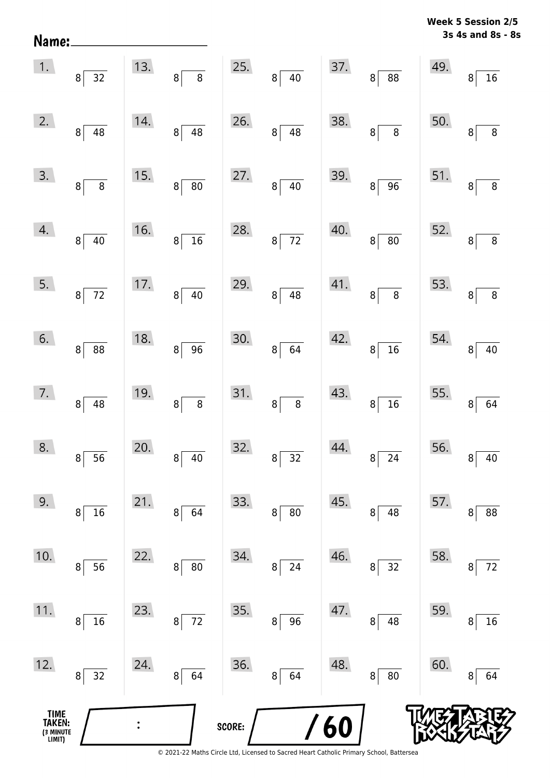| Name:                                 |                          |                |                       |        |                          |     |                                   | 77 CC | 6331VII 4/J<br>3s 4s and 8s - 8s |
|---------------------------------------|--------------------------|----------------|-----------------------|--------|--------------------------|-----|-----------------------------------|-------|----------------------------------|
| 1.                                    | $8\overline{)32}$        | 13.            | $\overline{8}$<br>8   | 25.    | $8^{\frac{1}{2}}$<br>40  | 37. | $\overline{88}$<br>8 <sup>1</sup> | 49.   | 16<br>8                          |
| 2.                                    | 8 <br>48                 | 14.            | 48<br> 8              | 26.    | 8 <sup>1</sup><br>48     | 38. | $\overline{8}$<br>$\bf{8}$        | 50.   | $\,8\,$<br>8                     |
| 3.                                    | 8 <sup>1</sup><br>$\, 8$ | 15.            | 80<br>$8\vert$        | 27.    | 8 <sup>1</sup><br>$40\,$ | 39. | 96<br>8 <sup>1</sup>              | 51.   | $\, 8$<br>8                      |
| 4.                                    | $8\vert$<br>40           | 16.            | $\overline{16}$<br>8  | 28.    | $\bf{8}$<br>72           | 40. | ${\bf 80}$<br>8 <sup>1</sup>      | 52.   | 8 <sup>1</sup><br>$\, 8$         |
| 5.                                    | $8\overline{72}$         | 17.            | 40<br>8 <sup>1</sup>  | 29.    | 48<br>$\bf 8$            | 41. | $\,8\,$<br>8                      | 53.   | $\bf 8$<br>8                     |
| 6.                                    | $8\sqrt{ }$<br>88        | 18.            | $\overline{96}$<br> 8 | 30.    | $\bf{8}$<br>64           | 42. | $\overline{16}$<br>8 <sup>1</sup> | 54.   | $40\,$<br>8                      |
| 7.                                    | $8\sqrt{ }$<br>48        | 19.            | $\bf 8$<br>$8\vert$   | 31.    | 8<br>$\bf 8$             | 43. | 16<br>8 <sup>1</sup>              | 55.   | $\boldsymbol{8}$<br>64           |
| 8.                                    | 56<br>8                  | 20.            | $40\,$<br>8           | 32.    | 32<br>8                  | 44. | 24<br>8                           | 56.   | $40\,$<br>8                      |
| 9.                                    | $16\,$<br>8              | 21.            | 64<br>8               | 33.    | ${\bf 80}$<br>8          | 45. | 48<br>8                           | 57.   | 88<br>8                          |
| 10.                                   | 56<br>8                  | 22.            | ${\bf 80}$<br>8       | 34.    | 24<br>8                  | 46. | 32<br>8                           | 58.   | $72\,$<br>8                      |
| 11.                                   | 16<br>8                  | 23.            | 72<br>8               | 35.    | 96<br>8                  | 47. | 48<br>8                           | 59.   | 16<br>8                          |
| 12.                                   | 32<br>$\bf{8}$           | 24.            | 64<br>8 <sup>2</sup>  | 36.    | 64<br>8                  | 48. | 80<br>8                           | 60.   | 64<br>8                          |
| TIME<br>TAKEN:<br>(3 MINUTE<br>LIMIT) |                          | $\ddot{\cdot}$ |                       | SCORE: |                          | 60  |                                   |       |                                  |

**Week 5 Session 2/5**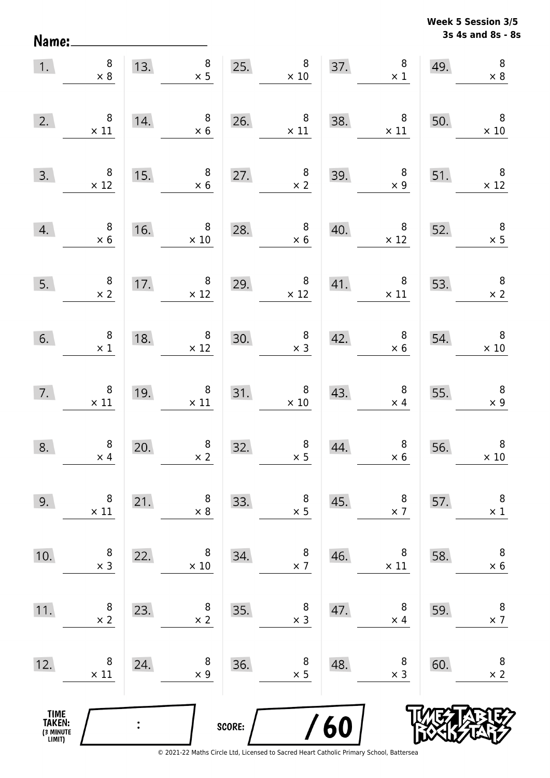Name:

**3s 4s and 8s - 8s Week 5 Session 3/5** 

| 1.                                    | $\begin{array}{c} 8 \\ \times 8 \end{array}$    |                | 8<br>13. $\begin{array}{r} 8 \\ \times 5 \end{array}$ | 25.    | $\begin{array}{c} 8 \\ \times 10 \end{array}$              |                                                                                                 | $37.$ $8$<br>$\times$ 1                                 | 49. | $\, 8$<br>$\times 8$                          |
|---------------------------------------|-------------------------------------------------|----------------|-------------------------------------------------------|--------|------------------------------------------------------------|-------------------------------------------------------------------------------------------------|---------------------------------------------------------|-----|-----------------------------------------------|
| 2.                                    | $\,8\,$<br>$\times$ 11                          | 14.            | $\overline{\phantom{0}}$ 8<br>$\times$ 6              |        | 26. $8 \times 11$                                          | 38.                                                                                             | $\times$ 11                                             | 50. | $\times$ 10                                   |
| 3.                                    | $\begin{array}{r} 8 \\ \times 12 \end{array}$   | 15.            | $8\phantom{1}$<br>$\times 6$                          | 27.    | $\begin{array}{c} 8 \\ \times 2 \end{array}$               |                                                                                                 | $\begin{array}{r} 8 \\ \times 9 \end{array}$ 51.<br>39. |     | $\overline{\mathbf{8}}$<br>$\times$ 12        |
| 4.                                    | $\begin{array}{c} 8 \\ \times 6 \end{array}$    |                | 16. $8 \times 10$                                     | 28.    | $\begin{array}{c} 8 \\ \times 6 \end{array}$               | 40.                                                                                             | $8 \mid 52.$<br>$\times$ 12                             |     | $\begin{array}{c} 8 \\ \times 5 \end{array}$  |
| 5.                                    | $\begin{array}{c} 8 \\ \times 2 \end{array}$    |                | 17. $8 \times 12$                                     | 29.    | $\begin{array}{c} 8 \\ \times 12 \end{array}$              |                                                                                                 | 41. $8 \times 11$ 53.                                   |     | $\begin{array}{c} 8 \\ \times 2 \end{array}$  |
| 6.                                    | $\begin{array}{c} 8 \\ \times 1 \end{array}$    | 18.            | $\begin{array}{r} 8 \\ \times 12 \end{array}$         | 30.    |                                                            | $\begin{array}{@{}c@{\hspace{1em}}c@{\hspace{1em}}}\n & 8 & 42. \\  \times 3 & & \n\end{array}$ | $\begin{array}{c} 8 \\ \times 6 \end{array}$            | 54. | $\begin{array}{r} 8 \\ \times 10 \end{array}$ |
| 7.                                    | $\begin{array}{c} 8 \\ \times \ 11 \end{array}$ | 19.            | $\begin{array}{c} 8 \\ \times 11 \end{array}$         |        | $\begin{array}{c c}\n 31. & 8 \\  \times 10\n \end{array}$ | 43.                                                                                             | $\begin{array}{c} 8 \\ \times 4 \end{array}$            | 55. | $\begin{array}{c} 8 \\ \times 9 \end{array}$  |
| 8.                                    | $\begin{array}{c} 8 \\ \times 4 \end{array}$    | 20.            | $\begin{array}{c} 8 \\ \times 2 \end{array}$          | 32.    | $\begin{array}{c} 8 \\ \times 5 \end{array}$               | 44.                                                                                             | $\begin{array}{c} 8 \\ \times 6 \end{array}$            | 56. | $\boldsymbol{8}$<br>$\times$ 10               |
| 9.                                    | 8<br>$\times$ 11                                | 21.            | 8<br>$\times 8$                                       | 33.    | 8<br>$\times$ 5                                            | 45.                                                                                             | 8<br>$\times$ 7                                         | 57. | $\, 8$<br>$\times$ 1                          |
| 10.                                   | 8<br>$\times$ 3                                 | 22.            | 8<br>$\times 10$                                      | 34.    | 8<br>$\times$ 7                                            | 46.                                                                                             | 8<br>$\times$ 11                                        | 58. | 8<br>$\times$ 6                               |
| 11.                                   | 8<br>$\times$ 2                                 | 23.            | 8<br>$\times 2$                                       | 35.    | 8<br>$\times$ 3                                            | 47.                                                                                             | 8<br>$\times$ 4                                         | 59. | 8<br>$\times$ 7                               |
| 12.                                   | 8<br>$\times$ 11                                | 24.            | 8<br>$\times$ 9                                       | 36.    | 8<br>$\times$ 5                                            | 48.                                                                                             | 8<br>$\times$ 3                                         | 60. | 8<br>$\times$ 2                               |
| TIME<br>TAKEN:<br>(3 MINUTE<br>LIMIT) |                                                 | $\ddot{\cdot}$ |                                                       | SCORE: |                                                            | 60                                                                                              |                                                         |     |                                               |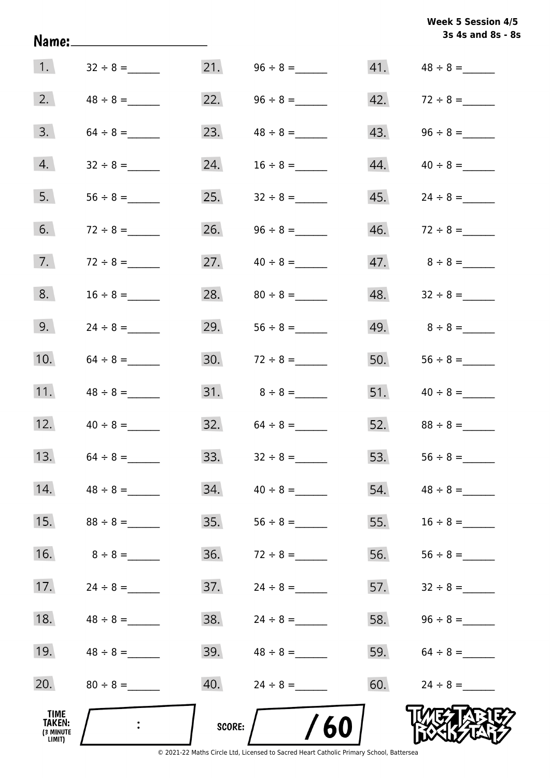|                                       |                |            |                   |     | 3s 4s and 8s - 8s                |
|---------------------------------------|----------------|------------|-------------------|-----|----------------------------------|
| 1.                                    | $32 \div 8 =$  |            |                   |     |                                  |
| 2.                                    | $48 \div 8 =$  |            | 22. $96 \div 8 =$ |     | $42. 72 \div 8 =$                |
| 3.                                    |                | 23.        |                   |     | 43. $96 \div 8 =$                |
| 4.                                    |                | 24.        | $16 \div 8 =$     |     | $44. \hspace{1.5cm} 40 \div 8 =$ |
| 5.                                    |                |            |                   |     |                                  |
| 6.                                    |                | 26.        |                   |     |                                  |
| 7.                                    | $72 \div 8 =$  | 27.        | $40 \div 8 =$     |     | $47.8 \div 8 =$                  |
| 8.                                    | $16 \div 8 =$  | 28.        | $80 \div 8 =$     |     |                                  |
| 9.                                    |                | 29.        | $56 \div 8 =$     |     | 49. $8 \div 8 =$                 |
| 10.                                   |                |            |                   |     | 50. $56 \div 8 =$                |
| 11.                                   | $48 \div 8 =$  |            |                   |     |                                  |
| 12.                                   |                |            | $32. 64 \div 8 =$ |     |                                  |
| 13.                                   |                | 33.        | $32 \div 8 =$     | 53. |                                  |
| 14.                                   | $48 \div 8 =$  | 34.        | $40 \div 8 =$     | 54. | $48 \div 8 =$                    |
| 15.                                   | $88 \div 8 =$  | 35.        |                   | 55. | $16 \div 8 =$                    |
| 16.                                   | $8 \div 8 =$   | 36.        | $72 \div 8 =$     | 56. |                                  |
| 17.                                   |                | 37.        | $24 \div 8 =$     | 57. |                                  |
| 18.                                   | $48 \div 8 =$  | 38.        | $24 \div 8 =$     | 58. |                                  |
| 19.                                   | $48 \div 8 =$  | 39.        | $48 \div 8 =$     |     | 59. $64 \div 8 =$                |
| 20.                                   | $80 \div 8 =$  | 40.        | $24 \div 8 =$     | 60. | $24 \div 8 =$                    |
| TIME<br>TAKEN:<br>(3 MINUTE<br>LIMIT) | $\ddot{\cdot}$ | $score:$ / | /60               |     |                                  |

**Week 5 Session 4/5**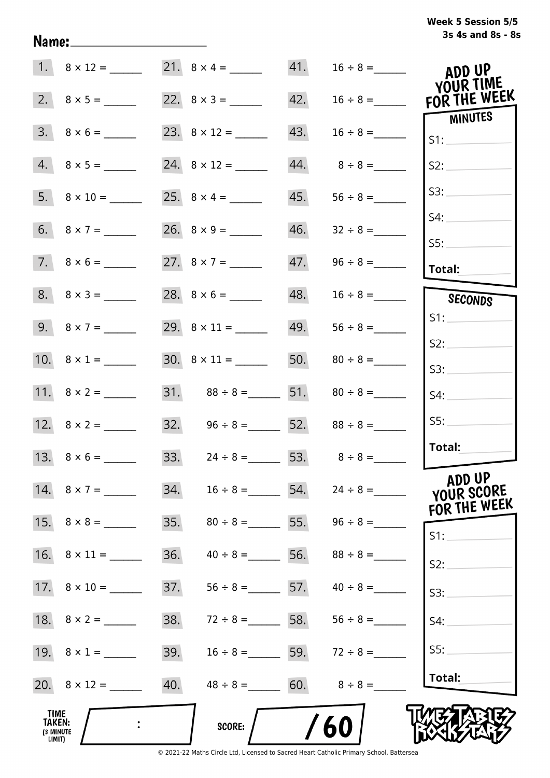## **3s 4s and 8s - 8s Week 5 Session 5/5**

|                                              |                         |     | 21. $8 \times 4 =$                  |     |                                 | ADD UP                    |
|----------------------------------------------|-------------------------|-----|-------------------------------------|-----|---------------------------------|---------------------------|
|                                              |                         |     |                                     | 42. | $16 \div 8 =$                   | YOUR TIME<br>FOR THE WEEK |
|                                              | $3. \quad 8 \times 6 =$ |     |                                     | 43. |                                 | MINUTES<br>S1:            |
|                                              | $4.8 \times 5 =$        |     |                                     | 44. | $8 \div 8 =$                    | S2:                       |
|                                              |                         |     | 25. $8 \times 4 =$                  | 45. |                                 | S3:                       |
|                                              |                         |     |                                     | 46. | $32 \div 8 =$                   | S4:                       |
|                                              | $7. \ 8 \times 6 =$     |     | 27. $8 \times 7 =$                  | 47. |                                 | SS:<br>Total:             |
|                                              | $8. 8 \times 3 =$       |     |                                     | 48. | $16 \div 8 =$                   | SECONDS                   |
|                                              | 9. $8 \times 7 =$       |     |                                     |     | $49. 56 \div 8 =$               | S1:                       |
|                                              | 10. $8 \times 1 =$      |     |                                     |     | 50. $80 \div 8 =$               | S2:<br>S3:                |
|                                              |                         |     | 31. $88 \div 8 =$ 51. $80 \div 8 =$ |     |                                 | S4:                       |
|                                              |                         |     | 32. $96 \div 8 =$ 52. $88 \div 8 =$ |     |                                 | SS:                       |
|                                              |                         |     | 33. $24 \div 8 =$ 53. $8 \div 8 =$  |     |                                 | Total:                    |
|                                              | 14. $8 \times 7 =$      | 34. | $16 \div 8 =$ 54.                   |     | $24 \div 8 =$                   | ADD UP<br>YOUR SCORE      |
|                                              |                         | 35. |                                     |     | $80 \div 8 =$ 55. $96 \div 8 =$ | FOR THE WEEK<br>S1:       |
|                                              |                         | 36. | $40 \div 8 =$ 56.                   |     | $88 \div 8 =$                   | S2:                       |
|                                              |                         | 37. | $56 \div 8 =$ 57.                   |     | $40 \div 8 =$                   | S3:                       |
|                                              |                         | 38. | $72 \div 8 =$ 58.                   |     | $56 \div 8 =$                   | S4:                       |
|                                              | 19. $8 \times 1 =$      | 39. |                                     |     | $16 \div 8 =$ 59. $72 \div 8 =$ | SS:                       |
|                                              |                         | 40. | $48 \div 8 =$ 60.                   |     | $8 \div 8 =$                    | Total:                    |
| <b>TIME</b><br>TAKEN:<br>(3 MINUTE<br>LIMIT) |                         |     | <b>SCORE:</b>                       |     | 60                              |                           |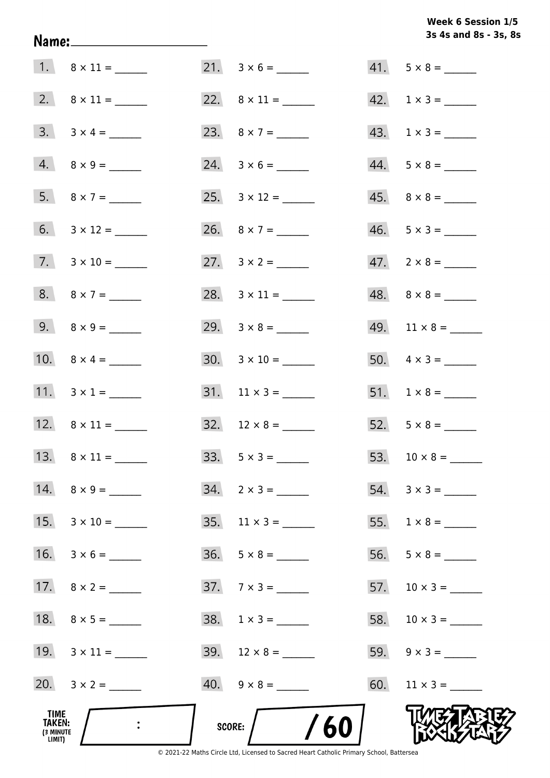## **3s 4s and 8s - 3s, 8s Week 6 Session 1/5**

| TIME<br>TAKEN:<br>(3 MINUTE<br>LIMIT) | $\ddot{\cdot}$           | $/$ /60<br>SCORE: $/$ |                             |
|---------------------------------------|--------------------------|-----------------------|-----------------------------|
|                                       | 20. $3 \times 2 =$       | $40. 9 \times 8 =$    |                             |
|                                       | 19. $3 \times 11 =$      |                       |                             |
|                                       | 18. $8 \times 5 =$       | $38. 1 \times 3 =$    |                             |
|                                       |                          | $37.7 \times 3 =$     |                             |
|                                       | 16. $3 \times 6 =$       | $36. 5 \times 8 =$    |                             |
|                                       | 15. $3 \times 10 =$      | 35. $11 \times 3 =$   |                             |
|                                       |                          | $34. 2 \times 3 =$    |                             |
|                                       |                          |                       |                             |
|                                       | 12. $8 \times 11 =$      | $32. 12 \times 8 =$   | 52. $5 \times 8 =$          |
|                                       | 11. $3 \times 1 =$       |                       |                             |
|                                       | 10. $8 \times 4 =$       |                       | 50. $4 \times 3 =$          |
|                                       | 9. $8 \times 9 =$        |                       |                             |
|                                       | 8. $8 \times 7 =$        |                       |                             |
|                                       | $7. \quad 3 \times 10 =$ |                       | $47. \quad 2 \times 8 =$    |
|                                       |                          |                       | $46. 5 \times 3 =$          |
|                                       |                          |                       | $45. \quad 8 \times 8 =$    |
|                                       | $4. 8 \times 9 =$        |                       |                             |
|                                       | $3. \quad 3 \times 4 =$  |                       |                             |
|                                       |                          |                       | $42. \quad 1 \times 3 = \_$ |
|                                       |                          |                       | $41. 5 \times 8 =$          |

Name: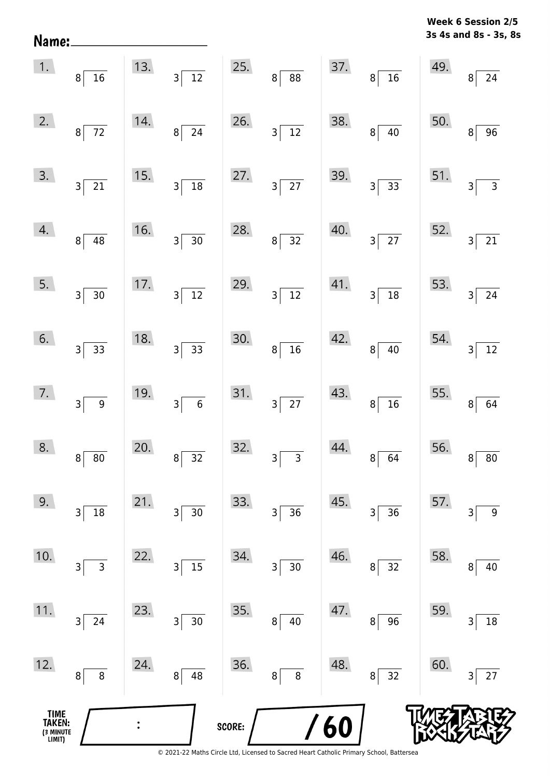**3s 4s and 8s - 3s, 8s Week 6 Session 2/5** 

|                                       | $\begin{array}{ c c } \hline 1. & \quad & 8 \hline \end{array}$ |     | 13. $3\overline{)12}$             |        | 25. $8 \overline{)88}$        |     | $37.$ $8 \overline{)16}$       | 49.   | $8\overline{)24}$                 |
|---------------------------------------|-----------------------------------------------------------------|-----|-----------------------------------|--------|-------------------------------|-----|--------------------------------|-------|-----------------------------------|
| 2.                                    | $8\overline{)}72$                                               | 14. | $8\sqrt{24}$                      | 26.    | $3\overline{)12}$             | 38. | $\overline{40}$<br>$8^{\circ}$ | 50.   | $\overline{8}$<br>$\overline{96}$ |
| 3.                                    | $3\overline{21}$                                                | 15. | $3\overline{)18}$                 | 27.    | $3\overline{)27}$             |     | 39. $3\overline{\smash)33}$    |       | 51. $3\overline{)3}$              |
| 4.                                    | $8\overline{)48}$                                               | 16. | $3\overline{)30}$                 | 28.    | $8\overline{)32}$             | 40. | $3\overline{\smash{)}27}$      | 52.   | $\overline{21}$<br>$\overline{3}$ |
| 5.                                    | $3\overline{)30}$                                               | 17. | $3\overline{)12}$                 | 29.    | $3\overline{)12}$             | 41. | $3\overline{)18}$              |       | 53. $3\overline{)24}$             |
| 6.                                    | $3\overline{)33}$                                               | 18. | $3\overline{)33}$                 | 30.    | $8\overline{)16}$             | 42. | $8\sqrt{40}$                   |       | 54. $3\overline{)12}$             |
| 7.                                    | $3\overline{9}$                                                 | 19. | $3\overline{6}$                   |        | 31. $3\overline{)27}$         | 43. | $8\sqrt{16}$                   |       | 55. $8 \overline{)64}$            |
| 8.                                    | $\mathbf{8}$<br>$\overline{80}$                                 | 20. | $\frac{1}{32}$<br>$\vert 8 \vert$ | 32.    | $3\overline{3}$               | 44. | $8\sqrt{64}$                   | 56. 8 | $\overline{80}$                   |
| 9.                                    | 18<br>3                                                         | 21. | 3<br>$30$                         | 33.    | 36<br>$\overline{\mathsf{3}}$ | 45. | 36<br>3                        | 57.   | $\boldsymbol{9}$<br>3             |
| 10.                                   | 3<br>3                                                          | 22. | 15<br>3                           | 34.    | $30\,$<br>3                   | 46. | 32<br>8                        | 58.   | 40<br>8                           |
| 11.                                   | 24<br>3                                                         | 23. | 30<br>3                           | 35.    | 40<br>8 <sup>1</sup>          | 47. | 96<br>8                        | 59.   | $18\,$<br>3                       |
| 12.                                   | 8<br>$\bf 8$                                                    | 24. | 48<br>8                           | 36.    | 8 <sup>1</sup><br>8           | 48. | 32<br>8                        | 60.   | 27<br>3                           |
| TIME<br>TAKEN:<br>(3 MINUTE<br>LIMIT) |                                                                 |     |                                   | SCORE: |                               | 60  |                                |       |                                   |

Name: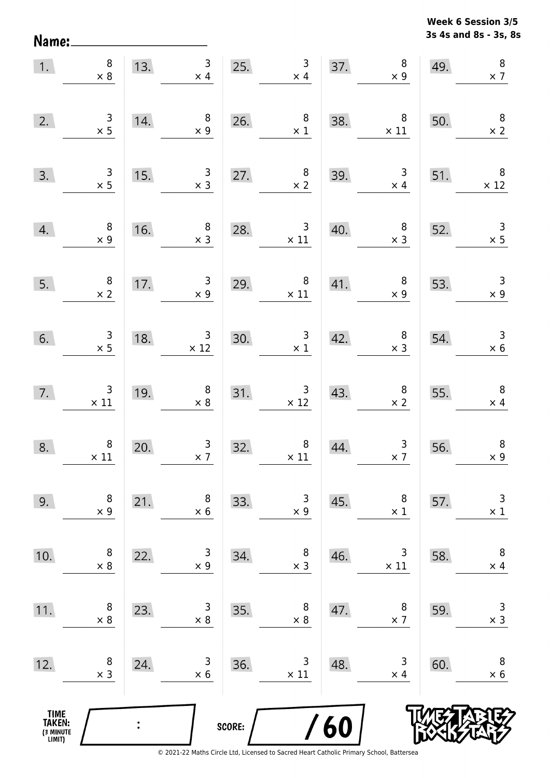Name:

**3s 4s and 8s - 3s, 8s Week 6 Session 3/5** 

| 1.                                            | $\begin{array}{c} 8 \\ \times 8 \end{array}$  |                | $\overline{\mathbf{3}}$<br>13.<br>$\times$ 4  | 25.    | $\begin{array}{c} 3 \\ \times 4 \end{array}$      |     | $\bf 8$<br>37.<br>$\times$ 9                     | 49. | $\, 8$<br>$\times$ 7                         |
|-----------------------------------------------|-----------------------------------------------|----------------|-----------------------------------------------|--------|---------------------------------------------------|-----|--------------------------------------------------|-----|----------------------------------------------|
| 2.                                            | $\begin{array}{c} 3 \\ \times 5 \end{array}$  | 14.            | $\begin{array}{c} 8 \\ \times 9 \end{array}$  |        | 26. $\begin{array}{r} 8 \\ \times 1 \end{array}$  | 38. | $\overline{\phantom{0}}$ 8<br>$\times$ 11        | 50. | $\overline{\phantom{a}}$<br>$\times 2$       |
| 3.                                            | $\frac{3}{x}$                                 | 15.            | $\begin{array}{c} 3 \\ x 3 \end{array}$       | 27.    | $\begin{array}{c} 8 \\ \times 2 \end{array}$      | 39. | $\begin{array}{r} 3 \\ \times 4 \end{array}$     | 51. | $\times$ 12                                  |
| 4.                                            | $\begin{array}{c} 8 \\ \times 9 \end{array}$  | 16.            | $\begin{array}{c} 8 \\ \times 3 \end{array}$  |        | 28. $3 \times 11$                                 | 40. | $\begin{array}{c} 8 \\ \times 3 \end{array}$     | 52. | $\begin{array}{c} 3 \\ \times 5 \end{array}$ |
| 5.                                            | $\begin{array}{c} 8 \\ \times 2 \end{array}$  | 17.            | 3 <sup>7</sup><br>$\times 9$                  | 29.    | $\begin{array}{c} 8 \\ \times 11 \end{array}$     |     | 41. $\begin{array}{c} 8 \\ \times 9 \end{array}$ | 53. | $\overline{\phantom{a}}$<br>$\times$ 9       |
| 6.                                            | $\begin{array}{c} 3 \\ \times 5 \end{array}$  | 18.            | $\begin{array}{r} 3 \\ \times 12 \end{array}$ | 30.    | $\begin{array}{c} 3 \\ \times 1 \end{array}$      | 42. | $\begin{array}{r} 8 \\ \times 3 \end{array}$     | 54. | $\begin{array}{c} 3 \\ \times 6 \end{array}$ |
| 7.                                            | $\begin{array}{c} 3 \\ \times 11 \end{array}$ | 19.            | $\begin{array}{c} 8 \\ \times 8 \end{array}$  |        | 31. $\begin{array}{r} 3 \\ \times 12 \end{array}$ | 43. | $\begin{array}{c} 8 \\ \times 2 \end{array}$     | 55. | $\begin{array}{c} 8 \\ \times 4 \end{array}$ |
| 8.                                            | $\begin{array}{c} 8 \\ \times 11 \end{array}$ | 20.            | $\begin{array}{r} 3 \\ \times 7 \end{array}$  | 32.    | $\begin{array}{c} 8 \\ \times \ 11 \end{array}$   | 44. | $\begin{array}{c} 3 \\ \times 7 \end{array}$     | 56. | $\, 8$<br>$\times 9$                         |
| 9.                                            | 8<br>$\times$ 9                               | 21.            | 8<br>$\times$ 6                               | 33.    | 3<br>$\times$ 9                                   | 45. | 8<br>$\times$ 1                                  | 57. | 3<br>$\times$ 1                              |
| 10.                                           | 8<br>$\times 8$                               | 22.            | 3<br>$\times$ 9                               | 34.    | 8<br>$\times$ 3                                   | 46. | 3<br>$\times$ 11                                 | 58. | 8<br>$\times$ 4                              |
| 11.                                           | 8<br>$\times 8$                               | 23.            | 3<br>$\times 8$                               | 35.    | 8<br>$\times$ 8                                   | 47. | 8<br>$\times$ 7                                  | 59. | $\mathsf 3$<br>$\times$ 3                    |
| 12.                                           | 8<br>$\times$ 3                               | 24.            | 3<br>$\times$ 6                               | 36.    | 3<br>$\times$ 11                                  | 48. | 3<br>$\times$ 4                                  | 60. | 8<br>$\times$ 6                              |
| <b>TIME<br/>TAKEN:</b><br>(3 MINUTE<br>LIMIT) |                                               | $\ddot{\cdot}$ |                                               | SCORE: |                                                   | 60  |                                                  |     |                                              |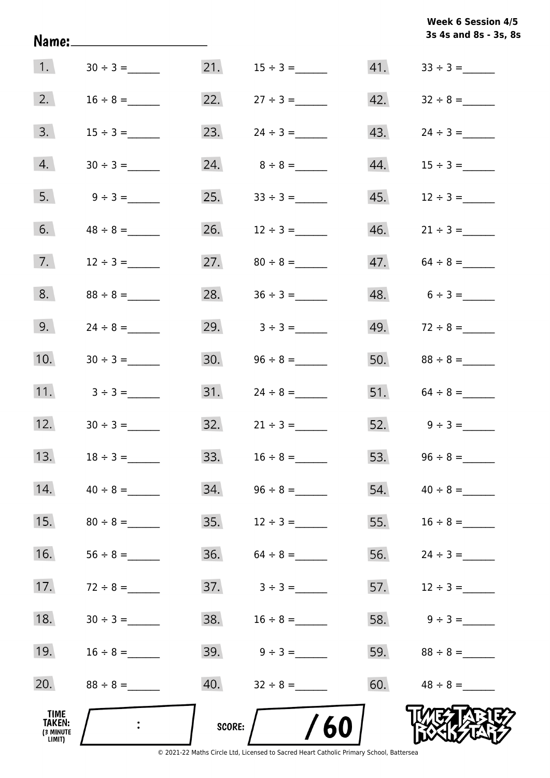|                                       | Name:_______________________ |        |                     |     | <b>WEEK 6 SESSION 4/3</b><br>3s 4s and 8s - 3s, 8s |
|---------------------------------------|------------------------------|--------|---------------------|-----|----------------------------------------------------|
| 1.                                    |                              | 21.    | $15 \div 3 =$       | 41. |                                                    |
| 2.                                    | $16 \div 8 =$                | 22.    | $27 \div 3 =$       | 42. |                                                    |
| 3.                                    | $15 \div 3 =$                | 23.    | $24 \div 3 =$       | 43. |                                                    |
| 4.                                    | $30 \div 3 =$                |        | 24. $8 \div 8 =$    | 44. |                                                    |
| 5.                                    | $9 \div 3 =$                 |        |                     | 45. | $12 \div 3 =$                                      |
| 6.                                    | $48 \div 8 =$                |        |                     |     |                                                    |
| 7.                                    | $12 \div 3 =$                |        | 27. $80 \div 8 =$   | 47. | $64 \div 8 =$                                      |
| 8.                                    | $88 \div 8 =$                | 28.    | $36 \div 3 =$       |     | $48. 6 \div 3 =$                                   |
| 9.                                    | $24 \div 8 =$                |        | 29. $3 \div 3 =$    |     | 49. $72 \div 8 =$                                  |
| 10.                                   | $30 \div 3 =$                |        | $30.$ $96 \div 8 =$ |     |                                                    |
| 11.                                   | $3 \div 3 =$                 |        |                     |     | 51. $64 \div 8 =$                                  |
| 12.                                   |                              |        | $32.$ $21 \div 3 =$ |     | 52. $9 \div 3 =$                                   |
| 13.                                   | $18 \div 3 =$                | 33.    | $16 \div 8 =$       | 53. |                                                    |
| 14.                                   | $40 \div 8 =$                | 34.    | $96 \div 8 =$       | 54. | $40 \div 8 =$                                      |
| 15.                                   | $80 \div 8 =$                | 35.    | $12 \div 3 =$       | 55. |                                                    |
| 16.                                   | $56 \div 8 =$                | 36.    | $64 \div 8 =$       | 56. |                                                    |
| 17.                                   | $72 \div 8 =$                |        |                     | 57. | $12 \div 3 =$                                      |
| 18.                                   | $30 \div 3 =$                |        | 38. $16 \div 8 =$   | 58. | $9 \div 3 =$                                       |
| 19.                                   | $16 \div 8 =$                |        |                     | 59. |                                                    |
| 20.                                   | $88 \div 8 =$                |        |                     |     | 60. $48 \div 8 =$                                  |
| TIME<br>TAKEN:<br>(3 MINUTE<br>LIMIT) |                              | SCORE: | 60                  |     |                                                    |

**Week 6 Session 4/5** 

© 2021-22 Maths Circle Ltd, Licensed to Sacred Heart Catholic Primary School, Battersea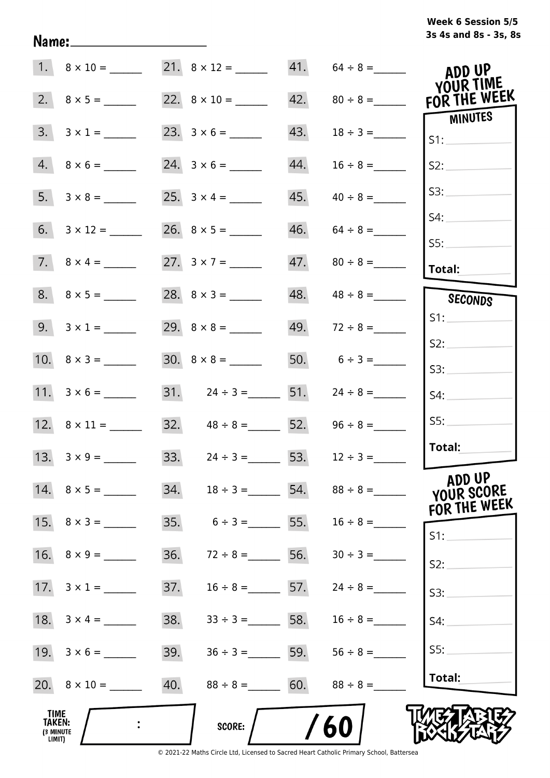# **3s 4s and 8s - 3s, 8s Week 6 Session 5/5**

|                                              | $1. \quad 8 \times 10 =$ |                                      |                   |     | 21. $8 \times 12 =$ 41. $64 \div 8 =$ | ADD UP                               |
|----------------------------------------------|--------------------------|--------------------------------------|-------------------|-----|---------------------------------------|--------------------------------------|
|                                              |                          |                                      |                   |     |                                       | YOUR TIME<br>FOR THE WEEK            |
| 3.                                           | $3 \times 1 =$           |                                      |                   | 43. |                                       | MINUTES<br>S1:                       |
|                                              | $4. 8 \times 6 =$        |                                      |                   | 44. | $16 \div 8 =$                         | S2:                                  |
|                                              |                          |                                      |                   | 45. | $40 \div 8 =$                         | S3:                                  |
|                                              |                          | 26. $8 \times 5 =$ ________          |                   |     | $46. 64 \div 8 =$                     | S4:                                  |
|                                              | 7. $8 \times 4 =$        | 27. $3 \times 7 =$                   |                   |     |                                       | SS:<br>Total:                        |
|                                              |                          |                                      |                   |     |                                       | SECONDS                              |
|                                              | 9. $3 \times 1 =$        |                                      |                   |     | 49. $72 \div 8 =$                     | S1:                                  |
|                                              | 10. $8 \times 3 =$       |                                      |                   |     | 50. $6 \div 3 =$                      | S2:<br>S3:                           |
|                                              | 11. $3 \times 6 =$       | $31. \qquad 24 \div 3 =$ 51.         |                   |     | $24 \div 8 =$                         | S4:                                  |
|                                              | 12. $8 \times 11 =$      | $32. \hspace{1.5cm} 48 \div 8 =$ 52. |                   |     | $96 \div 8 =$                         | SS:                                  |
|                                              | 13. $3 \times 9 =$       | 33. $24 \div 3 =$ 53.                |                   |     | $12 \div 3 =$                         | Total:                               |
|                                              | 14. $8 \times 5 =$       |                                      |                   |     | 34. $18 \div 3 =$ 54. $88 \div 8 =$   | ADD UP<br>YOUR SCORE<br>FOR THE WEEK |
|                                              |                          | 35.                                  | $6 \div 3 =$ 55.  |     | $16 \div 8 =$                         | $S1$ :                               |
|                                              |                          | 36.                                  | $72 \div 8 =$ 56. |     | $30 \div 3 =$                         | S2:                                  |
|                                              |                          | 37.                                  | $16 \div 8 =$ 57. |     | $24 \div 8 =$                         | S3:                                  |
|                                              |                          | 38.                                  | $33 \div 3 =$ 58. |     | $16 \div 8 =$                         | S4:                                  |
|                                              |                          | 39.                                  | $36 \div 3 =$ 59. |     | $56 \div 8 =$                         | S5:                                  |
|                                              |                          | 40.                                  | $88 \div 8 =$ 60. |     | $88 \div 8 =$                         | Total:                               |
| TIME<br><b>TAKEN:</b><br>(3 MINUTE<br>LIMIT) |                          |                                      | <b>SCORE:</b>     |     | 60                                    |                                      |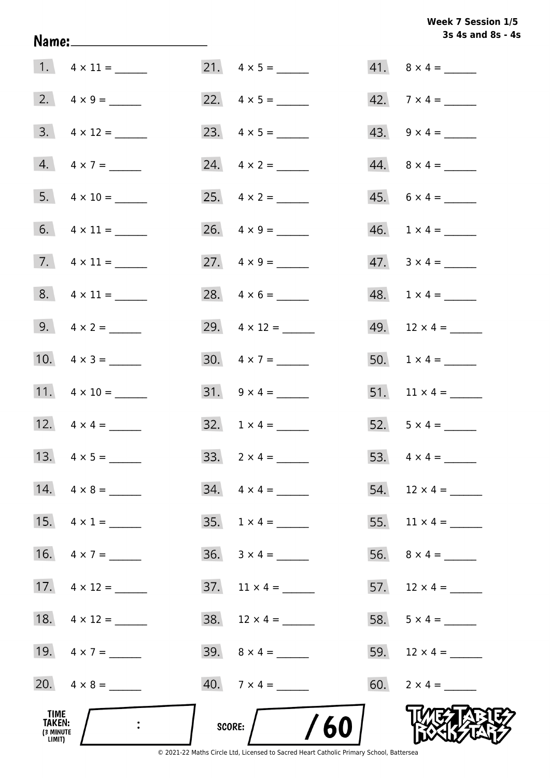## **3s 4s and 8s - 4s Week 7 Session 1/5**

|                                              |                         |                               | 3s 4s and 8s - 4         |
|----------------------------------------------|-------------------------|-------------------------------|--------------------------|
|                                              |                         |                               | $41. \quad 8 \times 4 =$ |
|                                              |                         | 22. $4 \times 5 =$            | $42.7 \times 4 =$        |
|                                              |                         |                               | 43. $9 \times 4 =$       |
|                                              | $4. \quad 4 \times 7 =$ | 24. $4 \times 2 =$            | $44. \quad 8 \times 4 =$ |
|                                              |                         | 25. $4 \times 2 =$            | $45. 6 \times 4 =$       |
|                                              | 6. $4 \times 11 =$      | 26. $4 \times 9 =$            | $46. 1 \times 4 =$       |
|                                              | 7. $4 \times 11 =$      | 27. $4 \times 9 =$            | $47. \quad 3 \times 4 =$ |
|                                              | $8. 4 \times 11 =$      | 28. $4 \times 6 =$            | $48. 1 \times 4 =$       |
|                                              | 9. $4 \times 2 =$       | 29. $4 \times 12 =$           | 49. $12 \times 4 =$      |
|                                              | 10. $4 \times 3 =$      |                               | 50. $1 \times 4 =$       |
|                                              | 11. $4 \times 10 =$     |                               | 51. $11 \times 4 =$      |
|                                              | 12. $4 \times 4 =$      | $32. 1 \times 4 =$            | 52. $5 \times 4 =$       |
|                                              |                         | 33. $2 \times 4 =$            |                          |
|                                              | 14. $4 \times 8 =$      | $34. \quad 4 \times 4 =$      | 54. $12 \times 4 =$      |
|                                              | 15. $4 \times 1 =$      |                               | 55. $11 \times 4 =$      |
|                                              | 16. $4 \times 7 =$      | $36. 3 \times 4 =$            |                          |
|                                              | 17. $4 \times 12 =$     | $37.$ 11 $\times$ 4 = _______ | 57. $12 \times 4 =$      |
|                                              | 18. $4 \times 12 =$     |                               | 58. $5 \times 4 =$       |
|                                              | 19. $4 \times 7 =$      |                               |                          |
|                                              | 20. $4 \times 8 =$      | $40.7 \times 4 =$             | 60. $2 \times 4 =$       |
| TIME<br><b>TAKEN:</b><br>(3 MINUTE<br>LIMIT) |                         | /60<br>score:                 |                          |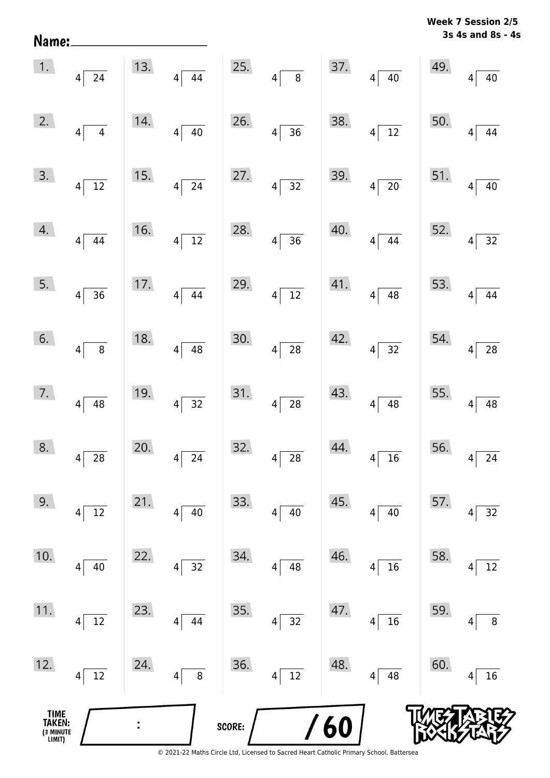| Name:                                 |                                            |     |                                     |        |                                        |     |                                    |     | 3s 4s and 8s - $\epsilon$                  |
|---------------------------------------|--------------------------------------------|-----|-------------------------------------|--------|----------------------------------------|-----|------------------------------------|-----|--------------------------------------------|
| 1.                                    | $4\overline{24}$                           | 13. | $\overline{44}$<br>$4\sqrt{ }$      | 25.    | $4\sqrt{ }$<br>$\overline{\mathbf{8}}$ | 37. | $4\sqrt{ }$<br>40                  | 49. | 40<br>$\overline{\mathbf{4}}$              |
| 2.                                    | $\overline{4}$<br>$4\vert$                 | 14. | $\overline{40}$<br>$4\sqrt{ }$      | 26.    | $4\overline{)36}$                      | 38. | $\frac{1}{12}$<br>$\vert 4 \vert$  | 50. | $\overline{44}$<br>$\overline{4}$          |
| 3.                                    | $\overline{12}$<br>$\left 4\right $        | 15. | $\overline{24}$<br>$4\sqrt{ }$      | 27.    | $4\sqrt{32}$                           | 39. | $\overline{20}$<br>$\vert 4 \vert$ | 51. | $\overline{40}$<br>$\overline{4}$          |
| 4.                                    | $4 \overline{)44}$                         | 16. | $\overline{12}$<br>$4\vert$         | 28.    | $4 \overline{)36}$                     | 40. | 44<br> 4                           | 52. | $\overline{32}$<br>$\vert 4 \vert$         |
| 5.                                    | $4 \overline{)36}$                         | 17. | $\overline{44}$<br>$\left 4\right $ | 29.    | $4\sqrt{12}$                           | 41. | $\overline{48}$<br>$4\vert$        | 53. | 44<br>$\overline{4}$                       |
| 6.                                    | $\vert 4 \vert$<br>$\, 8$                  | 18. | $\overline{48}$<br>$\vert 4 \vert$  | 30.    | $\overline{28}$<br>$\left 4\right $    | 42. | $\frac{1}{32}$<br>$4\vert$         | 54. | $\overline{28}$<br>$\overline{\mathbf{4}}$ |
| 7.                                    | $4\sqrt{ }$<br>$\overline{48}$             | 19. | $\overline{32}$<br>$4\sqrt{ }$      | 31.    | $4\overline{28}$                       | 43. | 48<br> 4                           | 55. | 48<br>$\overline{4}$                       |
| 8.                                    | 28<br>4                                    | 20. | $\overline{24}$<br>$\overline{4}$   | 32.    | 28<br>4                                | 44. | $\overline{16}$<br>$\overline{4}$  | 56. | $\overline{24}$<br>4                       |
| 9.                                    | $\overline{12}$<br> 4                      | 21. | $40\,$<br> 4                        | 33.    | 40<br>$\vert 4 \vert$                  | 45. | $40\,$<br>4                        | 57. | $32$<br>4                                  |
| 10.                                   | $40\,$<br> 4                               | 22. | 32<br> 4                            | 34.    | 48<br>$\vert 4 \vert$                  | 46. | 16<br>4                            | 58. | $\overline{12}$<br>4                       |
| 11.                                   | $\overline{12}$<br>$\overline{\mathbf{4}}$ | 23. | 44<br>4                             | 35.    | $\overline{32}$<br>$\vert 4 \vert$     | 47. | ${\bf 16}$<br>4                    | 59. | $\bf 8$<br>4                               |
| 12.                                   | $12\,$<br> 4                               | 24. | $\overline{8}$<br>$\vert 4 \vert$   | 36.    | $4\overline{12}$                       | 48. | 48<br> 4                           | 60. | 16<br>4                                    |
| TIME<br>TAKEN:<br>(3 MINUTE<br>LIMIT) |                                            |     |                                     | SCORE: |                                        | /60 |                                    |     |                                            |

© 2021-22 Maths Circle Ltd, Licensed to Sacred Heart Catholic Primary School, Battersea

**3s 4s and 8s - 4s Week 7 Session 2/5**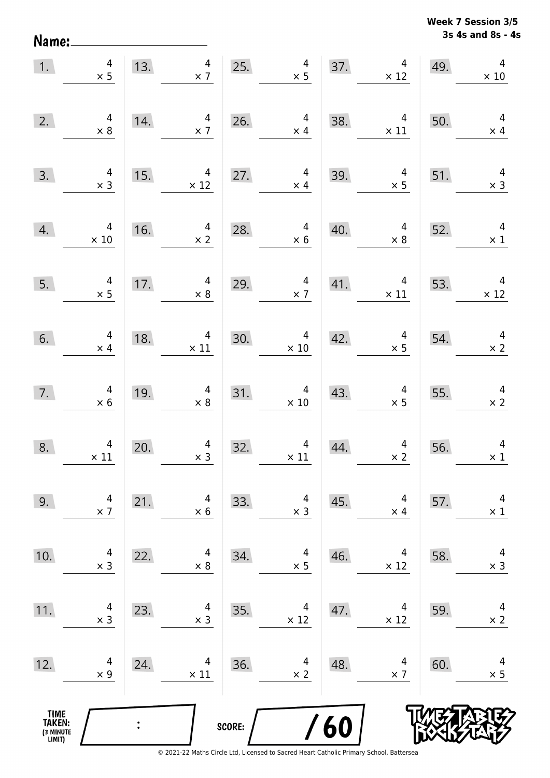**3s 4s and 8s - 4s Week 7 Session 3/5** 

| Name:                                         |                                        |     |                              |        |                                         |                   |                                         |                   | 3s 4s and 8s - 4                       |
|-----------------------------------------------|----------------------------------------|-----|------------------------------|--------|-----------------------------------------|-------------------|-----------------------------------------|-------------------|----------------------------------------|
| 1.                                            | $\overline{4}$<br>$\times$ 5           | 13. | 4<br>$\times$ 7              | 25.    | $\overline{4}$<br>$\times$ 5            | 37.               | $\overline{4}$<br>$\times$ 12           | 49.               | $\overline{\mathbf{4}}$<br>$\times$ 10 |
| 2.                                            | 4<br>$\times 8$                        | 14. | 4<br>$\times$ 7              | 26.    | $\overline{\mathcal{A}}$<br>$\times$ 4  | 38.               | $\overline{\mathbf{4}}$<br>$\times$ 11  | 50.               | $\overline{4}$<br>$\times$ 4           |
| 3.                                            | $\overline{4}$<br>$\times$ 3           | 15. | 4<br>$\times$ 12             | 27.    | $\overline{4}$<br>$\times$ 4            | 39.               | 4<br>$\times$ 5                         | 51.               | $\overline{\mathcal{A}}$<br>$\times$ 3 |
| 4.                                            | 4<br>$\times$ 10                       | 16. | 4<br>$\times$ 2              | 28.    | 4<br>$\times$ 6                         | 40.               | 4<br>$\times$ 8                         | 52.               | $\overline{a}$<br>$\times$ 1           |
| 5.                                            | $\overline{4}$<br>$\times$ 5           | 17. | $\overline{4}$<br>$\times$ 8 | 29.    | 4<br>$\times$ 7                         | 41.               | $\overline{\mathcal{A}}$<br>$\times$ 11 | 53.               | $\overline{\mathbf{4}}$<br>$\times$ 12 |
| 6.                                            | $\overline{4}$<br>$\times$ 4           | 18. | 4<br>$\times$ 11             | 30.    | $\overline{\mathcal{A}}$<br>$\times$ 10 | 42.               | $\overline{4}$<br>$\times$ 5            | 54.               | $\overline{4}$<br>$\times$ 2           |
| 7.                                            | $\overline{\mathcal{A}}$<br>$\times$ 6 | 19. | 4<br>$\times 8$              | 31.    | $\overline{\mathcal{A}}$<br>$\times$ 10 | 43.               | 4<br>$\times$ 5                         | 55.               | $\overline{4}$<br>$\times$ 2           |
| 8.                                            | $\overline{4}$<br>$\times$ 11          | 20. | 4<br>$\times$ 3              | 32.    | $\times$ 11                             | $\frac{4}{1}$ 44. | $\times$ 2                              | $\frac{4}{2}$ 56. | $\overline{4}$<br>$\times$ 1           |
| 9.                                            | 4<br>$\times$ 7                        | 21. | 4<br>$\times$ 6              | 33.    | 4<br>$\times$ 3                         | 45.               | 4<br>$\times$ 4                         | 57.               | $\overline{4}$<br>$\times$ 1           |
| 10.                                           | 4<br>$\times$ 3                        | 22. | 4<br>$\times 8$              | 34.    | $\overline{\mathcal{A}}$<br>$\times$ 5  | 46.               | 4<br>$\times$ 12                        | 58.               | $\overline{4}$<br>$\times$ 3           |
| 11.                                           | $\overline{4}$<br>$\times$ 3           | 23. | 4<br>$\times$ 3              | 35.    | 4<br>$\times$ 12                        | 47.               | 4<br>$\times$ 12                        | 59.               | $\overline{4}$<br>$\times$ 2           |
| 12.                                           | 4<br>$\times$ 9                        | 24. | 4<br>$\times$ 11             | 36.    | 4<br>$\times$ 2                         | 48.               | 4<br>$\times$ 7                         | 60.               | $\overline{4}$<br>$\times$ 5           |
| <b>TIME<br/>TAKEN:</b><br>(3 MINUTE<br>LIMIT) |                                        |     |                              | SCORE: |                                         | 60                |                                         |                   |                                        |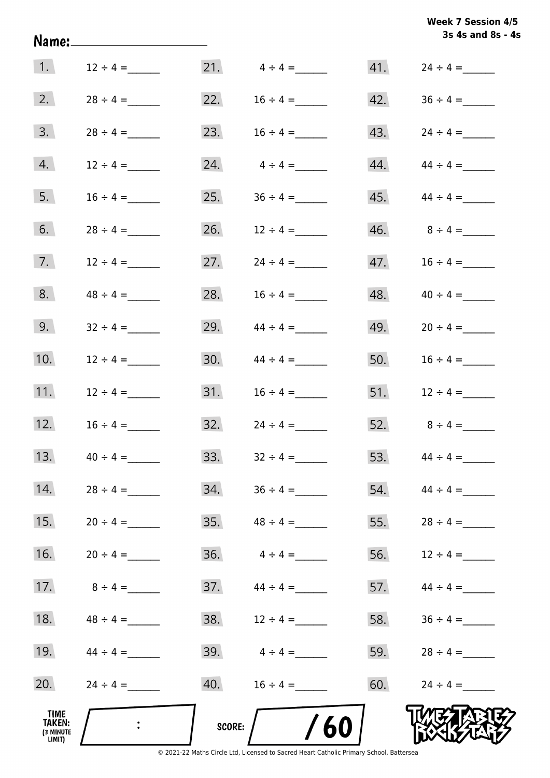|                                       | Name:____________________ |        |                     |     | <b>Week 7 Session 4/5</b><br>3s 4s and 8s - 4s |
|---------------------------------------|---------------------------|--------|---------------------|-----|------------------------------------------------|
| 1.                                    | $12 \div 4 =$             |        | 21. $4 \div 4 =$    |     |                                                |
| 2.                                    | $28 \div 4 =$             |        | 22. $16 \div 4 =$   |     | $42. \hspace{1.5cm} 36 \div 4 =$               |
| 3.                                    | $28 \div 4 =$             | 23.    | $16 \div 4 =$       |     | $43. \hspace{1.5cm} 24 \div 4 =$               |
| 4.                                    | $12 \div 4 =$             | 24.    | $4 \div 4 =$        |     | $44. \hspace{1.5cm} 44 \div 4 =$               |
| 5.                                    | $16 \div 4 =$             | 25.    | $36 \div 4 =$       | 45. | $44 \div 4 =$                                  |
| 6.                                    |                           | 26.    | $12 \div 4 =$       |     | $46. \hspace{1.5cm} 8 \div 4 =$                |
| 7.                                    | $12 \div 4 =$             | 27.    | $24 \div 4 =$       | 47. | $16 \div 4 =$                                  |
| 8.                                    | $48 \div 4 =$             | 28.    | $16 \div 4 =$       | 48. | $40 \div 4 =$                                  |
| 9.                                    | $32 \div 4 =$             | 29.    | $44 \div 4 =$       | 49. | $20 \div 4 =$                                  |
| 10.                                   | $12 \div 4 =$             | 30.    | $44 \div 4 =$       | 50. | $16 \div 4 =$                                  |
| 11.                                   | $12 \div 4 =$             |        |                     |     | 51. $12 \div 4 =$                              |
| 12.                                   | $16 \div 4 =$             |        | $32.$ $24 \div 4 =$ |     | 52. $8 \div 4 =$                               |
| 13.                                   | $40 \div 4 =$             | 33.    | $32 \div 4 =$       | 53. | $44 \div 4 =$                                  |
| 14.                                   | $28 \div 4 =$             | 34.    |                     | 54. | $44 \div 4 =$                                  |
| 15.                                   | $20 \div 4 =$             | 35.    | $48 \div 4 =$       | 55. |                                                |
| 16.                                   | $20 \div 4 =$             | 36.    | $4 \div 4 =$        | 56. | $12 \div 4 =$                                  |
| 17.                                   | $8 \div 4 =$              | 37.    | $44 \div 4 =$       | 57. | $44 \div 4 =$                                  |
| 18.                                   | $48 \div 4 =$             | 38.    | $12 \div 4 =$       | 58. | $36 \div 4 =$                                  |
| 19.                                   | $44 \div 4 =$             | 39.    | $4 \div 4 =$        | 59. | $28 \div 4 =$                                  |
| 20.                                   |                           | 40.    |                     | 60. | $24 \div 4 =$                                  |
| TIME<br>TAKEN:<br>(3 MINUTE<br>LIMIT) | $\ddot{\cdot}$            | SCORE: | /60                 |     |                                                |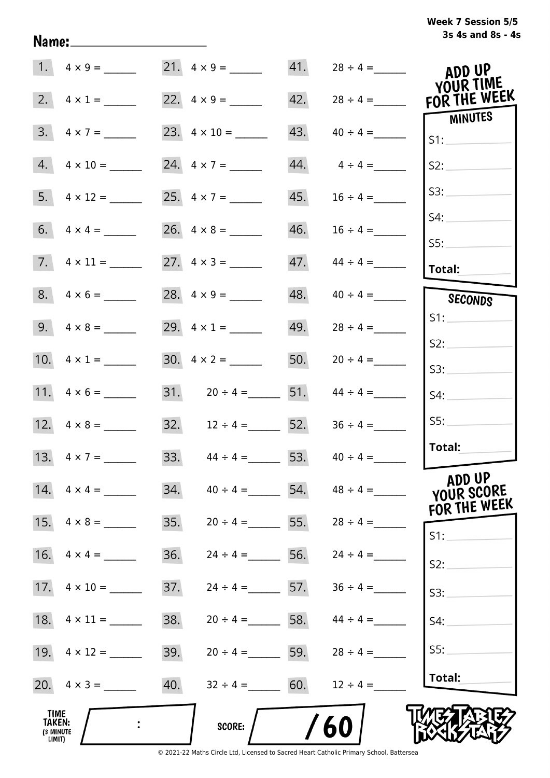## **3s 4s and 8s - 4s Week 7 Session 5/5**

|                                                     | 1. $4 \times 9 =$        |     |                       | 41. |               | ADD UP                           |
|-----------------------------------------------------|--------------------------|-----|-----------------------|-----|---------------|----------------------------------|
|                                                     | 2. $4 \times 1 =$        |     | 22. $4 \times 9 =$    | 42. | $28 \div 4 =$ | <b>YOUR TIME</b><br>FOR THE WEEK |
|                                                     | $3. \quad 4 \times 7 =$  |     |                       | 43. | $40 \div 4 =$ | MINUTES<br>S1:                   |
|                                                     | $4. \quad 4 \times 10 =$ |     |                       | 44. | $4 \div 4 =$  | S2:                              |
|                                                     |                          |     | 25. $4 \times 7 =$    | 45. | $16 \div 4 =$ | S3:                              |
|                                                     |                          |     |                       | 46. | $16 \div 4 =$ | S4:                              |
|                                                     |                          |     | 27. $4 \times 3 =$    | 47. | $44 \div 4 =$ | S5:<br>Total:                    |
|                                                     | $8. 4 \times 6 =$        |     | 28. $4 \times 9 =$    | 48. | $40 \div 4 =$ | SECONDS                          |
|                                                     |                          |     | 29. $4 \times 1 =$    | 49. | $28 \div 4 =$ | S1:                              |
|                                                     | 10. $4 \times 1 =$       |     |                       | 50. | $20 \div 4 =$ | S2:<br>S3:                       |
|                                                     |                          |     | 31. $20 \div 4 =$ 51. |     | $44 \div 4 =$ | S4:                              |
|                                                     |                          |     | 32. $12 \div 4 =$ 52. |     | $36 \div 4 =$ | SS:                              |
|                                                     | 13. $4 \times 7 =$       | 33. | $44 \div 4 =$ 53.     |     | $40 \div 4 =$ | Total:                           |
|                                                     |                          | 34. | $40 \div 4 =$         | 54. | $48 \div 4 =$ | ADD UP<br>YOUR SCORE             |
| 15.                                                 | $4 \times 8 =$           | 35. | $20 \div 4 =$ 55.     |     | $28 \div 4 =$ | FOR THE WEEK                     |
| 16.                                                 | $4 \times 4 =$           | 36. | $24 \div 4 =$ 56.     |     | $24 \div 4 =$ | $S1$ :<br>S2:                    |
| 17.                                                 | $4 \times 10 =$          | 37. | $24 \div 4 = 57$ .    |     | $36 \div 4 =$ | S3:                              |
| 18.                                                 | $4 \times 11 =$          | 38. | $20 \div 4 =$ 58.     |     | $44 \div 4 =$ | S4:                              |
|                                                     |                          | 39. | $20 \div 4 =$         | 59. | $28 \div 4 =$ | S5:                              |
|                                                     |                          | 40. | $32 \div 4 =$ 60.     |     | $12 \div 4 =$ | Total:                           |
| <b>TIME</b><br><b>TAKEN:</b><br>(3 MINUTE<br>LIMIT) |                          |     | <b>SCORE:</b>         |     | 60            |                                  |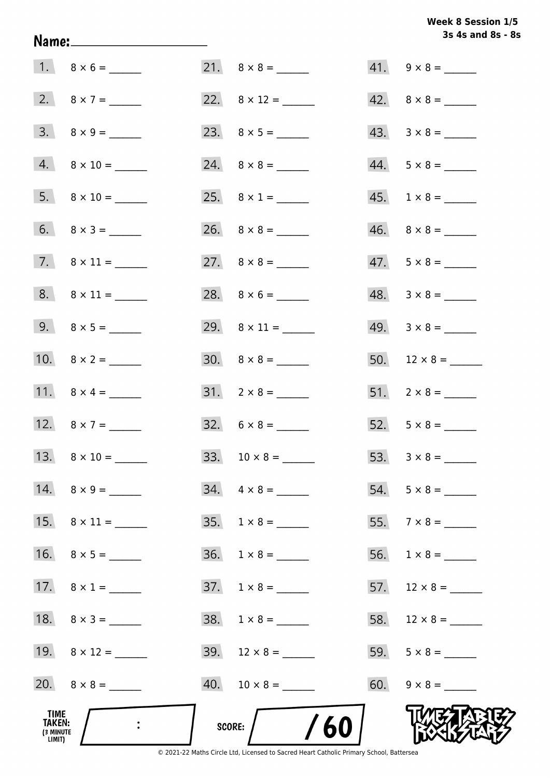## Week 8 Session 1/5 3s 4s and 8s - 8s

| TIME<br>TAKEN:<br>(3 MINUTE<br>LIMIT) |                              | SCORE: | /60                      |                             |
|---------------------------------------|------------------------------|--------|--------------------------|-----------------------------|
|                                       |                              |        |                          | $60. 9 \times 8 =$          |
|                                       | 19. $8 \times 12 =$          |        | $39. 12 \times 8 =$      |                             |
|                                       | 18. $8 \times 3 =$           |        | $38. 1 \times 8 =$       |                             |
|                                       | 17. $8 \times 1 =$           |        | $37. \quad 1 \times 8 =$ |                             |
|                                       |                              | 36.    |                          |                             |
|                                       |                              | 35.    | $1 \times 8 =$           | 55. $7 \times 8 =$          |
|                                       | $14. \quad 8 \times 9 =$     |        | $34. \quad 4 \times 8 =$ |                             |
|                                       | 13. $8 \times 10 =$          |        |                          |                             |
|                                       | 12. $8 \times 7 =$           |        |                          |                             |
|                                       | 11. $8 \times 4 =$           |        | $31. 2 \times 8 =$       |                             |
|                                       | 10. $8 \times 2 =$           |        | $30. \quad 8 \times 8 =$ |                             |
|                                       |                              |        |                          |                             |
|                                       | $8. \qquad 8 \times 11 = \_$ |        |                          | $48. 3 \times 8 =$          |
|                                       |                              |        |                          | $47. 5 \times 8 =$          |
|                                       |                              |        |                          |                             |
|                                       |                              |        |                          | $45. \quad 1 \times 8 = \_$ |
|                                       | $4. \qquad 8 \times 10 = \_$ |        |                          | $44. 5 \times 8 =$          |
|                                       |                              |        |                          |                             |
|                                       | 2. $8 \times 7 =$            |        |                          | $42. \quad 8 \times 8 =$    |
|                                       |                              |        | $21. \quad 8 \times 8 =$ |                             |

Name: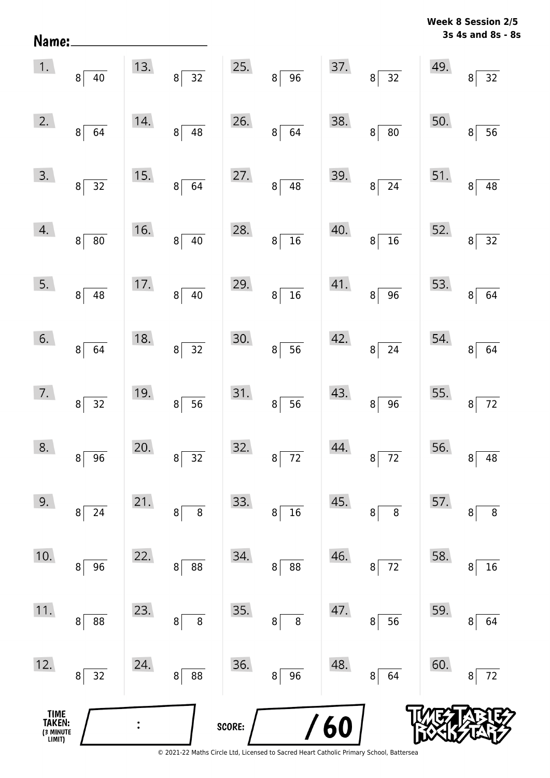| Name:                                 |                              |     |                            |        |                            |     |                                   |     | 3s 4s and 8s - 8s |
|---------------------------------------|------------------------------|-----|----------------------------|--------|----------------------------|-----|-----------------------------------|-----|-------------------|
| 1.                                    | 8 <sup>2</sup><br>$40\,$     | 13. | $32\,$<br>$\bf 8$          | 25.    | 96<br>$\bf 8$              | 37. | $\overline{32}$<br>8 <sup>2</sup> | 49. | 32<br>8           |
| 2.                                    | 8 <br>64                     | 14. | 48<br>$\,8\,$              | 26.    | 64<br>8                    | 38. | ${\bf 80}$<br>$\bf 8$             | 50. | 56<br>8           |
| 3.                                    | 32<br>8 <sup>1</sup>         | 15. | 64<br>$\,8\,$              | 27.    | 48<br>$\bf 8$              | 39. | 24<br>8                           | 51. | 48<br>8           |
| 4.                                    | ${\bf 80}$<br>8 <sup>1</sup> | 16. | 40<br>$\,8\,$              | 28.    | $\overline{16}$<br>$\bf 8$ | 40. | $\overline{16}$<br>8              | 52. | 32<br>8           |
| 5.                                    | 8 <sup>1</sup><br>${\bf 48}$ | 17. | $40\,$<br>$\bf 8$          | 29.    | 16<br>$\bf 8$              | 41. | 96<br>$\bf 8$                     | 53. | 64<br>8           |
| 6.                                    | $8^{\circ}$<br>64            | 18. | $\overline{32}$<br>$\bf 8$ | 30.    | 56<br>$\bf 8$              | 42. | 24<br>$\bf{8}$                    | 54. | 64<br>8           |
| 7.                                    | 8 <sup>1</sup><br>32         | 19. | $\overline{56}$<br>$\bf 8$ | 31.    | 56<br>$\bf 8$              | 43. | $\overline{96}$<br>$\bf 8$        | 55. | 72<br>$\bf 8$     |
| 8.                                    | 96<br>8                      | 20. | 32<br>8                    | 32.    | $72$<br>8                  | 44. | 72<br>8                           | 56. | 48<br>8           |
| 9.                                    | 24<br>8                      | 21. | 8<br>8                     | 33.    | 16<br>8                    | 45. | 8<br>8                            | 57. | $\bf 8$<br>8      |
| 10.                                   | 96<br>8                      | 22. | 88<br>8                    | 34.    | 88<br>8                    | 46. | $72\,$<br>8                       | 58. | 16<br>8           |
| 11.                                   | $\bf 8$<br>88                | 23. | 8<br>8                     | 35.    | $\bf 8$<br>8               | 47. | 56<br>8                           | 59. | 64<br>8           |
| 12.                                   | 32<br>8                      | 24. | 88<br>8                    | 36.    | 96<br>8                    | 48. | 64<br>8                           | 60. | $72\,$<br>8       |
| TIME<br>TAKEN:<br>(3 MINUTE<br>LIMIT) |                              |     |                            | SCORE: |                            | 60  |                                   |     |                   |

**Week 8 Session 2/5**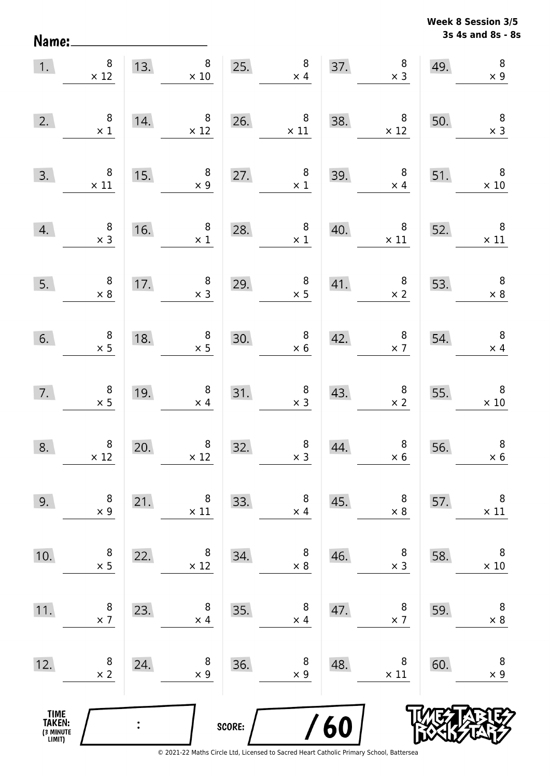Name:

**3s 4s and 8s - 8s Week 8 Session 3/5** 

| 1.                                    | $\bf 8$<br>$\times$ 12                        |                | 8 <sup>1</sup><br>13.<br>$\times$ 10          |        | $\begin{array}{c} 8 \\ \times 4 \end{array}$<br>$\overline{\phantom{25}}$ |     | $\begin{array}{c} 8 \\ \times 3 \end{array}$<br>37. | 49. | $\, 8$<br>$\times$ 9                                                                |
|---------------------------------------|-----------------------------------------------|----------------|-----------------------------------------------|--------|---------------------------------------------------------------------------|-----|-----------------------------------------------------|-----|-------------------------------------------------------------------------------------|
| 2.                                    | $\begin{array}{c} 8 \\ \times 1 \end{array}$  | 14.            | $\times$ 12                                   |        | 26. $8 \times 11$                                                         | 38. | $\overline{\phantom{0}}$ 8<br>$\times$ 12           | 50. | $\overline{\phantom{a}}$<br>$\times$ 3                                              |
| 3.                                    | $\begin{array}{c} 8 \\ \times 11 \end{array}$ | 15.            | $\begin{array}{c} 8 \\ \times 9 \end{array}$  | 27.    | $\begin{array}{c} 8 \\ \times 1 \end{array}$                              |     | 39. $8 \times 4$                                    | 51. | $\times 10$                                                                         |
| 4.                                    | $\begin{array}{c} 8 \\ \times 3 \end{array}$  | 16.            | 8 <sup>8</sup><br>$\times$ 1                  |        | 28. $8 \times 1$                                                          | 40. | $\begin{array}{c} 8 \\ \times 11 \end{array}$       | 52. | $\begin{array}{c} 8 \\ \times 11 \end{array}$<br>$\sim$ $\sim$ $\sim$ $\sim$ $\sim$ |
| 5.                                    | $\begin{array}{c} 8 \\ \times 8 \end{array}$  | 17.            | $\begin{array}{r} 8 \\ \times 3 \end{array}$  | 29.    | $\begin{array}{c} 8 \\ \times 5 \end{array}$                              |     | 41. $\begin{array}{c} 8 \\ \times 2 \end{array}$    | 53. | $\overline{\phantom{a}}$ 8<br>$\times$ 8                                            |
| 6.                                    | $\begin{array}{c} 8 \\ \times 5 \end{array}$  | 18.            | $\begin{array}{c} 8 \\ \times 5 \end{array}$  | 30.    | $\begin{array}{c} 8 \\ \times 6 \end{array}$<br>0.                        |     | $42.$ $8 \times 7$                                  | 54. | $\overline{\phantom{a}}$ 8<br>$\times$ 4                                            |
| 7.                                    | $\begin{array}{c} 8 \\ \times 5 \end{array}$  | 19.            | $\begin{array}{c} 8 \\ \times 4 \end{array}$  | 31.    | $\begin{array}{c} 8 \\ \times 3 \end{array}$                              | 43. | $\begin{array}{c} 8 \\ \times 2 \end{array}$        | 55. | $\overline{\phantom{0}}$ 8<br>$\times 10$                                           |
| 8.                                    | $\begin{array}{c} 8 \\ \times 12 \end{array}$ | 20.            | $\begin{array}{c} 8 \\ \times 12 \end{array}$ | 32.    | $\begin{array}{c} 8 \\ \times 3 \end{array}$                              | 44. | $\begin{array}{c} 8 \\ \times 6 \end{array}$        | 56. | $\, 8$<br>$\times$ 6                                                                |
| 9.                                    | 8<br>$\times$ 9                               | 21.            | 8<br>$\times$ 11                              | 33.    | 8<br>$\times$ 4                                                           | 45. | 8<br>$\times 8$                                     | 57. | 8<br>$\times$ 11                                                                    |
| 10.                                   | 8<br>$\times$ 5                               | 22.            | 8<br>$\times 12$                              | 34.    | 8<br>$\times$ 8                                                           | 46. | 8<br>$\times$ 3                                     | 58. | 8<br>$\times$ 10                                                                    |
| 11.                                   | 8<br>$\times$ 7                               | 23.            | 8<br>$\times$ 4                               | 35.    | 8<br>$\times$ 4                                                           | 47. | 8<br>$\times$ 7                                     | 59. | 8<br>$\times 8$                                                                     |
| 12.                                   | 8<br>$\times$ 2                               | 24.            | 8<br>$\times$ 9                               | 36.    | 8<br>$\times$ 9                                                           | 48. | 8<br>$\times$ 11                                    | 60. | 8<br>$\times$ 9                                                                     |
| TIME<br>TAKEN:<br>(3 MINUTE<br>LIMIT) |                                               | $\ddot{\cdot}$ |                                               | SCORE: |                                                                           | 60  |                                                     |     |                                                                                     |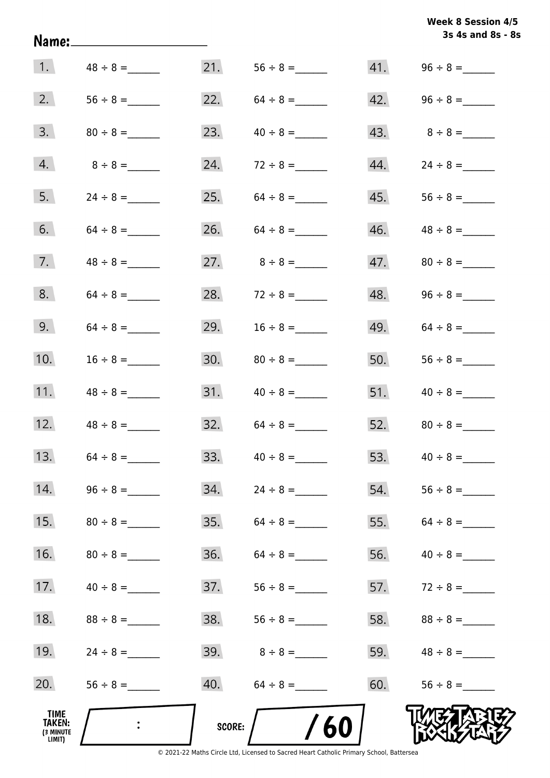|                                              | Name:_______________________ |        |                   |     | 3s 4s and 8s - 8s |
|----------------------------------------------|------------------------------|--------|-------------------|-----|-------------------|
| $\vert 1. \vert$                             |                              |        |                   |     |                   |
| 2.                                           |                              |        | 22. $64 \div 8 =$ |     |                   |
| 3.                                           |                              | 23.    | $40 \div 8 =$     |     | 43. $8 \div 8 =$  |
| 4.                                           | $8 \div 8 =$                 |        | 24. $72 \div 8 =$ | 44. | $24 \div 8 =$     |
| 5.                                           |                              |        | 25. $64 \div 8 =$ |     |                   |
| 6.                                           |                              |        | 26. $64 \div 8 =$ | 46. | $48 \div 8 =$     |
| 7.                                           |                              |        | 27. $8 \div 8 =$  | 47. | $80 \div 8 =$     |
| 8.                                           |                              |        | 28. $72 \div 8 =$ | 48. |                   |
| 9.                                           |                              |        | 29. $16 \div 8 =$ | 49. | $64 \div 8 =$     |
| 10.                                          | $16 \div 8 =$                |        |                   | 50. |                   |
| 11.                                          | $48 \div 8 =$                |        |                   |     |                   |
| 12.                                          |                              |        | $32. 64 \div 8 =$ |     |                   |
| 13.                                          |                              | 33.    | $40 \div 8 =$     | 53. | $40 \div 8 =$     |
| 14.                                          |                              | 34.    | $24 \div 8 =$     | 54. |                   |
| 15.                                          |                              | 35.    | $64 \div 8 =$     | 55. | $64 \div 8 =$     |
| 16.                                          |                              | 36.    | $64 \div 8 =$     | 56. | $40 \div 8 =$     |
| 17.                                          |                              | 37.    |                   |     | 57. $72 \div 8 =$ |
| 18.                                          | $88 \div 8 =$                | 38.    |                   | 58. |                   |
| 19.                                          |                              |        | $39.8 \div 8 =$   | 59. | $48 \div 8 =$     |
| 20.                                          |                              |        |                   | 60. |                   |
| TIME<br><b>TAKEN:</b><br>(3 MINUTE<br>LIMIT) |                              | SCORE: | /60               |     |                   |

**Week 8 Session 4/5**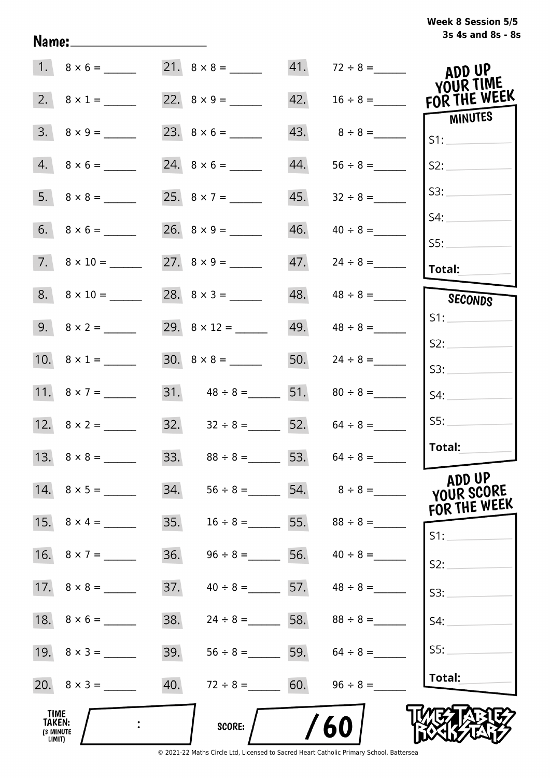# **3s 4s and 8s - 8s Week 8 Session 5/5**

|                                              |                          |     |                                     |     | $41. 72 \div 8 =$               | ADD UP                                         |
|----------------------------------------------|--------------------------|-----|-------------------------------------|-----|---------------------------------|------------------------------------------------|
|                                              | 2. $8 \times 1 =$        |     |                                     | 42. |                                 | <b>YOUR TIME</b><br>$16 \div 8 =$ FOR THE WEEK |
|                                              | $3. \quad 8 \times 9 =$  |     |                                     | 43. | $8 \div 8 =$                    | MINUTES<br>S1:                                 |
|                                              | $4. 8 \times 6 =$        |     |                                     | 44. | $56 \div 8 =$                   | S2:                                            |
|                                              |                          |     |                                     | 45. | $32 \div 8 =$                   | S3:                                            |
|                                              |                          |     |                                     | 46. | $40 \div 8 =$                   | S4:                                            |
|                                              | $7. \quad 8 \times 10 =$ |     |                                     | 47. | $24 \div 8 =$                   | SS:<br>Total:                                  |
|                                              | $8. \quad 8 \times 10 =$ |     | 28. $8 \times 3 =$                  | 48. |                                 | SECONDS                                        |
|                                              |                          |     |                                     |     | $49.$ $48 \div 8 =$             | S1:                                            |
|                                              |                          |     |                                     |     | 50. $24 \div 8 =$               | S2:                                            |
|                                              | 11. $8 \times 7 =$       |     | 31. $48 \div 8 =$ 51. $80 \div 8 =$ |     |                                 | S3:<br>S4:                                     |
|                                              |                          |     | 32. $32 \div 8 =$ 52. $64 \div 8 =$ |     |                                 | SS:                                            |
|                                              | 13. $8 \times 8 =$       |     | 33. $88 \div 8 =$ 53. $64 \div 8 =$ |     |                                 | Total:                                         |
|                                              | 14. $8 \times 5 =$       | 34. | $56 \div 8 =$                       |     |                                 | ADD UP<br>YOUR SCORE<br>FOR THE WEEK           |
|                                              |                          | 35. | $16 \div 8 =$                       |     | 55. $88 \div 8 =$               | $S1$ :                                         |
|                                              |                          | 36. | $96 \div 8 =$                       | 56. | $40 \div 8 =$                   | S2:                                            |
|                                              |                          | 37. |                                     |     | $40 \div 8 =$ 57. $48 \div 8 =$ | S3:                                            |
|                                              |                          | 38. | $24 \div 8 =$ 58. $88 \div 8 =$     |     |                                 | S4:                                            |
|                                              |                          | 39. |                                     |     | $56 \div 8 =$ 59. $64 \div 8 =$ | SS:                                            |
|                                              |                          | 40. | $72 \div 8 = 60.$                   |     | $96 \div 8 =$                   | Total:                                         |
| TIME<br><b>TAKEN:</b><br>(3 MINUTE<br>LIMIT) |                          |     | <b>SCORE:</b>                       |     | 60                              |                                                |

Name: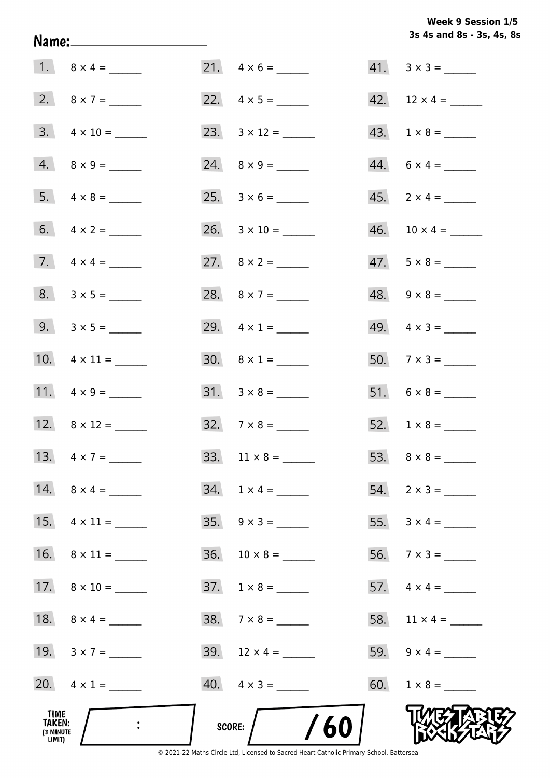# Week 9 Session 1/5 3s 4s and 8s - 3s, 4s, 8s

| TIME<br><b>TAKEN:</b><br>(3 MINUTE<br>LIMIT) |                          | /60<br>SCORE:                |                             |
|----------------------------------------------|--------------------------|------------------------------|-----------------------------|
|                                              | 20. $4 \times 1 =$       | $40. \quad 4 \times 3 =$     |                             |
|                                              | 19. $3 \times 7 =$       | 39. $12 \times 4 =$          | 59. $9 \times 4 =$          |
|                                              |                          | $38. 7 \times 8 =$           | 58. $11 \times 4 =$         |
|                                              |                          | $37. 1 \times 8 =$           |                             |
|                                              |                          | $36. 10 \times 8 =$          |                             |
|                                              |                          |                              |                             |
|                                              | 14. $8 \times 4 =$       | $34. 1 \times 4 =$           | $54. \quad 2 \times 3 =$    |
|                                              | 13. $4 \times 7 =$       | 33. $11 \times 8 =$          |                             |
|                                              | 12. $8 \times 12 =$      | $32.7 \times 8 =$            |                             |
|                                              |                          |                              |                             |
|                                              | 10. $4 \times 11 =$      | 30. $8 \times 1 =$           | 50. $7 \times 3 =$          |
|                                              | 9. $3 \times 5 =$        | 29. $4 \times 1 =$           | 49. $4 \times 3 =$          |
|                                              | $8. 3 \times 5 =$        | 28. $8 \times 7 =$           | $48. \quad 9 \times 8 =$    |
|                                              |                          |                              | $47. 5 \times 8 =$          |
|                                              |                          | $26. \quad 3 \times 10 = \_$ |                             |
|                                              |                          |                              | $45. \quad 2 \times 4 = \_$ |
|                                              |                          | 24. $8 \times 9 =$           | $44. 6 \times 4 =$          |
|                                              | $3. \quad 4 \times 10 =$ |                              | $43. \quad 1 \times 8 = \_$ |
|                                              | 2. $8 \times 7 =$        |                              |                             |
|                                              |                          |                              | $41. \quad 3 \times 3 =$    |

Name: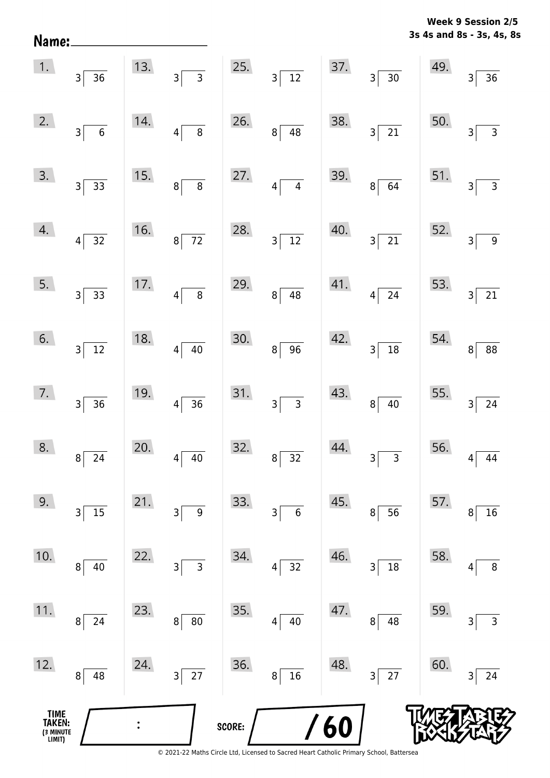| Name:                                 |                                            |     |                                |        |                                 |     |                               |     | 3s 4s and 8s - 3s, 4s, 8s |
|---------------------------------------|--------------------------------------------|-----|--------------------------------|--------|---------------------------------|-----|-------------------------------|-----|---------------------------|
| 1.                                    | 3<br>36                                    | 13. | $\overline{3}$<br>$3\vert$     | 25.    | $\overline{12}$<br>$3\vert$     | 37. | $3\vert$<br>$30\,$            | 49. | $36$<br>3                 |
| 2.                                    | $\boldsymbol{6}$<br>3                      | 14. | $\, 8$<br>4                    | 26.    | 48<br>$\bf 8$                   | 38. | 21<br>$\overline{\mathbf{3}}$ | 50. | $\mathsf{3}$<br>3         |
| 3.                                    | $\overline{33}$<br>$\overline{\mathsf{3}}$ | 15. | $\,8\,$<br>8                   | 27.    | $\overline{\mathbf{4}}$<br>4    | 39. | 64<br>8                       | 51. | $\mathsf 3$<br>3          |
| 4.                                    | 32<br>4                                    | 16. | $8\overline{72}$               | 28.    | $\overline{12}$<br>$\mathsf{3}$ | 40. | $\overline{21}$<br>3          | 52. | $\boldsymbol{9}$<br>3     |
| 5.                                    | $3\vert$<br>33                             | 17. | $\overline{\bf 8}$<br>$4\vert$ | 29.    | 48<br>$\,8\,$                   | 41. | ${\bf 24}$<br>$\overline{4}$  | 53. | $21\,$<br>$\overline{3}$  |
| 6.                                    | $\overline{12}$<br>$3\vert$                | 18. | $40\,$<br> 4                   | 30.    | 96<br>$\bf 8$                   | 42. | $\overline{18}$<br>3          | 54. | 88<br>8 <sup>1</sup>      |
| 7.                                    | 36<br>3                                    | 19. | $\overline{36}$<br>$4\vert$    | 31.    | $\overline{3}$<br>$\mathsf{3}$  | 43. | $40\,$<br>$\bf 8$             | 55. | $24\,$<br>3               |
| 8.                                    | 24<br>8                                    | 20. | 40<br>4                        | 32.    | 32<br>$\, 8$                    | 44. | $\mathsf{3}$<br>3             | 56. | 44                        |
| 9.                                    | $15$<br>3                                  | 21. | $\boldsymbol{9}$<br>3          | 33.    | $\boldsymbol{6}$<br>3           | 45. | 56<br>8                       | 57. | 16<br>8                   |
| 10.                                   | 40<br>8                                    | 22. | 3<br>3                         | 34.    | 32<br>$\overline{4}$            | 46. | 18<br>3                       | 58. | $\, 8$<br>4               |
| 11.                                   | $\bf 8$<br>24                              | 23. | 80<br>8                        | 35.    | 40<br>4                         | 47. | 48<br>8                       | 59. | $\mathsf 3$<br>3          |
| 12.                                   | 8<br>48                                    | 24. | $\overline{27}$<br>$3\vert$    | 36.    | 16<br>8                         | 48. | 27<br>3                       | 60. | 24<br>3                   |
| TIME<br>TAKEN:<br>(3 MINUTE<br>LIMIT) |                                            |     |                                | SCORE: |                                 | 60  |                               |     |                           |

**Week 9 Session 2/5** 

<sup>© 2021-22</sup> Maths Circle Ltd, Licensed to Sacred Heart Catholic Primary School, Battersea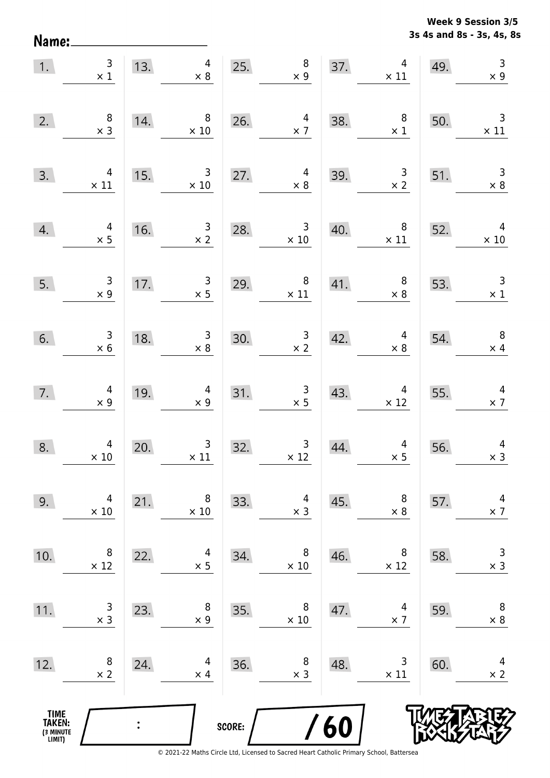**3s 4s and 8s - 3s, 4s, 8s Week 9 Session 3/5** 

| 1.                                    | $\begin{array}{c c}\n3 & \cdots \\ x & 1\n\end{array}$ |     | 13. $4 \times 8$                                                            |        | 25. $\begin{array}{r} 8 \\ \times 9 \end{array}$         |     | $\begin{array}{c c}\n 37. & 4 \\  \times 11\n \end{array}$ | 49. | $\begin{array}{c} 3 \\ \times 9 \end{array}$                             |
|---------------------------------------|--------------------------------------------------------|-----|-----------------------------------------------------------------------------|--------|----------------------------------------------------------|-----|------------------------------------------------------------|-----|--------------------------------------------------------------------------|
| 2.                                    | $\begin{array}{c} 8 \\ \times 3 \end{array}$           | 14. | $\begin{array}{c} 8 \\ \times 10 \end{array}$                               |        | 26. $4 \times 7$                                         | 38. | $\begin{array}{c} 8 \\ \times 1 \end{array}$               | 50. | $\frac{3}{x}$ 11                                                         |
| 3.                                    | $\begin{array}{r} 4 \\ \times 11 \end{array}$          | 15. | $\begin{array}{ c c c }\n \hline\n & 3 & 27. \\  \times 10 & & \end{array}$ |        | $\overline{\mathbf{r}}$<br>$\times 8$                    | 39. |                                                            |     | $\begin{array}{c cc}\n3 & 51. & 3 \\ \times 2 & & \times 8\n\end{array}$ |
| 4.                                    | $4 \times 5$                                           |     | 16. $\frac{3}{x^2}$                                                         |        | 28. $3 \times 10$                                        |     | 40. $8 \times 11 \times 10$                                |     |                                                                          |
| 5.                                    | $\begin{array}{c} 3 \\ \times 9 \end{array}$           |     | 17. $3 \times 5$                                                            |        | 29. $8 \times 11$                                        |     | 41. $8 \times 8$ 53.                                       |     | $\begin{array}{r} 3 \\ \times 1 \end{array}$                             |
| 6.                                    | $\begin{array}{c} 3 \\ \times 6 \end{array}$           | 18. | $\begin{array}{c c}\n 18. & \text{3} \\  \times 8 & \n \end{array}$         | 30.    | $\begin{array}{r} 3 \\ \times 2 \end{array}$             | 42. | $4 \times 8$                                               | 54. | $\begin{array}{r} 8 \\ \times 4 \end{array}$                             |
| 7.                                    | $4$<br>$\times 9$                                      | 19. | $\begin{array}{r}4\\ \times 9\end{array}$                                   |        | 31. $\begin{array}{r} 3 \\ \times 5 \end{array}$         | 43. |                                                            |     | $\begin{array}{c c}\n & 4 \\ \times 12 & \times 7\n\end{array}$          |
| 8.                                    | $\begin{array}{c} 4 \\ \times 10 \end{array}$          | 20. | $\begin{array}{c} 3 \\ \times 11 \end{array}$                               | 32.    | $\begin{array}{c c} & 3 & 44 \\ \times 12 & \end{array}$ | 44. | $\begin{array}{c c} 4 & 56. \\ \times 5 & \end{array}$     |     | $\overline{4}$<br>$\times$ 3                                             |
| 9.                                    | 4<br>$\times 10$                                       | 21. | 8<br>$\times$ 10                                                            | 33.    | 4<br>$\times$ 3                                          | 45. | 8<br>$\times 8$                                            | 57. | 4<br>$\times$ 7                                                          |
| 10.                                   | 8<br>$\times$ 12                                       | 22. | 4<br>$\times$ 5                                                             | 34.    | 8<br>$\times$ 10                                         | 46. | 8<br>$\times$ 12                                           | 58. | 3<br>$\times$ 3                                                          |
| 11.                                   | 3<br>$\times$ 3                                        | 23. | 8<br>$\times$ 9                                                             | 35.    | 8<br>$\times$ 10                                         | 47. | 4<br>$\times$ 7                                            | 59. | $\,8\,$<br>$\times 8$                                                    |
| 12.                                   | 8<br>$\times$ 2                                        | 24. | 4<br>$\times$ 4                                                             | 36.    | 8<br>$\times$ 3                                          | 48. | 3<br>$\times$ 11                                           | 60. | 4<br>$\times$ 2                                                          |
| TIME<br>TAKEN:<br>(3 MINUTE<br>LIMIT) |                                                        |     |                                                                             | SCORE: |                                                          | 60  |                                                            |     |                                                                          |

Name: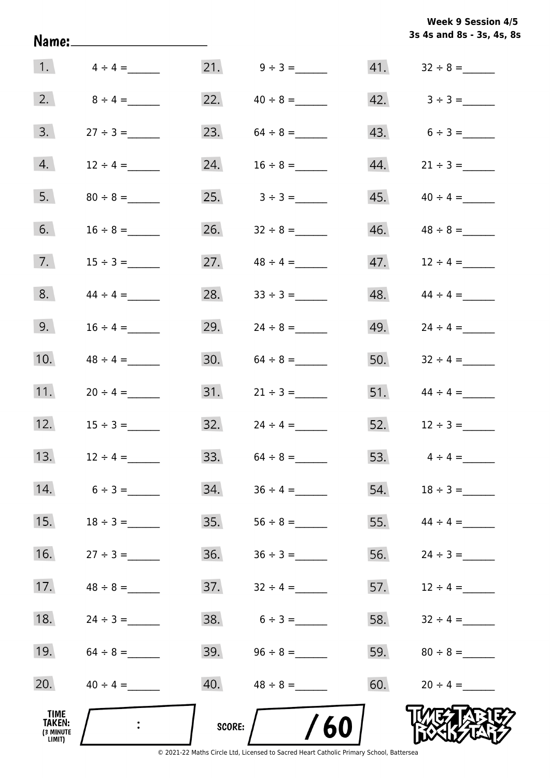|                                              | Name:_______________________ |        |                   |     | 3s 4s and 8s - 3s, 4s, 8s       |
|----------------------------------------------|------------------------------|--------|-------------------|-----|---------------------------------|
| 1.                                           | $4 \div 4 =$                 |        |                   |     |                                 |
| 2.                                           | $8 \div 4 =$                 |        | 22. $40 \div 8 =$ |     | $42. \hspace{1.5cm} 3 \div 3 =$ |
| 3.                                           |                              |        | 23. $64 \div 8 =$ |     | 43. $6 \div 3 =$                |
| 4.                                           | $12 \div 4 =$                | 24.    | $16 \div 8 =$     | 44. | $21 \div 3 =$                   |
| 5.                                           |                              |        | 25. $3 \div 3 =$  | 45. | $40 \div 4 =$                   |
| 6.                                           | $16 \div 8 =$                |        | 26. $32 \div 8 =$ | 46. |                                 |
| 7.                                           | $15 \div 3 =$                |        | 27. $48 \div 4 =$ | 47. | $12 \div 4 =$                   |
| 8.                                           | $44 \div 4 =$                |        | 28. $33 \div 3 =$ | 48. | $44 \div 4 =$                   |
| 9.                                           | $16 \div 4 =$                | 29.    | $24 \div 8 =$     | 49. |                                 |
| 10.                                          | $48 \div 4 =$                |        |                   | 50. | $32 \div 4 =$                   |
| 11.                                          | $20 \div 4 =$                |        |                   |     | 51. $44 \div 4 =$               |
| 12.                                          |                              |        |                   |     | 52. $12 \div 3 =$               |
| 13.                                          | $12 \div 4 =$                | 33.    | $64 \div 8 =$     | 53. | $4 \div 4 =$                    |
| 14.                                          | $6 \div 3 =$                 | 34.    | $36 \div 4 =$     | 54. | $18 \div 3 =$                   |
| 15.                                          | $18 \div 3 =$                | 35.    | $56 \div 8 =$     | 55. | $44 \div 4 =$                   |
| 16.                                          | $27 \div 3 =$                | 36.    | $36 \div 3 =$     | 56. |                                 |
| 17.                                          | $48 \div 8 =$                | 37.    | $32 \div 4 =$     | 57. | $12 \div 4 =$                   |
| 18.                                          |                              |        | $38. 6 \div 3 =$  | 58. | $32 \div 4 =$                   |
| 19.                                          |                              |        | 39. $96 \div 8 =$ | 59. |                                 |
| 20.                                          | $40 \div 4 =$                |        |                   | 60. | $20 \div 4 =$                   |
| TIME<br><b>TAKEN:</b><br>(3 MINUTE<br>LIMIT) |                              | SCORE: | /60               |     |                                 |

**3s 4s and 8s - 3s, 4s, 8s**

**Week 9 Session 4/5** 

© 2021-22 Maths Circle Ltd, Licensed to Sacred Heart Catholic Primary School, Battersea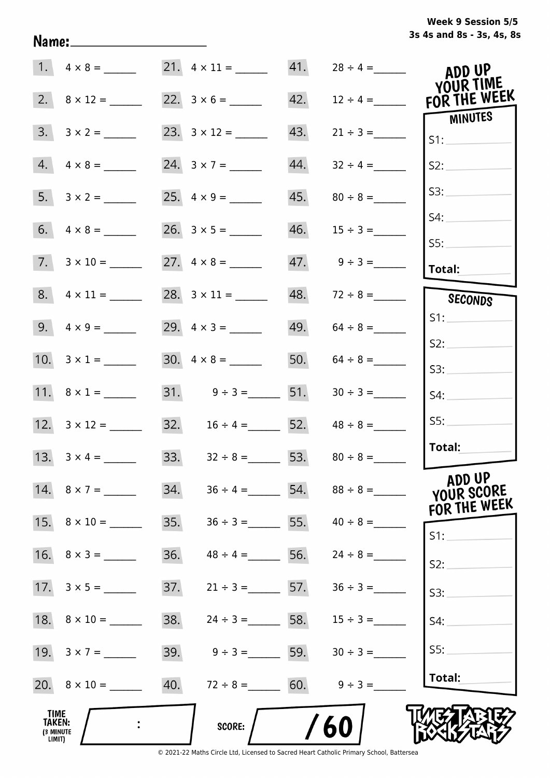|  | Week 9 Session 5/5        |  |  |  |
|--|---------------------------|--|--|--|
|  | 3s 4s and 8s - 3s, 4s, 8s |  |  |  |

|                                       |                     |     | 21. $4 \times 11 =$                 | 41. | $28 \div 4 =$      | ADD UP<br>YOUR TIME                  |
|---------------------------------------|---------------------|-----|-------------------------------------|-----|--------------------|--------------------------------------|
| 2.                                    | $8 \times 12 =$     |     |                                     | 42. | $12 \div 4 =$      | FOR THE WEEK                         |
| 3.                                    |                     |     |                                     | 43. | $21 \div 3 =$      | <b>MINUTES</b><br>S1:                |
| 4.                                    | $4 \times 8 =$      |     | 24. $3 \times 7 =$                  | 44. | $32 \div 4 =$      | S2:                                  |
| 5.                                    |                     |     |                                     | 45. | $80 \div 8 =$      | S3:                                  |
| 6.                                    | $4 \times 8 =$      |     |                                     | 46. | $15 \div 3 =$      | S4:                                  |
| 7.                                    |                     |     |                                     |     | $47.$ $9 \div 3 =$ | SS:<br><b>Total:</b>                 |
|                                       |                     |     |                                     | 48. | $72 \div 8 =$      | SECONDS                              |
|                                       | 9. $4 \times 9 =$   |     |                                     | 49. | $64 \div 8 =$      | S1:                                  |
|                                       | 10. $3 \times 1 =$  |     | $30. \quad 4 \times 8 =$            | 50. | $64 \div 8 =$      | S2:                                  |
|                                       |                     |     |                                     |     |                    | S3:                                  |
|                                       | 11. $8 \times 1 =$  |     | 31. $9 \div 3 =$ 51.                |     |                    | S4:                                  |
|                                       |                     |     | 32. $16 \div 4 =$ 52. $48 \div 8 =$ |     |                    | SS:                                  |
|                                       |                     |     | 33. $32 \div 8 =$ 53. $80 \div 8 =$ |     |                    | Total:                               |
|                                       | 14. $8 \times 7 =$  | 34. | $36 \div 4 =$ 54.                   |     |                    | ADD UP<br>YOUR SCORE<br>FOR THE WEEK |
|                                       | 15. $8 \times 10 =$ | 35. | $36 \div 3 = 55$ .                  |     | $40 \div 8 =$      | S1:                                  |
|                                       | 16. $8 \times 3 =$  | 36. | $48 \div 4 =$                       | 56. | $24 \div 8 =$      | S2:                                  |
|                                       |                     | 37. | $21 \div 3 =$ 57.                   |     | $36 \div 3 =$      | S3:                                  |
|                                       |                     | 38. | $24 \div 3 = 58.$                   |     | $15 \div 3 =$      | S4:                                  |
|                                       |                     | 39. | $9 \div 3 =$ 59.                    |     | $30 \div 3 =$      | S5:                                  |
|                                       |                     | 40. | $72 \div 8 = 60.$                   |     | $9 \div 3 =$       | Total:                               |
| TIME<br>TAKEN:<br>(3 MINUTE<br>LIMIT) |                     |     | <b>SCORE:</b>                       |     | 60                 |                                      |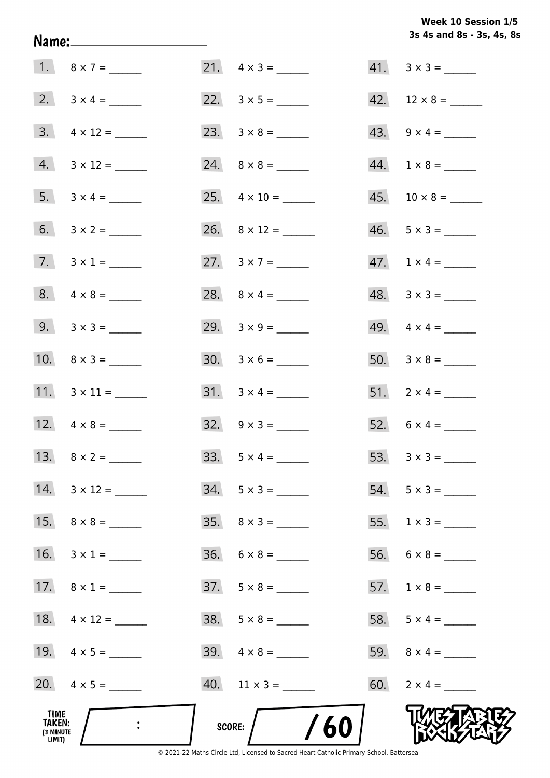# Week 10 Session 1/5 3s 4s and 8s - 3s, 4s, 8s

| TIME<br><b>TAKEN:</b><br>(3 MINUTE<br>LIMIT) |                     | /60<br>score:            |                          |
|----------------------------------------------|---------------------|--------------------------|--------------------------|
|                                              | 20. $4 \times 5 =$  |                          | 60. $2 \times 4 =$       |
|                                              | 19. $4 \times 5 =$  | $39. \quad 4 \times 8 =$ |                          |
|                                              | 18. $4 \times 12 =$ |                          | 58. $5 \times 4 =$       |
|                                              | 17. $8 \times 1 =$  |                          |                          |
|                                              | 16. $3 \times 1 =$  | $36. 6 \times 8 =$       |                          |
|                                              |                     | $35. \quad 8 \times 3 =$ |                          |
|                                              | 14. $3 \times 12 =$ | $34. 5 \times 3 =$       |                          |
|                                              |                     |                          | 53. $3 \times 3 =$       |
|                                              |                     |                          | 52. $6 \times 4 =$       |
|                                              |                     |                          | 51. $2 \times 4 =$       |
|                                              | 10. $8 \times 3 =$  |                          |                          |
|                                              | 9. $3 \times 3 =$   |                          | 49. $4 \times 4 =$       |
|                                              | $8. 4 \times 8 =$   |                          | $48. 3 \times 3 =$       |
|                                              | 7. $3 \times 1 =$   | 27. $3 \times 7 =$       | $47. 1 \times 4 =$       |
|                                              |                     |                          | $46. 5 \times 3 =$       |
|                                              |                     | 25. $4 \times 10 =$      |                          |
|                                              | $4. 3 \times 12 =$  |                          | $44. 1 \times 8 =$       |
|                                              |                     |                          | $43. \quad 9 \times 4 =$ |
|                                              |                     |                          |                          |
|                                              | 1. $8 \times 7 =$   |                          | $41. \quad 3 \times 3 =$ |

Name: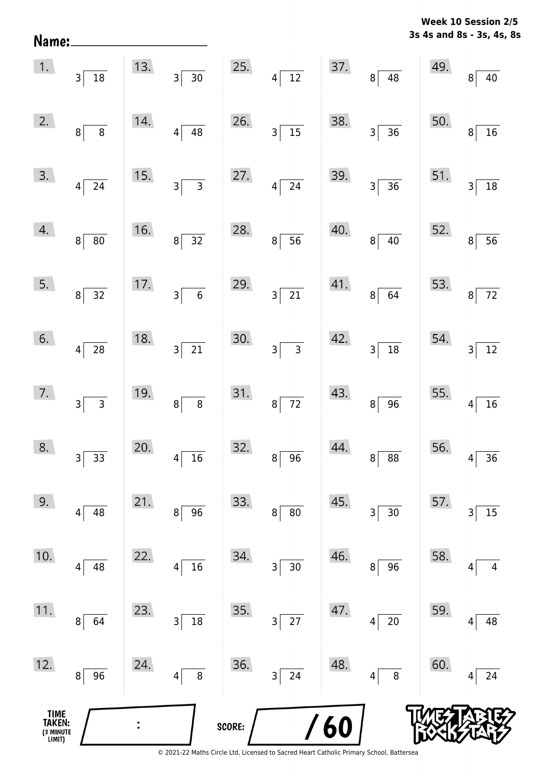**3s 4s and 8s - 3s, 4s, 8s Week 10 Session 2/5** 

| TIME<br>TAKEN:<br>(3 MINUTE<br>LIMIT) |                                                          |     |                                                           | SCORE: |                               | $\sqrt{60}$ |                                                    |                                        |                                 |
|---------------------------------------|----------------------------------------------------------|-----|-----------------------------------------------------------|--------|-------------------------------|-------------|----------------------------------------------------|----------------------------------------|---------------------------------|
| 12.                                   | 96<br>8                                                  | 24. | 8<br>4                                                    | 36.    | 3<br>24                       | 48.         | 8<br>4                                             | 60.                                    | 24<br>4                         |
| 11.                                   | 64<br>8                                                  | 23. | $18\,$<br>3                                               | 35.    | 27<br>$\overline{\mathsf{3}}$ | 47.         | $20\,$<br> 4                                       | 59.                                    | 48<br>4                         |
| 10.                                   | 48<br>4                                                  | 22. | 16<br>4                                                   | 34.    | $30\,$<br>3                   | 46.         | 96<br>8 <sup>1</sup>                               | 58.                                    | 4<br>4                          |
| 9.                                    | 48<br>4                                                  | 21. | 96<br>8                                                   | 33.    | $\bf 8$<br>$80\,$             | 45.         | 30<br>3                                            | 57.                                    | 15<br>3                         |
| 8.                                    | $3\overline{)33}$                                        | 20. | $4\overline{)16}$                                         | 32.    | $8 \overline{)96}$            | 44.         | $8 \overline{) 88}$                                | 56. $4\begin{bmatrix} 4 \end{bmatrix}$ | $\overline{36}$                 |
| 7.                                    | $3\overline{)}$                                          | 19. | $8\overline{8}$                                           | 31.    | $8\overline{72}$              | 43.         | $8\sqrt{96}$                                       | 55. $4\sqrt{ }$                        | $\boxed{16}$                    |
| 6.                                    | $4\overline{28}$                                         | 18. | $3\overline{21}$                                          | 30.    | $3\overline{3}$               |             | $\begin{array}{ c c }\n 42. & 3 & 18\n\end{array}$ | 54.                                    | $\boxed{12}$<br>$\overline{3}$  |
| 5.                                    | $8\sqrt{32}$                                             | 17. | $3\overline{6}$                                           | 29.    | $3\overline{21}$              |             | 41. $8 \overline{)64}$                             |                                        | 53. $8\overline{72}$            |
| 4.                                    | $\overline{8}$<br>$\overline{80}$                        | 16. | $8\sqrt{32}$                                              | 28.    | $8\overline{)}56$             | 40.         | $8\sqrt{40}$                                       | 52.                                    | $8\overline{)}56$               |
| 3.                                    | $4\overline{)24}$                                        | 15. | $3\overline{)3}$                                          | 27.    | $4\overline{\smash{)}\ 24}$   | 39.         | $3\overline{)36}$                                  | 51.                                    | $\boxed{18}$<br>$\overline{3}$  |
| 2.                                    | 8 <sup>°</sup>                                           | 14. | $4\overline{)48}$                                         | 26.    | $3\overline{)15}$             | 38.         | $3\overline{)36}$                                  | 50.                                    | $\mathbf{8}$<br>$\overline{16}$ |
|                                       | $\begin{array}{ c c }\n\hline\n1. & 3 & 18\n\end{array}$ |     | $\begin{array}{ c c }\n\hline\n13. & 3 & 30\n\end{array}$ |        | 25. $4\overline{)12}$         |             | 37. $8 \overline{)48}$                             | 49.                                    | $\bf{8}$<br>40                  |

Name: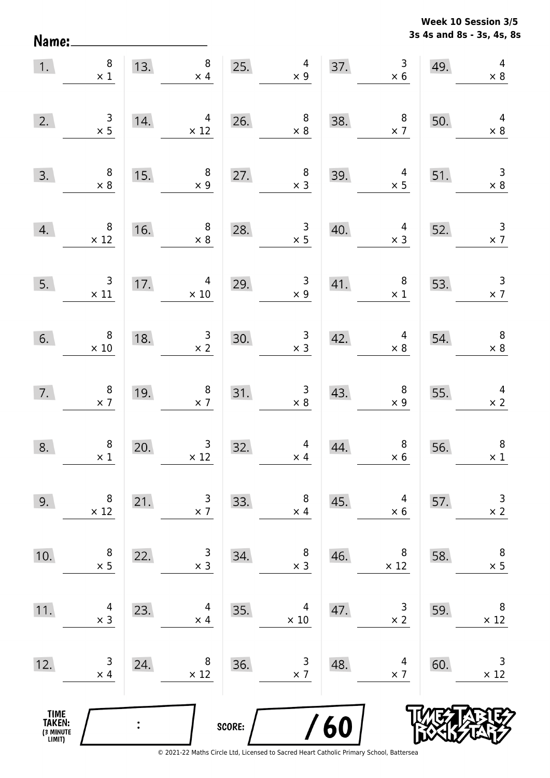Name:

**3s 4s and 8s - 3s, 4s, 8s Week 10 Session 3/5** 

| 1.                                    | $\begin{array}{c} 8 \\ \times 1 \end{array}$  | 13. | $8\phantom{1}$<br>$\times$ 4                    | 25.                                                                                 | $\frac{4}{1}$                                    |     | 37. $3 \times 6$                                 | 49. | $\overline{4}$<br>$\times 8$                 |
|---------------------------------------|-----------------------------------------------|-----|-------------------------------------------------|-------------------------------------------------------------------------------------|--------------------------------------------------|-----|--------------------------------------------------|-----|----------------------------------------------|
| 2.                                    | $\begin{array}{c} 3 \\ \times 5 \end{array}$  | 14. | $\begin{array}{c}\n4 \\ \times 12\n\end{array}$ |                                                                                     | 26. $8 \times 8$                                 | 38. | $\begin{array}{c} 8 \\ \times 7 \end{array}$     | 50. | $\overline{4}$<br>$\times 8$                 |
| 3.                                    | $\begin{array}{c} 8 \\ \times 8 \end{array}$  | 15. | $\frac{3}{x}$ 8                                 | 27.                                                                                 | $\begin{array}{c} 8 \\ \times 3 \end{array}$     | 39. | 39. $4 \times 5$                                 | 51. | $\begin{array}{r} 3 \\ \times 8 \end{array}$ |
| 4.                                    | $\begin{array}{r} 8 \\ \times 12 \end{array}$ | 16. | $\begin{array}{c} 8 \\ \times 8 \end{array}$    | 28.                                                                                 | $\frac{3}{x 5}$                                  | 40. | $\begin{array}{c} 4 \\ \times 3 \end{array}$     | 52. | $\frac{3}{\times 7}$                         |
| 5.                                    | $\begin{array}{c}3\\ \times 11\end{array}$    | 17. | $\begin{array}{r} 4 \\ \times 10 \end{array}$   | 29.                                                                                 | $\begin{array}{c} 3 \\ \times 9 \end{array}$     |     | 41. $\begin{array}{c} 8 \\ \times 1 \end{array}$ | 53. | $\frac{3}{x}$                                |
| 6.                                    | $\begin{array}{c} 8 \\ \times 10 \end{array}$ | 18. | $\begin{array}{r} 3 \\ \times 2 \end{array}$    | 30.                                                                                 | $\begin{array}{r} 3 \\ \times 3 \end{array}$     | 42. | $\begin{array}{c} 4 \\ \times 8 \end{array}$     | 54. | $\begin{array}{c} 8 \\ \times 8 \end{array}$ |
| 7.                                    | $\begin{array}{r} 8 \\ \times 7 \end{array}$  | 19. | $\begin{array}{c} 8 \\ \times 7 \end{array}$    | 31.                                                                                 | 31. $\begin{array}{r} 3 \\ \times 8 \end{array}$ | 43. | $\begin{array}{c} 8 \\ \times 9 \end{array}$     |     | 55. $4 \times 2$                             |
| 8.                                    | $\begin{array}{c} 8 \\ \times 1 \end{array}$  | 20. | $\frac{3}{12}$                                  | $\overline{32}$ .<br>$\overline{\phantom{a}}$ . The set of $\overline{\phantom{a}}$ | $\begin{array}{c} 4 \\ \times 4 \end{array}$     | 44. | $\begin{array}{c} 8 \\ \times 6 \end{array}$     | 56. | $\boldsymbol{8}$<br>$\times$ 1               |
| 9.                                    | 8<br>$\times$ 12                              | 21. | 3<br>$\times$ 7                                 | 33.                                                                                 | 8<br>$\times$ 4                                  | 45. | 4<br>$\times$ 6                                  | 57. | $\mathsf 3$<br>$\times$ 2                    |
| 10.                                   | 8<br>$\times$ 5                               | 22. | 3<br>$\times$ 3                                 | 34.                                                                                 | 8<br>$\times$ 3                                  | 46. | 8<br>$\times$ 12                                 | 58. | $\,8\,$<br>$\times$ 5                        |
| 11.                                   | 4<br>$\times$ 3                               | 23. | 4<br>$\times$ 4                                 | 35.                                                                                 | 4<br>$\times$ 10                                 | 47. | 3<br>$\times$ 2                                  | 59. | 8<br>$\times$ 12                             |
| 12.                                   | $\mathsf 3$<br>$\times$ 4                     | 24. | 8<br>$\times$ 12                                | 36.                                                                                 | 3<br>$\times$ 7                                  | 48. | 4<br>$\times$ 7                                  | 60. | 3<br>$\times$ 12                             |
| TIME<br>TAKEN:<br>(3 MINUTE<br>LIMIT) |                                               |     |                                                 | SCORE:                                                                              |                                                  | 60  |                                                  |     |                                              |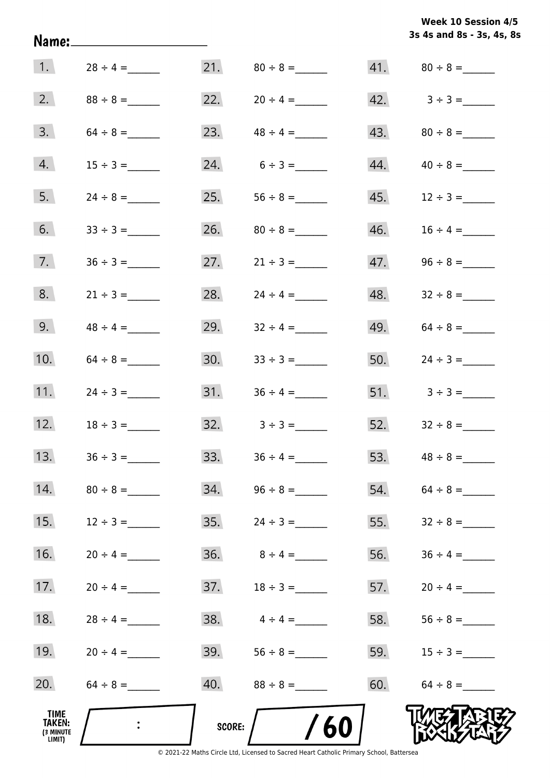|                                       | Name:_______________________ |        |                                 |     | 3s 4s and 8s - 3s, 4s, 8s        |
|---------------------------------------|------------------------------|--------|---------------------------------|-----|----------------------------------|
| $\vert 1. \vert$                      | $28 \div 4 =$                |        |                                 |     |                                  |
| 2.                                    |                              |        | 22. $20 \div 4 =$               |     | $42. \hspace{1.5cm} 3 \div 3 =$  |
| 3.                                    | $64 \div 8 =$                |        | 23. $48 \div 4 =$               |     | $43.80 \div 8 =$                 |
| 4.                                    | $15 \div 3 =$                |        | $24. 6 \div 3 =$                |     | $44. \hspace{1.5cm} 40 \div 8 =$ |
| 5.                                    | $24 \div 8 =$                |        |                                 |     |                                  |
| 6.                                    |                              |        |                                 |     |                                  |
| 7.                                    |                              |        | 27. $21 \div 3 =$               |     |                                  |
| 8.                                    | $21 \div 3 =$                |        | 28. $24 \div 4 =$               |     | 48. $32 \div 8 =$                |
| 9.                                    |                              |        | 29. $32 \div 4 =$               |     | 49. $64 \div 8 =$                |
| 10.                                   | $64 \div 8 =$                | 30.    | $33 \div 3 =$                   |     | 50. $24 \div 3 =$                |
| 11.                                   | $24 \div 3 =$                | 31.    | $36 \div 4 =$                   |     |                                  |
| 12.                                   | $18 \div 3 =$                |        | $32. \hspace{1.5cm} 3 \div 3 =$ |     | 52. $32 \div 8 =$                |
| 13.                                   | $36 \div 3 =$                |        | 33. $36 \div 4 =$               | 53. | $48 \div 8 =$                    |
| 14.                                   | $80 \div 8 =$                |        |                                 |     | $54. 64 \div 8 =$                |
| 15.                                   | $12 \div 3 =$                |        |                                 | 55. |                                  |
| 16.                                   | $20 \div 4 =$                |        | 36. $8 \div 4 =$                | 56. |                                  |
| 17.                                   | $20 \div 4 =$                |        |                                 | 57. |                                  |
| 18.                                   | $28 \div 4 =$                |        | 38. $4 \div 4 =$                | 58. |                                  |
| 19.                                   | $20 \div 4 =$                |        |                                 |     | 59. $15 \div 3 =$                |
| 20.                                   |                              |        |                                 |     | 60. $64 \div 8 =$                |
| TIME<br>TAKEN:<br>(3 MINUTE<br>LIMIT) |                              | SCORE: | 60                              |     |                                  |

**Week 10 Session 4/5**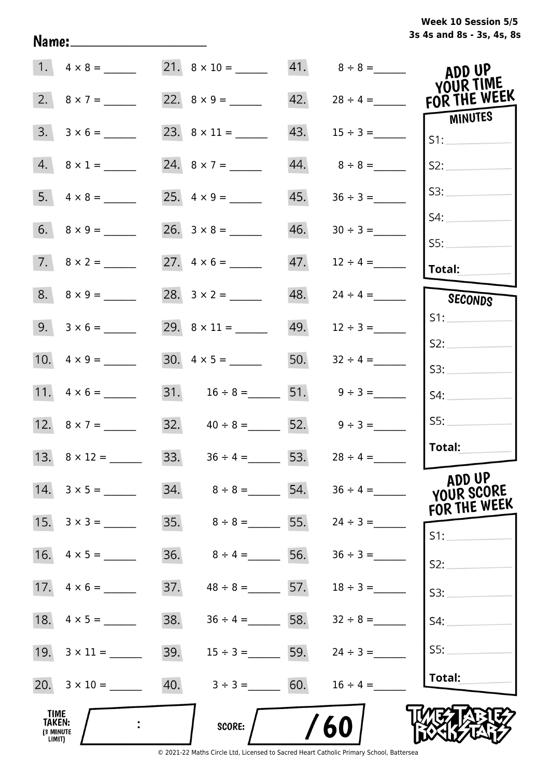# **3s 4s and 8s - 3s, 4s, 8s Week 10 Session 5/5**

|                                                     | 1. $4 \times 8 =$       | 21. $8 \times 10 =$ 41. $8 \div 8 =$ |     |                   | ADD UP                    |
|-----------------------------------------------------|-------------------------|--------------------------------------|-----|-------------------|---------------------------|
|                                                     | 2. $8 \times 7 =$       |                                      | 42. | $28 \div 4 =$     | YOUR TIME<br>FOR THE WEEK |
| 3.                                                  | $3 \times 6 =$          |                                      | 43. |                   | MINUTES<br>S1:            |
|                                                     | $4. 8 \times 1 =$       |                                      | 44. | $8 \div 8 =$      | S2:                       |
|                                                     |                         |                                      | 45. | $36 \div 3 =$     | S3:                       |
|                                                     |                         |                                      | 46. |                   | S4:                       |
|                                                     | $7. \quad 8 \times 2 =$ |                                      | 47. | $12 \div 4 =$     | 55:<br>Total:             |
|                                                     | $8. \quad 8 \times 9 =$ |                                      | 48. | $24 \div 4 =$     | SECONDS                   |
|                                                     | $9. 3 \times 6 =$       |                                      |     | $49. 12 \div 3 =$ | S1:                       |
|                                                     |                         |                                      | 50. | $32 \div 4 =$     | S2:<br>S3:                |
|                                                     |                         | 31. $16 \div 8 =$ 51. $9 \div 3 =$   |     |                   | S4:                       |
|                                                     |                         | 32. $40 \div 8 = 52. 9 \div 3 =$     |     |                   | SS:                       |
|                                                     |                         | 33. $36 \div 4 = 53$ .               |     | $28 \div 4 =$     | Total:                    |
|                                                     | 14. $3 \times 5 =$      |                                      | 54. | $36 \div 4 =$     | ADD UP<br>YOUR SCORE      |
| 15.                                                 | $3 \times 3 =$          |                                      | 55. | $24 \div 3 =$     | FOR THE WEEK<br>$S1$ :    |
| 16.                                                 | $4 \times 5 =$          | 36.<br>$8 \div 4 =$                  | 56. | $36 \div 3 =$     | S2:                       |
|                                                     |                         | 37.<br>$48 \div 8 = 57$ .            |     | $18 \div 3 =$     | S3:                       |
| 18.                                                 | $4 \times 5 =$          | 38.<br>$36 \div 4 =$ 58.             |     | $32 \div 8 =$     | S4:                       |
|                                                     |                         | 39.<br>$15 \div 3 =$ 59.             |     | $24 \div 3 =$     | SS:                       |
|                                                     |                         | 40.<br>$3 \div 3 = 60.$              |     | $16 \div 4 =$     | Total:                    |
| <b>TIME</b><br><b>TAKEN:</b><br>(3 MINUTE<br>LIMIT) |                         | <b>SCORE:</b>                        |     | 60                |                           |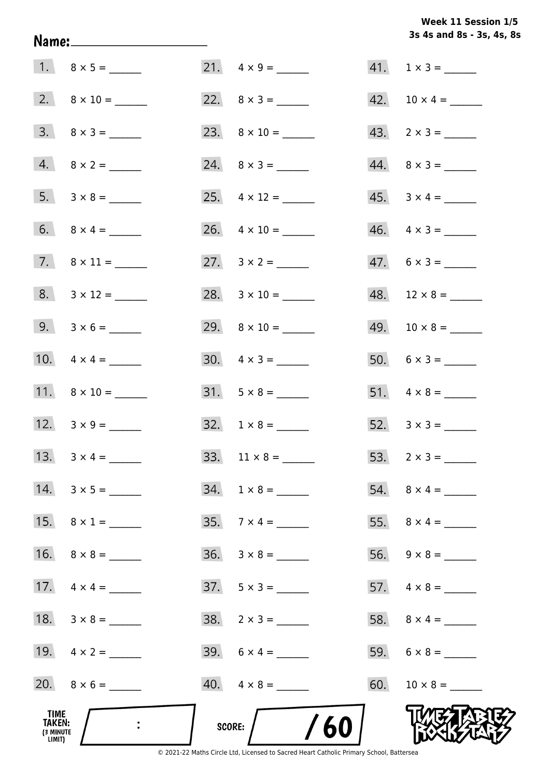**3s 4s and 8s - 3s, 4s, 8s Week 11 Session 1/5** 

| TIME<br>TAKEN:<br>(3 MINUTE<br>LIMIT) | $\ddot{\cdot}$      | /60<br><b>SCORE:</b>     |                             |
|---------------------------------------|---------------------|--------------------------|-----------------------------|
|                                       |                     | $40. \quad 4 \times 8 =$ |                             |
|                                       | 19. $4 \times 2 =$  | 39. $6 \times 4 =$       |                             |
|                                       | 18. $3 \times 8 =$  | $38. 2 \times 3 =$       |                             |
|                                       | 17. $4 \times 4 =$  | $37. 5 \times 3 =$       |                             |
|                                       | 16. $8 \times 8 =$  | $36. \quad 3 \times 8 =$ |                             |
|                                       | 15. $8 \times 1 =$  |                          |                             |
|                                       | 14. $3 \times 5 =$  | $34. 1 \times 8 =$       |                             |
|                                       |                     |                          |                             |
|                                       | 12. $3 \times 9 =$  |                          |                             |
|                                       | 11. $8 \times 10 =$ | $31. 5 \times 8 =$       |                             |
|                                       |                     | $30. \quad 4 \times 3 =$ |                             |
|                                       | 9. $3 \times 6 =$   |                          | $49. 10 \times 8 =$         |
|                                       |                     | 28. $3 \times 10 =$      |                             |
|                                       |                     |                          | $47. 6 \times 3 =$          |
|                                       |                     |                          | $46. \quad 4 \times 3 =$    |
|                                       |                     |                          | $45. \quad 3 \times 4 = \_$ |
|                                       |                     | 24. $8 \times 3 =$       | $44. \quad 8 \times 3 =$    |
|                                       |                     |                          | $43. \quad 2 \times 3 =$    |
|                                       |                     |                          |                             |
|                                       |                     |                          | $41. 1 \times 3 =$          |

Name: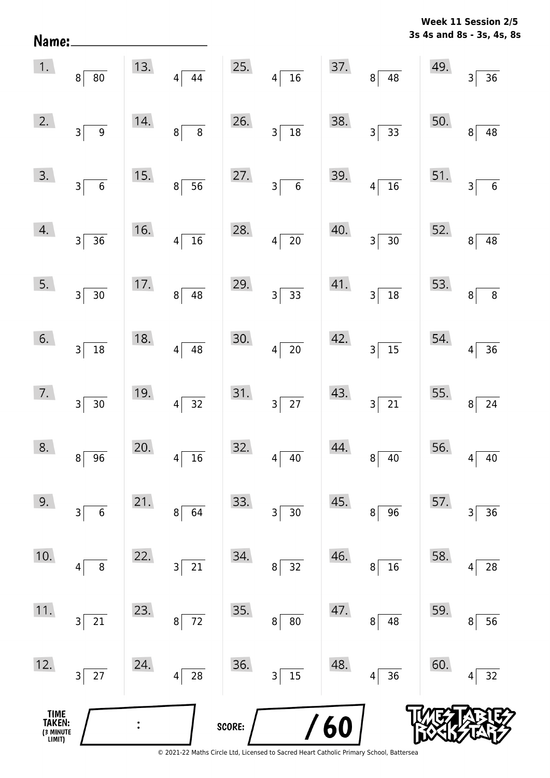| Name:                                 |                                        |     |                                      |        |                                              |            |                               |     | 3s 4s and 8s - 3s, 4s, 8s                 |
|---------------------------------------|----------------------------------------|-----|--------------------------------------|--------|----------------------------------------------|------------|-------------------------------|-----|-------------------------------------------|
| 1.                                    | 8 <sup>1</sup><br>$80\,$               | 13. | $4\sqrt{ }$<br>44                    | 25.    | $\overline{4}$<br>$\overline{16}$            | 37.        | $8^{\frac{1}{2}}$<br>48       | 49. | 36<br>$\overline{3}$                      |
| 2.                                    | 3<br>$\boldsymbol{9}$                  | 14. | $\overline{8}$<br>8                  | 26.    | $\overline{18}$<br>$\overline{3}$            | 38.        | $\frac{1}{33}$<br>$3\vert$    | 50. | $\overline{48}$<br>8                      |
| 3.                                    | $3\vert$<br>$\overline{\phantom{0}}$ 6 | 15. | $\overline{56}$<br>$8^{\frac{1}{2}}$ | 27.    | $\overline{3}$<br>$\overline{\phantom{0}}$ 6 | 39.        | $\overline{16}$<br> 4         | 51. | $\overline{6}$<br>$\overline{\mathbf{3}}$ |
| 4.                                    | $3\vert$<br>$\overline{36}$            | 16. | $\overline{16}$<br>$4\vert$          | 28.    | $\overline{4}$<br>$\overline{20}$            | 40.        | $\overline{30}$<br>$3\vert$   | 52. | $\overline{48}$<br>$\bf{8}$               |
| 5.                                    | $3\sqrt{ }$<br>30                      | 17. | $\overline{48}$<br>$8\vert$          | 29.    | 3 <sup>5</sup><br>$\overline{33}$            | 41.        | $\overline{18}$<br>$3\vert$   | 53. | $\overline{\bf 8}$<br>$\bf{8}$            |
| 6.                                    | $3\sqrt{ }$<br>18                      | 18. | $\overline{48}$<br>$\vert 4 \vert$   | 30.    | $\overline{20}$<br>$\vert 4 \vert$           | 42.        | $3\overline{)15}$             | 54. | $\overline{36}$<br>$\overline{4}$         |
| 7.                                    | $3\vert$<br>30                         | 19. | $\overline{32}$<br>$\left 4\right $  | 31.    | $\overline{27}$<br>$3\vert$                  | 43.        | $3\overline{21}$              | 55. | 24<br>$\bf 8$                             |
| 8.                                    | 96<br>8                                | 20. | 16<br>$\overline{4}$                 | 32.    | 40<br>4                                      | 44.        | 8<br>40                       | 56. | 40<br>4                                   |
| 9.                                    | $\boldsymbol{6}$<br>3                  | 21. | 64<br>8                              | 33.    | 30<br>3                                      | 45.        | 96<br>8                       | 57. | 36<br>3                                   |
| 10.                                   | 8<br>4                                 | 22. | 21<br>3                              | 34.    | $32\,$<br>8                                  | 46.        | 16<br>8                       | 58. | ${\bf 28}$<br>4                           |
| 11.                                   | 21<br>$3\vert$                         | 23. | 72<br>$\bf 8$                        | 35.    | $\bf 8$<br>$80\,$                            | 47.        | 48<br>8                       | 59. | 56<br>8                                   |
| 12.                                   | 27<br>$3\vert$                         | 24. | ${\bf 28}$<br>4                      | 36.    | 15<br>3                                      | 48.        | 36<br>$\overline{\mathbf{4}}$ | 60. | $32\,$<br>4                               |
| TIME<br>TAKEN:<br>(3 MINUTE<br>LIMIT) |                                        |     |                                      | SCORE: |                                              | <b>/60</b> |                               |     |                                           |

**Week 11 Session 2/5** 

© 2021-22 Maths Circle Ltd, Licensed to Sacred Heart Catholic Primary School, Battersea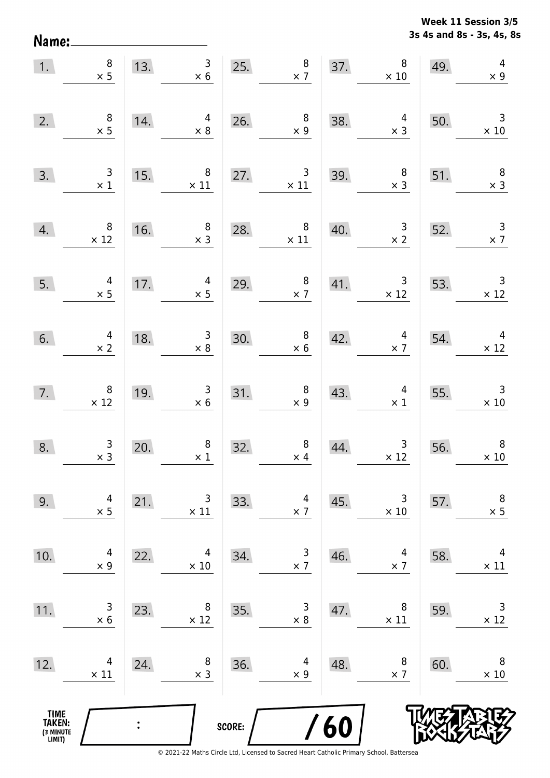Name:

**3s 4s and 8s - 3s, 4s, 8s Week 11 Session 3/5** 

| 1.                                            | $\begin{array}{c} 8 \\ \times 5 \end{array}$  | 13. | $\mathsf{3}$<br>$\times$ 6                     | 25.    | $\begin{array}{c} 8 \\ \times 7 \end{array}$ | 37. | $\bf 8$<br>$\times$ 10                        | 49. | $\overline{\mathcal{A}}$<br>$\times$ 9       |
|-----------------------------------------------|-----------------------------------------------|-----|------------------------------------------------|--------|----------------------------------------------|-----|-----------------------------------------------|-----|----------------------------------------------|
| 2.                                            | $\begin{array}{c} 8 \\ \times 5 \end{array}$  | 14. | 4<br>$\times$ 8                                | 26.    | $\begin{array}{c} 8 \\ \times 9 \end{array}$ | 38. | 4<br>$\times$ 3                               | 50. | $\overline{3}$<br>$\times$ 10                |
| 3.                                            | $\begin{array}{c} 3 \\ \times 1 \end{array}$  | 15. | 8<br>$\times$ 11                               | 27.    | $\mathsf{3}$<br>$\times$ 11                  | 39. | $\begin{array}{c} 8 \\ \times 3 \end{array}$  | 51. | $\overline{\phantom{a}}$<br>$\times$ 3       |
| 4.                                            | $\, 8$<br>$\times$ 12                         | 16. | $\begin{array}{c} 8 \\ \times 3 \end{array}$   | 28.    | $\bf 8$<br>$\times$ 11                       | 40. | $\begin{array}{c} 3 \\ \times 2 \end{array}$  | 52. | $\begin{array}{c} 3 \\ \times 7 \end{array}$ |
| 5.                                            | $\begin{array}{c} 4 \\ \times 5 \end{array}$  | 17. | $\overline{a}$<br>$\times$ 5                   | 29.    | $\begin{array}{c} 8 \\ \times 7 \end{array}$ | 41. | $\begin{array}{c} 3 \\ \times 12 \end{array}$ | 53. | $\overline{\phantom{a}}$<br>$\times$ 12      |
| 6.                                            | $\begin{array}{c} 4 \\ \times 2 \end{array}$  | 18. | $\begin{array}{c} 3 \\ \times 8 \end{array}$   | 30.    | $\begin{array}{c} 8 \\ \times 6 \end{array}$ | 42. | $\overline{4}$<br>$\times$ 7                  | 54. | $\overline{4}$<br>$\times$ 12                |
| 7.                                            | $\begin{array}{c} 8 \\ \times 12 \end{array}$ | 19. | $\begin{array}{c} 3 \\ \times 6 \end{array}$   | 31.    | $\begin{array}{c} 8 \\ \times 9 \end{array}$ | 43. | $\begin{array}{c} 4 \\ \times 1 \end{array}$  | 55. | $\mathbf{3}$<br>$\times$ 10                  |
| 8.                                            | $\begin{array}{c} 3 \\ x 3 \end{array}$       | 20. | $\begin{array}{c} 8 \\ \times \ 1 \end{array}$ | 32.    | $\bf 8$<br>$\times$ 4                        | 44. | $\begin{array}{c} 3 \\ \times 12 \end{array}$ | 56. | $\, 8$<br>$\times$ 10                        |
| 9.                                            | 4<br>$\times$ 5                               | 21. | 3<br>$\times$ 11                               | 33.    | 4<br>$\times$ 7                              | 45. | 3<br>$\times$ 10                              | 57. | $\,8\,$<br>$\times$ 5                        |
| 10.                                           | 4<br>$\times$ 9                               | 22. | 4<br>$\times$ 10                               | 34.    | $\overline{3}$<br>$\times$ 7                 | 46. | $\overline{4}$<br>$\times$ 7                  | 58. | 4<br>$\times$ 11                             |
| 11.                                           | 3<br>$\times 6$                               | 23. | 8<br>$\times$ 12                               | 35.    | 3<br>$\times$ 8                              | 47. | 8<br>$\times$ 11                              | 59. | $\mathsf 3$<br>$\times$ 12                   |
| 12.                                           | 4<br>$\times$ 11                              | 24. | 8<br>$\times$ 3                                | 36.    | 4<br>$\times$ 9                              | 48. | 8<br>$\times$ 7                               | 60. | 8<br>$\times$ 10                             |
| <b>TIME<br/>TAKEN:</b><br>(3 MINUTE<br>LIMIT) |                                               |     |                                                | SCORE: |                                              | 60  |                                               |     |                                              |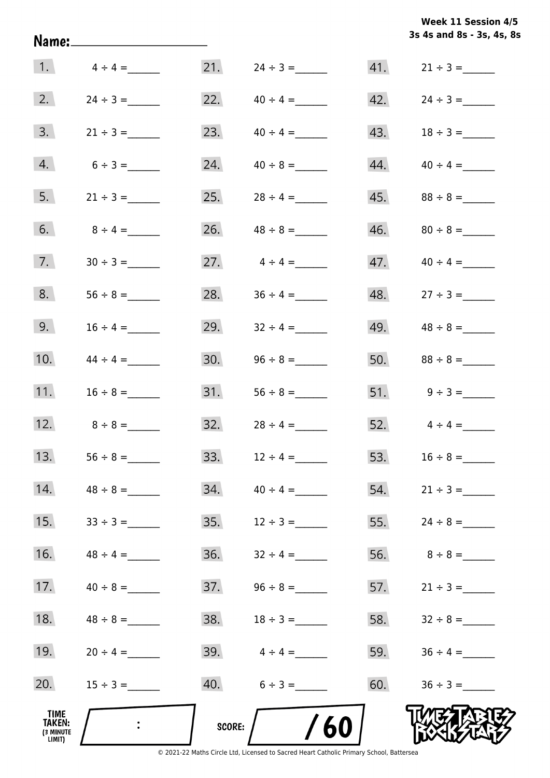|                                              | Name:_______________________ |               |                   |     | 3s 4s and 8s - 3s, 4s, 8s |
|----------------------------------------------|------------------------------|---------------|-------------------|-----|---------------------------|
| 1.                                           | $4 \div 4 =$                 | 21.           | $24 \div 3 =$     |     |                           |
| 2.                                           |                              | 22.           | $40 \div 4 =$     | 42. |                           |
| 3.                                           | $21 \div 3 =$                | 23.           | $40 \div 4 =$     |     |                           |
| 4.                                           | $6 \div 3 =$                 | 24.           | $40 \div 8 =$     | 44. | $40 \div 4 =$             |
| 5.                                           | $21 \div 3 =$                | 25.           | $28 \div 4 =$     | 45. |                           |
| 6.                                           | $8 \div 4 =$                 | 26.           | $48 \div 8 =$     | 46. | $80 \div 8 =$             |
| 7.                                           |                              | 27.           | $4 \div 4 =$      | 47. | $40 \div 4 =$             |
| 8.                                           |                              |               | 28. $36 \div 4 =$ |     | 48. $27 \div 3 =$         |
| 9.                                           |                              | 29.           | $32 \div 4 =$     | 49. | $48 \div 8 =$             |
| 10.                                          | $44 \div 4 =$                | 30.           |                   | 50. |                           |
| 11.                                          | $16 \div 8 =$                | 31.           |                   |     |                           |
| 12.                                          | $8 \div 8 =$                 | 32.           | $28 \div 4 =$     |     | 52. $4 \div 4 =$          |
| 13.                                          |                              | 33.           | $12 \div 4 =$     | 53. | $16 \div 8 =$             |
| 14.                                          | $48 \div 8 =$                | 34.           | $40 \div 4 =$     | 54. | $21 \div 3 =$             |
| 15.                                          | $33 \div 3 =$                | 35.           | $12 \div 3 =$     | 55. |                           |
| 16.                                          | $48 \div 4 =$                | 36.           | $32 \div 4 =$     | 56. | $8 \div 8 =$              |
| 17.                                          | $40 \div 8 =$                | 37.           | $96 \div 8 =$     | 57. | $21 \div 3 =$             |
| 18.                                          |                              | 38.           | $18 \div 3 =$     | 58. |                           |
| 19.                                          | $20 \div 4 =$                |               | 39. $4 \div 4 =$  | 59. |                           |
| 20.                                          |                              |               | $40. 6 \div 3 =$  | 60. |                           |
| TIME<br><b>TAKEN:</b><br>(3 MINUTE<br>LIMIT) |                              | <b>SCORE:</b> | 60                |     |                           |

© 2021-22 Maths Circle Ltd, Licensed to Sacred Heart Catholic Primary School, Battersea

**3s 4s and 8s - 3s, 4s, 8s Week 11 Session 4/5**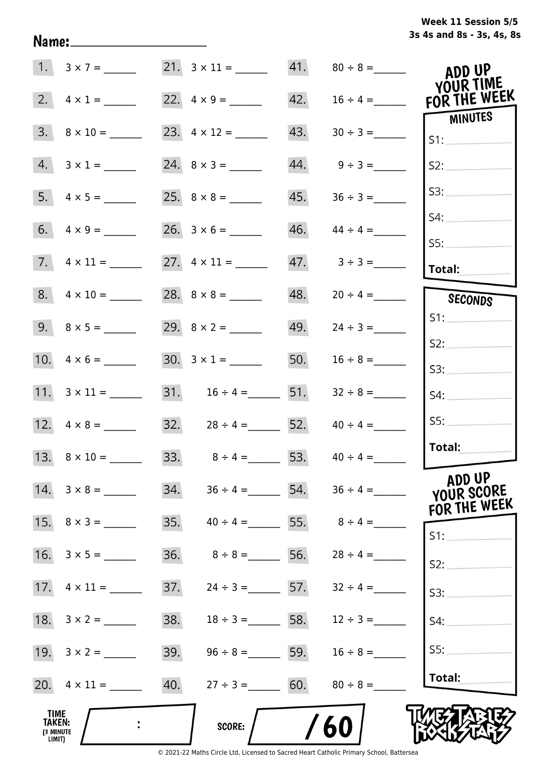# **3s 4s and 8s - 3s, 4s, 8s Week 11 Session 5/5**

|                                              |                          |     | 21. $3 \times 11 =$ 41. $80 \div 8 =$ |     |                                 | ADD UP<br>YOUR TIME                  |
|----------------------------------------------|--------------------------|-----|---------------------------------------|-----|---------------------------------|--------------------------------------|
| 2.                                           | $4 \times 1 =$           |     | 22. $4 \times 9 =$                    | 42. | $16 \div 4 =$                   | FOR THE WEEK                         |
| 3.                                           | $8 \times 10 =$          |     |                                       | 43. |                                 | MINUTES<br>S1:                       |
| 4.                                           | $3 \times 1 =$           |     |                                       |     | $44. \qquad 9 \div 3 =$         | S2:                                  |
|                                              |                          |     |                                       | 45. | $36 \div 3 =$                   | S3:                                  |
|                                              |                          |     |                                       | 46. | $44 \div 4 =$                   | S4:                                  |
|                                              |                          |     |                                       |     | $47. \hspace{1.5cm} 3 \div 3 =$ | SS:<br><b>Total:</b>                 |
|                                              | $8. \quad 4 \times 10 =$ |     |                                       |     | $48. 20 \div 4 =$               | SECONDS                              |
|                                              |                          |     |                                       |     | $49. \qquad 24 \div 3 =$        | S1:                                  |
|                                              |                          |     | $30. 3 \times 1 =$                    | 50. | $16 \div 8 =$                   | S2:                                  |
|                                              |                          |     |                                       |     |                                 | S3:                                  |
|                                              | 11. $3 \times 11 =$      |     |                                       | 51. | $32 \div 8 =$                   | S4:                                  |
|                                              | 12. $4 \times 8 =$       |     | 32. $28 \div 4 =$ 52.                 |     | $40 \div 4 =$                   | SS:                                  |
|                                              |                          |     | $33.$ $8 \div 4 =$                    |     | 53. $40 \div 4 =$               | Total:                               |
|                                              | $14. 3 \times 8 =$       |     | 34. $36 \div 4 =$ 54. $36 \div 4 =$   |     |                                 | ADD UP<br>YOUR SCORE<br>FOR THE WEEK |
|                                              | 15. $8 \times 3 =$       | 35. | $40 \div 4 = 55.$ $8 \div 4 =$        |     |                                 | S1:                                  |
|                                              |                          | 36. | $8 \div 8 =$ 56. 28 ÷ 4 =             |     |                                 | S2:                                  |
|                                              |                          | 37. | $24 \div 3 =$ 57.                     |     | $32 \div 4 =$                   | S3:                                  |
| 18.                                          | $3 \times 2 =$           | 38. | $18 \div 3 =$ 58. $12 \div 3 =$       |     |                                 | S4:                                  |
| 19.                                          | $3 \times 2 =$           | 39. | $96 \div 8 =$ 59.                     |     | $16 \div 8 =$                   | SS:                                  |
|                                              | 20. $4 \times 11 =$      | 40. | $27 \div 3 = 60.$                     |     | $80 \div 8 =$                   | Total:                               |
| TIME<br><b>TAKEN:</b><br>(3 MINUTE<br>LIMIT) |                          |     | <b>SCORE:</b>                         |     | 60                              |                                      |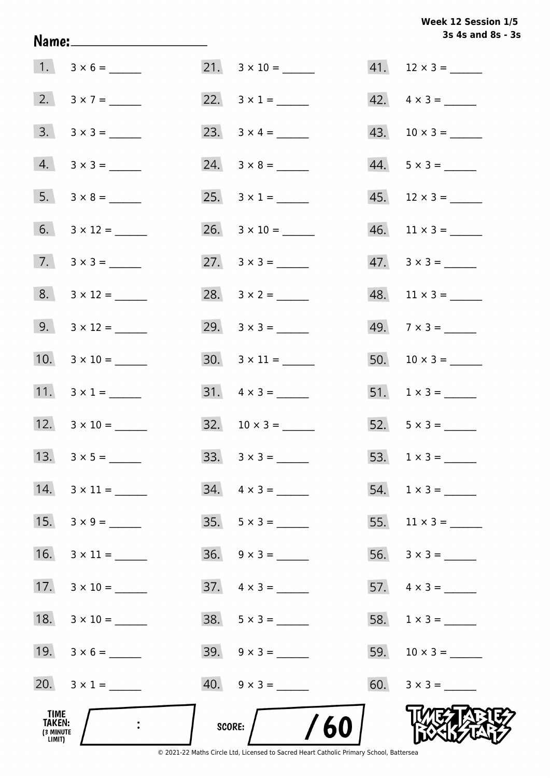# **3s 4s and 8s - 3s Week 12 Session 1/5**

|                                              | Name:__________________________ |                             | 3s 4s and 8s - 3         |
|----------------------------------------------|---------------------------------|-----------------------------|--------------------------|
|                                              | $1. 3 \times 6 =$               |                             |                          |
|                                              | 2. $3 \times 7 =$               | 22. $3 \times 1 =$          | $42. \quad 4 \times 3 =$ |
|                                              | $3. \quad 3 \times 3 =$         |                             | $43. 10 \times 3 =$      |
|                                              | $4. 3 \times 3 =$               |                             | $44. 5 \times 3 =$       |
|                                              | $5. 3 \times 8 =$               | 25. $3 \times 1 =$          | $45.$ 12 × 3 = ______    |
|                                              | 6. $3 \times 12 =$              | $26. \quad 3 \times 10 =$   | $46.$ 11 × 3 = _______   |
|                                              | $7. \quad 3 \times 3 =$         |                             | $47. \quad 3 \times 3 =$ |
|                                              | $8. 3 \times 12 =$              | 28. $3 \times 2 =$          | $48.$ 11 × 3 = ______    |
|                                              | 9. $3 \times 12 =$              |                             | $49.7 \times 3 =$        |
|                                              |                                 |                             |                          |
|                                              | 11. $3 \times 1 =$              |                             | 51. $1 \times 3 =$       |
|                                              | 12. $3 \times 10 =$             | $32. \quad 10 \times 3 =$   | 52. $5 \times 3 =$       |
|                                              |                                 | $33. \quad 3 \times 3 = \_$ | 53. $1 \times 3 =$       |
|                                              | $14. \quad 3 \times 11 =$       | $34. \quad 4 \times 3 =$    |                          |
| 15.                                          | $3 \times 9 =$                  | $35. 5 \times 3 =$          |                          |
| 16.                                          | $3 \times 11 =$                 | $36. \quad 9 \times 3 =$    |                          |
| 17.                                          |                                 | $37. \quad 4 \times 3 =$    | 57. $4 \times 3 =$       |
| 18.                                          |                                 |                             |                          |
|                                              | 19. $3 \times 6 =$              |                             | 59. $10 \times 3 =$      |
|                                              | 20. $3 \times 1 =$              |                             |                          |
| TIME<br><b>TAKEN:</b><br>(3 MINUTE<br>LIMIT) |                                 | /60<br><b>SCORE:</b>        |                          |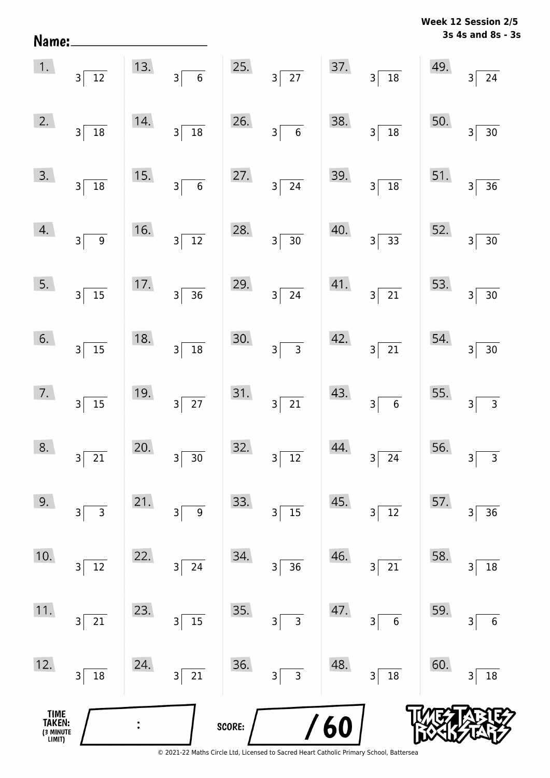| Name:                                         |                                   |     |                                   |        |                                         |     |                                           |     | 3s 4s and 8s - 3s                                  |
|-----------------------------------------------|-----------------------------------|-----|-----------------------------------|--------|-----------------------------------------|-----|-------------------------------------------|-----|----------------------------------------------------|
| 1.                                            | $3\vert$<br>$\overline{12}$       | 13. | $\overline{\mathbf{6}}$<br>3      | 25.    | $3\overline{27}$                        | 37. | $\frac{1}{18}$<br>$3\vert$                | 49. | 24<br>$\overline{\mathsf{3}}$                      |
| 2.                                            | $3\vert$<br>$\boxed{18}$          | 14. | $\overline{18}$<br>$3\vert$       | 26.    | $3\vert$<br>$\overline{6}$              | 38. | $\overline{18}$<br>3                      | 50. | 30<br>$\overline{\mathsf{3}}$                      |
| 3.                                            | $\overline{3}$<br>$\overline{18}$ | 15. | $\overline{6}$<br>$3\sqrt{ }$     | 27.    | $3\sqrt{ }$<br>$\overline{24}$          | 39. | $\overline{18}$<br>$\overline{3}$         | 51. | $\overline{36}$<br>$\overline{\mathsf{3}}$         |
| 4.                                            | 3 <sup>5</sup><br>$\overline{9}$  | 16. | $3\sqrt{12}$                      | 28.    | $3\sqrt{ }$<br>$\overline{30}$          | 40. | $\frac{1}{33}$<br>3                       | 52. | $30\,$<br>$\overline{\mathsf{3}}$                  |
| 5.                                            | $\overline{15}$<br>$3\vert$       | 17. | $3\overline{)36}$                 | 29.    | $3\lceil$<br>$\overline{24}$            | 41. | $\overline{21}$<br>3                      | 53. | 30<br>$\overline{\mathsf{3}}$                      |
| 6.                                            | $3\overline{)15}$                 | 18. | $3 \overline{)18}$                | 30.    | $\overline{\phantom{0}}$ 3<br>$3\lceil$ | 42. | $\overline{21}$<br>$3\vert$               | 54. | 30<br>$\overline{3}$                               |
| 7.                                            | $3\sqrt{2}$<br>$\overline{15}$    | 19. | $3\overline{27}$                  | 31.    | $3\overline{21}$                        | 43. | $\overline{6}$<br>3                       | 55. | $\overline{\mathbf{3}}$<br>$\overline{\mathbf{3}}$ |
| 8.                                            | $\overline{3}$<br>$\overline{21}$ | 20. | $\overline{3}$<br>$\overline{30}$ | 32.    | $\overline{3}$<br>$\overline{12}$       | 44. | 24<br>$\overline{3}$                      | 56. | $\mathsf{3}$<br>$\overline{\mathsf{3}}$            |
| 9.                                            | $\overline{3}$<br>3               | 21. | $\overline{9}$<br>3               | 33.    | $15$<br>$\overline{\mathbf{3}}$         | 45. | $\overline{12}$<br>3                      | 57. | 36<br>3                                            |
| 10.                                           | 12<br>3                           | 22. | 24<br>$3\vert$                    | 34.    | $\overline{3}$<br>36                    | 46. | 21<br>$\overline{\mathsf{3}}$             | 58. | 18<br>$\overline{\mathbf{3}}$                      |
| 11.                                           | $\overline{21}$<br>3              | 23. | $3\overline{15}$                  | 35.    | $\overline{3}$<br>$\overline{3}$        | 47. | $6\phantom{a}$<br>$\overline{\mathsf{3}}$ | 59. | $\overline{6}$<br>$\overline{\mathsf{3}}$          |
| 12.                                           | 18<br>$\overline{\mathsf{3}}$     | 24. | $3\sqrt{21}$                      | 36.    | $3\overline{3}$                         | 48. | $\overline{18}$<br>$3\vert$               | 60. | 18<br>$\overline{\mathsf{3}}$                      |
| <b>TIME<br/>TAKEN:</b><br>(3 MINUTE<br>LIMIT) |                                   |     |                                   | SCORE: |                                         | 60  |                                           |     |                                                    |

**Week 12 Session 2/5** 

<sup>© 2021-22</sup> Maths Circle Ltd, Licensed to Sacred Heart Catholic Primary School, Battersea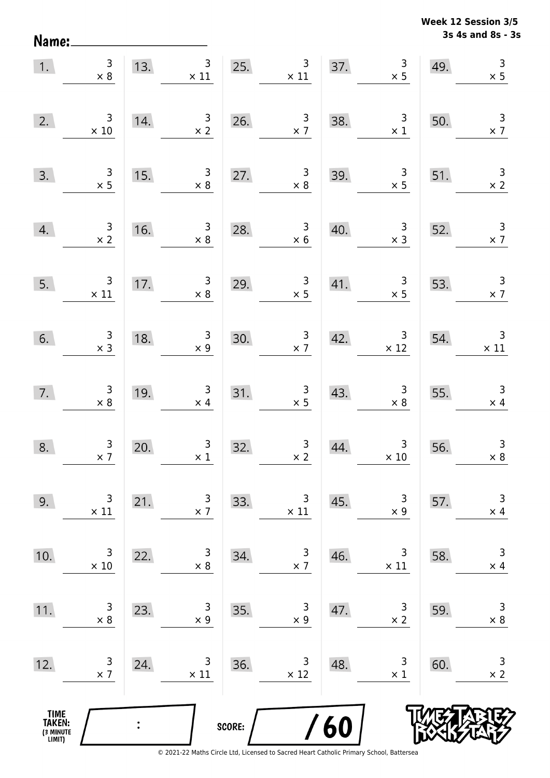Name:

**3s 4s and 8s - 3s Week 12 Session 3/5** 

| 1.                                    | $\begin{array}{c} 3 \\ \times 8 \end{array}$  | 13.            | 3 <sup>7</sup><br>$\begin{array}{c} 3 \\ \times 11 \end{array}$ |        | 25.<br>$\begin{array}{c} 3 \\ \times 11 \end{array}$ |     | 37. $3 \times 5$                              | 49. | $\mathbf{3}$<br>$\times$ 5                    |
|---------------------------------------|-----------------------------------------------|----------------|-----------------------------------------------------------------|--------|------------------------------------------------------|-----|-----------------------------------------------|-----|-----------------------------------------------|
| 2.                                    | $\begin{array}{c} 3 \\ \times 10 \end{array}$ | 14.            | $\begin{array}{c} 3 \\ \times 2 \end{array}$                    |        | 26. $\frac{3}{x7}$                                   | 38. | $\begin{array}{c} 3 \\ \times 1 \end{array}$  | 50. | $\begin{array}{c} 3 \\ \times 7 \end{array}$  |
| 3.                                    | $\begin{array}{c} 3 \\ \times 5 \end{array}$  | 15.            | $\begin{array}{c} 3 \\ \times 8 \end{array}$                    |        | 27. $\begin{array}{r} 3 \\ \times 8 \end{array}$     | 39. | $\begin{array}{c} 3 \\ \times 5 \end{array}$  | 51. | $\begin{array}{c} 3 \\ \times 2 \end{array}$  |
| 4.                                    | $\frac{3}{x}$                                 | 16.            | $\begin{array}{c} 3 \\ \times 8 \end{array}$                    | 28.    | $\begin{array}{r} 3 \\ \times 6 \end{array}$         | 40. | $\begin{array}{r} 3 \\ \times 3 \end{array}$  | 52. | $\frac{3}{x}$                                 |
| 5.                                    | $\begin{array}{c} 3 \\ \times 11 \end{array}$ | 17.            | $\begin{array}{c} 3 \\ \times 8 \end{array}$                    | 29.    | $\begin{array}{c} 3 \\ \times 5 \end{array}$         | 41. | $\begin{array}{c} 3 \\ \times 5 \end{array}$  | 53. | $\begin{array}{r} 3 \\ \times 7 \end{array}$  |
| 6.                                    | $\begin{array}{r} 3 \\ \times 3 \end{array}$  | 18.            | $\begin{array}{c} 3 \\ x \end{array}$                           |        | 30. $\begin{array}{c} 3 \\ \times 7 \end{array}$     | 42. | $\begin{array}{c} 3 \\ \times 12 \end{array}$ | 54. | $\begin{array}{c} 3 \\ \times 11 \end{array}$ |
| 7.                                    | $\begin{array}{c} 3 \\ \times 8 \end{array}$  | 19.            | $\begin{array}{c} 3 \\ \times 4 \end{array}$                    |        | $\begin{array}{r} 3 \\ \times 5 \end{array}$<br>31.  | 43. | $\begin{array}{c} 3 \\ \times 8 \end{array}$  |     | 55. $3 \times 4$                              |
| 8.                                    | $\begin{array}{c} 3 \\ \times 7 \end{array}$  | 20.            | $\begin{array}{c} 3 \\ \times 1 \end{array}$                    | 32.    | $\begin{array}{c c} 3 \\ \times 2 \end{array}$       | 44. | $\begin{array}{c}3\\ \times \ 10\end{array}$  | 56. | $\begin{array}{c} 3 \\ \times 8 \end{array}$  |
| 9.                                    | 3<br>$\times$ 11                              | 21.            | 3<br>$\times$ 7                                                 | 33.    | 3<br>$\times$ 11                                     | 45. | 3<br>$\times$ 9                               | 57. | $\mathsf 3$<br>$\times$ 4                     |
| 10.                                   | 3<br>$\times$ 10                              | 22.            | 3<br>$\times$ 8                                                 | 34.    | $\begin{array}{c} 3 \\ x \end{array}$                | 46. | 3<br>$\times$ 11                              | 58. | $\mathsf 3$<br>$\times$ 4                     |
| 11.                                   | 3<br>$\times 8$                               | 23.            | 3<br>$\times$ 9                                                 | 35.    | 3<br>$\times$ 9                                      | 47. | 3<br>$\times 2$                               | 59. | $\mathsf 3$<br>$\times$ 8                     |
| 12.                                   | 3<br>$\times$ 7                               | 24.            | 3<br>$\times$ 11                                                | 36.    | 3<br>$\times$ 12                                     | 48. | 3<br>$\times$ 1                               | 60. | $\mathsf 3$<br>$\times$ 2                     |
| TIME<br>TAKEN:<br>(3 MINUTE<br>LIMIT) |                                               | $\ddot{\cdot}$ |                                                                 | SCORE: |                                                      | /60 |                                               |     |                                               |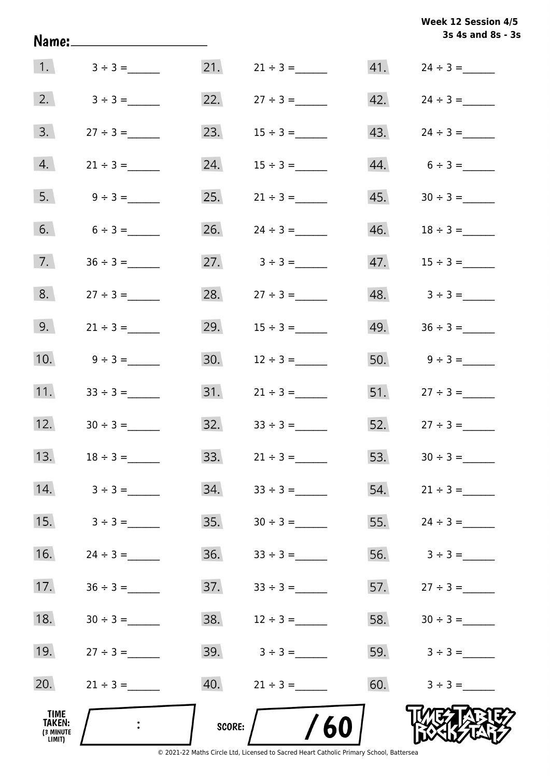| Week 12 Session 4/5 |                   |  |  |
|---------------------|-------------------|--|--|
|                     | 3s 4s and 8s - 3s |  |  |

|                                              |                 |        |                   |     | 3s 4s and 8s - 3s                |
|----------------------------------------------|-----------------|--------|-------------------|-----|----------------------------------|
|                                              | 1. $3 \div 3 =$ |        | 21. $21 \div 3 =$ |     |                                  |
| 2.                                           | $3 \div 3 =$    |        | 22. $27 \div 3 =$ |     | $42. \t24 \div 3 =$              |
| 3.                                           |                 | 23.    |                   |     |                                  |
| 4.                                           | $21 \div 3 =$   | 24.    |                   |     | $44. 6 \div 3 =$                 |
| 5.                                           | $9 \div 3 =$    | 25.    | $21 \div 3 =$     |     |                                  |
| 6.                                           | $6 \div 3 =$    | 26.    | $24 \div 3 =$     |     |                                  |
| 7.                                           | $36 \div 3 =$   |        | 27. $3 \div 3 =$  |     |                                  |
| 8.                                           | $27 \div 3 =$   |        | 28. $27 \div 3 =$ |     | $48. \hspace{1.5cm} 3 \div 3 =$  |
| 9.                                           | $21 \div 3 =$   | 29.    | $15 \div 3 =$     |     | $49. \hspace{1.5cm} 36 \div 3 =$ |
| 10.                                          | $9 \div 3 =$    | 30.    | $12 \div 3 =$     |     | 50. $9 \div 3 =$                 |
| 11.                                          | $33 \div 3 =$   |        |                   |     | 51. $27 \div 3 =$                |
| 12.                                          | $30 \div 3 =$   | 32.    | $33 \div 3 =$     |     | $52.$ $27 \div 3 =$              |
| 13.                                          | $18 \div 3 =$   | 33.    | $21 \div 3 =$     | 53. |                                  |
| 14.                                          | $3 \div 3 =$    | 34.    | $33 \div 3 =$     | 54. | $21 \div 3 =$                    |
| 15.                                          | $3 \div 3 =$    | 35.    |                   | 55. | $24 \div 3 =$                    |
| 16.                                          |                 | 36.    |                   | 56. | $3 \div 3 =$                     |
| 17.                                          | $36 \div 3 =$   | 37.    | $33 \div 3 =$     |     | 57. $27 \div 3 =$                |
| 18.                                          | $30 \div 3 =$   | 38.    | $12 \div 3 =$     |     | 58. $30 \div 3 =$                |
| 19.                                          | $27 \div 3 =$   | 39.    | $3 \div 3 =$      |     | 59. $3 \div 3 =$                 |
| 20.                                          | $21 \div 3 =$   | 40.    | $21 \div 3 =$     | 60. | $3 \div 3 =$                     |
| TIME<br><b>TAKEN:</b><br>(3 MINUTE<br>LIMIT) |                 | SCORE: | 60                |     |                                  |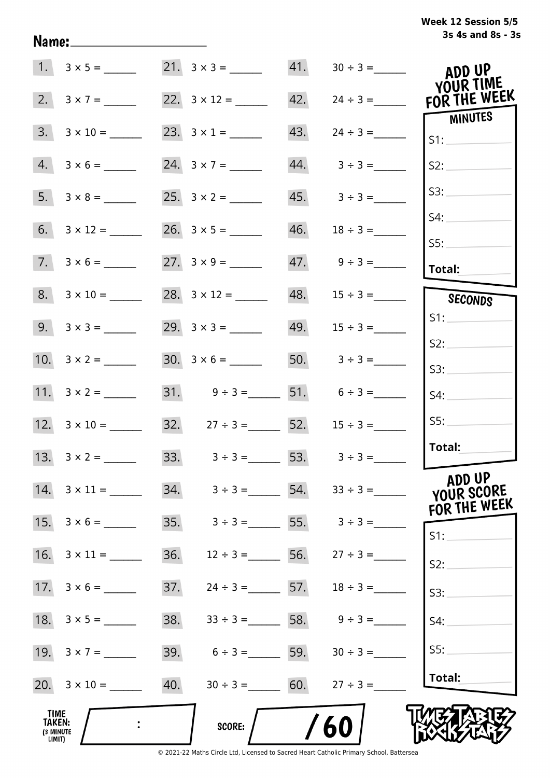| Week 12 Session 5/5 |                   |  |  |
|---------------------|-------------------|--|--|
|                     | 3s 4s and 8s - 3s |  |  |

|                                              |                           |     |                                    |     |                         | ADD UP<br>YOUR TIME                  |
|----------------------------------------------|---------------------------|-----|------------------------------------|-----|-------------------------|--------------------------------------|
| 2.                                           | $3 \times 7 =$            |     | 22. $3 \times 12 =$                | 42. | $24 \div 3 =$           | FOR THE WEEK                         |
| 3.                                           | $3 \times 10 =$           |     |                                    | 43. |                         | MINUTES<br>S1:                       |
| 4.                                           | $3 \times 6 =$            |     | 24. $3 \times 7 =$                 |     | $44. \qquad 3 \div 3 =$ | S2:                                  |
|                                              |                           |     |                                    |     | $45. 3 \div 3 =$        | S3:                                  |
|                                              | $6. 3 \times 12 =$        |     |                                    | 46. | $18 \div 3 =$           | S4:                                  |
|                                              | $7. 3 \times 6 =$         |     |                                    |     |                         | SS:<br>Total:                        |
|                                              | $8. 3 \times 10 =$        |     |                                    | 48. | $15 \div 3 =$           | SECONDS                              |
|                                              | $9. 3 \times 3 =$         |     |                                    |     |                         | S1:                                  |
|                                              |                           |     |                                    |     |                         | S2:                                  |
|                                              |                           |     |                                    |     | 50. $3 \div 3 =$        | S3:                                  |
|                                              |                           |     | 31. $9 \div 3 =$ 51. $6 \div 3 =$  |     |                         | S4:                                  |
|                                              |                           |     | 32. $27 \div 3 =$ 52.              |     | $15 \div 3 =$           | SS:                                  |
|                                              | 13. $3 \times 2 =$        |     | 33. $3 \div 3 = 53.$ $3 \div 3 =$  |     |                         | Total:                               |
|                                              | $14. \quad 3 \times 11 =$ |     | 34. $3 \div 3 =$ 54. $33 \div 3 =$ |     |                         | ADD UP<br>YOUR SCORE<br>FOR THE WEEK |
|                                              | 15. $3 \times 6 =$        |     | 35. $3 \div 3 =$ 55. $3 \div 3 =$  |     |                         | S1:                                  |
| 16.                                          | $3 \times 11 =$           | 36. | $12 \div 3 =$ 56. $27 \div 3 =$    |     |                         | S2:                                  |
|                                              |                           | 37. | $24 \div 3 =$ 57. $18 \div 3 =$    |     |                         | S3:                                  |
|                                              |                           | 38. | $33 \div 3 =$ 58. $9 \div 3 =$     |     |                         | S4:                                  |
|                                              |                           | 39. | $6 \div 3 =$ 59.                   |     | $30 \div 3 =$           | SS:                                  |
|                                              |                           | 40. | $30 \div 3 = 60.$ $27 \div 3 =$    |     |                         | Total:                               |
| <b>TIME</b><br>TAKEN:<br>(3 MINUTE<br>LIMIT) |                           |     | SCORE:                             | /60 |                         |                                      |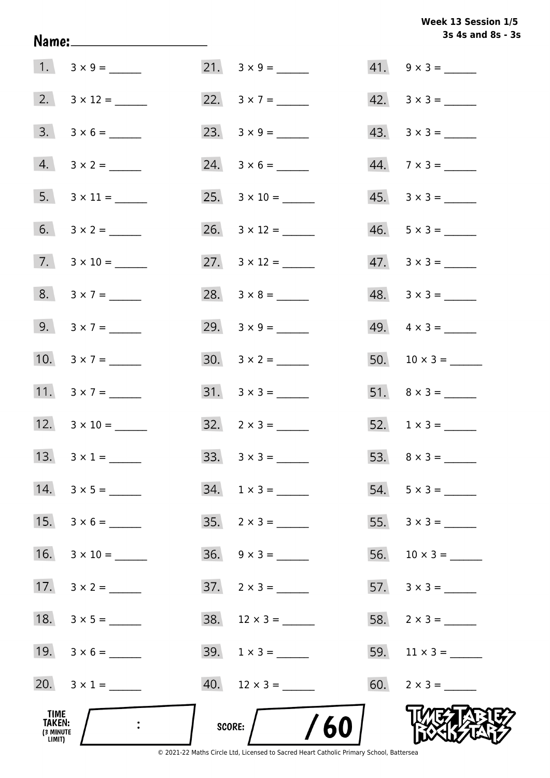Week 13 Session 1/5 3s 4s and 8s - 3s

| TIME<br>TAKEN:<br>(3 MINUTE<br>LIMIT) |                     | /60<br><b>SCORE:</b>     |     |                          |
|---------------------------------------|---------------------|--------------------------|-----|--------------------------|
|                                       | 20. $3 \times 1 =$  |                          |     | 60. $2 \times 3 =$       |
|                                       | 19. $3 \times 6 =$  | $39. 1 \times 3 =$       |     | 59. $11 \times 3 =$      |
|                                       |                     | $38. 12 \times 3 =$      |     |                          |
| 17.                                   | $3 \times 2 =$      | $37. \quad 2 \times 3 =$ |     | 57. $3 \times 3 =$       |
| 16.                                   |                     | $36. \quad 9 \times 3 =$ | 56. |                          |
| 15.                                   |                     | $35. \quad 2 \times 3 =$ | 55. |                          |
|                                       | 14. $3 \times 5 =$  | $34. 1 \times 3 =$       |     | $54. 5 \times 3 =$       |
|                                       |                     |                          |     |                          |
|                                       | 12. $3 \times 10 =$ | $32. \quad 2 \times 3 =$ |     | 52. $1 \times 3 =$       |
|                                       | 11. $3 \times 7 =$  |                          |     |                          |
|                                       | 10. $3 \times 7 =$  |                          |     |                          |
|                                       | 9. $3 \times 7 =$   |                          |     | 49. $4 \times 3 =$       |
|                                       | $8. 3 \times 7 =$   |                          |     | $48. 3 \times 3 =$       |
|                                       | $7. 3 \times 10 =$  | 27. $3 \times 12 =$      |     | $47. \quad 3 \times 3 =$ |
|                                       |                     |                          |     | $46. 5 \times 3 =$       |
|                                       |                     |                          |     |                          |
|                                       |                     |                          |     | $44.7 \times 3 =$        |
|                                       |                     |                          |     | $43. \quad 3 \times 3 =$ |
|                                       |                     |                          |     | $42. \quad 3 \times 3 =$ |
|                                       |                     |                          |     | $41. 9 \times 3 =$       |

Name: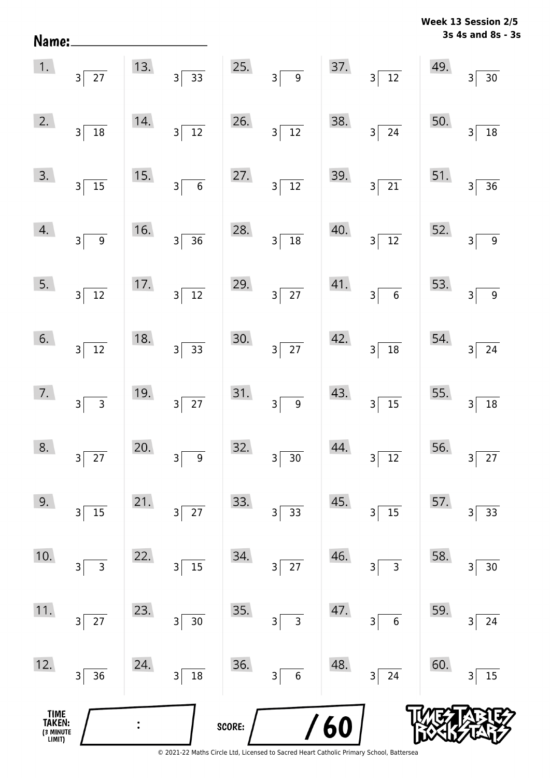| Name:                                 |                                   |     |                                            |        |                                             |     |                                           |     | <b>MEEK TO SEPPINIL SID</b><br>3s 4s and 8s - 3s |
|---------------------------------------|-----------------------------------|-----|--------------------------------------------|--------|---------------------------------------------|-----|-------------------------------------------|-----|--------------------------------------------------|
| 1.                                    | $3\overline{27}$                  | 13. | $\frac{1}{33}$<br>$3\overline{)}$          | 25.    | 3 <sup>2</sup><br>$\overline{9}$            | 37. | $3\sqrt{12}$                              | 49. | $\overline{3}$<br>$30\,$                         |
| 2.                                    | $3\vert$<br>$\overline{18}$       | 14. | $\overline{12}$<br>$\overline{\mathbf{3}}$ | 26.    | $\overline{12}$<br>$\overline{3}$           | 38. | $\overline{24}$<br>$\overline{3}$         | 50. | 18<br>3                                          |
| 3.                                    | $3\overline{)15}$                 | 15. | $\overline{6}$<br>$\overline{\mathbf{3}}$  | 27.    | $\overline{12}$<br>$\overline{\mathbf{3}}$  | 39. | $\overline{21}$<br>$\overline{3}$         | 51. | 36<br>3                                          |
| 4.                                    | 3<br>9                            | 16. | $\overline{3}$<br>$\overline{36}$          | 28.    | $\overline{18}$<br>$\overline{\mathbf{3}}$  | 40. | $\overline{12}$<br>$\overline{3}$         | 52. | $\mathsf{3}$<br>$\boldsymbol{9}$                 |
| 5.                                    | $3\sqrt{12}$                      | 17. | $3\vert$<br>$\overline{12}$                | 29.    | $3\overline{27}$                            | 41. | $\overline{6}$<br>3                       | 53. | 3<br>$\boldsymbol{9}$                            |
| 6.                                    | $3\sqrt{12}$                      | 18. | $\overline{33}$<br>$\overline{3}$          | 30.    | $\overline{27}$<br>$\overline{\mathbf{3}}$  | 42. | $\frac{1}{18}$<br>$\overline{\mathsf{3}}$ | 54. | 24<br>3                                          |
| 7.                                    | $3 \overline{)3}$                 | 19. | $\overline{27}$<br>3                       | 31.    | $\boldsymbol{9}$<br>$\overline{\mathsf{3}}$ | 43. | $\overline{15}$<br>3                      | 55. | $18\,$<br>$\mathsf{3}$                           |
| 8.                                    | $27$<br>3                         | 20. | $\boldsymbol{9}$<br>3                      | 32.    | $30\,$<br>3                                 | 44. | $\overline{12}$<br>$\mathsf 3$            | 56. | $27\,$<br>3                                      |
| 9.                                    | 15<br>$\overline{\mathsf{3}}$     | 21. | $\overline{27}$<br>3                       | 33.    | 33<br>3                                     | 45. | 15<br>3                                   | 57. | 33<br>3                                          |
| 10.                                   | $\overline{3}$<br>3               | 22. | 15<br>3                                    | 34.    | 27<br>3                                     | 46. | $\mathsf{3}$<br>3                         | 58. | $30\,$<br>3                                      |
| 11.                                   | $27\,$<br>$\overline{\mathbf{3}}$ | 23. | $30\,$<br>3                                | 35.    | $\mathsf{3}$<br>3                           | 47. | $\boldsymbol{6}$<br>3                     | 59. | 24<br>3                                          |
| 12.                                   | $\overline{\mathsf{3}}$<br>36     | 24. | $18\,$<br>3                                | 36.    | $\boldsymbol{6}$<br>3                       | 48. | 24<br>3                                   | 60. | 15<br>3                                          |
| TIME<br>TAKEN:<br>(3 MINUTE<br>LIMIT) |                                   |     |                                            | SCORE: |                                             | 60  |                                           |     |                                                  |

**Week 13 Session 2/5**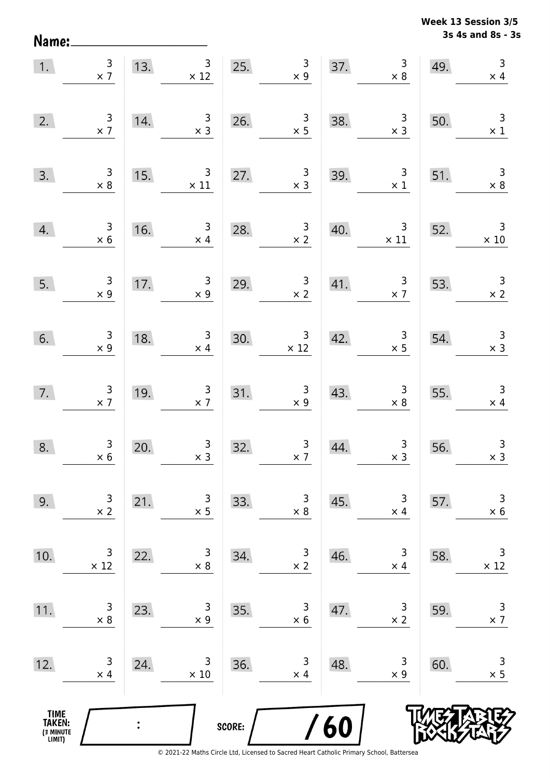Name:

**3s 4s and 8s - 3s Week 13 Session 3/5** 

| 1.                                    | $\begin{array}{c} 3 \\ \times 7 \end{array}$ | 13. | $\mathsf{3}$<br>$\times$ 12                  | 25.    | $\begin{array}{c} 3 \\ \times 9 \end{array}$ | 37. | $\begin{array}{c} 3 \\ \times 8 \end{array}$   | 49. | $\mathsf 3$<br>$\times$ 4                    |
|---------------------------------------|----------------------------------------------|-----|----------------------------------------------|--------|----------------------------------------------|-----|------------------------------------------------|-----|----------------------------------------------|
| 2.                                    | $\begin{array}{c} 3 \\ \times 7 \end{array}$ | 14. | $\begin{array}{c} 3 \\ \times 3 \end{array}$ | 26.    | $\begin{array}{c} 3 \\ \times 5 \end{array}$ | 38. | $\begin{array}{c} 3 \\ \times 3 \end{array}$   | 50. | $\overline{\mathbf{3}}$<br>$\times$ 1        |
| 3.                                    | $\begin{array}{c} 3 \\ \times 8 \end{array}$ | 15. | $\mathsf{3}$<br>$\times$ 11                  | 27.    | $\begin{array}{c} 3 \\ \times 3 \end{array}$ | 39. | $\begin{array}{c} 3 \\ \times 1 \end{array}$   | 51. | $\overline{3}$<br>$\times 8$                 |
| 4.                                    | $\begin{array}{c} 3 \\ \times 6 \end{array}$ | 16. | $\mathsf{3}$<br>$\times$ 4                   | 28.    | $\begin{array}{c} 3 \\ \times 2 \end{array}$ | 40. | $\overline{\mathbf{3}}$<br>$\times$ 11         | 52. | $\overline{3}$<br>$\times$ 10                |
| 5.                                    | $\begin{array}{c} 3 \\ \times 9 \end{array}$ | 17. | $\begin{array}{c} 3 \\ \times 9 \end{array}$ | 29.    | $\begin{array}{c} 3 \\ \times 2 \end{array}$ | 41. | $\frac{3}{x}$                                  | 53. | $\frac{3}{x}$                                |
| 6.                                    | $\begin{array}{c} 3 \\ x 9 \end{array}$      | 18. | $\begin{array}{c} 3 \\ \times 4 \end{array}$ | 30.    | $\frac{3}{x}$ 12                             | 42. | $\begin{array}{c}\n3 \\ \times 5\n\end{array}$ | 54. | $\begin{array}{c} 3 \\ \times 3 \end{array}$ |
| 7.                                    | $\begin{array}{c} 3 \\ \times 7 \end{array}$ | 19. | $\begin{array}{c} 3 \\ \times 7 \end{array}$ | 31.    | $\begin{array}{c} 3 \\ \times 9 \end{array}$ | 43. | $\begin{array}{c} 3 \\ \times 8 \end{array}$   | 55. | $\overline{3}$<br>$\times$ 4                 |
| 8.                                    | $\begin{array}{c} 3 \\ \times 6 \end{array}$ | 20. | $\begin{array}{c} 3 \\ x 3 \end{array}$      | 32.    | $\begin{array}{c} 3 \\ \times 7 \end{array}$ | 44. | $\begin{array}{c} 3 \\ x 3 \end{array}$        | 56. | $\begin{array}{c} 3 \\ x 3 \end{array}$      |
| 9.                                    | 3<br>$\times$ 2                              | 21. | 3<br>$\times$ 5                              | 33.    | 3<br>$\times 8$                              | 45. | 3<br>$\times$ 4                                | 57. | 3<br>$\times$ 6                              |
| 10.                                   | 3<br>$\times$ 12                             | 22. | 3<br>$\times 8$                              | 34.    | 3<br>$\times$ 2                              | 46. | 3<br>$\times$ 4                                | 58. | 3<br>$\times$ 12                             |
| 11.                                   | $\mathsf 3$<br>$\times 8$                    | 23. | 3<br>$\times$ 9                              | 35.    | 3<br>$\times$ 6                              | 47. | 3<br>$\times$ 2                                | 59. | $\mathsf 3$<br>$\times$ 7                    |
| 12.                                   | 3<br>$\times$ 4                              | 24. | 3<br>$\times$ 10                             | 36.    | 3<br>$\times$ 4                              | 48. | 3<br>$\times$ 9                                | 60. | 3<br>$\times$ 5                              |
| TIME<br>TAKEN:<br>(3 MINUTE<br>LIMIT) |                                              |     |                                              | SCORE: |                                              | 60  |                                                |     |                                              |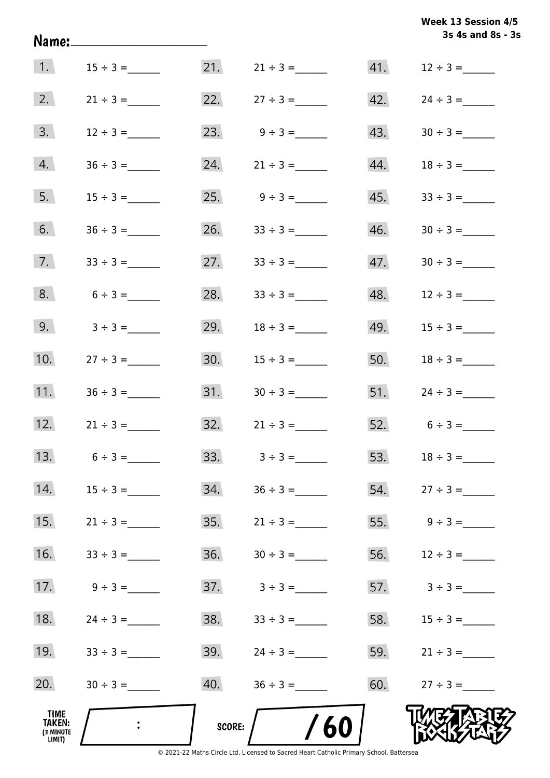|                                                     |               |               |                   |     | Week 13 Session 4/5<br>3s 4s and 8s - 3s |
|-----------------------------------------------------|---------------|---------------|-------------------|-----|------------------------------------------|
| 1.                                                  | $15 \div 3 =$ |               | $21. 21 \div 3 =$ | 41. | $12 \div 3 =$                            |
| 2.                                                  | $21 \div 3 =$ |               | 22. $27 \div 3 =$ | 42. |                                          |
| 3.                                                  | $12 \div 3 =$ |               | 23. $9 \div 3 =$  | 43. |                                          |
| 4.                                                  |               | 24.           | $21 \div 3 =$     | 44. |                                          |
| 5.                                                  |               |               |                   | 45. |                                          |
| 6.                                                  |               | 26.           | $33 \div 3 =$     | 46. |                                          |
| 7.                                                  |               |               | 27. $33 \div 3 =$ | 47. |                                          |
| 8.                                                  | $6 \div 3 =$  | 28.           | $33 \div 3 =$     | 48. |                                          |
| 9.                                                  | $3 \div 3 =$  | 29.           | $18 \div 3 =$     | 49. | $15 \div 3 =$                            |
| 10.                                                 | $27 \div 3 =$ | 30.           | $15 \div 3 =$     | 50. | $18 \div 3 =$                            |
| 11.                                                 | $36 \div 3 =$ |               |                   |     | $51.$ $24 \div 3 =$                      |
| 12.                                                 | $21 \div 3 =$ | 32.           | $21 \div 3 =$     |     | $52.6 \div 3 =$                          |
| 13.                                                 | $6 \div 3 =$  | 33.           | $3 \div 3 =$      | 53. |                                          |
| 14.                                                 |               | 34.           |                   | 54. | $27 \div 3 =$                            |
| 15.                                                 | $21 \div 3 =$ | 35.           | $21 \div 3 =$     | 55. | $9 \div 3 =$                             |
| 16.                                                 |               | 36.           |                   | 56. | $12 \div 3 =$                            |
| 17.                                                 | $9 \div 3 =$  | 37.           | $3 \div 3 =$      | 57. | $3 \div 3 =$                             |
| 18.                                                 |               | 38.           |                   | 58. | $15 \div 3 =$                            |
| 19.                                                 | $33 \div 3 =$ | 39.           | $24 \div 3 =$     | 59. | $21 \div 3 =$                            |
| 20.                                                 |               | 40.           | $36 \div 3 =$     | 60. | $27 \div 3 =$                            |
| <b>TIME</b><br><b>TAKEN:</b><br>(3 MINUTE<br>LIMIT) |               | <b>SCORE:</b> | /60               |     |                                          |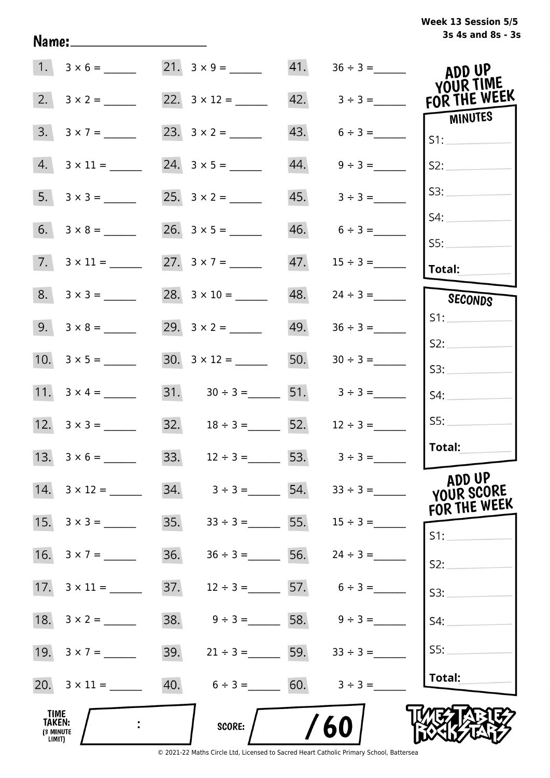| Week 13 Session 5/5 |                   |  |  |
|---------------------|-------------------|--|--|
|                     | 3s 4s and 8s - 3s |  |  |

|                                       | $1. 3 \times 6 =$         |     |                                                     | 41. |                         | ADD UP                    |
|---------------------------------------|---------------------------|-----|-----------------------------------------------------|-----|-------------------------|---------------------------|
| 2.                                    | $3 \times 2 =$            |     | 22. $3 \times 12 =$                                 |     | $42. \qquad 3 \div 3 =$ | YOUR TIME<br>FOR THE WEEK |
| 3.                                    | $3 \times 7 =$            |     |                                                     |     | $43. 6 \div 3 =$        | <b>MINUTES</b><br>S1:     |
| 4.                                    |                           |     |                                                     | 44. | $9 \div 3 =$            | S2:                       |
|                                       | $5. 3 \times 3 =$         |     |                                                     | 45. | $3 \div 3 =$            | S3:                       |
|                                       |                           |     |                                                     | 46. | $6 \div 3 =$            | S4:                       |
|                                       | $7. \quad 3 \times 11 =$  |     |                                                     | 47. |                         | SS:<br><b>Total:</b>      |
|                                       |                           |     | 28. $3 \times 10 =$                                 | 48. |                         |                           |
|                                       | $8. 3 \times 3 =$         |     |                                                     |     | $24 \div 3 =$           | SECONDS<br>S1:            |
|                                       | $9. 3 \times 8 =$         |     |                                                     |     | $49. 36 \div 3 =$       |                           |
|                                       | 10. $3 \times 5 =$        |     | $30. 3 \times 12 =$                                 |     |                         | S2:<br>S3:                |
|                                       |                           |     | 31. $30 \div 3 =$ 51. $3 \div 3 =$                  |     |                         | S4:                       |
|                                       |                           |     | 32. $18 \div 3 =$ 52.                               |     | $12 \div 3 =$           | S5:                       |
|                                       |                           |     | 33. $12 \div 3 =$ 53. $3 \div 3 =$                  |     |                         | Total:                    |
|                                       | $14. \quad 3 \times 12 =$ |     | $34.$ $3 \div 3 =$ $54.$ $33 \div 3 =$              |     |                         | ADD UP<br>YOUR SCORE      |
|                                       |                           | 35. | $33 \div 3 = 55.$                                   |     | $15 \div 3 =$           | FOR THE WEEK<br>S1:       |
|                                       | 16. $3 \times 7 =$        | 36. | $36 \div 3 = 56.$                                   |     | $24 \div 3 =$           | S2:                       |
|                                       | $17. \quad 3 \times 11 =$ | 37. | $12 \div 3 =$ 57. $6 \div 3 =$                      |     |                         | S3:                       |
|                                       | 18. $3 \times 2 =$        | 38. | $9 \div 3 =$ 58. $9 \div 3 =$                       |     |                         | S4:                       |
|                                       |                           |     | $39. \hspace{1.5cm} 21 \div 3 = \hspace{1.5cm} 59.$ |     | $33 \div 3 =$           | S5:                       |
|                                       |                           |     | 40. $6 \div 3 =$ 60. $3 \div 3 =$                   |     |                         | Total:                    |
| TIME<br>TAKEN:<br>(3 MINUTE<br>LIMIT) |                           |     | SCORE:                                              |     | 60                      |                           |

Name: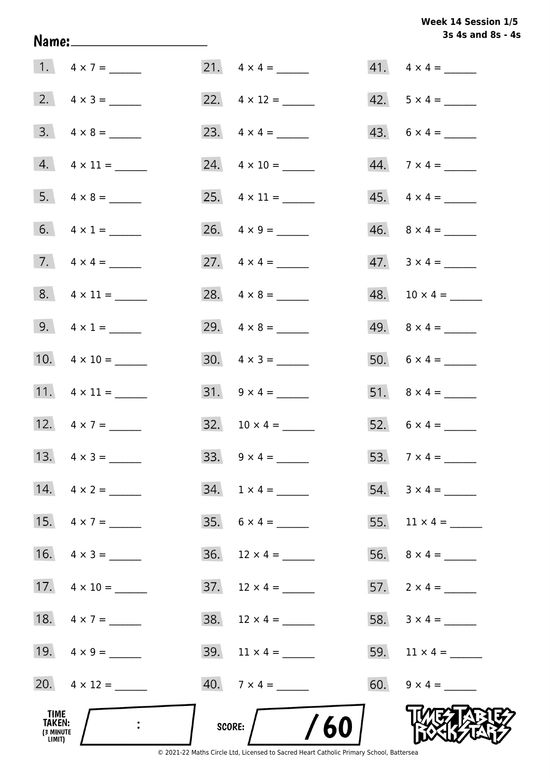# **3s 4s and 8s - 4s Week 14 Session 1/5**

|                                              |                          |                                | 3s 4s and 8s - 4         |
|----------------------------------------------|--------------------------|--------------------------------|--------------------------|
|                                              | 1. $4 \times 7 =$        |                                | $41. \quad 4 \times 4 =$ |
|                                              | 2. $4 \times 3 =$        |                                | $42. 5 \times 4 =$       |
|                                              | $3. \quad 4 \times 8 =$  | 23. $4 \times 4 =$             | $43. 6 \times 4 =$       |
|                                              | $4. \quad 4 \times 11 =$ | 24. $4 \times 10 =$            | $44.7 \times 4 =$        |
|                                              |                          | 25. $4 \times 11 =$            | $45. \quad 4 \times 4 =$ |
|                                              | 6. $4 \times 1 =$        |                                | $46. \quad 8 \times 4 =$ |
|                                              | 7. $4 \times 4 =$        | 27. $4 \times 4 =$             | $47. \quad 3 \times 4 =$ |
|                                              | $8. 4 \times 11 =$       |                                | $48. 10 \times 4 =$      |
|                                              | 9. $4 \times 1 =$        | 29. $4 \times 8 =$             |                          |
|                                              | 10. $4 \times 10 =$      |                                | $50. 6 \times 4 =$       |
|                                              | 11. $4 \times 11 =$      |                                | 51. $8 \times 4 =$       |
|                                              | 12. $4 \times 7 =$       | 32. $10 \times 4 =$            | 52. $6 \times 4 =$       |
|                                              | 13. $4 \times 3 =$       | $33. \quad 9 \times 4 =$       |                          |
|                                              | $14. \quad 4 \times 2 =$ | $34. 1 \times 4 =$             | $54. 3 \times 4 =$       |
|                                              | 15. $4 \times 7 =$       |                                | 55. $11 \times 4 =$      |
|                                              | 16. $4 \times 3 =$       | $36.$ 12 $\times$ 4 = ________ |                          |
|                                              | 17. $4 \times 10 =$      | $37.$ 12 x 4 = ______          | 57. $2 \times 4 =$       |
|                                              | 18. $4 \times 7 =$       |                                | 58. $3 \times 4 =$       |
|                                              | 19. $4 \times 9 =$       | 39. $11 \times 4 =$            | 59. $11 \times 4 =$      |
|                                              |                          | $40.7 \times 4 =$              | 60. $9 \times 4 =$       |
| TIME<br><b>TAKEN:</b><br>(3 MINUTE<br>LIMIT) |                          | /60<br>SCORE:                  |                          |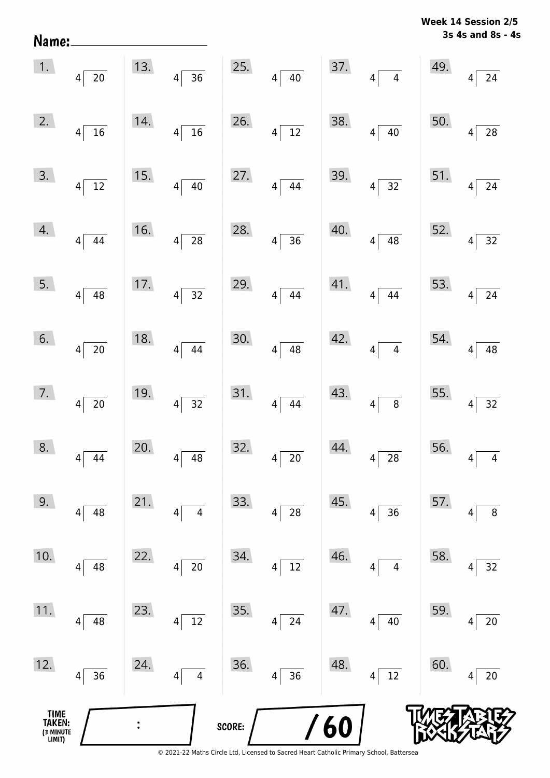| Name:                                 |                       |     |                                    |        |                                    |            |                                   |     | 3s 4s and 8s - 4s                  |
|---------------------------------------|-----------------------|-----|------------------------------------|--------|------------------------------------|------------|-----------------------------------|-----|------------------------------------|
| 1.                                    | $4\sqrt{20}$          | 13. | $4\overline{)36}$                  | 25.    | $\overline{40}$<br>$\overline{4}$  | 37.        | $\overline{4}$<br>$\vert 4 \vert$ | 49. | 24<br>$\vert 4 \vert$              |
| 2.                                    | $4\overline{16}$      | 14. | $4\sqrt{16}$                       | 26.    | $\overline{12}$<br>$\vert 4 \vert$ | 38.        | $4 \overline{)40}$                | 50. | 28<br>$\overline{4}$               |
| 3.                                    | $4\sqrt{12}$          | 15. | $4\sqrt{40}$                       | 27.    | 44<br>$\overline{4}$               | 39.        | $4\sqrt{32}$                      | 51. | 24<br>$\vert 4 \vert$              |
| 4.                                    | $4\sqrt{ }$<br>44     | 16. | $\overline{28}$<br>$\vert 4 \vert$ | 28.    | $\overline{36}$<br>$\vert 4 \vert$ | 40.        | $\overline{48}$<br>4              | 52. | 32<br>$\boldsymbol{4}$             |
| 5.                                    | $4 \overline{)48}$    | 17. | $4\overline{)32}$                  | 29.    | 44<br>$\vert 4 \vert$              | 41.        | $\overline{44}$<br>4              | 53. | $24\,$<br>$\vert 4 \vert$          |
| 6.                                    | $4\sqrt{20}$          | 18. | $4 \overline{)44}$                 | 30.    | $\overline{48}$<br>$\overline{4}$  | 42.        | $\overline{4}$<br> 4              | 54. | 48<br>4                            |
| 7.                                    | $4\overline{20}$      | 19. | $4\overline{)32}$                  | 31.    | 44<br>$\vert 4 \vert$              | 43.        | $\overline{8}$<br> 4              | 55. | $\overline{32}$<br>$\vert 4 \vert$ |
| 8.                                    | 44<br> 4              | 20. | 48<br>4                            | 32.    | $20\,$<br>4                        | 44.        | 28<br>4                           | 56. | 4<br>4                             |
| 9.                                    | $\sqrt{48}$<br>4      | 21. | $\overline{\mathcal{A}}$<br>4      | 33.    | 28<br>4                            | 45.        | 36<br>4                           | 57. | $\bf 8$<br>4                       |
| 10.                                   | 48<br>$\vert 4 \vert$ | 22. | $20\,$<br>4                        | 34.    | 12<br>4                            | 46.        | $\overline{\mathbf{4}}$<br>4      | 58. | 32<br>4                            |
| 11.                                   | 48<br>4               | 23. | $12\,$<br>4                        | 35.    | 24<br>4                            | 47.        | 40<br>4                           | 59. | $20\,$<br>4                        |
| 12.                                   | 36<br>4               | 24. | $\overline{\mathbf{4}}$<br>4       | 36.    | 36<br>4                            | 48.        | $\overline{12}$<br>4              | 60. | $20\,$<br>4                        |
| TIME<br>TAKEN:<br>(3 MINUTE<br>LIMIT) |                       |     |                                    | SCORE: |                                    | <b>/60</b> |                                   |     |                                    |

**Week 14 Session 2/5**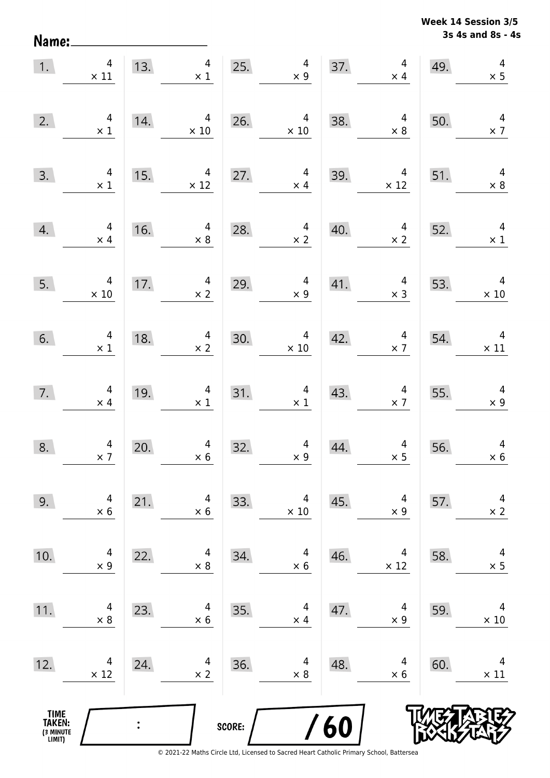Name:

**3s 4s and 8s - 4s Week 14 Session 3/5** 

| 1.                                    | $\overline{4}$<br>$\times$ 11                                   |     | $\overline{4}$<br>13.<br>$\times$ 1          | 25.    | $\overline{4}$<br>$\times$ 9        | 37. | $\overline{4}$<br>$\times$ 4                 | 49. | $\overline{a}$<br>$\times$ 5           |
|---------------------------------------|-----------------------------------------------------------------|-----|----------------------------------------------|--------|-------------------------------------|-----|----------------------------------------------|-----|----------------------------------------|
| 2.                                    | $\begin{array}{c} 4 \\ \times 1 \end{array}$                    | 14. | $\overline{4}$<br>$\times 10$                | 26.    | $\overline{4}$<br>$\times$ 10       | 38. | $\overline{4}$<br>$\times$ 8                 | 50. | $\overline{4}$<br>$\times$ 7           |
| 3.                                    | $\begin{array}{c} 4 \\ \times 1 \end{array}$                    | 15. | $\overline{4}$<br>$\times$ 12                | 27.    | $\overline{4}$<br>$\times$ 4        | 39. | $\overline{4}$<br>$\times$ 12                | 51. | $\overline{4}$<br>$\times$ 8           |
| 4.                                    | $\overline{4}$<br>$\times$ 4                                    | 16. | $\overline{4}$<br>$\times$ 8                 | 28.    | $\overline{4}$<br>$\times$ 2        | 40. | $\overline{4}$<br>$\times$ 2                 | 52. | $\overline{4}$<br>$\times$ 1           |
| 5.                                    | $\overline{a}$<br>$\begin{array}{c} 4 \\ \times 10 \end{array}$ | 17. | $\overline{4}$<br>$\times$ 2                 | 29.    | $\overline{4}$<br>$\times 9$        | 41. | $\overline{4}$<br>$\times$ 3                 | 53. | $\overline{4}$<br>$\times 10$          |
| 6.                                    | $\begin{array}{c} 4 \\ \times \ 1 \end{array}$                  | 18. | $\begin{array}{c} 4 \\ \times 2 \end{array}$ | 30.    | $\overline{a}$<br>$\times$ 10       | 42. | $\overline{4}$<br>$\times$ 7                 | 54. | $\overline{4}$<br>$\times$ 11          |
| 7.                                    | $\begin{array}{c} 4 \\ \times 4 \end{array}$                    | 19. | $\overline{4}$<br>$\times$ 1                 |        | 31.<br>$\overline{4}$<br>$\times$ 1 | 43. | $\overline{4}$<br>$\times$ 7                 | 55. | $\overline{\phantom{a}}$<br>$\times$ 9 |
| 8.                                    | $\begin{array}{c} 4 \\ \times 7 \end{array}$                    | 20. | $\overline{4}$<br>$\times$ 6                 | 32.    | $\overline{4}$<br>$\times$ 9        | 44. | $\begin{array}{c} 4 \\ \times 5 \end{array}$ | 56. | $\overline{4}$<br>$\times$ 6           |
| 9.                                    | 4<br>$\times$ 6                                                 | 21. | 4<br>$\times 6$                              | 33.    | 4<br>$\times 10$                    | 45. | 4<br>$\times$ 9                              | 57. | 4<br>$\times$ 2                        |
| 10.                                   | 4<br>$\times$ 9                                                 | 22. | 4<br>$\times 8$                              | 34.    | 4<br>$\times 6$                     | 46. | 4<br>$\times$ 12                             | 58. | 4<br>$\times$ 5                        |
| 11.                                   | 4<br>$\times$ 8                                                 | 23. | 4<br>$\times 6$                              | 35.    | 4<br>$\times$ 4                     | 47. | 4<br>$\times$ 9                              | 59. | 4<br>$\times$ 10                       |
| 12.                                   | 4<br>$\times$ 12                                                | 24. | 4<br>$\times$ 2                              | 36.    | 4<br>$\times$ 8                     | 48. | 4<br>$\times$ 6                              | 60. | 4<br>$\times$ 11                       |
| TIME<br>TAKEN:<br>(3 MINUTE<br>LIMIT) |                                                                 |     |                                              | SCORE: |                                     | 60  |                                              |     |                                        |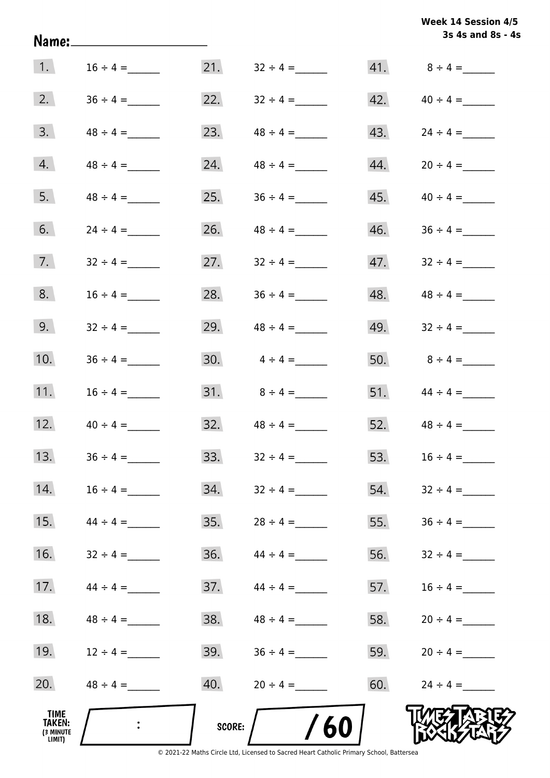| Week 14 Session 4/5 |  |
|---------------------|--|
| 3s 4s and 8s - 4s   |  |

|                                                     |               |        |               |     | 3s 4s and 8s - 4  |
|-----------------------------------------------------|---------------|--------|---------------|-----|-------------------|
| 1.                                                  | $16 \div 4 =$ | 21.    | $32 \div 4 =$ |     |                   |
| 2.                                                  |               | 22.    |               | 42. | $40 \div 4 =$     |
| 3.                                                  | $48 \div 4 =$ | 23.    |               | 43. |                   |
| 4.                                                  | $48 \div 4 =$ | 24.    | $48 \div 4 =$ | 44. |                   |
| 5.                                                  | $48 \div 4 =$ | 25.    | $36 \div 4 =$ | 45. | $40 \div 4 =$     |
| 6.                                                  | $24 \div 4 =$ | 26.    | $48 \div 4 =$ | 46. |                   |
| 7.                                                  | $32 \div 4 =$ | 27.    | $32 \div 4 =$ | 47. | $32 \div 4 =$     |
| 8.                                                  | $16 \div 4 =$ | 28.    |               | 48. | $48 \div 4 =$     |
| 9.                                                  | $32 \div 4 =$ | 29.    | $48 \div 4 =$ | 49. | $32 \div 4 =$     |
| 10.                                                 |               | 30.    | $4 \div 4 =$  |     | 50. $8 \div 4 =$  |
| 11.                                                 | $16 \div 4 =$ | 31.    | $8 \div 4 =$  |     | 51. $44 \div 4 =$ |
| 12.                                                 | $40 \div 4 =$ | 32.    | $48 \div 4 =$ |     | 52. $48 \div 4 =$ |
| 13.                                                 | $36 \div 4 =$ | 33.    | $32 \div 4 =$ | 53. | $16 \div 4 =$     |
| 14.                                                 | $16 \div 4 =$ | 34.    | $32 \div 4 =$ | 54. | $32 \div 4 =$     |
| 15.                                                 | $44 \div 4 =$ | 35.    | $28 \div 4 =$ | 55. | $36 \div 4 =$     |
| 16.                                                 | $32 \div 4 =$ | 36.    | $44 \div 4 =$ | 56. | $32 \div 4 =$     |
| 17.                                                 | $44 \div 4 =$ | 37.    | $44 \div 4 =$ | 57. | $16 \div 4 =$     |
| 18.                                                 | $48 \div 4 =$ | 38.    | $48 \div 4 =$ | 58. |                   |
| 19.                                                 | $12 \div 4 =$ | 39.    | $36 \div 4 =$ | 59. | $20 \div 4 =$     |
| 20.                                                 | $48 \div 4 =$ | 40.    | $20 \div 4 =$ | 60. | $24 \div 4 =$     |
| <b>TIME</b><br><b>TAKEN:</b><br>(3 MINUTE<br>LIMIT) |               | SCORE: | 60            |     |                   |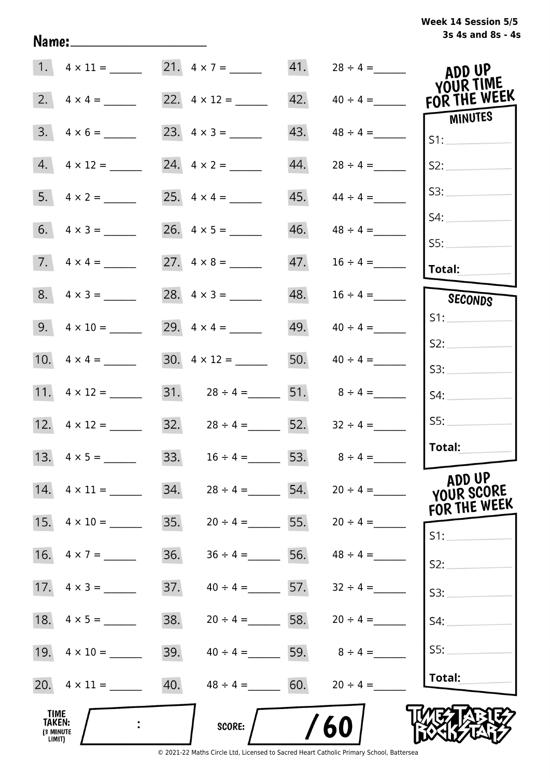# **3s 4s and 8s - 4s Week 14 Session 5/5**

|                                       |                     | 21. $4 \times 7 =$                 | 41.               |                          | ADD UP<br>YOUR TIME                  |
|---------------------------------------|---------------------|------------------------------------|-------------------|--------------------------|--------------------------------------|
|                                       | 2. $4 \times 4 =$   |                                    | 42.               | $40 \div 4 =$            | FOR THE WEEK                         |
|                                       | $3. 4 \times 6 =$   |                                    | 43.               | $48 \div 4 =$            | MINUTES<br>S1:                       |
|                                       | $4.4 \times 12 =$   |                                    | 44.               | $28 \div 4 =$            | S2:                                  |
|                                       | 5. $4 \times 2 =$   |                                    | 45.               | $44 \div 4 =$            | S3:                                  |
|                                       |                     |                                    | 46.               | $48 \div 4 =$            | S4:                                  |
|                                       | 7. $4 \times 4 =$   |                                    | 47.               | $16 \div 4 =$            | S5:<br>Total:                        |
|                                       | $8. 4 \times 3 =$   |                                    |                   |                          | SECONDS                              |
|                                       |                     |                                    |                   | $49. \qquad 40 \div 4 =$ | S1:                                  |
|                                       |                     |                                    |                   |                          | S2:                                  |
|                                       |                     | $30. \quad 4 \times 12 =$          | 50.               | $40 \div 4 =$            | S3:                                  |
|                                       | 11. $4 \times 12 =$ | 31. $28 \div 4 =$ 51. $8 \div 4 =$ |                   |                          | S4:                                  |
|                                       |                     | 32. $28 \div 4 =$ 52.              |                   | $32 \div 4 =$            | SS:                                  |
|                                       |                     | 33. $16 \div 4 = 53. 8 \div 4 =$   |                   |                          | Total:                               |
|                                       |                     | 34.                                | $28 \div 4 =$ 54. | $20 \div 4 =$            | ADD UP<br>YOUR SCORE<br>FOR THE WEEK |
| 15.                                   | $4 \times 10 =$     | 35.                                | $20 \div 4 = 55.$ | $20 \div 4 =$            | $S1$ :                               |
| 16.                                   | $4 \times 7 =$      | 36.<br>$36 \div 4 =$               | 56.               | $48 \div 4 =$            | S2:                                  |
|                                       |                     | 37.                                | $40 \div 4 =$ 57. | $32 \div 4 =$            | S3:                                  |
| 18.                                   | $4 \times 5 =$      | 38.                                | $20 \div 4 =$ 58. | $20 \div 4 =$            | S4:                                  |
|                                       | 19. $4 \times 10 =$ | 39.                                | $40 \div 4 =$ 59. | $8 \div 4 =$             | S5:                                  |
|                                       | 20. $4 \times 11 =$ | 40.                                | $48 \div 4 = 60.$ | $20 \div 4 =$            | Total:                               |
| TIME<br>TAKEN:<br>(3 MINUTE<br>LIMIT) |                     | <b>SCORE:</b>                      |                   | 60                       |                                      |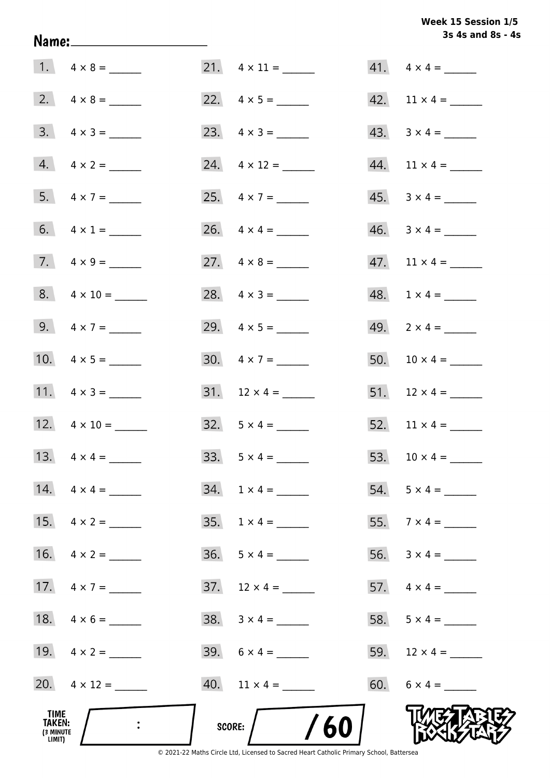# Week 15 Session 1/5 3s 4s and 8s - 4s

|                                              |                         |                           | 3s 4s and 8s - 4            |
|----------------------------------------------|-------------------------|---------------------------|-----------------------------|
|                                              |                         | $21. \quad 4 \times 11 =$ | $41. \quad 4 \times 4 =$    |
|                                              |                         | 22. $4 \times 5 =$        |                             |
|                                              | $3. \quad 4 \times 3 =$ | 23. $4 \times 3 =$        | $43. \quad 3 \times 4 =$    |
|                                              | $4. \quad 4 \times 2 =$ | 24. $4 \times 12 =$       |                             |
|                                              | 5. $4 \times 7 =$       | 25. $4 \times 7 =$        | $45. \quad 3 \times 4 =$    |
|                                              | 6. $4 \times 1 =$       |                           | $46. \quad 3 \times 4 = \_$ |
|                                              | 7. $4 \times 9 =$       | 27. $4 \times 8 =$        |                             |
|                                              | $8. 4 \times 10 =$      | 28. $4 \times 3 =$        | $48. 1 \times 4 =$          |
|                                              | 9. $4 \times 7 =$       | 29. $4 \times 5 =$        | 49. $2 \times 4 =$          |
|                                              | 10. $4 \times 5 =$      | $30. \quad 4 \times 7 =$  | 50. $10 \times 4 =$         |
|                                              | 11. $4 \times 3 =$      |                           | 51. $12 \times 4 =$         |
|                                              | 12. $4 \times 10 =$     | $32. 5 \times 4 =$        | 52. $11 \times 4 =$         |
|                                              |                         | $33. 5 \times 4 =$        | 53. $10 \times 4 =$         |
|                                              | 14. $4 \times 4 =$      | $34. 1 \times 4 =$        |                             |
|                                              | 15. $4 \times 2 =$      | $35. 1 \times 4 =$        |                             |
|                                              | 16. $4 \times 2 =$      | $36. 5 \times 4 =$        |                             |
|                                              | 17. $4 \times 7 =$      |                           |                             |
|                                              |                         |                           | 58. $5 \times 4 =$          |
|                                              | 19. $4 \times 2 =$      |                           |                             |
|                                              | 20. $4 \times 12 =$     |                           | 60. $6 \times 4 =$          |
| TIME<br><b>TAKEN:</b><br>(3 MINUTE<br>LIMIT) | $\mathbb{R}^2$          | /60<br>SCORE:             |                             |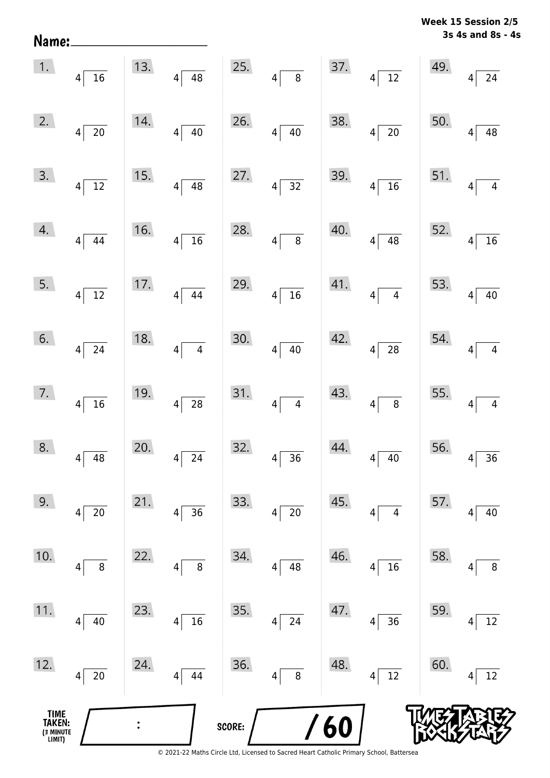| Name:                                 |                                |     |                                    |        |                                |     |                                                                                         |     | 3s 4s and 8s - 4s                 |
|---------------------------------------|--------------------------------|-----|------------------------------------|--------|--------------------------------|-----|-----------------------------------------------------------------------------------------|-----|-----------------------------------|
| 1.                                    | $4\overline{16}$               | 13. | $\overline{48}$<br>$\overline{4}$  | 25.    | $4\sqrt{ }$<br>$\overline{8}$  | 37. | $4\sqrt{12}$                                                                            | 49. | 24<br>$\overline{4}$              |
| 2.                                    | $4\sqrt{ }$<br>$\overline{20}$ | 14. | 40<br>$4\vert$                     | 26.    | $4\sqrt{ }$<br>40              | 38. | $\overline{20}$<br> 4                                                                   | 50. | 48<br>$\overline{4}$              |
| 3.                                    | $4\sqrt{ }$<br>$\overline{12}$ | 15. | $\overline{48}$<br>$\vert 4 \vert$ | 27.    | $4\sqrt{ }$<br>$\overline{32}$ | 39. | $\overline{16}$<br>$4\vert$                                                             | 51. | $\overline{4}$<br>4               |
| 4.                                    | $4 \overline{)44}$             | 16. | $\overline{16}$<br>$4\vert$        | 28.    | $4\sqrt{ }$<br>$\overline{8}$  | 40. | $\overline{48}$<br>$4\vert$                                                             | 52. | $\overline{16}$<br>4              |
| 5.                                    | $4\overline{12}$               | 17. | $\overline{44}$<br>$4\vert$        | 29.    | $4\sqrt{16}$                   | 41. | $\overline{4}$<br>$4\vert$                                                              | 53. | 40<br>$\overline{4}$              |
| 6.                                    | $4 \overline{24}$              | 18. | $\overline{4}$<br>$4\vert$         | 30.    | $4 \overline{)40}$             | 42. | $\overline{28}$<br>$4\vert$                                                             | 54. | $\overline{4}$<br>4               |
| 7.                                    | $4 \overline{)16}$             | 19. | $\overline{28}$<br>$\vert 4 \vert$ | 31.    | $4 \overline{4}$               | 43. | $\overline{\phantom{0}}$ 8<br> 4                                                        | 55. | $\overline{4}$<br>$\vert 4 \vert$ |
| 8.                                    | 48<br>4                        | 20. | 24<br>4                            | 32.    | 36<br>4                        | 44. | 40<br>4                                                                                 | 56. | 36<br>4                           |
| 9.                                    | $20\,$<br>$\overline{4}$       | 21. | 36<br>4                            | 33.    | $20\,$<br>4                    | 45. | 4<br>4                                                                                  | 57. | 40<br>4                           |
| 10.                                   | 8<br>$\vert 4 \vert$           | 22. | 8<br>4                             | 34.    | 48<br>$\overline{4}$           | 46. | $16\,$<br>4                                                                             | 58. | 8<br>4                            |
| 11.                                   | 40<br>$4\vert$                 | 23. | 16<br>4                            | 35.    | 24<br>$\overline{4}$           | 47. | 36<br>4                                                                                 | 59. | 12<br>4                           |
| 12.                                   | 20<br> 4                       | 24. | 44<br>4                            | 36.    | $\, 8$<br>4                    | 48. | $12\,$<br>4                                                                             | 60. | 12<br>4                           |
| TIME<br>TAKEN:<br>(3 MINUTE<br>LIMIT) |                                |     |                                    | SCORE: |                                | 60  | © 2021-22 Maths Circle Ltd, Licensed to Sacred Heart Catholic Primary School, Battersea |     |                                   |

**Week 15 Session 2/5**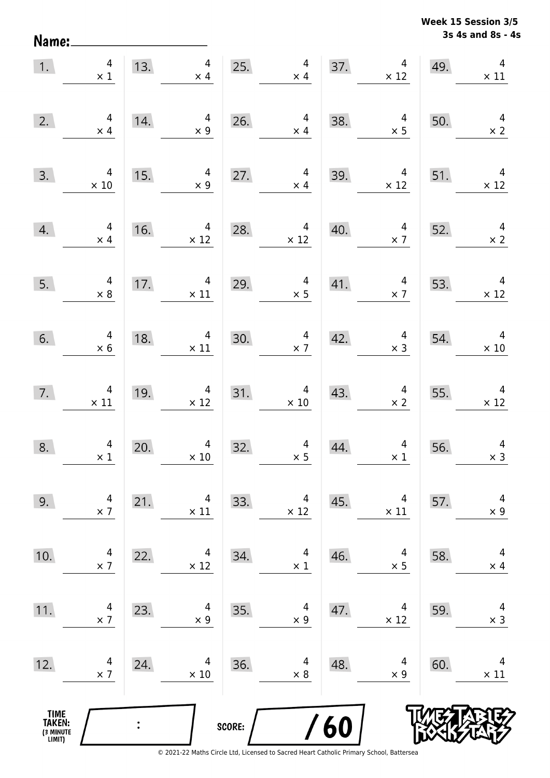**3s 4s and 8s - 4s Week 15 Session 3/5** 

| 1.                                    | $\overline{a}$<br>$\times$ 1                  | 13. | $\overline{4}$<br>$\times$ 4                                    |        | 4<br>$\times$ 4                                                         |     | $\overline{4}$<br>37. $\times$<br>$\times$ 12  | 49. | $\overline{4}$<br>$\times$ 11                 |
|---------------------------------------|-----------------------------------------------|-----|-----------------------------------------------------------------|--------|-------------------------------------------------------------------------|-----|------------------------------------------------|-----|-----------------------------------------------|
| 2.                                    | $\overline{4}$<br>$\times$ 4                  | 14. | 4<br>$\times$ 9                                                 | 26.    | $\overline{4}$<br>$\times$ 4                                            | 38. | $\overline{4}$<br>$\times$ 5                   | 50. | $\begin{array}{c} 4 \\ \times 2 \end{array}$  |
| 3.                                    | $\overline{4}$<br>$\times$ 10                 | 15. | $\overline{4}$<br>$\times$ 9                                    | 27.    | $\overline{4}$<br>$\times 4$                                            | 39. | $\overline{4}$<br>$\times$ 12                  | 51. | $\overline{4}$<br>$\times$ 12                 |
| 4.                                    | $\begin{array}{r} 4 \\ \times 4 \end{array}$  | 16. | $\begin{array}{c c}\n & 4 \\ \times 12\n\end{array}$            |        | 28. $4 \times 12$                                                       | 40. | $\overline{4}$<br>$\times$ 7                   |     | 52. $4 \times 2$                              |
| 5.                                    | $\begin{array}{c} 4 \\ \times 8 \end{array}$  |     | 17. $4 \times 11$                                               | 29.    | $\overline{\mathbf{r}}$<br>$\begin{array}{c} 4 \\ \times 5 \end{array}$ | 41. | $\begin{array}{r}4\\ \times 7\end{array}$      | 53. | $\begin{array}{c} 4 \\ \times 12 \end{array}$ |
| 6.                                    | $\begin{array}{c} 4 \\ \times 6 \end{array}$  | 18. | $\overline{4}$<br>$\times$ 11                                   | 30.    | $\begin{array}{c} 4 \\ \times 7 \end{array}$<br>30.                     | 42. | $\begin{array}{c} 4 \\ \times 3 \end{array}$   | 54. | $\overline{4}$<br>$\times 10$                 |
| 7.                                    | $\begin{array}{c} 4 \\ \times 11 \end{array}$ | 19. | $\overline{4}$<br>$\times$ 12                                   |        | 31. $4 \times 10$                                                       | 43. | $\begin{array}{c} 4 \\ \times 2 \end{array}$   | 55. | $\overline{4}$<br>$\times$ 12                 |
| 8.                                    | $\begin{array}{c} 4 \\ \times 1 \end{array}$  | 20. | $\overline{4}$<br>$\begin{array}{c} 4 \\ \times 10 \end{array}$ | 32.    | $\begin{array}{c}\n4 \\ \times 5\n\end{array}$                          | 44. | $\begin{array}{c}\n4 \\ \times 1\n\end{array}$ | 56. | $\overline{4}$<br>$\times$ 3                  |
| 9.                                    | 4<br>$\times$ 7                               | 21. | 4<br>$\times$ 11                                                | 33.    | 4<br>$\times$ 12                                                        | 45. | 4<br>$\times$ 11                               | 57. | 4<br>$\times$ 9                               |
| 10.                                   | 4<br>$\times$ 7                               | 22. | 4<br>$\times$ 12                                                | 34.    | 4<br>$\times$ 1                                                         | 46. | 4<br>$\times$ 5                                | 58. | 4<br>$\times$ 4                               |
| 11.                                   | 4<br>$\times$ 7                               | 23. | 4<br>$\times$ 9                                                 | 35.    | 4<br>$\times$ 9                                                         | 47. | 4<br>$\times$ 12                               | 59. | 4<br>$\times$ 3                               |
| 12.                                   | 4<br>$\times$ 7                               | 24. | 4<br>$\times$ 10                                                | 36.    | 4<br>$\times$ 8                                                         | 48. | 4<br>$\times$ 9                                | 60. | 4<br>$\times$ 11                              |
| TIME<br>TAKEN:<br>(3 MINUTE<br>LIMIT) |                                               |     |                                                                 | SCORE: |                                                                         | 60  |                                                |     |                                               |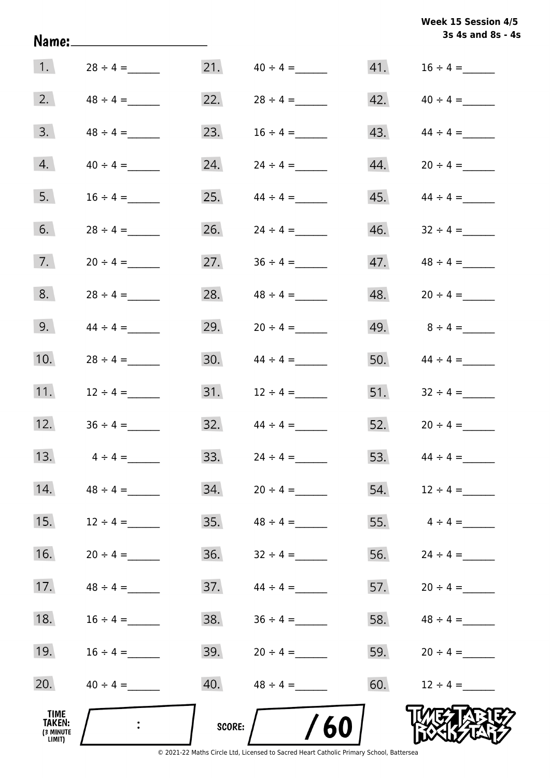| Week 15 Session 4/5 |                   |  |
|---------------------|-------------------|--|
|                     | 3s 4s and 8s - 4s |  |

|                                                     |               |        |               |     | 3s 4s and 8s - 4s                |
|-----------------------------------------------------|---------------|--------|---------------|-----|----------------------------------|
| $\vert$ 1.                                          | $28 \div 4 =$ | 21.    | $40 \div 4 =$ |     |                                  |
| 2.                                                  | $48 \div 4 =$ | 22.    |               |     | $42. \hspace{1.5cm} 40 \div 4 =$ |
| 3.                                                  |               | 23.    |               | 43. | $44 \div 4 =$                    |
| 4.                                                  |               | 24.    | $24 \div 4 =$ | 44. | $20 \div 4 =$                    |
| 5.                                                  | $16 \div 4 =$ | 25.    | $44 \div 4 =$ | 45. | $44 \div 4 =$                    |
| 6.                                                  | $28 \div 4 =$ | 26.    |               | 46. | $32 \div 4 =$                    |
| 7.                                                  |               | 27.    |               |     |                                  |
| 8.                                                  | $28 \div 4 =$ | 28.    | $48 \div 4 =$ |     | $48. 20 \div 4 =$                |
| 9.                                                  | $44 \div 4 =$ | 29.    |               |     | 49. $8 \div 4 =$                 |
| 10.                                                 |               | 30.    |               |     | 50. $44 \div 4 =$                |
| 11.                                                 | $12 \div 4 =$ | 31.    | $12 \div 4 =$ |     | 51. $32 \div 4 =$                |
| 12.                                                 | $36 \div 4 =$ | 32.    | $44 \div 4 =$ | 52. | $20 \div 4 =$                    |
| 13.                                                 | $4 \div 4 =$  | 33.    | $24 \div 4 =$ |     | 53. $44 \div 4 =$                |
| 14.                                                 | $48 \div 4 =$ | 34.    | $20 \div 4 =$ | 54. | $12 \div 4 =$                    |
| 15.                                                 | $12 \div 4 =$ | 35.    | $48 \div 4 =$ |     | 55. $4 \div 4 =$                 |
| 16.                                                 |               | 36.    |               | 56. | $24 \div 4 =$                    |
| 17.                                                 | $48 \div 4 =$ | 37.    | $44 \div 4 =$ |     | 57. $20 \div 4 =$                |
| 18.                                                 | $16 \div 4 =$ | 38.    |               |     | 58. $48 \div 4 =$                |
| 19.                                                 | $16 \div 4 =$ | 39.    | $20 \div 4 =$ | 59. | $20 \div 4 =$                    |
| 20.                                                 | $40 \div 4 =$ | 40.    | $48 \div 4 =$ | 60. | $12 \div 4 =$                    |
| <b>TIME</b><br><b>TAKEN:</b><br>(3 MINUTE<br>LIMIT) |               | SCORE: | 60            |     |                                  |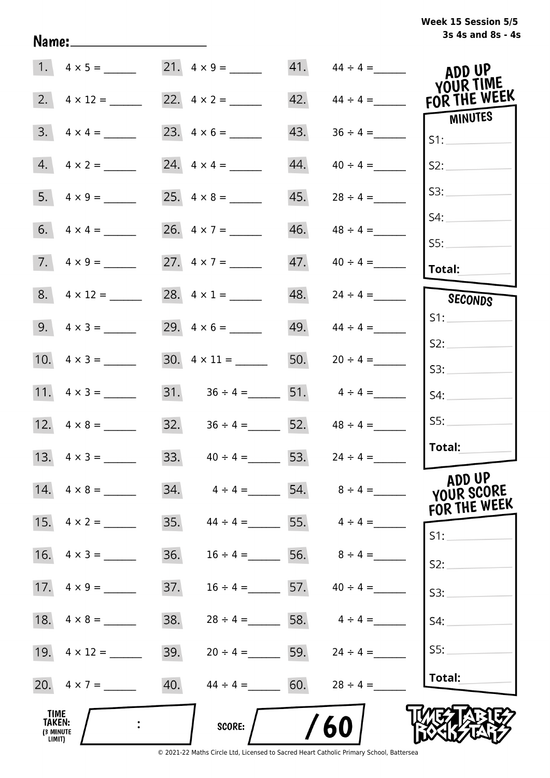# **3s 4s and 8s - 4s Week 15 Session 5/5**

| 1.                                                  |                     |     | $21. \quad 4 \times 9 =$                            |     | $41.$ $44 \div 4 =$            | ADD UP<br>YOUR TIME                  |
|-----------------------------------------------------|---------------------|-----|-----------------------------------------------------|-----|--------------------------------|--------------------------------------|
| 2.                                                  | $4 \times 12 =$     |     | 22. $4 \times 2 =$                                  | 42. | $44 \div 4 =$                  | FOR THE WEEK                         |
| 3.                                                  | $4 \times 4 =$      |     |                                                     | 43. | $36 \div 4 =$                  | MINUTES<br>S1:                       |
| 4.                                                  | $4 \times 2 =$      |     | 24. $4 \times 4 =$                                  | 44. | $40 \div 4 =$                  | S2:                                  |
| 5.                                                  | $4 \times 9 =$      |     |                                                     | 45. | $28 \div 4 =$                  | S3:                                  |
|                                                     |                     |     | 26. $4 \times 7 =$                                  | 46. | $48 \div 4 =$                  | S4:                                  |
|                                                     | $7. \ 4 \times 9 =$ |     | 27. $4 \times 7 =$                                  | 47. | $40 \div 4 =$                  | SS:                                  |
|                                                     |                     |     |                                                     |     |                                | <b>Total:</b>                        |
|                                                     |                     |     | 28. $4 \times 1 =$                                  | 48. | $24 \div 4 =$                  | SECONDS                              |
|                                                     | 9. $4 \times 3 =$   |     | 29. $4 \times 6 =$                                  |     | 49. $44 \div 4 =$              | S1:                                  |
|                                                     |                     |     |                                                     |     |                                | S2:                                  |
|                                                     |                     |     | $30. \quad 4 \times 11 =$                           | 50. | $20 \div 4 =$                  | S3:                                  |
|                                                     | 11. $4 \times 3 =$  |     | 31. $36 \div 4 =$ 51.                               |     | $4 \div 4 =$                   | S4:                                  |
|                                                     |                     |     | $32. \hspace{1.5cm} 36 \div 4 = \hspace{1.5cm} 52.$ |     | $48 \div 4 =$                  | SS:                                  |
|                                                     | 13. $4 \times 3 =$  |     | 33. $40 \div 4 = 53$ .                              |     | $24 \div 4 =$                  | Total:                               |
|                                                     | 14. $4 \times 8 =$  | 34. | $4 \div 4 =$                                        |     | 54. $8 \div 4 =$               | ADD UP<br>YOUR SCORE<br>FOR THE WEEK |
|                                                     |                     | 35. |                                                     |     | $44 \div 4 =$ 55. $4 \div 4 =$ | $S1$ :                               |
| 16.                                                 | $4 \times 3 =$      | 36. | $16 \div 4 =$                                       |     | 56. $8 \div 4 =$               | S2:                                  |
|                                                     |                     | 37. | $16 \div 4 =$ 57. $40 \div 4 =$                     |     |                                | S3:                                  |
| 18.                                                 | $4 \times 8 =$      | 38. | $28 \div 4 =$ 58. $4 \div 4 =$                      |     |                                | S4:                                  |
|                                                     |                     | 39. | $20 \div 4 =$ 59.                                   |     | $24 \div 4 =$                  | S5:                                  |
|                                                     | 20. $4 \times 7 =$  | 40. | $44 \div 4 = 60.$                                   |     | $28 \div 4 =$                  | Total:                               |
| <b>TIME</b><br><b>TAKEN:</b><br>(3 MINUTE<br>LIMIT) |                     |     | SCORE:                                              |     | 60                             |                                      |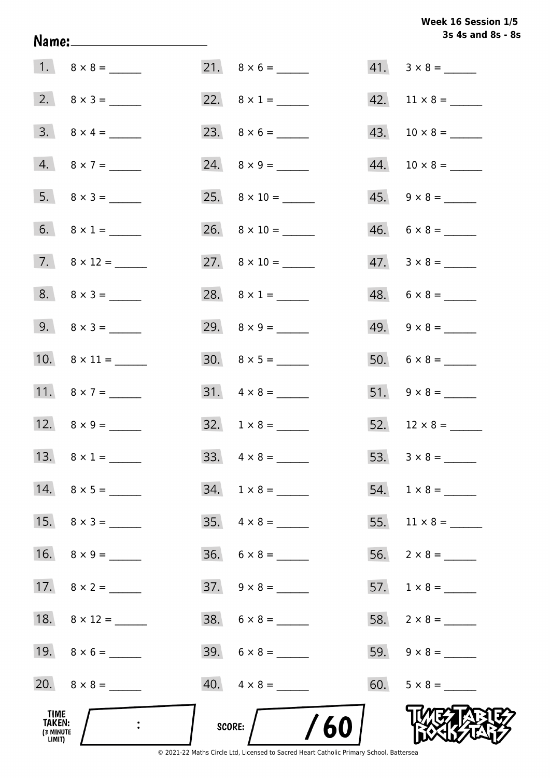# Week 16 Session 1/5 3s 4s and 8s - 8s

| TIME<br>TAKEN:<br>(3 MINUTE<br>LIMIT) |                         | /60<br>SCORE:            |                          |
|---------------------------------------|-------------------------|--------------------------|--------------------------|
|                                       |                         | $40. \quad 4 \times 8 =$ |                          |
|                                       |                         | $39. 6 \times 8 =$       |                          |
|                                       | 18. $8 \times 12 =$     | $38. 6 \times 8 =$       |                          |
|                                       |                         | $37. \quad 9 \times 8 =$ |                          |
|                                       | 16. $8 \times 9 =$      |                          |                          |
|                                       |                         | $35. \quad 4 \times 8 =$ |                          |
|                                       |                         | $34. 1 \times 8 =$       |                          |
|                                       | 13. $8 \times 1 =$      |                          |                          |
|                                       | 12. $8 \times 9 =$      | $32. \quad 1 \times 8 =$ |                          |
|                                       | 11. $8 \times 7 =$      | $31. \quad 4 \times 8 =$ | $51. 9 \times 8 =$       |
|                                       | 10. $8 \times 11 =$     |                          |                          |
|                                       | 9. $8 \times 3 =$       | 29. $8 \times 9 =$       | $49. 9 \times 8 =$       |
|                                       | $8. \quad 8 \times 3 =$ | 28. $8 \times 1 =$       | $48. 6 \times 8 =$       |
|                                       |                         | 27. $8 \times 10 =$      | $47. \quad 3 \times 8 =$ |
|                                       | 6. $8 \times 1 =$       |                          | $46. 6 \times 8 =$       |
|                                       |                         |                          | $45. \quad 9 \times 8 =$ |
|                                       | $4. 8 \times 7 =$       |                          |                          |
|                                       | $3. \quad 8 \times 4 =$ |                          |                          |
|                                       |                         |                          |                          |
|                                       |                         | $21. \quad 8 \times 6 =$ | $41. 3 \times 8 =$       |

Name: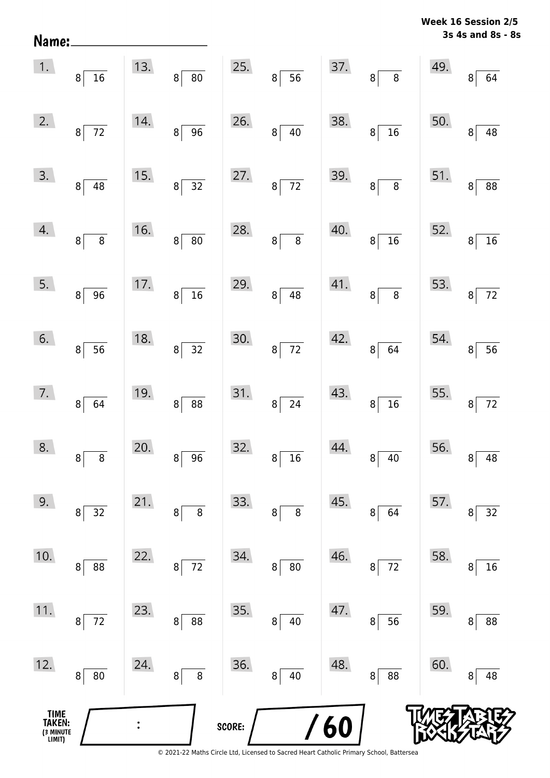**3s 4s and 8s - 8s Week 16 Session 2/5** 

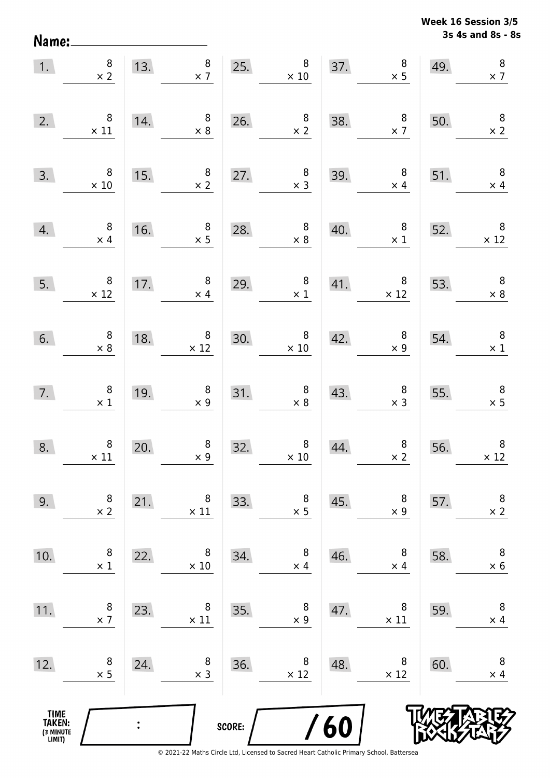**3s 4s and 8s - 8s Week 16 Session 3/5** 

| 1.                                            | $\begin{array}{c} 8 \\ \times 2 \end{array}$  |                | $8\phantom{.}$<br>13.<br>$\times$ 7              | 25.    | 8<br>$\times$ 10                                 |     | $\begin{array}{c}\n 8 \\  \times 5 \\  \hline\n \end{array}$<br>37. | 49. | $\bf 8$<br>$\times$ 7                         |
|-----------------------------------------------|-----------------------------------------------|----------------|--------------------------------------------------|--------|--------------------------------------------------|-----|---------------------------------------------------------------------|-----|-----------------------------------------------|
| 2.                                            | $\, 8$<br>$\times$ 11                         | 14.            | $\overline{\phantom{0}}$ 8<br>$\times$ 8         | 26.    | $\begin{array}{c} 8 \\ \times 2 \end{array}$     | 38. | $\overline{\mathbf{8}}$<br>$\times$ 7                               | 50. | $\overline{\phantom{a}}$<br>$\times$ 2        |
| 3.                                            | $\overline{\phantom{0}}$ 8<br>$\times$ 10     | 15.            | $\begin{array}{c} 8 \\ \times 2 \end{array}$     | 27.    | $\begin{array}{c} 8 \\ \times 3 \end{array}$     | 39. | 8 <sup>1</sup><br>$\times$ 4                                        | 51. | $\overline{\phantom{0}}$<br>$\times$ 4        |
| 4.                                            | $\begin{array}{c} 8 \\ \times 4 \end{array}$  | 16.            | $\begin{array}{c} 8 \\ \times 5 \end{array}$     | 28.    | $\begin{array}{c} 8 \\ \times 8 \end{array}$     | 40. | $\overline{\mathbf{8}}$<br>$\times$ 1                               | 52. | $\begin{array}{c} 8 \\ \times 12 \end{array}$ |
| 5.                                            | $\begin{array}{r} 8 \\ \times 12 \end{array}$ |                | 17. $\begin{array}{c} 8 \\ \times 4 \end{array}$ | 29.    | $\begin{array}{c} 8 \\ \times 1 \end{array}$     |     | $41.$ $8 \times 12$                                                 | 53. | $\begin{array}{c} 8 \\ \times 8 \end{array}$  |
| 6.                                            | $\begin{array}{c} 8 \\ \times 8 \end{array}$  | 18.            | $\begin{array}{c} 8 \\ \times 12 \end{array}$    | 30.    | $\begin{array}{c} 8 \\ \times 10 \end{array}$    | 42. | $\begin{array}{c} 8 \\ \times \ 9 \end{array}$                      | 54. | $\overline{\phantom{a}}$ 8<br>$\times$ 1      |
| 7.                                            | $\begin{array}{c} 8 \\ \times 1 \end{array}$  | 19.            | $\begin{array}{c} 8 \\ \times 9 \end{array}$     |        | 31. $\begin{array}{r} 8 \\ \times 8 \end{array}$ | 43. | $\begin{array}{c} 8 \\ \times 3 \end{array}$                        | 55. | $\begin{array}{c} 8 \\ \times 5 \end{array}$  |
| 8.                                            | $\begin{array}{c} 8 \\ \times 11 \end{array}$ | 20.            | $\begin{array}{c} 8 \\ \times 9 \end{array}$     | 32.    | $\begin{array}{c} 8 \\ \times 10 \end{array}$    | 44. | $\begin{array}{c} 8 \\ \times 2 \end{array}$                        | 56. | $\, 8$<br>$\times$ 12                         |
| 9.                                            | 8<br>$\times$ 2                               | 21.            | 8<br>$\times$ 11                                 | 33.    | 8<br>$\times$ 5                                  | 45. | 8<br>$\times$ 9                                                     | 57. | $\, 8$<br>$\times$ 2                          |
| 10.                                           | 8<br>$\times$ 1                               | 22.            | 8<br>$\times 10$                                 | 34.    | 8<br>$\times$ 4                                  | 46. | 8<br>$\times$ 4                                                     | 58. | $\, 8$<br>$\times$ 6                          |
| 11.                                           | 8<br>$\times$ 7                               | 23.            | 8<br>$\times$ 11                                 | 35.    | 8<br>$\times$ 9                                  | 47. | 8<br>$\times$ 11                                                    | 59. | 8<br>$\times$ 4                               |
| 12.                                           | 8<br>$\times$ 5                               | 24.            | 8<br>$\times$ 3                                  | 36.    | 8<br>$\times$ 12                                 | 48. | 8<br>$\times$ 12                                                    | 60. | 8<br>$\times$ 4                               |
| <b>TIME<br/>TAKEN:</b><br>(3 MINUTE<br>LIMIT) |                                               | $\ddot{\cdot}$ |                                                  | SCORE: |                                                  | 60  |                                                                     |     |                                               |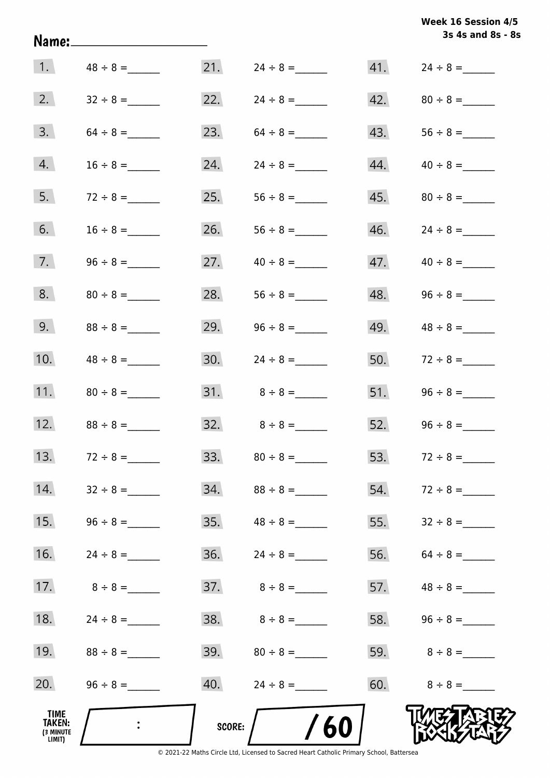| Week 16 Session 4/5 |                   |  |  |
|---------------------|-------------------|--|--|
|                     | 3s 4s and 8s - 8s |  |  |

|                                       |                             |        |                  |     | 3s 4s and 8s - 8  |
|---------------------------------------|-----------------------------|--------|------------------|-----|-------------------|
| 1.                                    | $48 \div 8 =$               | 21.    | $24 \div 8 =$    |     |                   |
| 2.                                    |                             | 22.    |                  |     |                   |
| 3.                                    |                             | 23.    | $64 \div 8 =$    | 43. |                   |
| 4.                                    |                             | 24.    |                  | 44. |                   |
| 5.                                    | $72 \div 8 =$               | 25.    | $56 \div 8 =$    |     |                   |
| 6.                                    | $16 \div 8 =$               | 26.    |                  |     |                   |
| 7.                                    |                             | 27.    |                  |     |                   |
| 8.                                    |                             | 28.    |                  |     |                   |
| 9.                                    |                             | 29.    |                  |     | 49. $48 \div 8 =$ |
| 10.                                   | $48 \div 8 =$               | 30.    | $24 \div 8 =$    |     | 50. $72 \div 8 =$ |
| 11.                                   |                             | 31.    | $8 \div 8 =$     |     |                   |
| 12.                                   | $88 \div 8 =$               | 32.    | $8 \div 8 =$     |     | 52. $96 \div 8 =$ |
| 13.                                   | $72 \div 8 =$               | 33.    | $80 \div 8 =$    | 53. | $72 \div 8 =$     |
| 14.                                   | $32 \div 8 =$               |        |                  |     |                   |
| 15.                                   |                             |        |                  | 55. |                   |
| 16.                                   | $24 \div 8 =$               |        |                  |     |                   |
| 17.                                   | $8 \div 8 =$                |        |                  |     | 57. $48 \div 8 =$ |
| 18.                                   | $24 \div 8 =$               | 38.    | $8 \div 8 =$     |     | 58. $96 \div 8 =$ |
| 19.                                   | $88 \div 8 =$               |        | $39.80 \div 8 =$ |     | 59. $8 \div 8 =$  |
| 20.                                   |                             |        |                  |     | $60.8 \div 8 =$   |
| TIME<br>TAKEN:<br>(3 MINUTE<br>LIMIT) | $\mathcal{L}_{\mathcal{A}}$ | score: | 60               |     |                   |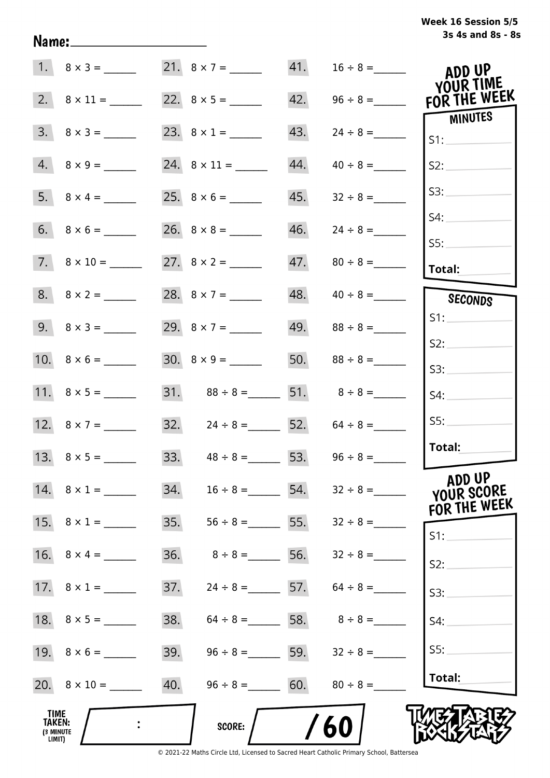# **3s 4s and 8s - 8s Week 16 Session 5/5**

|                                              |                          |     |                                     | 41. | $16 \div 8 =$                       | ADD UP                    |
|----------------------------------------------|--------------------------|-----|-------------------------------------|-----|-------------------------------------|---------------------------|
|                                              |                          |     |                                     | 42. |                                     | YOUR TIME<br>FOR THE WEEK |
|                                              | $3.8 \times 3 =$         |     | 23. $8 \times 1 =$                  | 43. | $24 \div 8 =$                       | MINUTES<br>S1:            |
|                                              | $4.8 \times 9 =$         |     |                                     | 44. | $40 \div 8 =$                       | S2:                       |
|                                              |                          |     |                                     | 45. | $32 \div 8 =$                       | S3:                       |
|                                              | $6. 8 \times 6 =$        |     |                                     | 46. | $24 \div 8 =$                       | S4:                       |
|                                              | $7. \quad 8 \times 10 =$ |     |                                     |     |                                     | SS:<br><b>Total:</b>      |
|                                              |                          |     | 28. $8 \times 7 =$                  |     |                                     | SECONDS                   |
|                                              |                          |     | 29. $8 \times 7 =$                  |     |                                     | S1:                       |
|                                              |                          |     |                                     |     | 50. $88 \div 8 =$                   | S2:<br>S3:                |
|                                              |                          |     |                                     |     | 31. $88 \div 8 =$ 51. $8 \div 8 =$  | S4:                       |
|                                              | 12. $8 \times 7 =$       |     | 32. $24 \div 8 =$ 52. $64 \div 8 =$ |     |                                     | SS:                       |
|                                              |                          |     |                                     |     | 33. $48 \div 8 =$ 53. $96 \div 8 =$ | Total:                    |
|                                              | 14. $8 \times 1 =$       | 34. |                                     |     | $16 \div 8 =$ 54. $32 \div 8 =$     | ADD UP<br>YOUR SCORE      |
|                                              | 15. $8 \times 1 =$       | 35. |                                     |     | $56 \div 8 =$ 55. $32 \div 8 =$     | FOR THE WEEK<br>$S1$ :    |
|                                              |                          | 36. |                                     |     | $8 \div 8 =$ 56. $32 \div 8 =$      | S2:                       |
|                                              |                          | 37. |                                     |     | $24 \div 8 =$ 57. $64 \div 8 =$     | S3:                       |
|                                              |                          | 38. |                                     |     | $64 \div 8 =$ 58. $8 \div 8 =$      | S4:                       |
|                                              |                          | 39. |                                     |     | $96 \div 8 =$ 59. $32 \div 8 =$     | SS:                       |
|                                              |                          |     | 40. $96 \div 8 =$ 60. $80 \div 8 =$ |     |                                     | Total:                    |
| TIME<br><b>TAKEN:</b><br>(3 MINUTE<br>LIMIT) |                          |     | <b>SCORE:</b>                       |     | 60                                  |                           |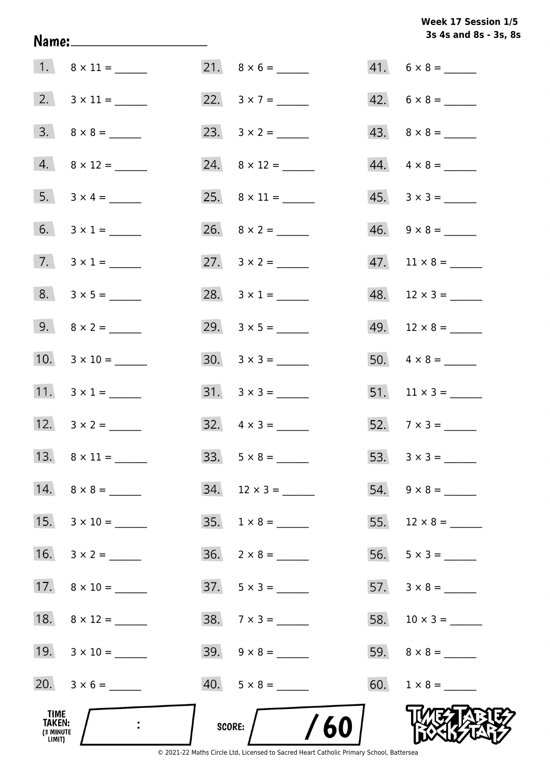**3s 4s and 8s - 3s, 8s Week 17 Session 1/5** 

| TIME<br>TAKEN:<br>(3 MINUTE<br>LIMIT) |                     | /60<br>SCORE:            |                               |
|---------------------------------------|---------------------|--------------------------|-------------------------------|
|                                       |                     | $40. 5 \times 8 =$       |                               |
|                                       | 19. $3 \times 10 =$ | $39. \quad 9 \times 8 =$ |                               |
|                                       | 18. $8 \times 12 =$ | $38. 7 \times 3 =$       |                               |
|                                       | 17. $8 \times 10 =$ | $37. 5 \times 3 =$       |                               |
|                                       | 16. $3 \times 2 =$  |                          |                               |
|                                       |                     |                          | 55. $12 \times 8 =$           |
|                                       |                     | $34.$ 12 x 3 = _______   | $54. \quad 9 \times 8 =$      |
|                                       |                     |                          |                               |
|                                       |                     | $32. \quad 4 \times 3 =$ |                               |
|                                       | 11. $3 \times 1 =$  | $31. \quad 3 \times 3 =$ |                               |
|                                       | 10. $3 \times 10 =$ | $30. \quad 3 \times 3 =$ |                               |
|                                       | 9. $8 \times 2 =$   |                          |                               |
|                                       |                     | 28. $3 \times 1 =$       | $48.$ 12 × 3 = ______         |
|                                       | 7. $3 \times 1 =$   |                          | $47.$ 11 $\times$ 8 = _______ |
|                                       | 6. $3 \times 1 =$   |                          | $46. \quad 9 \times 8 =$      |
|                                       |                     |                          | $45. \quad 3 \times 3 =$      |
|                                       | $4.8 \times 12 =$   |                          |                               |
|                                       |                     |                          |                               |
|                                       | 2. $3 \times 11 =$  |                          | $42. 6 \times 8 =$            |
|                                       |                     |                          | $41. 6 \times 8 =$            |

Name: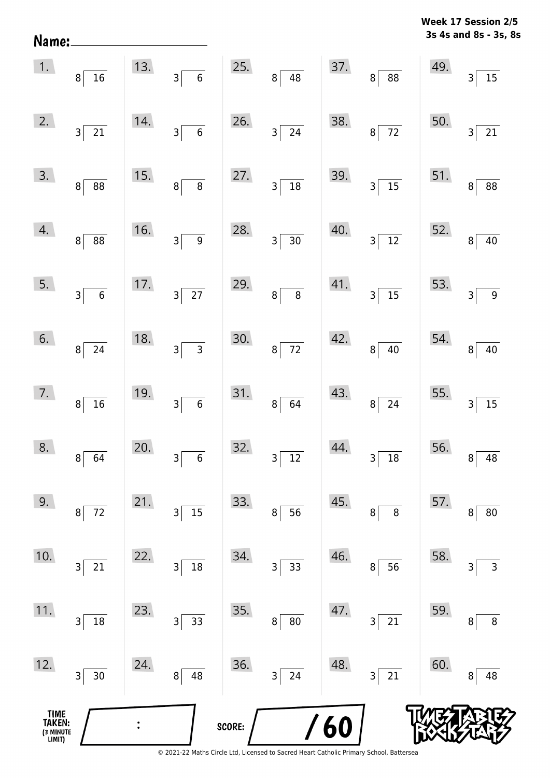| Name:                                 |                                       |     |                                                    |        |                                            |     |                     |     | 3s 4s and 8s - 3s, 8s    |
|---------------------------------------|---------------------------------------|-----|----------------------------------------------------|--------|--------------------------------------------|-----|---------------------|-----|--------------------------|
| 1.                                    | $8\vert$<br>16                        | 13. | $\vert$ 3<br>$\bf 6$                               | 25.    | $8 \mid 48$                                | 37. | 8 88                | 49. | $15\,$<br>$\overline{3}$ |
| 2.                                    | $3\overline{21}$                      | 14. | $\overline{6}$<br>$\overline{\mathsf{3}}$          | 26.    | $3 \overline{\smash{)}24}$                 | 38. | $8\overline{72}$    | 50. | $\mathsf{3}$<br>$21\,$   |
| 3.                                    | 8 <br>88                              | 15. | $\overline{8}$<br>$\bf{8}$                         | 27.    | $18\,$<br>$\overline{\mathsf{3}}$          | 39. | $3\overline{)15}$   | 51. | 88<br>8                  |
| 4.                                    | 8 <sup>1</sup><br>$\overline{\bf 88}$ | 16. | $\overline{9}$<br>$\overline{\mathbf{3}}$          | 28.    | $\overline{30}$<br>$\overline{\mathbf{3}}$ | 40. | $\frac{1}{12}$<br>3 | 52. | $40\,$<br>8              |
| 5.                                    | $3\overline{6}$                       | 17. | $\overline{27}$<br>$3\vert$                        | 29.    | $\overline{8}$<br>8 <sup>1</sup>           | 41. | $3\overline{)15}$   | 53. | $\boldsymbol{9}$<br>3    |
| 6.                                    | 8 <sup>1</sup><br>24                  | 18. | $\overline{\mathbf{3}}$<br>$\overline{\mathbf{3}}$ | 30.    | $\overline{72}$<br>$\bf 8$                 | 42. | 40<br> 8            | 54. | $40\,$<br>8              |
| 7.                                    | $\bf{8}$<br>16                        | 19. | $\overline{6}$<br>$\vert$ 3                        | 31.    | 64<br> 8                                   | 43. | $8\overline{)24}$   | 55. | 15<br>$\mathsf{3}$       |
| 8.                                    | 64<br>$\bf 8$                         | 20. | $\boldsymbol{6}$<br>3                              | 32.    | $\overline{12}$<br>3                       | 44. | $18\,$<br>3         | 56. | 48<br>8                  |
| 9.                                    | $72\,$<br>$\bf 8$                     | 21. | 15<br>3                                            | 33.    | 56<br>8                                    | 45. | $\,8\,$<br>8        | 57. | 80<br>8                  |
| 10.                                   | 21<br>3                               | 22. | $18\,$<br>3                                        | 34.    | 33<br>3                                    | 46. | 56<br>8             | 58. | 3<br>3                   |
| 11.                                   | $18\,$<br>$\overline{\mathbf{3}}$     | 23. | 33<br>3                                            | 35.    | $80\,$<br>8                                | 47. | 21<br>3             | 59. | 8<br>8                   |
| 12.                                   | $\overline{\mathsf{3}}$<br>$30\,$     | 24. | 48<br>8                                            | 36.    | 24<br>3                                    | 48. | 21<br>3             | 60. | 48<br>8                  |
| TIME<br>TAKEN:<br>(3 MINUTE<br>LIMIT) |                                       |     |                                                    | SCORE: |                                            | 60  |                     |     |                          |

**Week 17 Session 2/5**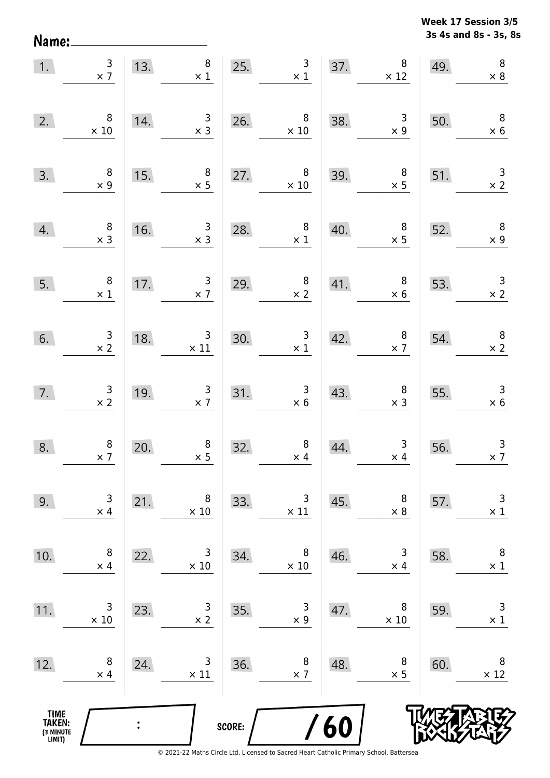**3s 4s and 8s - 3s, 8s Week 17 Session 3/5** 

| 1.                                            | $\frac{3}{x}$                                | 13.            | $\bf 8$<br>$\times$ 1                         |        | $\begin{array}{c} 3 \\ \times 1 \end{array}$<br>25. |     | $\begin{array}{c} 37. & 8 \\ \times 12 \end{array}$ | 49. | $\, 8$<br>$\times 8$                         |
|-----------------------------------------------|----------------------------------------------|----------------|-----------------------------------------------|--------|-----------------------------------------------------|-----|-----------------------------------------------------|-----|----------------------------------------------|
| 2.                                            | $\,8\,$<br>$\times 10$                       | 14.            | $\begin{array}{c} 3 \\ \times 3 \end{array}$  | 26.    | $\begin{array}{c} 8 \\ \times 10 \end{array}$       | 38. | $\begin{array}{c} 3 \\ x \end{array}$               | 50. | $\overline{\mathbf{8}}$<br>$\times$ 6        |
| 3.                                            | $\begin{array}{c} 8 \\ \times 9 \end{array}$ | 15.            | $\begin{array}{c} 8 \\ \times 5 \end{array}$  | 27.    | 8<br>$\times 10$                                    | 39. | $\begin{array}{c} 8 \\ \times 5 \end{array}$        | 51. | $\begin{array}{c} 3 \\ \times 2 \end{array}$ |
| 4.                                            | $\begin{array}{c} 8 \\ \times 3 \end{array}$ | 16.            | $\begin{array}{c} 3 \\ \times 3 \end{array}$  | 28.    | $\begin{array}{c} 8 \\ \times 1 \end{array}$        | 40. | $\begin{array}{c} 8 \\ \times 5 \end{array}$        | 52. | $\overline{\phantom{a}}$<br>$\times$ 9       |
| 5.                                            | $\begin{array}{c} 8 \\ \times 1 \end{array}$ | 17.            | $\begin{array}{c} 3 \\ \times 7 \end{array}$  | 29.    | $\begin{array}{c} 8 \\ \times 2 \end{array}$        | 41. | 8 <sup>8</sup><br>$\times$ 6                        | 53. | $\begin{array}{c} 3 \\ \times 2 \end{array}$ |
| 6.                                            | $\begin{array}{c} 3 \\ \times 2 \end{array}$ | 18.            | $\begin{array}{c} 3 \\ \times 11 \end{array}$ | 30.    | $\begin{array}{c} 3 \\ \times 1 \end{array}$        | 42. | $\begin{array}{c} 8 \\ \times 7 \end{array}$        | 54. | $\begin{array}{c} 8 \\ \times 2 \end{array}$ |
| 7.                                            | $\begin{array}{r} 3 \\ \times 2 \end{array}$ | 19.            | $\begin{array}{c} 3 \\ \times 7 \end{array}$  |        | $\begin{array}{r} 3 \\ \times 6 \end{array}$<br>31. | 43. | $\begin{array}{c} 8 \\ \times 3 \end{array}$        | 55. | $\begin{array}{r} 3 \\ \times 6 \end{array}$ |
| 8.                                            | $\begin{array}{c} 8 \\ \times 7 \end{array}$ | 20.            | $\begin{array}{c} 8 \\ \times 5 \end{array}$  | 32.    | $\begin{array}{c} 8 \\ \times \ 4 \end{array}$      | 44. | $\begin{array}{c} 3 \\ \times 4 \end{array}$        | 56. | $\begin{array}{c} 3 \\ \times 7 \end{array}$ |
| 9.                                            | 3<br>$\times$ 4                              | 21.            | 8<br>$\times$ 10                              | 33.    | 3<br>$\times$ 11                                    | 45. | 8<br>$\times 8$                                     | 57. | $\mathsf 3$<br>$\times$ 1                    |
| 10.                                           | 8<br>$\times$ 4                              | 22.            | 3<br>$\times$ 10                              | 34.    | 8<br>$\times$ 10                                    | 46. | 3<br>$\times$ 4                                     | 58. | $\,8\,$<br>$\times$ 1                        |
| 11.                                           | 3<br>$\times$ 10                             | 23.            | 3<br>$\times$ 2                               | 35.    | 3<br>$\times$ 9                                     | 47. | 8<br>$\times 10$                                    | 59. | $\mathsf 3$<br>$\times$ 1                    |
| 12.                                           | 8<br>$\times$ 4                              | 24.            | 3<br>$\times$ 11                              | 36.    | 8<br>$\times$ 7                                     | 48. | 8<br>$\times$ 5                                     | 60. | 8<br>$\times$ 12                             |
| <b>TIME<br/>TAKEN:</b><br>(3 MINUTE<br>LIMIT) |                                              | $\ddot{\cdot}$ |                                               | SCORE: |                                                     | 60  |                                                     |     |                                              |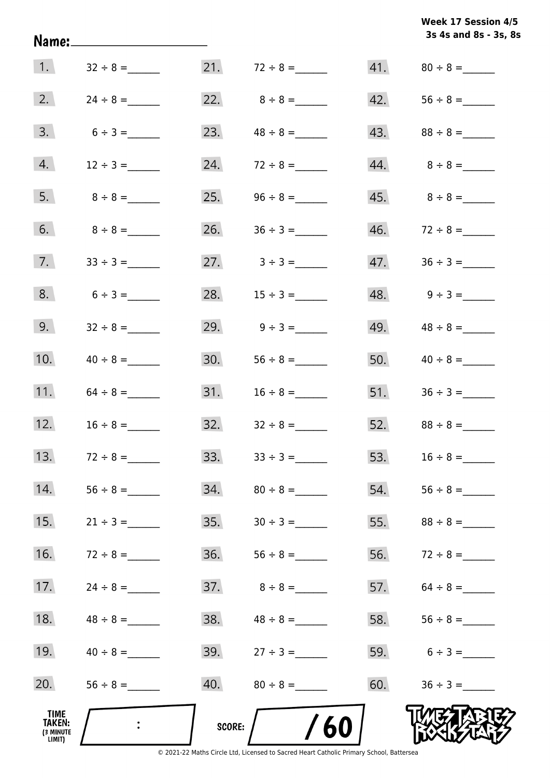|                                       | Name:_____________________ |        |                                 |     | 3s 4s and 8s - 3s, 8s           |
|---------------------------------------|----------------------------|--------|---------------------------------|-----|---------------------------------|
| 1.                                    | $32 \div 8 =$              |        | 21. $72 \div 8 =$               |     |                                 |
| 2.                                    | $24 \div 8 =$              |        |                                 |     |                                 |
| 3.                                    | $6 \div 3 =$               |        | 23. $48 \div 8 =$               |     | 43. $88 \div 8 =$               |
| 4.                                    | $12 \div 3 =$              |        | 24. $72 \div 8 =$               |     |                                 |
| 5.                                    | $8 \div 8 =$               |        | 25. $96 \div 8 =$               |     |                                 |
| 6.                                    | $8 \div 8 =$               |        | 26. $36 \div 3 =$               |     |                                 |
| 7.                                    |                            |        | $27. \hspace{1.5cm} 3 \div 3 =$ | 47. |                                 |
| 8.                                    |                            |        | 28. $15 \div 3 =$               |     | $48. \hspace{1.5cm} 9 \div 3 =$ |
| 9.                                    |                            |        | 29. $9 \div 3 =$                | 49. |                                 |
| 10.                                   | $40 \div 8 =$              | 30.    | $56 \div 8 =$                   | 50. | $40 \div 8 =$                   |
| 11.                                   | $64 \div 8 =$              |        |                                 | 51. | $36 \div 3 =$                   |
| 12.                                   | $16 \div 8 =$              |        | 32. $32 \div 8 =$               |     |                                 |
| 13.                                   | $72 \div 8 =$              | 33.    | $33 \div 3 =$                   | 53. |                                 |
| 14.                                   |                            | 34.    |                                 | 54. |                                 |
| 15.                                   |                            | 35.    |                                 | 55. |                                 |
| 16.                                   | $72 \div 8 =$              | 36.    |                                 | 56. | $72 \div 8 =$                   |
| 17.                                   |                            | 37.    | $8 \div 8 =$                    | 57. |                                 |
| 18.                                   |                            | 38.    | $48 \div 8 =$                   | 58. | $56 \div 8 =$                   |
| 19.                                   | $40 \div 8 =$              | 39.    |                                 | 59. | $6 \div 3 =$                    |
| 20.                                   |                            | 40.    | $80 \div 8 =$                   | 60. | $36 \div 3 =$                   |
| TIME<br>TAKEN:<br>(3 MINUTE<br>LIMIT) |                            | SCORE: | /60                             |     |                                 |

**Week 17 Session 4/5** 

© 2021-22 Maths Circle Ltd, Licensed to Sacred Heart Catholic Primary School, Battersea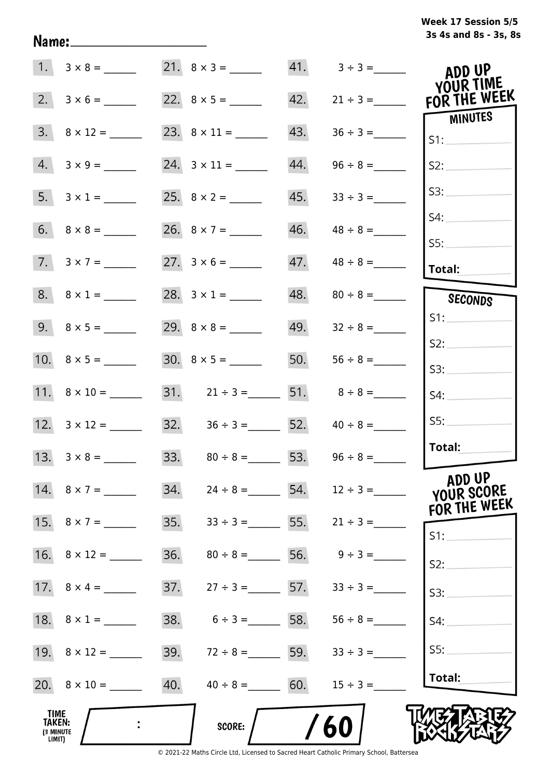# **3s 4s and 8s - 3s, 8s Week 17 Session 5/5**

|                                       | $1. 3 \times 8 =$   |     | $21. 8 \times 3 =$                  |     | $41. \qquad 3 \div 3 =$         | ADD UP<br>YOUR TIME    |
|---------------------------------------|---------------------|-----|-------------------------------------|-----|---------------------------------|------------------------|
| 2.                                    |                     |     |                                     | 42. | $21 \div 3 =$                   | FOR THE WEEK           |
| 3.                                    | $8 \times 12 =$     |     |                                     | 43. |                                 | MINUTES<br>S1:         |
| 4.                                    |                     |     |                                     | 44. | $96 \div 8 =$                   | S2:                    |
|                                       | 5. $3 \times 1 =$   |     |                                     | 45. | $33 \div 3 =$                   | S3:                    |
|                                       |                     |     |                                     | 46. | $48 \div 8 =$                   | S4:                    |
|                                       | $7. 3 \times 7 =$   |     |                                     |     | $47.$ $48 \div 8 =$             | SS:<br>Total:          |
|                                       | $8. 8 \times 1 =$   |     | 28. $3 \times 1 =$                  |     | $48.$ $80 \div 8 =$             | SECONDS                |
|                                       |                     |     |                                     |     |                                 | S1:                    |
|                                       |                     |     |                                     | 50. | $56 \div 8 =$                   | S2:<br>S3:             |
|                                       |                     |     | 31. $21 \div 3 =$ 51. $8 \div 8 =$  |     |                                 | S4:                    |
|                                       |                     |     | 32. $36 \div 3 =$ 52.               |     | $40 \div 8 =$                   | SS:                    |
|                                       |                     |     | 33. $80 \div 8 =$ 53. $96 \div 8 =$ |     |                                 | Total:                 |
|                                       | 14. $8 \times 7 =$  | 34. |                                     |     | $24 \div 8 =$ 54. $12 \div 3 =$ | ADD UP<br>YOUR SCORE   |
|                                       |                     | 35. |                                     |     | $33 \div 3 = 55.$ $21 \div 3 =$ | FOR THE WEEK<br>$S1$ : |
|                                       |                     | 36. | $80 \div 8 =$ 56. $9 \div 3 =$      |     |                                 | S2:                    |
|                                       |                     | 37. | $27 \div 3 =$ 57.                   |     | $33 \div 3 =$                   | S3:                    |
|                                       | 18. $8 \times 1 =$  | 38. | $6 \div 3 =$ 58. 56 ÷ 8 =           |     |                                 | S4:                    |
|                                       | 19. $8 \times 12 =$ | 39. | $72 \div 8 =$ 59.                   |     | $33 \div 3 =$                   | SS:                    |
|                                       |                     | 40. | $40 \div 8 = 60.$                   |     | $15 \div 3 =$                   | Total:                 |
| TIME<br>TAKEN:<br>(3 MINUTE<br>LIMIT) |                     |     | <b>SCORE:</b>                       |     | 60                              |                        |

Name: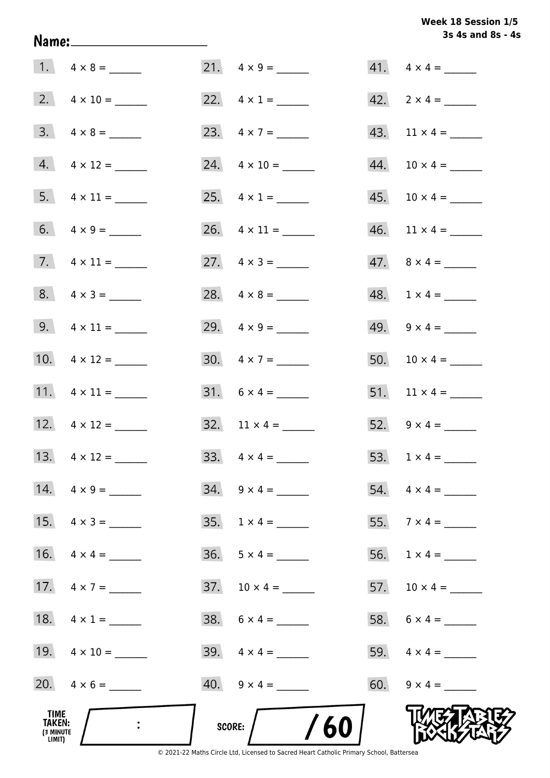# **3s 4s and 8s - 4s Week 18 Session 1/5**

|                                              |                          |                          | 3s 4s and 8s - 4         |
|----------------------------------------------|--------------------------|--------------------------|--------------------------|
|                                              |                          |                          | $41. \quad 4 \times 4 =$ |
|                                              |                          | 22. $4 \times 1 =$       |                          |
|                                              | $3. \quad 4 \times 8 =$  | 23. $4 \times 7 =$       |                          |
|                                              | $4. \quad 4 \times 12 =$ | 24. $4 \times 10 =$      |                          |
|                                              | $5. \quad 4 \times 11 =$ | 25. $4 \times 1 =$       | $45. 10 \times 4 =$      |
|                                              | 6. $4 \times 9 =$        | 26. $4 \times 11 =$      |                          |
|                                              | 7. $4 \times 11 =$       | 27. $4 \times 3 =$       | $47. \ 8 \times 4 =$     |
|                                              | $8. 4 \times 3 =$        |                          | $48. 1 \times 4 =$       |
|                                              |                          | 29. $4 \times 9 =$       | 49. $9 \times 4 =$       |
|                                              |                          | $30. \quad 4 \times 7 =$ | 50. $10 \times 4 =$      |
|                                              | 11. $4 \times 11 =$      |                          | 51. $11 \times 4 =$      |
|                                              | 12. $4 \times 12 =$      | 32. $11 \times 4 =$      | 52. $9 \times 4 =$       |
|                                              | 13. $4 \times 12 =$      | 33. $4 \times 4 =$       |                          |
|                                              | 14. $4 \times 9 =$       | $34. \quad 9 \times 4 =$ | $54. \quad 4 \times 4 =$ |
|                                              | 15. $4 \times 3 =$       |                          | 55. $7 \times 4 =$       |
|                                              | 16. $4 \times 4 =$       | $36. 5 \times 4 =$       |                          |
|                                              | 17. $4 \times 7 =$       | $37. 10 \times 4 =$      | 57. $10 \times 4 =$      |
|                                              | 18. $4 \times 1 =$       |                          |                          |
|                                              | 19. $4 \times 10 =$      |                          |                          |
|                                              | 20. $4 \times 6 =$       | $40. \quad 9 \times 4 =$ | 60. $9 \times 4 =$       |
| TIME<br><b>TAKEN:</b><br>(3 MINUTE<br>LIMIT) | $\sim 10^4$              | /60/<br>SCORE:           |                          |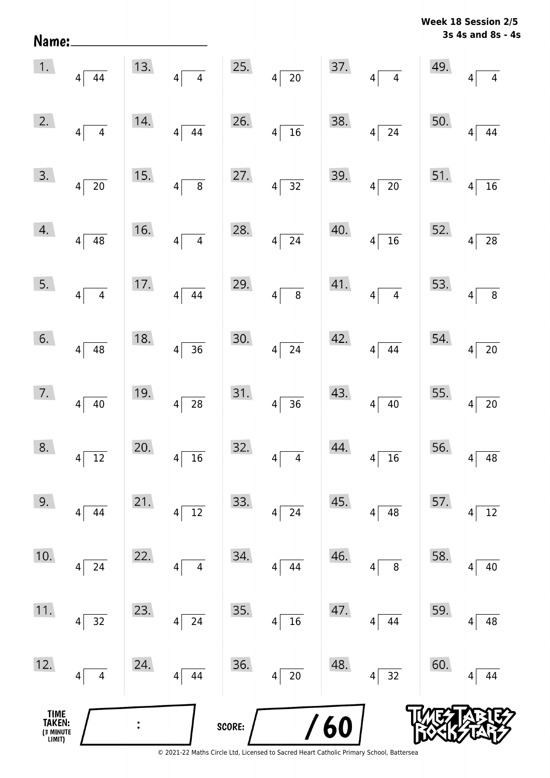| Name:                                 |                            |     |                                            |        |                                    |     |                            |     | 3s 4s and 8s - 4s                 |
|---------------------------------------|----------------------------|-----|--------------------------------------------|--------|------------------------------------|-----|----------------------------|-----|-----------------------------------|
| 1.                                    | $4 \mid 44$                | 13. | $\vert 4 \vert$<br>$\overline{\mathbf{4}}$ | 25.    | $4\overline{20}$                   | 37. | $\overline{4}$<br>4        | 49. | 4<br>4                            |
| 2.                                    | $\overline{4}$<br>$4\vert$ | 14. | 44<br>$\vert 4 \vert$                      | 26.    | $16$<br>$\vert 4 \vert$            | 38. | 24<br>4                    | 50. | 44<br>4                           |
| 3.                                    | $4\sqrt{20}$               | 15. | $\,8\,$<br> 4                              | 27.    | $\overline{32}$<br> 4              | 39. | $4\sqrt{20}$               | 51. | 16<br>$\overline{4}$              |
| 4.                                    | $4 \overline{)48}$         | 16. | $\overline{4}$<br>4                        | 28.    | $\overline{24}$<br>$\overline{4}$  | 40. | $4\sqrt{16}$               | 52. | 28<br>$\overline{4}$              |
| 5.                                    | $4\overline{4}$            | 17. | 44<br>$\vert 4 \vert$                      | 29.    | $\overline{8}$<br>$\vert 4 \vert$  | 41. | $\overline{4}$<br>$4\vert$ | 53. | $\, 8$<br>4                       |
| 6.                                    | $4\overline{)48}$          | 18. | $\overline{36}$<br>$\left 4\right $        | 30.    | $\overline{24}$<br>$\vert 4 \vert$ | 42. | 44<br>$4\vert$             | 54. | $20\,$<br>4                       |
| 7.                                    | $4 \mid 40$                | 19. | $\overline{28}$<br>$\vert 4 \vert$         | 31.    | $\overline{36}$<br>$\vert 4 \vert$ | 43. | $4 \overline{)40}$         | 55. | $20\,$<br>$\overline{\mathbf{4}}$ |
| 8.                                    | 12<br> 4                   | 20. | 16<br>4                                    | 32.    | 4<br>4                             | 44. | 16<br>4                    | 56. | 48<br>4                           |
| 9.                                    | 44<br>$\vert 4 \vert$      | 21. | $12\,$<br>4                                | 33.    | 24<br>4                            | 45. | 48<br>4                    | 57. | 12<br>4                           |
| 10.                                   | 24<br>$\overline{4}$       | 22. | $\overline{\mathbf{4}}$<br>4               | 34.    | 44<br>4                            | 46. | $\, 8$<br>4                | 58. | 40<br>4                           |
| 11.                                   | 32<br> 4                   | 23. | 24<br>4                                    | 35.    | 16<br>4                            | 47. | 44<br>4                    | 59. | 48<br>4                           |
| 12.                                   | $\overline{4}$<br>4        | 24. | 44<br>4                                    | 36.    | $20\,$<br>4                        | 48. | 32<br>$\overline{4}$       | 60. | 44<br>4                           |
| TIME<br>TAKEN:<br>(3 MINUTE<br>LIMIT) |                            |     |                                            | SCORE: |                                    | 60  |                            |     |                                   |

**Week 18 Session 2/5**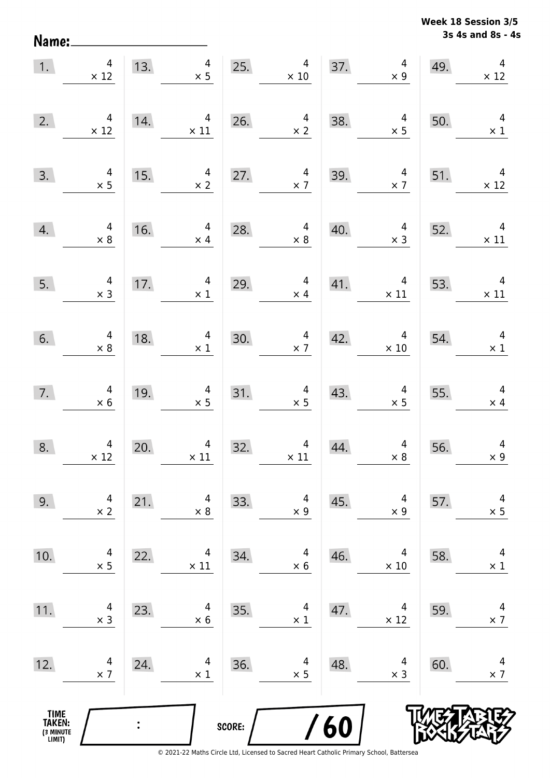**3s 4s and 8s - 4s Week 18 Session 3/5** 

| 1.                                            | $\overline{4}$<br>$\times$ 12                 | 13. | $\overline{4}$<br>$\times$ 5                 | 25.    | $\overline{4}$<br>$\times$ 10                                           |     | $\overline{\mathcal{A}}$<br>37.<br>$\times$ 9 | 49. | $\overline{\mathcal{A}}$<br>$\times$ 12      |
|-----------------------------------------------|-----------------------------------------------|-----|----------------------------------------------|--------|-------------------------------------------------------------------------|-----|-----------------------------------------------|-----|----------------------------------------------|
| 2.                                            | 4<br>$\times$ 12                              | 14. | $\overline{4}$<br>$\times$ 11                | 26.    | $\begin{array}{c} 4 \\ \times 2 \end{array}$                            | 38. | $\begin{array}{c} 4 \\ \times 5 \end{array}$  | 50. | $\overline{4}$<br>$\times$ 1                 |
| 3.                                            | $4 \times 5$                                  | 15. | $\overline{4}$<br>$\times$ 2                 | 27.    | $\overline{4}$<br>$\times$ 7                                            | 39. | $\begin{array}{c} 4 \\ \times 7 \end{array}$  | 51. | $\overline{4}$<br>$\times$ 12                |
| 4.                                            | $\begin{array}{c} 4 \\ \times 8 \end{array}$  | 16. | $\overline{4}$<br>$\times$ 4                 | 28.    | $\overline{a}$<br>$\times 8$                                            | 40. | $\begin{array}{c} 4 \\ \times 3 \end{array}$  | 52. | $\overline{4}$<br>$\times$ 11                |
| 5.                                            | $\begin{array}{c} 4 \\ \times 3 \end{array}$  | 17. | $\overline{4}$<br>$\times$ 1                 | 29.    | $\overline{4}$<br>$\times$ 4                                            | 41. | $\overline{4}$<br>$\times$ 11                 | 53. | $\overline{4}$<br>$\times$ 11                |
| 6.                                            | $\overline{\mathbf{r}}$<br>$\times 8$         | 18. | $\overline{4}$<br>$\times$ 1                 | 30.    | $\overline{\mathbf{r}}$<br>$\begin{array}{r} 4 \\ \times 7 \end{array}$ | 42. | $\overline{4}$<br>$\times$ 10                 | 54. | $\overline{4}$<br>$\times$ 1                 |
| 7.                                            | $4 \times 6$                                  | 19. | $\begin{array}{r} 4 \\ \times 5 \end{array}$ | 31.    | $4 \times 5$                                                            | 43. | $\begin{array}{c} 4 \\ \times 5 \end{array}$  | 55. | $\overline{4}$<br>$\times$ 4                 |
| 8.                                            | $\begin{array}{c} 4 \\ \times 12 \end{array}$ | 20. | $\overline{4}$<br>$\times$ 11                | 32.    | $\begin{array}{c} 4 \\ \times \ 11 \end{array}$                         | 44. | $\begin{array}{c} 4 \\ \times 8 \end{array}$  | 56. | $\begin{array}{c} 4 \\ \times 9 \end{array}$ |
| 9.                                            | 4<br>$\times$ 2                               | 21. | 4<br>$\times 8$                              | 33.    | 4<br>$\times 9$                                                         | 45. | 4<br>$\times$ 9                               | 57. | 4<br>$\times$ 5                              |
| 10.                                           | 4<br>$\times$ 5                               | 22. | 4<br>$\times$ 11                             | 34.    | 4<br>$\times$ 6                                                         | 46. | 4<br>$\times$ 10                              | 58. | 4<br>$\times$ 1                              |
| 11.                                           | 4<br>$\times$ 3                               | 23. | 4<br>$\times 6$                              | 35.    | 4<br>$\times$ 1                                                         | 47. | 4<br>$\times$ 12                              | 59. | 4<br>$\times$ 7                              |
| 12.                                           | 4<br>$\times$ 7                               | 24. | 4<br>$\times$ 1                              | 36.    | 4<br>$\times$ 5                                                         | 48. | 4<br>$\times$ 3                               | 60. | 4<br>$\times$ 7                              |
| <b>TIME<br/>TAKEN:</b><br>(3 MINUTE<br>LIMIT) |                                               |     |                                              | SCORE: |                                                                         | 60  |                                               |     |                                              |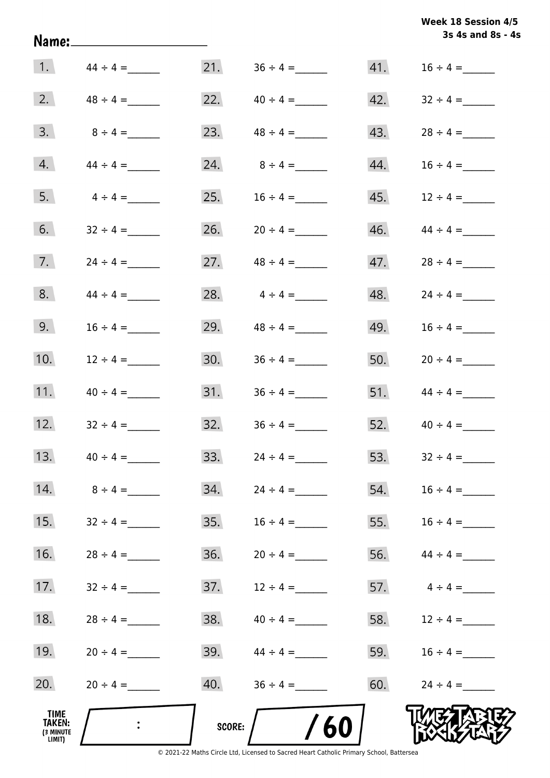| Week 18 Session 4/5 |  |
|---------------------|--|
| 3s 4s and 8s - 4s   |  |

|                                              |                  |        |                   |     | 3s 4s and 8s - 4 |
|----------------------------------------------|------------------|--------|-------------------|-----|------------------|
|                                              | 1. $44 \div 4 =$ |        |                   | 41. | $16 \div 4 =$    |
| 2.                                           | $48 \div 4 =$    |        | 22. $40 \div 4 =$ | 42. | $32 \div 4 =$    |
| 3.                                           | $8 \div 4 =$     | 23.    | $48 \div 4 =$     | 43. | $28 \div 4 =$    |
| 4.                                           | $44 \div 4 =$    | 24.    | $8 \div 4 =$      | 44. | $16 \div 4 =$    |
| 5.                                           | $4 \div 4 =$     | 25.    | $16 \div 4 =$     | 45. | $12 \div 4 =$    |
| 6.                                           | $32 \div 4 =$    | 26.    | $20 \div 4 =$     | 46. | $44 \div 4 =$    |
| 7.                                           | $24 \div 4 =$    | 27.    | $48 \div 4 =$     | 47. | $28 \div 4 =$    |
| 8.                                           | $44 \div 4 =$    | 28.    | $4 \div 4 =$      | 48. | $24 \div 4 =$    |
| 9.                                           |                  | 29.    | $48 \div 4 =$     | 49. | $16 \div 4 =$    |
| 10.                                          | $12 \div 4 =$    | 30.    |                   | 50. | $20 \div 4 =$    |
| 11.                                          | $40 \div 4 =$    | 31.    |                   | 51. | $44 \div 4 =$    |
| 12.                                          | $32 \div 4 =$    | 32.    | $36 \div 4 =$     | 52. | $40 \div 4 =$    |
| 13.                                          | $40 \div 4 =$    | 33.    | $24 \div 4 =$     | 53. | $32 \div 4 =$    |
| 14.                                          | $8 \div 4 =$     | 34.    | $24 \div 4 =$     | 54. |                  |
| 15.                                          | $32 \div 4 =$    | 35.    | $16 \div 4 =$     | 55. |                  |
| 16.                                          | $28 \div 4 =$    | 36.    | $20 \div 4 =$     | 56. | $44 \div 4 =$    |
| 17.                                          |                  | 37.    | $12 \div 4 =$     | 57. | $4 \div 4 =$     |
| 18.                                          | $28 \div 4 =$    | 38.    | $40 \div 4 =$     | 58. | $12 \div 4 =$    |
| 19.                                          | $20 \div 4 =$    | 39.    | $44 \div 4 =$     | 59. | $16 \div 4 =$    |
| 20.                                          | $20 \div 4 =$    | 40.    | $36 \div 4 =$     | 60. | $24 \div 4 =$    |
| TIME<br><b>TAKEN:</b><br>(3 MINUTE<br>LIMIT) | $\ddot{\cdot}$   | SCORE: | 60                |     |                  |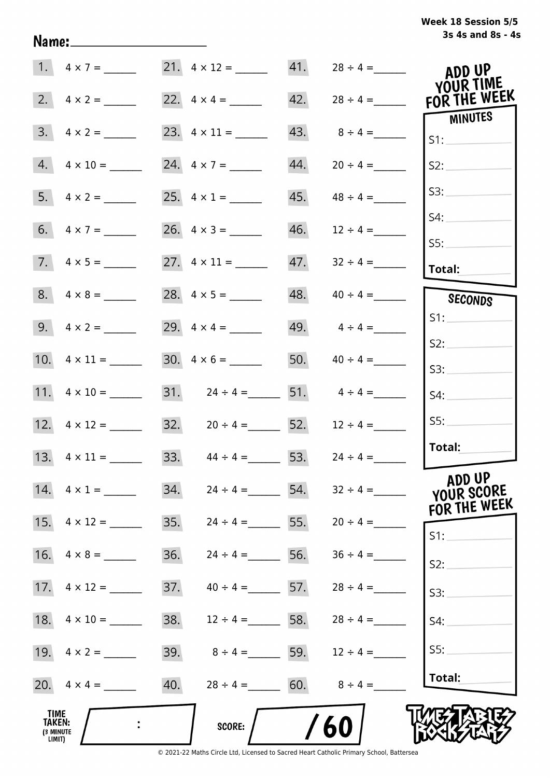| Week 18 Session 5/5 |  |                   |  |
|---------------------|--|-------------------|--|
|                     |  | 3s 4s and 8s - 4s |  |

| 1. $4 \times 7 =$                            |                          | 21. $4 \times 12 =$                                 |     | $41.$ $28 \div 4 =$                | ADD UP<br><b>YOUR TIME</b>           |
|----------------------------------------------|--------------------------|-----------------------------------------------------|-----|------------------------------------|--------------------------------------|
| 2.<br>$4 \times 2 =$                         |                          |                                                     | 42. | $28 \div 4 =$                      | FOR THE WEEK                         |
| 3.<br>$4 \times 2 =$                         |                          |                                                     | 43. | $8 \div 4 =$                       | <b>MINUTES</b><br>S1:                |
| 4.<br>$4 \times 10 =$                        | 24. $4 \times 7 =$       |                                                     | 44. | $20 \div 4 =$                      | S2:                                  |
| 5.<br>$4 \times 2 =$                         |                          |                                                     | 45. | $48 \div 4 =$                      | S3:                                  |
|                                              |                          |                                                     | 46. | $12 \div 4 =$                      | S4:                                  |
| $7. \quad 4 \times 5 =$                      |                          |                                                     | 47. | $32 \div 4 =$                      | SS:<br>Total:                        |
|                                              |                          |                                                     | 48. | $40 \div 4 =$                      | SECONDS                              |
| 9. $4 \times 2 =$                            | 29. $4 \times 4 =$       |                                                     |     | 49. $4 \div 4 =$                   | S1:                                  |
|                                              | $30. \quad 4 \times 6 =$ |                                                     |     | 50. $40 \div 4 =$                  | S2:                                  |
| 11. $4 \times 10 =$                          |                          |                                                     |     | 31. $24 \div 4 =$ 51. $4 \div 4 =$ | S3:<br>S4:                           |
|                                              |                          | $32. \hspace{1.5cm} 20 \div 4 = \hspace{1.5cm} 52.$ |     | $12 \div 4 =$                      | SS:                                  |
|                                              |                          | 33. $44 \div 4 = 53$ .                              |     | $24 \div 4 =$                      | Total:                               |
| 14. $4 \times 1 =$                           | 34.                      | $24 \div 4 =$ 54.                                   |     | $32 \div 4 =$                      | ADD UP<br>YOUR SCORE<br>FOR THE WEEK |
| 15.<br>$4 \times 12 =$                       | 35.                      | $24 \div 4 =$ 55.                                   |     | $20 \div 4 =$                      | S1:                                  |
| 16.<br>$4 \times 8 =$                        | 36.                      | $24 \div 4 =$                                       | 56. | $36 \div 4 =$                      | S2:                                  |
| 17.<br>$4 \times 12 =$                       | 37.                      | $40 \div 4 = 57.$                                   |     | $28 \div 4 =$                      | S3:                                  |
|                                              | 38.                      | $12 \div 4 =$ 58.                                   |     | $28 \div 4 =$                      | S4:                                  |
|                                              | 39.                      | $8 \div 4 =$ 59.                                    |     | $12 \div 4 =$                      | S5:                                  |
|                                              | 40.                      | $28 \div 4 = 60.$                                   |     | $8 \div 4 =$                       | Total:                               |
| <b>TIME</b><br>TAKEN:<br>(3 MINUTE<br>LIMIT) |                          | <b>SCORE:</b>                                       |     | 60                                 |                                      |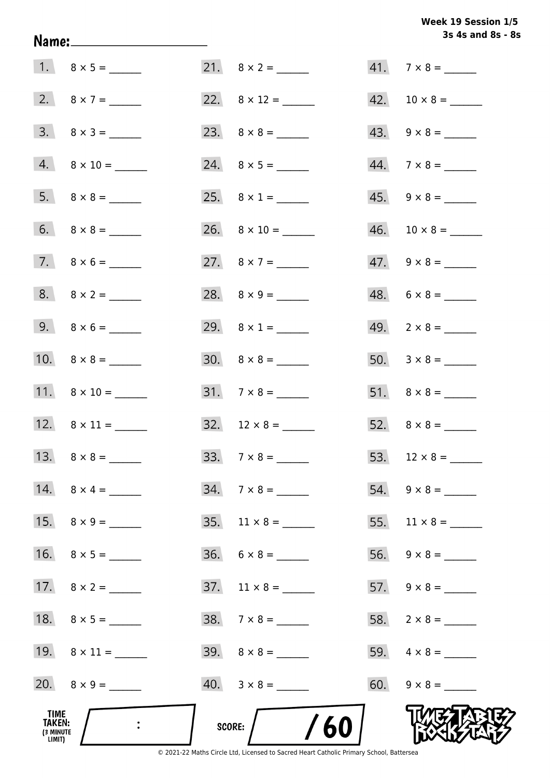# Week 19 Session 1/5 3s 4s and 8s - 8s

|                                              |                     |                              | 3s 4s and 8s - 8         |
|----------------------------------------------|---------------------|------------------------------|--------------------------|
|                                              |                     |                              | $41. 7 \times 8 =$       |
|                                              | 2. $8 \times 7 =$   | 22. $8 \times 12 =$          |                          |
|                                              | $3. \ 8 \times 3 =$ |                              | $43. \quad 9 \times 8 =$ |
|                                              | $4. 8 \times 10 =$  |                              | $44.7 \times 8 =$        |
|                                              |                     | 25. $8 \times 1 =$           | $45. 9 \times 8 =$       |
|                                              |                     |                              |                          |
|                                              | $7. \ 8 \times 6 =$ | 27. $8 \times 7 =$           | $47. \quad 9 \times 8 =$ |
|                                              | $8. 8 \times 2 =$   |                              | $48. 6 \times 8 =$       |
|                                              | 9. $8 \times 6 =$   | 29. $8 \times 1 =$           | $49. \quad 2 \times 8 =$ |
|                                              |                     | $30. \quad 8 \times 8 =$     |                          |
|                                              |                     | $31.7 \times 8 =$            |                          |
|                                              |                     | $32. 12 \times 8 =$          |                          |
|                                              |                     |                              |                          |
|                                              | 14. $8 \times 4 =$  | $34.7 \times 8 =$            | $54. 9 \times 8 =$       |
|                                              | 15. $8 \times 9 =$  |                              |                          |
|                                              |                     | $36. 6 \times 8 =$           |                          |
|                                              | 17. $8 \times 2 =$  | $37.$ 11 $\times$ 8 = ______ |                          |
|                                              |                     | $38. 7 \times 8 =$           |                          |
|                                              |                     |                              |                          |
|                                              | 20. $8 \times 9 =$  |                              | $60. 9 \times 8 =$       |
| TIME<br><b>TAKEN:</b><br>(3 MINUTE<br>LIMIT) |                     | /60<br>score:                |                          |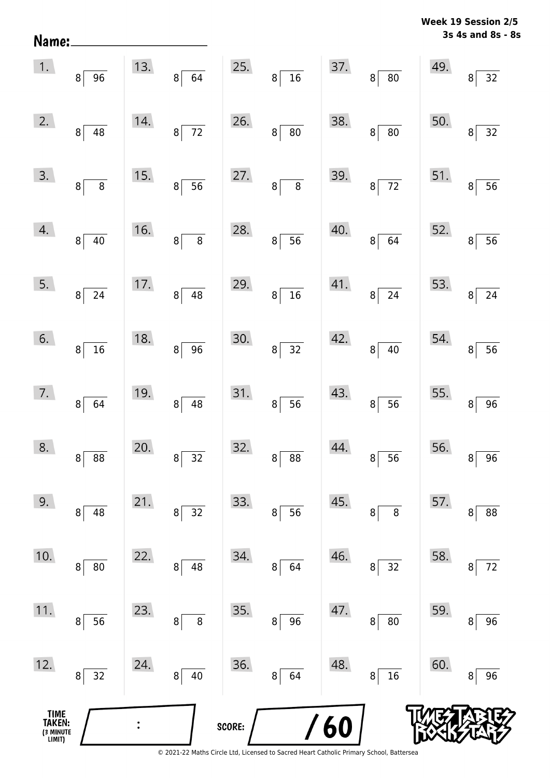**3s 4s and 8s - 8s Week 19 Session 2/5** 

| 12.<br>TIME<br>TAKEN: | 32<br>8                                      | 24. | 40<br>8                           | 36. | 64<br>$\,8\,$                                        | 48.<br><b>60</b> | 16<br>8 <sup>1</sup>         | 60.              | 96<br>8                           |
|-----------------------|----------------------------------------------|-----|-----------------------------------|-----|------------------------------------------------------|------------------|------------------------------|------------------|-----------------------------------|
| 11.                   | 56<br>8                                      | 23. | 8<br>8                            | 35. | 96<br>$\bf 8$                                        | 47.              | ${\bf 80}$<br>8 <sup>1</sup> | 59.              | 96<br>8                           |
| 10.                   | ${\bf 80}$<br>8                              | 22. | 8<br>48                           | 34. | $\bf 8$<br>64                                        | 46.              | 32<br>8                      | 58.              | 72<br>8                           |
| 9.                    | 48<br>8                                      | 21. | 32<br>8                           | 33. | 56<br>$\bf 8$                                        | 45.              | 8<br>8                       | 57.              | 88<br>8                           |
| 8.                    | $8 \overline{\smash{)}\ 88}$                 | 20. | $\frac{1}{32}$<br>$\mathbf{8}$    | 32. | $8 \overline{) 88}$                                  | 44.              | $8\sqrt{56}$                 | 56.              | $\overline{96}$<br>$\mathbf{8}$   |
| 7.                    | 8 <sup>2</sup><br>64                         | 19. | $8\sqrt{48}$                      | 31. | $\begin{bmatrix} 8 \end{bmatrix}$<br>$\overline{56}$ | 43.              | $8\sqrt{56}$                 | 55. $\mathbf{a}$ | $\overline{96}$                   |
| 6.                    | $\overline{8}$<br>$\overline{\phantom{0}16}$ | 18. | $8\sqrt{96}$                      | 30. | $8\sqrt{32}$                                         | 42.              | $8\sqrt{40}$                 | 54.              | $\frac{1}{56}$<br>$\vert 8 \vert$ |
| 5.                    | $\sqrt{8}$<br>$\overline{24}$                | 17. | $\overline{48}$<br>8 <sup>1</sup> | 29. | 8 <sup>°</sup><br>$\frac{1}{16}$                     | 41.              | $8\sqrt{24}$                 | 53.              | $\sqrt{24}$<br>8                  |
| 4.                    | $\overline{40}$<br>$\vert 8 \vert$           | 16. | $8\overline{8}$                   | 28. | $8\overline{)}56$                                    | 40.              | $8\sqrt{64}$                 | 52.              | $\overline{56}$<br>$\bf{8}$       |
| 3.                    | $8\overline{8}$                              | 15. | $8\overline{)}56$                 | 27. | $8\overline{)}8$                                     | 39.              | $8\overline{72}$             | 51.              | $\overline{8}$<br>$\overline{56}$ |
| 2.                    | $\overline{48}$<br>$\mathbf{8}$              | 14. | $8\sqrt{72}$                      | 26. | $8\sqrt{80}$                                         | 38.              | $8\sqrt{80}$                 | 50.              | $\overline{32}$<br>$\bf{8}$       |
| 1.                    | $8\sqrt{96}$                                 | 13. | $8\overline{64}$                  | 25. | $8\sqrt{16}$                                         |                  | $37.8 \overline{8}$          | 49.              | $\overline{32}$<br>$8^{\circ}$    |

Name: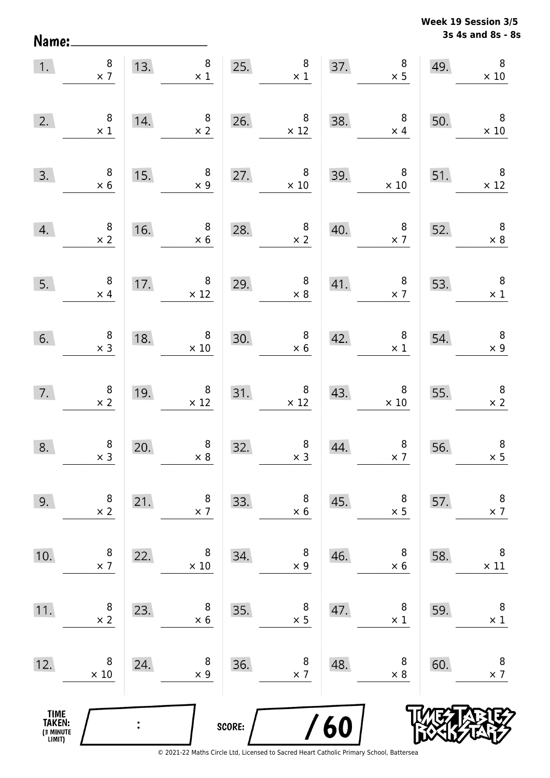**3s 4s and 8s - 8s Week 19 Session 3/5** 

| 1.                                    | $\begin{array}{c} 8 \\ \times 7 \end{array}$ |     | 8 <sup>1</sup><br>13. $\begin{array}{c} 8 \\ \times 1 \end{array}$           |        | 25. $\begin{array}{r} 8 \\ \times 1 \end{array}$           |                                                        | $\begin{array}{c} 8 \\ \times 5 \end{array}$<br>37. | 49.                                                                                           | $\, 8$<br>$\times$ 10                        |
|---------------------------------------|----------------------------------------------|-----|------------------------------------------------------------------------------|--------|------------------------------------------------------------|--------------------------------------------------------|-----------------------------------------------------|-----------------------------------------------------------------------------------------------|----------------------------------------------|
| 2.                                    | $\begin{array}{c} 8 \\ \times 1 \end{array}$ | 14. | $\begin{array}{c} 8 \\ \times 2 \end{array}$                                 |        | 26. $8 \times 12$                                          | 38.                                                    | $\overline{\phantom{a}}$ 8<br>$\times$ 4            | 50.                                                                                           | $\overline{\phantom{0}}$ 8<br>$\times$ 10    |
| 3.                                    | $\begin{array}{c} 8 \\ \times 6 \end{array}$ | 15. | $\begin{array}{c} 8 \\ \times 9 \end{array}$                                 | 27.    | $\overline{\phantom{0}}$ 8<br>$\times 10$                  | 39.                                                    | $\begin{array}{r} 8 \\ \times 10 \end{array}$       | 51.                                                                                           | $\times$ 12                                  |
| 4.                                    | $\begin{array}{c} 8 \\ \times 2 \end{array}$ |     | $\begin{array}{c} 8 \\ \times 6 \end{array}$<br>$\overline{\phantom{0}}$ 16. |        | 28. $\begin{array}{r} 8 \\ \times 2 \end{array}$           | 40.                                                    |                                                     | $\begin{array}{@{}c@{\hspace{1em}}c@{\hspace{1em}}}\n & 8 & 52. \\  \times 7 & & \end{array}$ | $\begin{array}{c} 8 \\ \times 8 \end{array}$ |
| 5.                                    | $\begin{array}{c} 8 \\ \times 4 \end{array}$ |     | 17. $8 \times 12$                                                            | 29.    | $\begin{array}{c} 8 \\ \times 8 \end{array}$               |                                                        | 41. $8 \times 7$ 53.                                |                                                                                               | $\overline{\mathbf{8}}$<br>$\times$ 1        |
| 6.                                    | $\begin{array}{c} 8 \\ \times 3 \end{array}$ | 18. | $\begin{array}{c} 8 \\ \times 10 \end{array}$                                | 30.    |                                                            | $\begin{array}{c c} 8 & 42. \\ \times 6 & \end{array}$ | $\begin{array}{c} 8 \\ \times 1 \end{array}$        | 54.                                                                                           | $\begin{array}{c} 8 \\ \times 9 \end{array}$ |
| 7.                                    | $\begin{array}{c} 8 \\ \times 2 \end{array}$ | 19. | $\begin{array}{r} 8 \\ \times 12 \end{array}$                                |        | $\begin{array}{c c}\n 31. & 8 \\  \times 12\n \end{array}$ | 43.                                                    | $\begin{array}{c} 8 \\ \times 10 \end{array}$       | 55.                                                                                           | $\begin{array}{c} 8 \\ \times 2 \end{array}$ |
| 8.                                    | $\begin{array}{c} 8 \\ \times 3 \end{array}$ | 20. | $\begin{array}{c} 8 \\ \times 8 \end{array}$                                 | 32.    | $\begin{array}{c} 8 \\ \times 3 \end{array}$               | 44.                                                    | $\begin{array}{c} 8 \\ \times 7 \end{array}$        | 56.                                                                                           | $\, 8$<br>$\times$ 5                         |
| 9.                                    | 8<br>$\times$ 2                              | 21. | 8<br>$\times$ 7                                                              | 33.    | 8<br>$\times 6$                                            | 45.                                                    | 8<br>$\times$ 5                                     | 57.                                                                                           | $\, 8$<br>$\times$ 7                         |
| 10.                                   | 8<br>$\times$ 7                              | 22. | 8<br>$\times$ 10                                                             | 34.    | 8<br>$\times$ 9                                            | 46.                                                    | 8<br>$\times$ 6                                     | 58.                                                                                           | 8<br>$\times$ 11                             |
| 11.                                   | 8<br>$\times$ 2                              | 23. | 8<br>$\times$ 6                                                              | 35.    | 8<br>$\times$ 5                                            | 47.                                                    | 8<br>$\times$ 1                                     | 59.                                                                                           | 8<br>$\times$ 1                              |
| 12.                                   | 8<br>$\times$ 10                             | 24. | 8<br>$\times$ 9                                                              | 36.    | 8<br>$\times$ 7                                            | 48.                                                    | 8<br>$\times 8$                                     | 60.                                                                                           | 8<br>$\times$ 7                              |
| TIME<br>TAKEN:<br>(3 MINUTE<br>LIMIT) |                                              |     |                                                                              | SCORE: |                                                            | 60                                                     |                                                     |                                                                                               |                                              |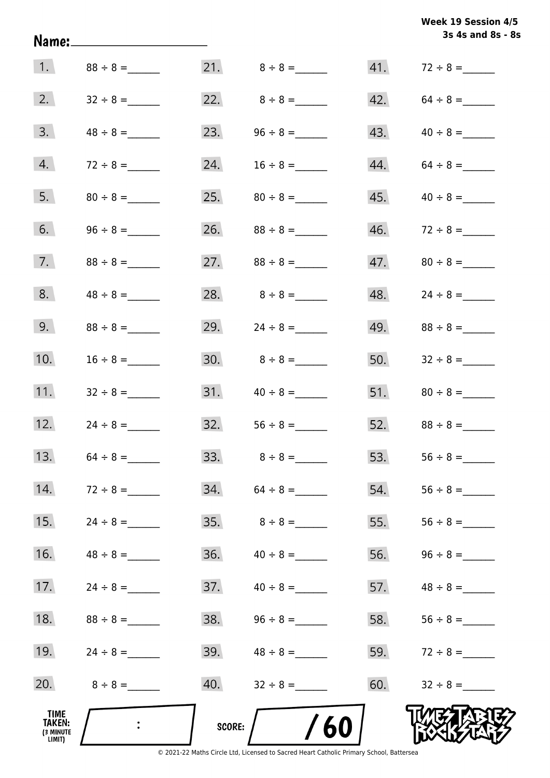|                                       | Name:_______________________ |        |                     |     | Week 19 Session 4/5<br>3s 4s and 8s - 8s |
|---------------------------------------|------------------------------|--------|---------------------|-----|------------------------------------------|
| 1.                                    | $88 \div 8 =$                |        |                     |     |                                          |
| 2.                                    | $32 \div 8 =$                |        | 22. $8 \div 8 =$    |     | $42. 64 \div 8 =$                        |
| 3.                                    |                              | 23.    | $96 \div 8 =$       | 43. |                                          |
| 4.                                    | $72 \div 8 =$                | 24.    | $16 \div 8 =$       |     | $44. 64 \div 8 =$                        |
| 5.                                    |                              | 25.    | $80 \div 8 =$       | 45. | $40 \div 8 =$                            |
| 6.                                    |                              |        |                     |     |                                          |
| 7.                                    |                              | 27.    | $88 \div 8 =$       | 47. | $80 \div 8 =$                            |
| 8.                                    | $48 \div 8 =$                |        | 28. $8 \div 8 =$    | 48. |                                          |
| 9.                                    | $88 \div 8 =$                | 29.    | $24 \div 8 =$       | 49. |                                          |
| 10.                                   | $16 \div 8 =$                |        | $30.8 \div 8 =$     |     | 50. $32 \div 8 =$                        |
| 11.                                   | $32 \div 8 =$                |        | $31.$ $40 \div 8 =$ |     | $51.$ $80 \div 8 =$                      |
| 12.                                   | $24 \div 8 =$                |        | $32.$ $56 \div 8 =$ |     | 52. $88 \div 8 =$                        |
| 13.                                   |                              |        |                     | 53. |                                          |
| 14.                                   | $72 \div 8 =$                | 34.    |                     | 54. |                                          |
| 15.                                   |                              | 35.    | $8 \div 8 =$        | 55. |                                          |
| 16.                                   |                              | 36.    | $40 \div 8 =$       | 56. |                                          |
| 17.                                   |                              | 37.    | $40 \div 8 =$       | 57. | $48 \div 8 =$                            |
| 18.                                   |                              | 38.    |                     | 58. | $56 \div 8 =$                            |
| 19.                                   | $24 \div 8 =$                | 39.    | $48 \div 8 =$       | 59. | $72 \div 8 =$                            |
| 20.                                   | $8 \div 8 =$                 | 40.    |                     | 60. |                                          |
| TIME<br>TAKEN:<br>(3 MINUTE<br>LIMIT) |                              | SCORE: | /60                 |     |                                          |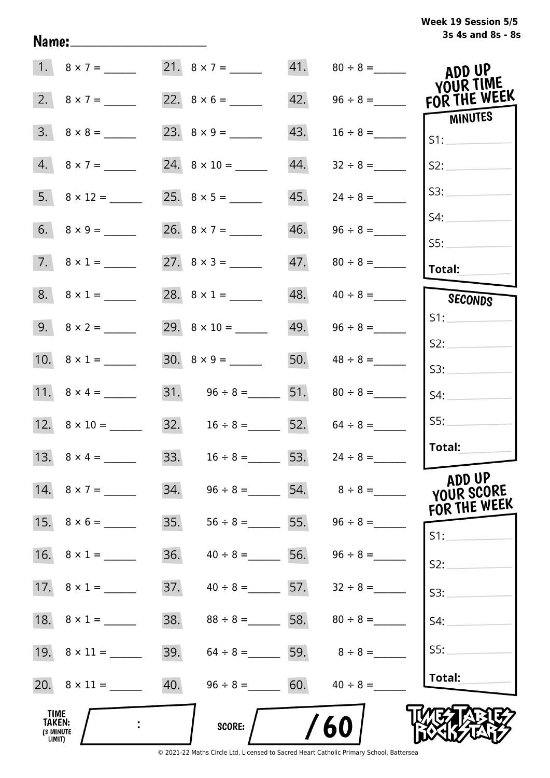# **3s 4s and 8s - 8s Week 19 Session 5/5**

|                                              | 1. $8 \times 7 =$       |     |                                     |     |                                 | ADD UP<br><b>YOUR TIME</b>           |
|----------------------------------------------|-------------------------|-----|-------------------------------------|-----|---------------------------------|--------------------------------------|
|                                              | 2. $8 \times 7 =$       |     |                                     | 42. |                                 | FOR THE WEEK                         |
|                                              | $3. \quad 8 \times 8 =$ |     |                                     | 43. |                                 | MINUTES<br>S1:                       |
|                                              | $4.8 \times 7 =$        |     |                                     | 44. | $32 \div 8 =$                   | S2:                                  |
|                                              |                         |     |                                     | 45. | $24 \div 8 =$                   | S3:                                  |
|                                              |                         |     | 26. $8 \times 7 =$                  | 46. |                                 | S4:                                  |
|                                              | $7. \ 8 \times 1 =$     |     |                                     |     |                                 | SS:<br><b>Total:</b>                 |
|                                              | $8. 8 \times 1 =$       |     | 28. $8 \times 1 =$                  |     |                                 | SECONDS                              |
|                                              |                         |     |                                     |     | $49.$ $96 \div 8 =$             | S1:                                  |
|                                              | 10. $8 \times 1 =$      |     |                                     |     | 50. $48 \div 8 =$               | S2:<br>S3:                           |
|                                              |                         |     | 31. $96 \div 8 =$ 51. $80 \div 8 =$ |     |                                 | S4:                                  |
|                                              |                         |     | 32. $16 \div 8 =$ 52. $64 \div 8 =$ |     |                                 | SS:                                  |
|                                              | 13. $8 \times 4 =$      |     | 33. $16 \div 8 =$ 53.               |     | $24 \div 8 =$                   | Total:                               |
|                                              | 14. $8 \times 7 =$      | 34. |                                     |     |                                 | ADD UP<br>YOUR SCORE<br>FOR THE WEEK |
|                                              |                         | 35. |                                     |     | $56 \div 8 =$ 55. $96 \div 8 =$ | $S1$ :                               |
|                                              |                         | 36. | $40 \div 8 =$ 56. 96 ÷ 8 =          |     |                                 | S2:                                  |
|                                              |                         | 37. | $40 \div 8 =$ 57. $32 \div 8 =$     |     |                                 | S3:                                  |
|                                              |                         | 38. | $88 \div 8 =$ 58. $80 \div 8 =$     |     |                                 | S4:                                  |
|                                              |                         | 39. | $64 \div 8 =$ 59. $8 \div 8 =$      |     |                                 | SS:                                  |
|                                              | 20. $8 \times 11 =$     | 40. | $96 \div 8 =$ 60.                   |     | $40 \div 8 =$                   | Total:                               |
| TIME<br><b>TAKEN:</b><br>(3 MINUTE<br>LIMIT) |                         |     | <b>SCORE:</b>                       |     | 60                              |                                      |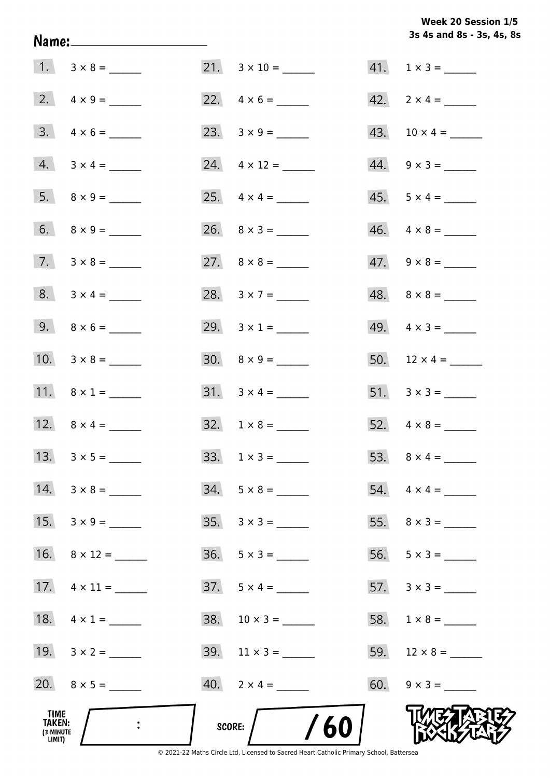Week 20 Session 1/5 3s 4s and 8s - 3s, 4s, 8s

| Name:_________________________               |                           | 3s 4s and 8s - 3s, 4s, 8s   |
|----------------------------------------------|---------------------------|-----------------------------|
| $1. 3 \times 8 =$                            |                           | $41. 1 \times 3 =$          |
|                                              | 22. $4 \times 6 =$        | $42. \quad 2 \times 4 = \_$ |
| $3. \quad 4 \times 6 =$                      | 23. $3 \times 9 =$        |                             |
| $4. 3 \times 4 =$                            | 24. $4 \times 12 =$       | $44. \quad 9 \times 3 =$    |
|                                              |                           | $45. 5 \times 4 =$          |
|                                              |                           | $46. \quad 4 \times 8 =$    |
| $7. \quad 3 \times 8 =$                      |                           | $47. \quad 9 \times 8 =$    |
| $8. 3 \times 4 =$                            | 28. $3 \times 7 =$        |                             |
| 9. $8 \times 6 =$                            | 29. $3 \times 1 =$        | $49. \quad 4 \times 3 =$    |
| 10. $3 \times 8 =$                           | $30. \quad 8 \times 9 =$  | 50. $12 \times 4 =$         |
| 11. $8 \times 1 =$                           |                           |                             |
| 12. $8 \times 4 =$                           | $32. 1 \times 8 =$        |                             |
| 13.                                          | 33.                       |                             |
| $14. 3 \times 8 =$                           | $34. 5 \times 8 =$        | $54. \quad 4 \times 4 =$    |
| 15.                                          | $35. \quad 3 \times 3 =$  |                             |
| 16. $8 \times 12 =$                          | $36. 5 \times 3 =$        |                             |
| 17. $4 \times 11 =$                          |                           |                             |
| 18. $4 \times 1 =$                           | $38. \quad 10 \times 3 =$ | 58. $1 \times 8 =$          |
| 19. $3 \times 2 =$                           | 39. $11 \times 3 =$       |                             |
| 20. $8 \times 5 =$                           | $40. \quad 2 \times 4 =$  | 60. $9 \times 3 =$          |
| TIME<br><b>TAKEN:</b><br>(3 MINUTE<br>LIMIT) | SCORE: $/$ /60            |                             |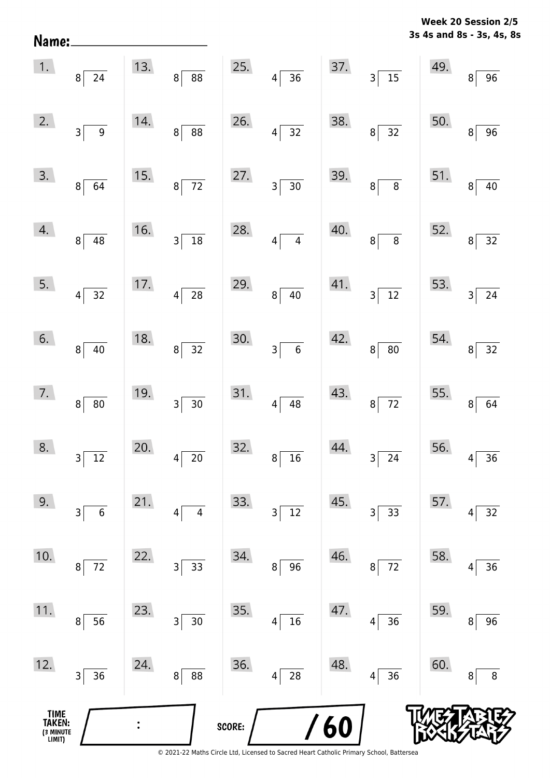**3s 4s and 8s - 3s, 4s, 8s Week 20 Session 2/5** 

| TIME<br>TAKEN:<br>(3 MINUTE<br>LIMIT) |                                   |     |                               | SCORE: |                                   | /60 |                                     |                                        |                                   |
|---------------------------------------|-----------------------------------|-----|-------------------------------|--------|-----------------------------------|-----|-------------------------------------|----------------------------------------|-----------------------------------|
| 12.                                   | 36<br>3                           | 24. | 88<br>8                       | 36.    | 28<br>$\overline{4}$              | 48. | 36<br> 4                            | 60.                                    | 8<br>8                            |
| 11.                                   | 56<br>8                           | 23. | $30\,$<br>3                   | 35.    | 16<br>4                           | 47. | 36<br>4                             | 59.                                    | 96<br>8                           |
| 10.                                   | $72\,$<br>8                       | 22. | 33<br>3                       | 34.    | 96<br>8                           | 46. | $72\,$<br>8                         | 58.                                    | 36<br>4                           |
| 9.                                    | 3<br>6                            | 21. | $\overline{\mathbf{4}}$<br>4  | 33.    | $\overline{\mathsf{3}}$<br>$12\,$ | 45. | 33<br>3                             | 57.                                    | 32<br>4                           |
| 8.                                    | $3\vert$<br>$\overline{12}$       | 20. | $\overline{20}$<br>$4\vert$   | 32.    | $8\overline{)16}$                 | 44. | $3\overline{\smash{)}24}$           | 56. $4\begin{bmatrix} 4 \end{bmatrix}$ | $\overline{36}$                   |
| 7.                                    | 8 <sup>°</sup><br>$\overline{80}$ | 19. | $3\overline{)30}$             | 31.    | $4\overline{)48}$                 | 43. | $8\sqrt{72}$                        |                                        | 55. $8 \overline{)64}$            |
| 6.                                    | $8^{\frac{1}{2}}$<br>40           | 18. | $8\overline{)32}$             | 30.    | $3\overline{6}$                   | 42. | $\frac{1}{80}$<br>$8^{\frac{1}{2}}$ |                                        | 54. $8\overline{)32}$             |
| 5.                                    | $4\sqrt{32}$                      | 17. | $4\overline{)28}$             | 29.    | $8\sqrt{40}$                      | 41. | $3\sqrt{12}$                        | 53.                                    | $3\overline{)24}$                 |
| 4.                                    | 8 <sup>°</sup><br>$\overline{48}$ | 16. | $\frac{1}{18}$<br>$3\sqrt{ }$ | 28.    | $4\overline{4}$                   | 40. | $8\overline{8}$                     | 52.                                    | $8\overline{)32}$                 |
| 3.                                    | $\overline{8}$<br>$\overline{64}$ | 15. | $8\sqrt{72}$                  | 27.    | $3\overline{)30}$                 |     | 39. $8\overline{8}$                 |                                        | 51. $8\overline{)40}$             |
| 2.                                    | 3 <sup>2</sup><br>$\overline{9}$  | 14. | $8\overline{)88}$             | 26.    | $4\overline{)32}$                 | 38. | $8\sqrt{32}$                        | 50.                                    | $\bf{8}$<br>$\overline{96}$       |
| 1.                                    | $8\sqrt{24}$                      |     | 13. $8 \overline{)88}$        |        | 25. $4 \overline{)36}$            |     | 37. $3\overline{)15}$               | 49.                                    | $\overline{8}$<br>$\overline{96}$ |

Name: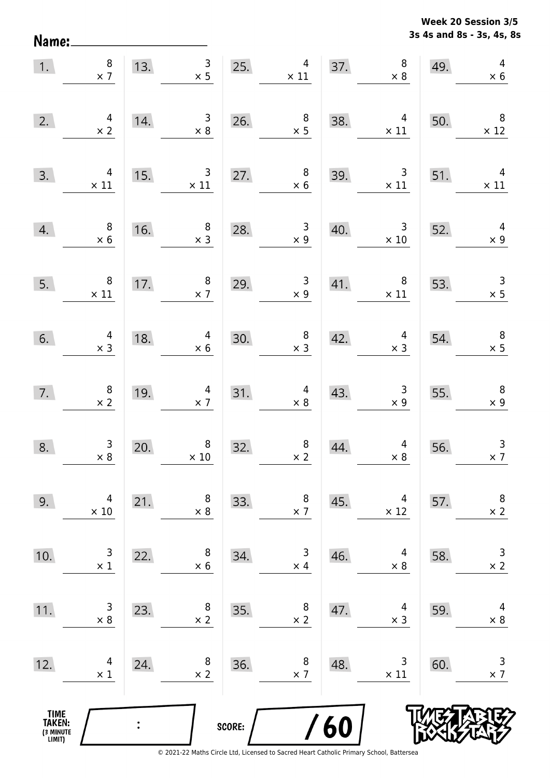**3s 4s and 8s - 3s, 4s, 8s Week 20 Session 3/5** 

| 1.                                            | $\begin{array}{c} 8 \\ \times 7 \end{array}$  |                | $\mathsf{3}$<br>13.<br>$\times$ 5            | 25.    | 4<br>$\times$ 11                             | 37. | $\bf 8$<br>$\times$ 8                         | 49. | $\overline{4}$<br>$\times$ 6                 |
|-----------------------------------------------|-----------------------------------------------|----------------|----------------------------------------------|--------|----------------------------------------------|-----|-----------------------------------------------|-----|----------------------------------------------|
| 2.                                            | $\begin{array}{c} 4 \\ \times 2 \end{array}$  | 14.            | $\begin{array}{c} 3 \\ \times 8 \end{array}$ | 26.    | $\begin{array}{c} 8 \\ \times 5 \end{array}$ | 38. | $\overline{4}$<br>$\times$ 11                 | 50. | $\overline{\phantom{0}}$ 8<br>$\times$ 12    |
| 3.                                            | $\overline{4}$<br>$\times$ 11                 | 15.            | $\overline{\mathbf{3}}$<br>$\times$ 11       | 27.    | $\begin{array}{c} 8 \\ \times 6 \end{array}$ | 39. | $\overline{\mathbf{3}}$<br>$\times$ 11        | 51. | $\overline{4}$<br>$\times$ 11                |
| 4.                                            | $\begin{array}{c} 8 \\ \times 6 \end{array}$  | 16.            | $\begin{array}{c} 8 \\ \times 3 \end{array}$ | 28.    | $\begin{array}{c} 3 \\ \times 9 \end{array}$ | 40. | $\overline{\mathbf{3}}$<br>$\times$ 10        | 52. | $\overline{4}$<br>$\times$ 9                 |
| 5.                                            | $\begin{array}{c} 8 \\ \times 11 \end{array}$ | 17.            | $\overline{\mathbf{8}}$<br>$\times$ 7        | 29.    | $\begin{array}{c} 3 \\ \times 9 \end{array}$ | 41. | $\begin{array}{r} 8 \\ \times 11 \end{array}$ | 53. | $\begin{array}{c} 3 \\ \times 5 \end{array}$ |
| 6.                                            | $\begin{array}{c} 4 \\ \times 3 \end{array}$  | 18.            | $4 \times 6$                                 | 30.    | $\begin{array}{c} 8 \\ \times 3 \end{array}$ | 42. | $\begin{array}{c} 4 \\ \times 3 \end{array}$  | 54. | $\begin{array}{c} 8 \\ \times 5 \end{array}$ |
| 7.                                            | $\begin{array}{c} 8 \\ \times 2 \end{array}$  | 19.            | $\begin{array}{c} 4 \\ \times 7 \end{array}$ | 31.    | $4 \times 8$                                 | 43. | $\begin{array}{c} 3 \\ \times 9 \end{array}$  | 55. | $\begin{array}{c} 8 \\ \times 9 \end{array}$ |
| 8.                                            | $\begin{array}{c} 3 \\ \times 8 \end{array}$  | 20.            | $\,8\,$<br>$\times$ 10                       | 32.    | $\begin{array}{c} 8 \\ \times 2 \end{array}$ | 44. | $\begin{array}{c} 4 \\ \times 8 \end{array}$  | 56. | $\mathsf 3$<br>$\times$ 7                    |
| 9.                                            | 4<br>$\times$ 10                              | 21.            | 8<br>$\times$ 8                              | 33.    | 8<br>$\times$ 7                              | 45. | 4<br>$\times$ 12                              | 57. | $\,8\,$<br>$\times$ 2                        |
| 10.                                           | 3<br>$\times$ 1                               | 22.            | 8<br>$\times 6$                              | 34.    | 3<br>$\times$ 4                              | 46. | 4<br>$\times$ 8                               | 58. | $\mathsf 3$<br>$\times$ 2                    |
| 11.                                           | 3<br>$\times$ 8                               | 23.            | 8<br>$\times$ 2                              | 35.    | 8<br>$\times$ 2                              | 47. | 4<br>$\times$ 3                               | 59. | 4<br>$\times$ 8                              |
| 12.                                           | 4<br>$\times$ 1                               | 24.            | 8<br>$\times$ 2                              | 36.    | 8<br>$\times$ 7                              | 48. | 3<br>$\times$ 11                              | 60. | 3<br>$\times$ 7                              |
| <b>TIME<br/>TAKEN:</b><br>(3 MINUTE<br>LIMIT) |                                               | $\ddot{\cdot}$ |                                              | SCORE: |                                              | /60 |                                               |     |                                              |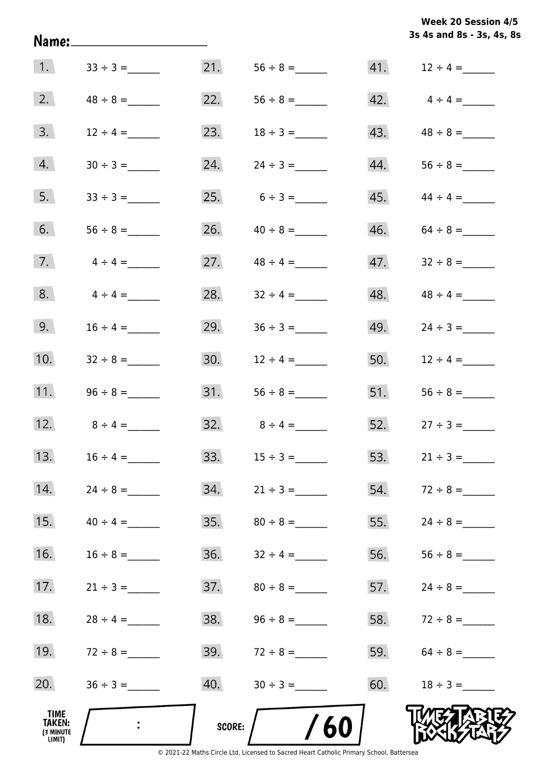|                                                     | Name:_____________________ |               |                   |     | 3s 4s and 8s - 3s, 4s, 8s |
|-----------------------------------------------------|----------------------------|---------------|-------------------|-----|---------------------------|
| 1.                                                  | $33 \div 3 =$              |               | 21. $56 \div 8 =$ |     |                           |
| 2.                                                  | $48 \div 8 =$              |               | 22. $56 \div 8 =$ |     | $42. \qquad 4 \div 4 =$   |
| 3.                                                  | $12 \div 4 =$              | 23.           | $18 \div 3 =$     |     | 43. $48 \div 8 =$         |
| 4.                                                  |                            | 24.           | $24 \div 3 =$     |     | $44. 56 \div 8 =$         |
| 5.                                                  |                            |               | 25. $6 \div 3 =$  |     | $45.$ $44 \div 4 =$       |
| 6.                                                  |                            |               | 26. $40 \div 8 =$ |     | $46. 64 \div 8 =$         |
| 7.                                                  | $4 \div 4 =$               | 27.           | $48 \div 4 =$     | 47. | $32 \div 8 =$             |
| 8.                                                  | $4 \div 4 =$               | 28.           | $32 \div 4 =$     | 48. | $48 \div 4 =$             |
| 9.                                                  | $16 \div 4 =$              | 29.           |                   | 49. |                           |
| 10.                                                 |                            |               | 30. $12 \div 4 =$ |     | 50. $12 \div 4 =$         |
| 11.                                                 |                            | 31.           |                   | 51. |                           |
| 12.                                                 |                            |               | 32. $8 \div 4 =$  |     | 52. $27 \div 3 =$         |
| 13.                                                 | $16 \div 4 =$              | 33.           |                   | 53. | $21 \div 3 =$             |
| 14.                                                 |                            | 34.           | $21 \div 3 =$     | 54. |                           |
| 15.                                                 | $40 \div 4 =$              | 35.           |                   | 55. |                           |
| 16.                                                 | $16 \div 8 =$              | 36.           | $32 \div 4 =$     | 56. |                           |
| 17.                                                 | $21 \div 3 =$              | 37.           | $80 \div 8 =$     | 57. | $24 \div 8 =$             |
| 18.                                                 | $28 \div 4 =$              | 38.           |                   |     | 58. $72 \div 8 =$         |
| 19.                                                 |                            | 39.           | $72 \div 8 =$     | 59. |                           |
| 20.                                                 |                            | 40.           |                   | 60. | $18 \div 3 =$             |
| <b>TIME</b><br><b>TAKEN:</b><br>(3 MINUTE<br>LIMIT) |                            | <b>SCORE:</b> | /60               |     |                           |

**Week 20 Session 4/5**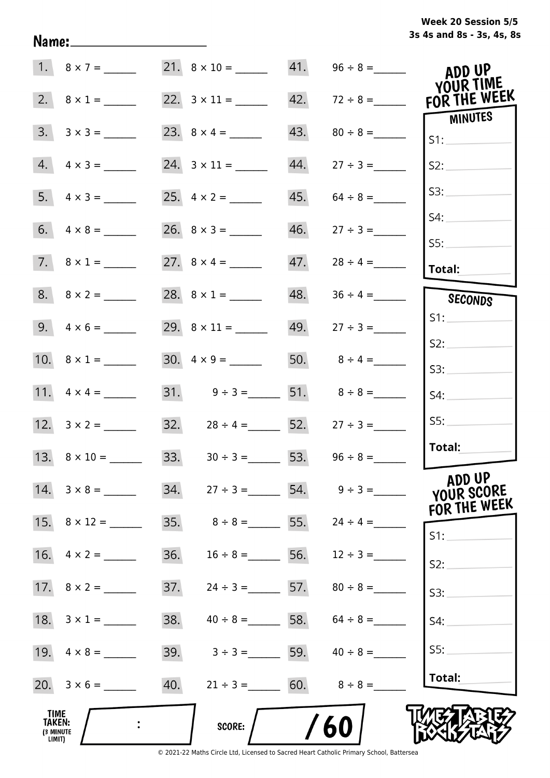|  | Week 20 Session 5/5       |  |  |  |
|--|---------------------------|--|--|--|
|  | 3s 4s and 8s - 3s, 4s, 8s |  |  |  |

|                                       | 1. $8 \times 7 =$        |     |                                     |     |                                    | ADD UP                               |
|---------------------------------------|--------------------------|-----|-------------------------------------|-----|------------------------------------|--------------------------------------|
| 2.                                    | $8 \times 1 =$           |     |                                     | 42. | $72 \div 8 =$                      | YOUR TIME<br>FOR THE WEEK            |
| 3.                                    |                          |     |                                     | 43. |                                    | MINUTES<br>S1:                       |
|                                       | $4. \quad 4 \times 3 =$  |     |                                     | 44. | $27 \div 3 =$                      | S2:                                  |
|                                       |                          |     |                                     | 45. | $64 \div 8 =$                      | S3:                                  |
|                                       |                          |     |                                     | 46. | $27 \div 3 =$                      | S4:<br>SS:                           |
|                                       |                          |     |                                     | 47. | $28 \div 4 =$                      | Total:                               |
|                                       |                          |     |                                     | 48. |                                    | SECONDS                              |
|                                       |                          |     |                                     |     | 49. $27 \div 3 =$                  | S1:                                  |
|                                       | 10. $8 \times 1 =$       |     | $30. \quad 4 \times 9 =$            |     | 50. $8 \div 4 =$                   | S2:                                  |
|                                       |                          |     | 31. $9 \div 3 =$ 51. $8 \div 8 =$   |     |                                    | S3:<br>S4:                           |
|                                       |                          |     | 32. $28 \div 4 =$ 52.               |     | $27 \div 3 =$                      | SS:                                  |
|                                       | 13. $8 \times 10 =$      |     | 33. $30 \div 3 =$ 53. $96 \div 8 =$ |     |                                    | Total:                               |
|                                       | $14. \quad 3 \times 8 =$ |     |                                     |     | 34. $27 \div 3 =$ 54. $9 \div 3 =$ | ADD UP<br>YOUR SCORE<br>FOR THE WEEK |
|                                       | 15. $8 \times 12 =$      | 35. | $8 \div 8 =$ 55.                    |     | $24 \div 4 =$                      | S1:                                  |
|                                       | 16. $4 \times 2 =$       | 36. | $16 \div 8 =$                       | 56. | $12 \div 3 =$                      | S2:                                  |
|                                       | 17. $8 \times 2 =$       | 37. | $24 \div 3 =$ 57.                   |     | $80 \div 8 =$                      | S3:                                  |
|                                       | 18. $3 \times 1 =$       | 38. | $40 \div 8 = 58. 64 \div 8 =$       |     |                                    | S4:                                  |
|                                       |                          | 39. | $3 \div 3 =$ 59. $40 \div 8 =$      |     |                                    | S5:                                  |
|                                       |                          | 40. | $21 \div 3 = 60.$ $8 \div 8 =$      |     |                                    | Total:                               |
| TIME<br>TAKEN:<br>(3 MINUTE<br>LIMIT) |                          |     | SCORE:                              |     | 60                                 |                                      |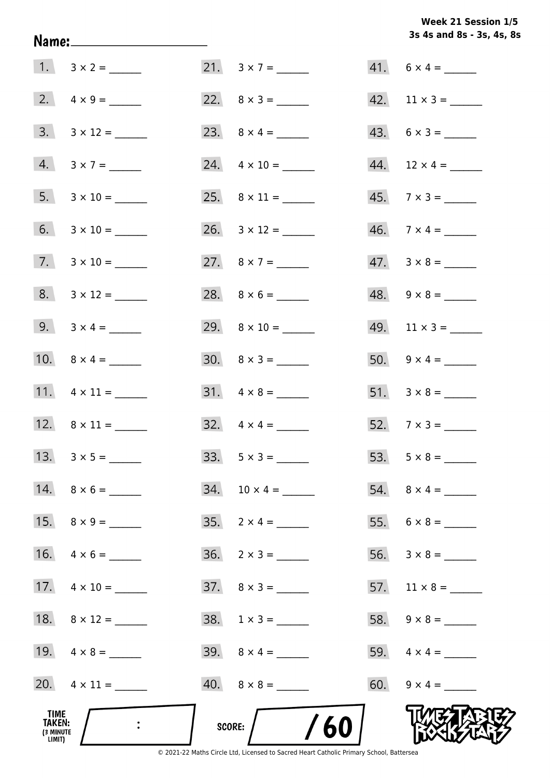**3s 4s and 8s - 3s, 4s, 8s Week 21 Session 1/5** 

| 18. $8 \times 12 =$<br>19. $4 \times 8 =$ | $38. 1 \times 3 =$       |                                               |
|-------------------------------------------|--------------------------|-----------------------------------------------|
| 17. $4 \times 10 =$                       | $37. \quad 8 \times 3 =$ |                                               |
|                                           | $36. \quad 2 \times 3 =$ |                                               |
| 15. $8 \times 9 =$                        |                          |                                               |
|                                           |                          |                                               |
|                                           |                          |                                               |
| 12. $8 \times 11 =$                       |                          | $52.7 \times 3 =$                             |
| 11. $4 \times 11 =$                       | $31. \quad 4 \times 8 =$ |                                               |
| 10. $8 \times 4 =$                        |                          | 50. $9 \times 4 =$                            |
| 9. $3 \times 4 =$                         |                          | $49.$ 11 × 3 = ______                         |
| $8. 3 \times 12 =$                        |                          | $48. \quad 9 \times 8 =$                      |
| $7. \quad 3 \times 10 =$                  | 27. $8 \times 7 =$       | $47. \quad 3 \times 8 =$                      |
|                                           |                          | $45.7 \times 3 =$<br>$46. \quad 7 \times 4 =$ |
| $4. 3 \times 7 =$                         |                          |                                               |
| $3. 3 \times 12 =$                        |                          | $43. 6 \times 3 =$                            |
|                                           |                          |                                               |
|                                           |                          | $41. 6 \times 4 =$                            |
|                                           |                          |                                               |

Name: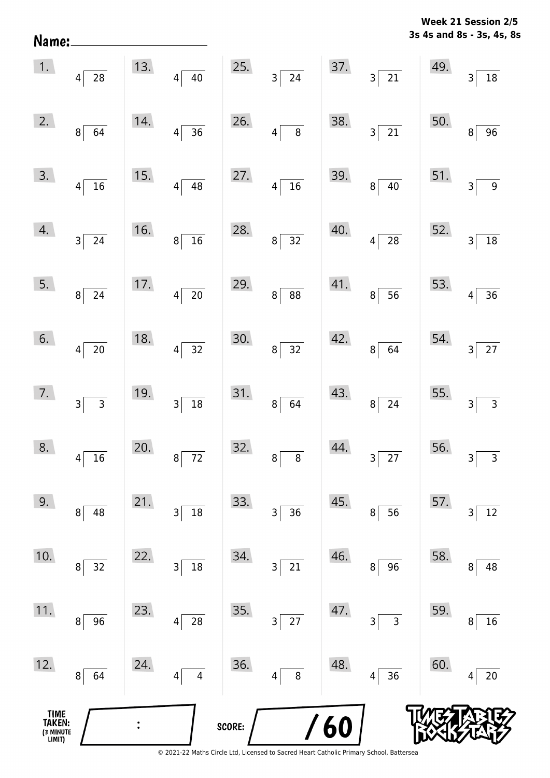**3s 4s and 8s - 3s, 4s, 8s** Name:  $\vert 1. \vert$  $13.$ 25. 37. 49. 4 28 4 40 3 24 3 21 3 18  $2.$ 14. 26. 38. 50. 8 64 4 36 4 8 3 21 8 96  $3.$ 15. 27. 39. 51. 4 16 4 48 4 16 8 40 3 9  $\mathcal{A}$ . 16. 28. 40. 52. 3 24 8 16 8 32 4 28 3 18  $5.$  $17.$ 29. 41. 53. 8 24 4 20 8 88 89 56 4 36  $6.$ 18. 30. 42. 54. 4 20 4 32 8 32 8 64 3 3 27  $7.$ 19. 31. 43. 55. 3 3 3 18 8 64 8 24 3 3 32. 8.  $20.$ 44. 56. 4 | 16 | 8 | 72 | 8 | 8 | 3 | 27 | 3 | 3  $9.$  $21.$ 33. 45. 57. 8 48 3 18 3 36 8 56 3 12 10.  $22.$ 34. 46. 58. 8 32 3 18 3 21 8 96 8 48  $11.$ 23. 35. 47. 59. 8 96 4 28 3 27 3 3 3 8 16  $12.$ 24. 36. 48. 60. 8 64 4 4 4 4 56 4 20 **TIME**  $\ddot{\cdot}$ 6 **TAKEN: SCORE:** (3 MINUTE<br>LIMIT)

**Week 21 Session 2/5**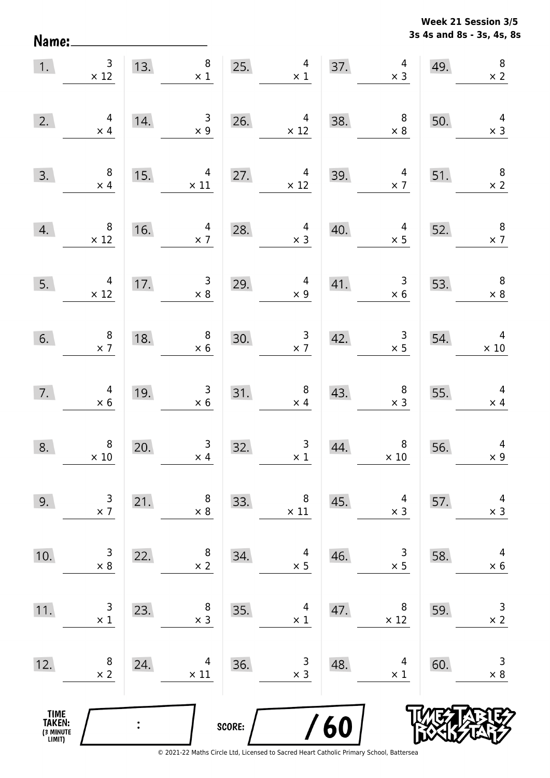**3s 4s and 8s - 3s, 4s, 8s Week 21 Session 3/5** 

|                                       | 1. $\begin{array}{c} 3 \\ \times 12 \end{array}$ | 13. | $\begin{array}{c} 8 \\ \times 1 \end{array}$             |        | 25.<br>$\overline{4}$<br>$\times$ 1                                                |             | 37. $4 \times 3$                                                                                                                                                                                                                                                                                                                                                                                          | 49. | $\boldsymbol{8}$<br>$\times$ 2               |
|---------------------------------------|--------------------------------------------------|-----|----------------------------------------------------------|--------|------------------------------------------------------------------------------------|-------------|-----------------------------------------------------------------------------------------------------------------------------------------------------------------------------------------------------------------------------------------------------------------------------------------------------------------------------------------------------------------------------------------------------------|-----|----------------------------------------------|
| 2.                                    | $\begin{array}{c} 4 \\ \times 4 \end{array}$     | 14. | $\begin{array}{c}\n 3 \\  \times 9\n \end{array}$        |        | 26. $4 \times 12$                                                                  | 38.         | $\begin{array}{c c}\n 38. & & 8 \\  \times 8 & & \n\end{array}$                                                                                                                                                                                                                                                                                                                                           | 50. | $\overline{4}$<br>$\times$ 3                 |
| 3.                                    | $\begin{array}{c} 8 \\ \times 4 \end{array}$     |     | 15. $4 \times 11$                                        |        | 27. $4 \times 12$                                                                  |             | 39. $4 \times 7$                                                                                                                                                                                                                                                                                                                                                                                          | 51. | $\begin{array}{c} 8 \\ \times 2 \end{array}$ |
| 4.                                    | $\begin{array}{r} 8 \\ \times 12 \end{array}$    | 16. | $\begin{array}{c c}\n16. & & 4 \\ \times 7\n\end{array}$ | 28.    | $\begin{array}{r} 4 \\ \times 3 \end{array}$<br>28.                                | 40.         | $4 \times 5$                                                                                                                                                                                                                                                                                                                                                                                              | 52. | $\begin{array}{c} 8 \\ \times 7 \end{array}$ |
| 5.                                    | $\begin{array}{r} 4 \\ \times 12 \end{array}$    | 17. | 17. $\begin{array}{c} 3 \\ \times 8 \end{array}$         | 29.    | $4 \times 9$                                                                       | 41.         | $\begin{array}{r} 3 \\ \times 6 \end{array}$                                                                                                                                                                                                                                                                                                                                                              | 53. | $\begin{array}{c} 8 \\ \times 8 \end{array}$ |
| 6.                                    | $\begin{array}{c} 8 \\ \times 7 \end{array}$     | 18. | $\begin{array}{c}\n 8 \\  \times 6\n \end{array}$        |        | 30. $\begin{array}{r} 3 \\ \times 7 \end{array}$                                   |             | 42. $\begin{array}{@{}c@{\hspace{1em}}c@{\hspace{1em}}c@{\hspace{1em}}c@{\hspace{1em}}c@{\hspace{1em}}c@{\hspace{1em}}c@{\hspace{1em}}c@{\hspace{1em}}c@{\hspace{1em}}c@{\hspace{1em}}c@{\hspace{1em}}c@{\hspace{1em}}c@{\hspace{1em}}c@{\hspace{1em}}c@{\hspace{1em}}c@{\hspace{1em}}c@{\hspace{1em}}c@{\hspace{1em}}c@{\hspace{1em}}c@{\hspace{1em}}c@{\hspace{1em}}c@{\hspace{1em}}c@{\hspace{1em}}c@$ |     |                                              |
| 7.                                    | $4 \times 6$                                     |     | 19. $3 \times 6$                                         |        | 31. $\begin{array}{r} 8 \\ \times 4 \end{array}$                                   |             | 43. $8 \times 3 \times 3 \times 4$                                                                                                                                                                                                                                                                                                                                                                        |     |                                              |
| 8.                                    | $\begin{array}{c} 8 \\ \times \ 10 \end{array}$  | 20. | $\begin{array}{r} 3 \\ \times 4 \end{array}$             |        | 32. $\begin{array}{ c c } \hline 3 & 3 & 44. \\ \hline & x 1 & \hline \end{array}$ | 44.         | $\begin{array}{c} 8 \\ \times 10 \end{array}$                                                                                                                                                                                                                                                                                                                                                             | 56. | $\overline{4}$<br>$\times 9$                 |
| 9.                                    | 3<br>$\times$ 7                                  | 21. | 8<br>$\times 8$                                          | 33.    | 8<br>$\times$ 11                                                                   | 45.         | 4<br>$\times$ 3                                                                                                                                                                                                                                                                                                                                                                                           | 57. | 4<br>$\times$ 3                              |
| 10.                                   | 3<br>$\times$ 8                                  | 22. | 8<br>$\times$ 2                                          | 34.    | 4<br>$\times$ 5                                                                    | 46.         | 3<br>$\times$ 5                                                                                                                                                                                                                                                                                                                                                                                           | 58. | 4<br>$\times$ 6                              |
| 11.                                   | $\mathsf{3}$<br>$\times$ 1                       | 23. | 8<br>$\times$ 3                                          | 35.    | 4<br>$\times$ 1                                                                    | 47.         | 8<br>$\times$ 12                                                                                                                                                                                                                                                                                                                                                                                          | 59. | $\mathsf 3$<br>$\times$ 2                    |
| 12.                                   | 8<br>$\times$ 2                                  | 24. | 4<br>$\times$ 11                                         | 36.    | 3<br>$\times$ 3                                                                    | 48.         | 4<br>$\times$ 1                                                                                                                                                                                                                                                                                                                                                                                           | 60. | 3<br>$\times$ 8                              |
| TIME<br>TAKEN:<br>(3 MINUTE<br>LIMIT) |                                                  |     |                                                          | SCORE: |                                                                                    | $\sqrt{60}$ |                                                                                                                                                                                                                                                                                                                                                                                                           |     |                                              |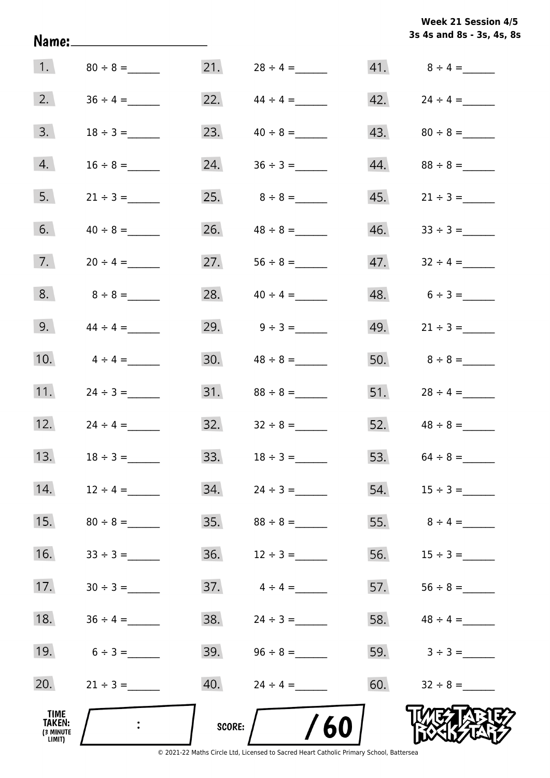**3s 4s and 8s - 3s, 4s, 8s Week 21 Session 4/5** 

| 1.                                           |                   | 21.    | $28 \div 4 =$       |     |                     |
|----------------------------------------------|-------------------|--------|---------------------|-----|---------------------|
| 2.                                           | $36 \div 4 =$     |        | 22. $44 \div 4 =$   |     | $42.$ $24 \div 4 =$ |
| 3.                                           |                   |        | 23. $40 \div 8 =$   |     |                     |
| 4.                                           |                   | 24.    |                     |     | 44. $88 \div 8 =$   |
| 5.                                           |                   |        |                     |     |                     |
| 6.                                           | $40 \div 8 =$     |        | 26. $48 \div 8 =$   |     |                     |
| 7.                                           | $20 \div 4 =$     |        | 27. $56 \div 8 =$   | 47. | $32 \div 4 =$       |
| 8.                                           | $8 \div 8 =$      |        | 28. $40 \div 4 =$   |     | $48. 6 \div 3 =$    |
| 9.                                           | $44 \div 4 =$     |        | 29. $9 \div 3 =$    |     | 49. $21 \div 3 =$   |
| 10.                                          | $4 \div 4 =$      |        |                     |     |                     |
| 11.                                          | $24 \div 3 =$     |        |                     |     | 51. $28 \div 4 =$   |
|                                              | 12. $24 \div 4 =$ |        |                     |     | 52. $48 \div 8 =$   |
| 13.                                          | $18 \div 3 =$     |        | 33. $18 \div 3 =$   |     | 53. $64 \div 8 =$   |
| 14.                                          | $12 \div 4 =$     | 34.    | $24 \div 3 =$       |     | $54.$ $15 \div 3 =$ |
| 15.                                          | $80 \div 8 =$     | 35.    | $88 \div 8 =$       | 55. | $8 \div 4 =$        |
| 16.                                          |                   | 36.    | $12 \div 3 =$       | 56. |                     |
| 17.                                          |                   | 37.    | $4 \div 4 =$        | 57. |                     |
| 18.                                          |                   | 38.    | $24 \div 3 =$       |     | 58. $48 \div 4 =$   |
| 19.                                          | $6 \div 3 =$      |        | $39.$ $96 \div 8 =$ |     | 59. $3 \div 3 =$    |
| 20.                                          | $21 \div 3 =$     | 40.    | $24 \div 4 =$       | 60. | $32 \div 8 =$       |
| TIME<br><b>TAKEN:</b><br>(3 MINUTE<br>LIMIT) | $\mathbf{L}$      | SCORE: | 60                  |     |                     |

Name: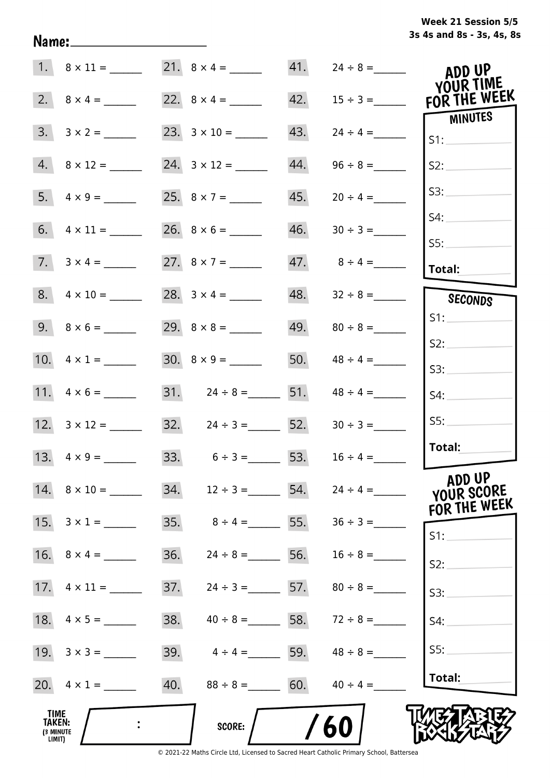# **3s 4s and 8s - 3s, 4s, 8s Week 21 Session 5/5**

|                              |                           | 21. $8 \times 4 =$       |     | $41.$ $24 \div 8 =$             | ADD UP                           |
|------------------------------|---------------------------|--------------------------|-----|---------------------------------|----------------------------------|
|                              | 2. $8 \times 4 =$         |                          | 42. | $15 \div 3 =$                   | <b>YOUR TIME</b><br>FOR THE WEEK |
|                              | $3. 3 \times 2 =$         |                          | 43. |                                 | MINUTES<br>S1:                   |
|                              | $4. \ 8 \times 12 =$      |                          | 44. | $96 \div 8 =$                   | S2:                              |
|                              |                           | 25. $8 \times 7 =$       | 45. | $20 \div 4 =$                   | S3:                              |
|                              |                           |                          | 46. |                                 | S4:                              |
|                              | 7. $3 \times 4 =$         | 27. $8 \times 7 =$       |     | 47. $8 \div 4 =$                | SS:<br>Total:                    |
|                              |                           | 28. $3 \times 4 =$       |     |                                 | SECONDS                          |
|                              |                           |                          |     |                                 | S1:                              |
|                              | 10. $4 \times 1 =$        |                          | 50. | $48 \div 4 =$                   | S2:<br>S3:                       |
|                              |                           | 31. $24 \div 8 =$ 51.    |     | $48 \div 4 =$                   | S4:                              |
|                              |                           | 32. $24 \div 3 =$ 52.    |     | $30 \div 3 =$                   | SS:                              |
|                              | 13. $4 \times 9 =$        | 33.<br>$6 \div 3 =$ 53.  |     | $16 \div 4 =$                   | Total:                           |
|                              | $14. \quad 8 \times 10 =$ |                          | 54. | $24 \div 4 =$                   | ADD UP<br>YOUR SCORE             |
|                              |                           | 35.<br>$8 \div 4 =$ 55.  |     |                                 | FOR THE WEEK                     |
|                              |                           | 36.<br>$24 \div 8 =$ 56. |     | $16 \div 8 =$                   | $S1$ :                           |
|                              | 17. $4 \times 11 =$       | 37.<br>$24 \div 3 =$ 57. |     | $80 \div 8 =$                   | S2:<br>S3:                       |
|                              |                           | 38.                      |     | $40 \div 8 =$ 58. $72 \div 8 =$ | S4:                              |
|                              |                           | 39.<br>$4 \div 4 =$ 59.  |     | $48 \div 8 =$                   | S5:                              |
|                              | 20. $4 \times 1 =$        | 40.<br>$88 \div 8 =$ 60. |     | $40 \div 4 =$                   | Total:                           |
| <b>TIME</b><br><b>TAKEN:</b> |                           | SCORE:                   |     | 60                              |                                  |
| (3 MINUTE<br>LIMIT)          |                           |                          |     |                                 |                                  |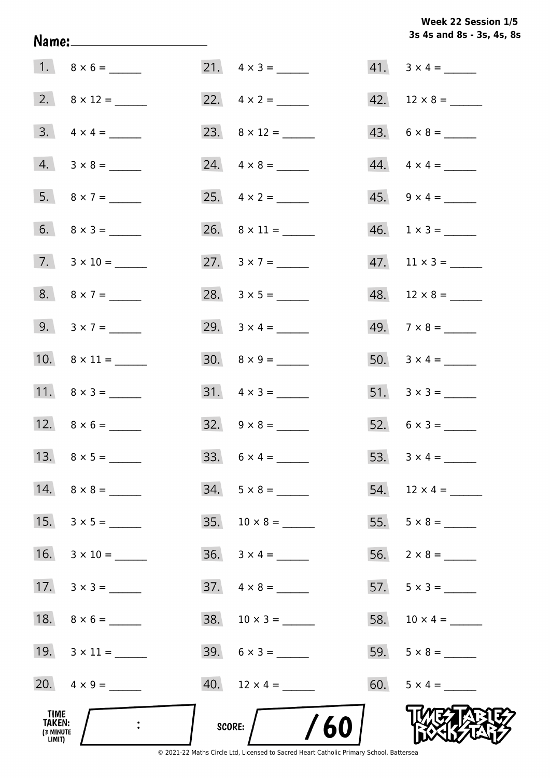**3s 4s and 8s - 3s, 4s, 8s Week 22 Session 1/5** 

| <b>TIME</b><br>TAKEN:<br>(3 MINUTE<br>LIMIT) |                          | $/$ /60<br>SCORE: /            |                             |
|----------------------------------------------|--------------------------|--------------------------------|-----------------------------|
|                                              | 20. $4 \times 9 =$       | $40.$ 12 $\times$ 4 = ________ | 60. $5 \times 4 =$          |
|                                              | 19. $3 \times 11 =$      | $39. 6 \times 3 =$             |                             |
|                                              | 18. $8 \times 6 =$       | $38. 10 \times 3 =$            |                             |
|                                              | $17. \quad 3 \times 3 =$ | $37. \quad 4 \times 8 =$       | 57. $5 \times 3 =$          |
|                                              |                          | $36. 3 \times 4 =$             |                             |
|                                              | 15. $3 \times 5 =$       | 35. $10 \times 8 =$            |                             |
|                                              |                          | $34. 5 \times 8 =$             | 54. $12 \times 4 =$         |
|                                              |                          | 33. $6 \times 4 =$             |                             |
|                                              | 12. $8 \times 6 =$       |                                | 52. $6 \times 3 =$          |
|                                              | 11. $8 \times 3 =$       | $31. \quad 4 \times 3 =$       |                             |
|                                              |                          | $30. \quad 8 \times 9 =$       |                             |
|                                              | 9. $3 \times 7 =$        | 29. $3 \times 4 =$             |                             |
|                                              | 8. $8 \times 7 =$        |                                |                             |
|                                              | $7. \quad 3 \times 10 =$ | 27. $3 \times 7 =$             | $47.$ 11 × 3 = _______      |
|                                              | $6. \qquad 8 \times 3 =$ |                                | $46. \quad 1 \times 3 = \_$ |
|                                              |                          |                                | $45. \quad 9 \times 4 =$    |
|                                              | $4. 3 \times 8 =$        |                                | $44. \quad 4 \times 4 =$    |
|                                              | $3. \quad 4 \times 4 =$  |                                | $43. 6 \times 8 =$          |
|                                              |                          |                                |                             |
|                                              |                          | $21. \quad 4 \times 3 =$       | $41. \quad 3 \times 4 =$    |

Name: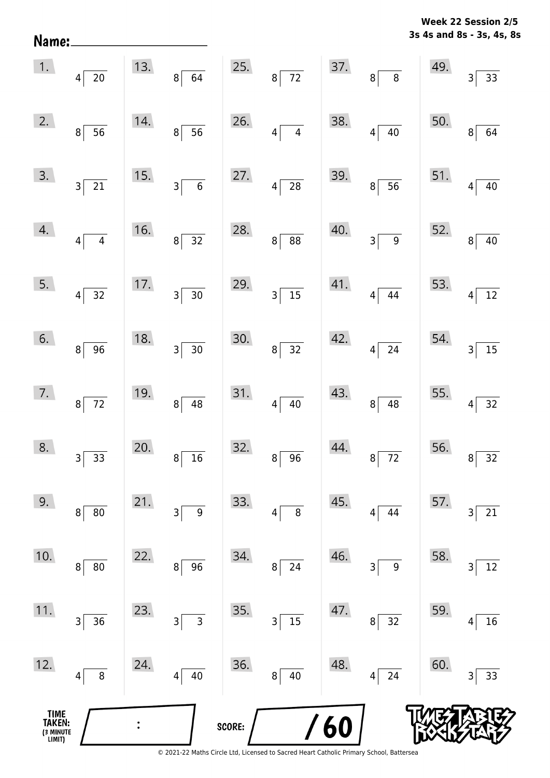**3s 4s and 8s - 3s, 4s, 8s Week 22 Session 2/5** 

|                                       | $1.$ $4\overline{20}$             |     | 13. $8 \overline{)64}$                                          |        | 25. $8\overline{72}$ 37. $8\overline{8}$ |     |                          | 49.                                    | $3\vert$<br>$\frac{1}{33}$      |
|---------------------------------------|-----------------------------------|-----|-----------------------------------------------------------------|--------|------------------------------------------|-----|--------------------------|----------------------------------------|---------------------------------|
| 2.                                    | 8 <sup>°</sup><br>$\overline{56}$ | 14. | $8\overline{)}56$                                               | 26.    | $4\overline{4}$                          | 38. | $4\sqrt{40}$             | 50.                                    | $\overline{64}$<br>$\bf{8}$     |
| 3.                                    | $3\overline{21}$                  | 15. | $3\overline{6}$                                                 | 27.    | $4\overline{28}$                         | 39. | $8\overline{)}56$        | 51. $4\begin{bmatrix} 4 \end{bmatrix}$ | $\frac{1}{40}$                  |
| 4.                                    | $4\overline{4}$                   | 16. | $8\sqrt{32}$                                                    | 28.    | $8\overline{)88}$                        |     | $40.$ $3 \overline{)9}$  | 52.                                    | $\boxed{40}$<br>$\vert 8 \vert$ |
| 5.                                    | $4\vert$<br>$\frac{1}{32}$        |     | $\begin{array}{ c c }\n\hline\n17. & \quad 3 & 30\n\end{array}$ | 29.    | $3\overline{\smash{)}15}$                |     | $41.$ $4 \overline{)44}$ | 53.                                    | $4\overline{12}$                |
| 6.                                    | $8\sqrt{ }$<br>$\overline{96}$    | 18. | $3\overline{)30}$                                               | 30.    | $8\overline{)32}$                        |     | $42.$ $4 \overline{)24}$ | $54.$ $3\overline{)}$                  | $\boxed{15}$                    |
| 7.                                    | $8\overline{72}$                  | 19. | $8\overline{)48}$                                               |        | 31. $4 \overline{)40}$                   | 43. | $8\sqrt{48}$             | 55. $4\lceil$                          | $\boxed{32}$                    |
| 8.                                    | $3\overline{)33}$                 | 20. | $\frac{1}{16}$<br>$\left 8\right $                              |        | 32.896                                   | 44. | $8\sqrt{72}$             |                                        | 56. $8\overline{)32}$           |
| 9.                                    | $80\,$<br>$\bf 8$                 | 21. | $\boldsymbol{9}$<br>3                                           | 33.    | 8<br>4                                   | 45. | 44<br>4                  | 57.                                    | 21<br>3                         |
| 10.                                   | 8<br>$80\,$                       | 22. | 96<br>8                                                         | 34.    | 24<br>8 <sup>1</sup>                     | 46. | $\boldsymbol{9}$<br>3    | 58.                                    | 12<br>3                         |
| 11.                                   | 36<br>3                           | 23. | 3<br>3                                                          | 35.    | $15\,$<br>3                              | 47. | 32<br>8                  | 59.                                    | 16<br>4                         |
| 12.                                   | 8<br>4                            | 24. | 40<br>4                                                         | 36.    | 8 <sup>1</sup><br>40                     | 48. | 24<br>$\vert 4 \vert$    | 60.                                    | 33<br>3                         |
| TIME<br>TAKEN:<br>(3 MINUTE<br>LIMIT) |                                   |     |                                                                 | SCORE: |                                          | 60  |                          |                                        |                                 |

Name: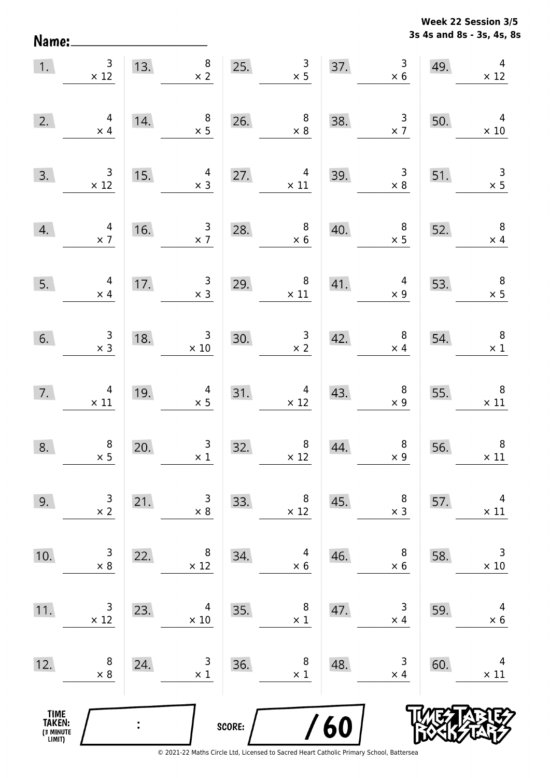**3s 4s and 8s - 3s, 4s, 8s Week 22 Session 3/5** 

| 1.                                    | $\begin{array}{c} 3 \\ \times 12 \end{array}$ |     | $\begin{array}{c} 8 \\ \times 2 \end{array}$<br>13. | 25.    | $\begin{array}{c} 3 \\ \times 5 \end{array}$      | 37.        | $\begin{array}{r} 3 \\ \times 6 \end{array}$                             | 49. | $\overline{\mathbf{4}}$<br>$\times$ 12        |
|---------------------------------------|-----------------------------------------------|-----|-----------------------------------------------------|--------|---------------------------------------------------|------------|--------------------------------------------------------------------------|-----|-----------------------------------------------|
| 2.                                    | $\begin{array}{c} 4 \\ \times 4 \end{array}$  | 14. | $\begin{array}{c} 8 \\ \times 5 \end{array}$        | 26.    | $\begin{array}{c} 8 \\ \times 8 \end{array}$      | 38.        | $\frac{3}{x}$                                                            | 50. | $\overline{4}$<br>$\times 10$                 |
| 3.                                    | $\begin{array}{c} 3 \\ \times 12 \end{array}$ | 15. | $\begin{array}{r} 4 \\ \times 3 \end{array}$        |        | 27. $4 \times 11$                                 | 39.        | $\begin{array}{c} 3 \\ \times 8 \end{array}$                             | 51. | $\begin{array}{r} 3 \\ \times 5 \end{array}$  |
| 4.                                    | $\begin{array}{c} 4 \\ \times 7 \end{array}$  | 16. | $\frac{3}{x}$                                       | 28.    | $\begin{array}{c} 8 \\ \times 6 \end{array}$      | 40.        | $\begin{array}{c} 8 \\ \times 5 \end{array}$                             | 52. | $\overline{\mathbf{8}}$<br>$\times$ 4         |
| 5.                                    | $\begin{array}{c} 4 \\ \times 4 \end{array}$  | 17. | $\begin{array}{c} 3 \\ x \end{array}$               |        | 29. $\begin{array}{r} 8 \\ \times 11 \end{array}$ | 41.        | $\begin{array}{r} 4 \\ \times 9 \end{array}$                             | 53. | $\begin{array}{c} 8 \\ \times 5 \end{array}$  |
| 6.                                    | $\begin{array}{c} 3 \\ \times 3 \end{array}$  | 18. | $\begin{array}{r} 3 \\ \times 10 \end{array}$       | 30.    | $\frac{3}{x^2}$                                   | 42.        | $\begin{array}{c} 8 \\ \times 4 \end{array}$                             | 54. | $\times$ 1                                    |
| 7.                                    | $\begin{array}{c} 4 \\ \times 11 \end{array}$ | 19. | $\begin{array}{r}4 \\ \times 5\end{array}$          |        | $31. \frac{4}{x 12}$                              | 43.        | $\begin{array}{c} 8 \\ \times 9 \end{array}$                             | 55. | $\begin{array}{c} 8 \\ \times 11 \end{array}$ |
| 8.                                    | $\begin{array}{c} 8 \\ \times 5 \end{array}$  | 20. | $\begin{array}{r} 3 \\ \times 1 \end{array}$        | 32.    | $\begin{array}{r} 8 \\ \times 12 \end{array}$     | 44.        | $\begin{array}{c} 8 \\ \times 9 \end{array}$<br>$\overline{\phantom{a}}$ | 56. | $\times$ 11                                   |
| 9.                                    | 3<br>$\times$ 2                               | 21. | 3<br>$\times 8$                                     | 33.    | 8<br>$\times$ 12                                  | 45.        | 8<br>$\times$ 3                                                          | 57. | 4<br>$\times$ 11                              |
| 10.                                   | 3<br>$\times$ 8                               | 22. | 8<br>$\times$ 12                                    | 34.    | 4<br>$\times$ 6                                   | 46.        | 8<br>$\times$ 6                                                          | 58. | 3<br>$\times$ 10                              |
| 11.                                   | 3<br>$\times$ 12                              | 23. | 4<br>$\times$ 10                                    | 35.    | 8<br>$\times$ 1                                   | 47.        | 3<br>$\times$ 4                                                          | 59. | 4<br>$\times$ 6                               |
| 12.                                   | 8<br>$\times$ 8                               | 24. | 3<br>$\times$ 1                                     | 36.    | 8<br>$\times$ 1                                   | 48.        | 3<br>$\times$ 4                                                          | 60. | 4<br>$\times$ 11                              |
| TIME<br>TAKEN:<br>(3 MINUTE<br>LIMIT) |                                               |     |                                                     | SCORE: |                                                   | <b>/60</b> |                                                                          |     |                                               |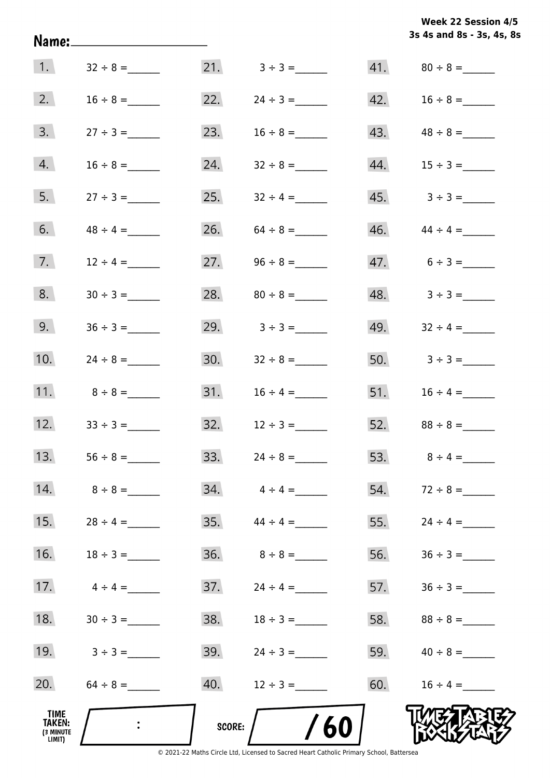|                                       |                |        |                                  |     | 3s 4s and 8s - 3s, 4s, 8s |
|---------------------------------------|----------------|--------|----------------------------------|-----|---------------------------|
| $\vert 1. \vert$                      |                |        |                                  |     |                           |
| 2.                                    | $16 \div 8 =$  | 22.    |                                  |     |                           |
| 3.                                    |                | 23.    |                                  |     | 43. $48 \div 8 =$         |
| 4.                                    |                |        | 24. $32 \div 8 =$                |     |                           |
| 5.                                    |                |        | 25. $32 \div 4 =$                |     |                           |
| 6.                                    | $48 \div 4 =$  |        | 26. $64 \div 8 =$                |     | $46.$ $44 \div 4 =$       |
| 7.                                    | $12 \div 4 =$  |        | 27. $96 \div 8 =$                |     | $47.6 \div 3 =$           |
| 8.                                    |                |        |                                  |     | $48. 3 \div 3 =$          |
| 9.                                    |                |        | 29. $3 \div 3 =$                 |     | 49. $32 \div 4 =$         |
| 10.                                   | $24 \div 8 =$  |        |                                  |     | 50. $3 \div 3 =$          |
| 11.                                   | $8 \div 8 =$   |        |                                  |     | 51. $16 \div 4 =$         |
| 12.                                   | $33 \div 3 =$  |        | $32. \hspace{1cm} 12 \div 3 =$   |     |                           |
| 13.                                   |                |        | 33. $24 \div 8 =$                |     | 53. $8 \div 4 =$          |
| 14.                                   | $8 \div 8 =$   |        | $34. \qquad 4 \div 4 =$          | 54. | $72 \div 8 =$             |
| 15.                                   | $28 \div 4 =$  |        | $35.$ $44 \div 4 =$              | 55. | $24 \div 4 =$             |
| 16.                                   | $18 \div 3 =$  |        |                                  | 56. |                           |
| 17.                                   | $4 \div 4 =$   |        |                                  | 57. |                           |
| 18.                                   |                |        |                                  |     |                           |
| 19.                                   | $3 \div 3 =$   |        | $39. \hspace{1.5cm} 24 \div 3 =$ |     | 59. $40 \div 8 =$         |
| 20.                                   | $64 \div 8 =$  | 40.    | $12 \div 3 =$                    | 60. | $16 \div 4 =$             |
| TIME<br>TAKEN:<br>(3 MINUTE<br>LIMIT) | $\ddot{\cdot}$ | SCORE: | /60                              |     |                           |

**Week 22 Session 4/5**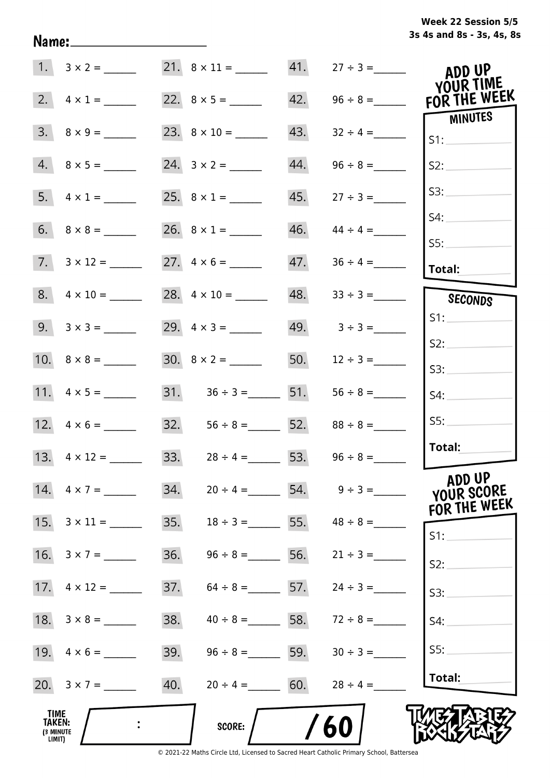|  | Week 22 Session 5/5       |  |  |  |
|--|---------------------------|--|--|--|
|  | 3s 4s and 8s - 3s, 4s, 8s |  |  |  |

|                                              | 1. $3 \times 2 =$        |     |                                     |     |                                | ADD UP                               |
|----------------------------------------------|--------------------------|-----|-------------------------------------|-----|--------------------------------|--------------------------------------|
| 2.                                           | $4 \times 1 =$           |     |                                     | 42. | $96 \div 8 =$                  | YOUR TIME<br>FOR THE WEEK            |
| 3.                                           | $8 \times 9 =$           |     |                                     | 43. | $32 \div 4 =$                  | MINUTES<br>S1:                       |
|                                              | $4. 8 \times 5 =$        |     |                                     | 44. | $96 \div 8 =$                  | S2:                                  |
|                                              |                          |     |                                     | 45. | $27 \div 3 =$                  | S3:                                  |
|                                              |                          |     |                                     | 46. | $44 \div 4 =$                  | S4:                                  |
|                                              | $7. \quad 3 \times 12 =$ |     |                                     | 47. |                                | SS:<br><b>Total:</b>                 |
|                                              | $8. 4 \times 10 =$       |     |                                     | 48. | $33 \div 3 =$                  | SECONDS                              |
|                                              | $9. 3 \times 3 =$        |     | 29. $4 \times 3 =$                  |     | $49. 3 \div 3 =$               | S1:                                  |
|                                              |                          |     | $30. 8 \times 2 =$                  |     | 50. $12 \div 3 =$              | S2:<br>S3:                           |
|                                              | 11. $4 \times 5 =$       |     | 31. $36 \div 3 =$ 51. $56 \div 8 =$ |     |                                | S4:                                  |
|                                              |                          |     | 32. $56 \div 8 =$ 52. $88 \div 8 =$ |     |                                | SS:                                  |
|                                              | 13. $4 \times 12 =$      |     | 33. $28 \div 4 =$ 53. $96 \div 8 =$ |     |                                | Total:                               |
|                                              | 14. $4 \times 7 =$       | 34. |                                     |     | $20 \div 4 =$ 54. $9 \div 3 =$ | ADD UP<br>YOUR SCORE<br>FOR THE WEEK |
| 15.                                          | $3 \times 11 =$          | 35. | $18 \div 3 =$                       | 55. | $48 \div 8 =$                  | S1:                                  |
| 16.                                          | $3 \times 7 =$           | 36. | $96 \div 8 =$                       | 56. | $21 \div 3 =$                  | S2:                                  |
| 17.                                          | $4 \times 12 =$          | 37. | $64 \div 8 =$ 57.                   |     | $24 \div 3 =$                  | S3:                                  |
| 18.                                          | $3 \times 8 =$           | 38. | $40 \div 8 = 58.$                   |     | $72 \div 8 =$                  | S4:                                  |
|                                              |                          | 39. | $96 \div 8 = 59.$                   |     | $30 \div 3 =$                  | SS:                                  |
|                                              | 20. $3 \times 7 =$       | 40. | $20 \div 4 = 60.$                   |     | $28 \div 4 =$                  | Total:                               |
| <b>TIME</b><br>TAKEN:<br>(3 MINUTE<br>LIMIT) |                          |     | SCORE:                              |     | 60                             |                                      |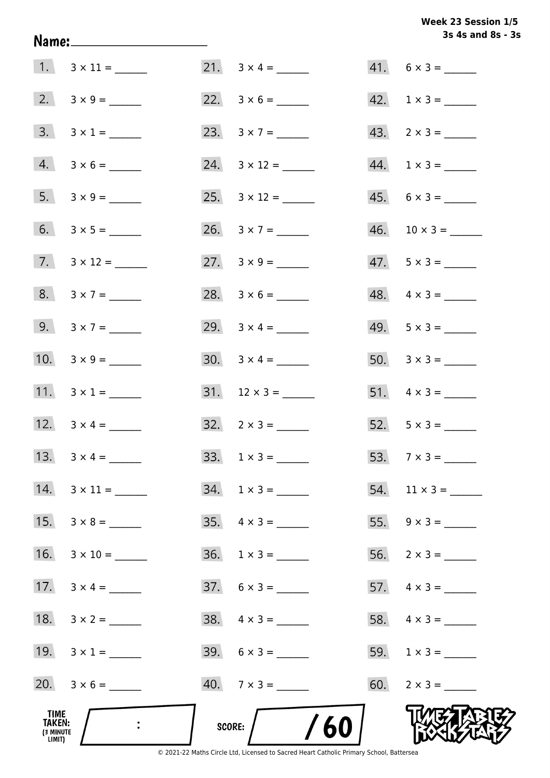Week 23 Session 1/5 3s 4s and 8s - 3s

|                                              |                           |                          | 3s 4s and 8s - 3            |
|----------------------------------------------|---------------------------|--------------------------|-----------------------------|
|                                              |                           |                          | $41. 6 \times 3 =$          |
|                                              |                           | 22. $3 \times 6 =$       | $42. \quad 1 \times 3 = \_$ |
|                                              | $3. 3 \times 1 =$         | 23. $3 \times 7 =$       | $43. \quad 2 \times 3 =$    |
|                                              | $4. 3 \times 6 =$         | 24. $3 \times 12 =$      | $44. 1 \times 3 =$          |
|                                              | $5. 3 \times 9 =$         | 25. $3 \times 12 =$      | $45. 6 \times 3 =$          |
|                                              |                           | 26. $3 \times 7 =$       |                             |
|                                              | 7. $3 \times 12 =$        | 27. $3 \times 9 =$       | $47.5 \times 3 =$           |
|                                              | $8. 3 \times 7 =$         |                          | $48. \quad 4 \times 3 =$    |
|                                              | 9. $3 \times 7 =$         | 29. $3 \times 4 =$       | $49. 5 \times 3 =$          |
|                                              | 10. $3 \times 9 =$        |                          |                             |
|                                              | 11. $3 \times 1 =$        |                          | 51. $4 \times 3 =$          |
|                                              | 12. $3 \times 4 =$        | $32. \quad 2 \times 3 =$ | $52. 5 \times 3 =$          |
|                                              |                           | $33. 1 \times 3 =$       | 53. $7 \times 3 =$          |
|                                              | $14. \quad 3 \times 11 =$ | $34. 1 \times 3 =$       |                             |
| 15.                                          | $3 \times 8 =$            | $35. \quad 4 \times 3 =$ |                             |
| 16.                                          | $3 \times 10 =$           | $36. 1 \times 3 =$       | $56. 2 \times 3 =$          |
| 17.                                          | $3 \times 4 =$            | $37. 6 \times 3 =$       |                             |
| 18.                                          |                           | $38. \quad 4 \times 3 =$ | 58. $4 \times 3 =$          |
|                                              | 19. $3 \times 1 =$        | $39. 6 \times 3 =$       | 59. $1 \times 3 =$          |
|                                              | 20. $3 \times 6 =$        | $40.7 \times 3 =$        | 60. $2 \times 3 =$          |
| TIME<br><b>TAKEN:</b><br>(3 MINUTE<br>LIMIT) |                           | /60<br>SCORE:            |                             |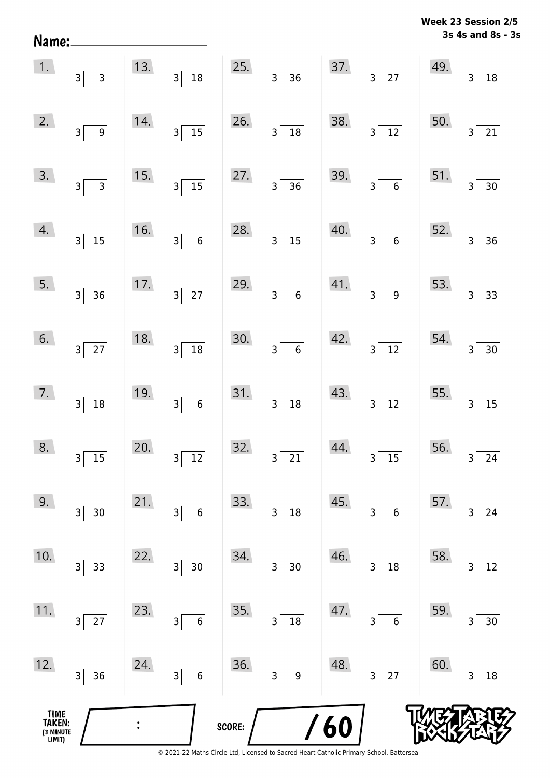| Name:                                 |                                            |     |                                           |        |                                        |            |                                           |     | วร 4s and os - ะ                           |
|---------------------------------------|--------------------------------------------|-----|-------------------------------------------|--------|----------------------------------------|------------|-------------------------------------------|-----|--------------------------------------------|
| 1.                                    | $3\overline{3}$                            | 13. | $\frac{1}{18}$<br>$3\sqrt{ }$             | 25.    | $3\overline{)36}$                      | 37.        | $3\overline{27}$                          | 49. | $\overline{18}$<br>3                       |
| 2.                                    | $3\overline{9}$                            | 14. | $\frac{15}{15}$<br>$3\sqrt{ }$            | 26.    | $3\overline{)18}$                      | 38.        | $3\overline{12}$                          | 50. | $\overline{21}$<br>3                       |
| 3.                                    | $3\overline{3}$                            | 15. | $\frac{1}{15}$<br>$3\sqrt{ }$             | 27.    | $3\overline{)36}$                      | 39.        | $3\overline{6}$                           | 51. | $\overline{30}$<br>$\overline{\mathsf{3}}$ |
| 4.                                    | $3\sqrt{15}$                               | 16. | $\overline{\phantom{0}}$ 6<br>$3\sqrt{ }$ | 28.    | $3\overline{)15}$                      | 40.        | $\overline{\phantom{0}}$ 6<br>$3\sqrt{2}$ | 52. | $\overline{36}$<br>3                       |
| 5.                                    | $3\overline{)36}$                          | 17. | $3\overline{27}$                          | 29.    | $\overline{\phantom{0}}$ 6<br>$3\vert$ | 41.        | $\overline{9}$<br>$3\vert$                | 53. | $\overline{33}$<br>$\overline{\mathbf{3}}$ |
| 6.                                    | $3\sqrt{27}$                               | 18. | $\overline{18}$<br>$3^{\circ}$            | 30.    | $3\overline{6}$                        | 42.        | $3\sqrt{12}$                              | 54. | $\overline{30}$<br>$\overline{\mathbf{3}}$ |
| 7.                                    | $3\overline{)18}$                          | 19. | $\overline{\phantom{0}}$ 6<br>$3\sqrt{ }$ | 31.    | $3\overline{)18}$                      | 43.        | $3\overline{)12}$                         | 55. | $\overline{15}$<br>$\overline{3}$          |
| 8.                                    | 15<br>3                                    | 20. | 12<br>3                                   | 32.    | $\overline{21}$<br>3                   | 44.        | 15<br>$\mathsf 3$                         | 56. | 24<br>3                                    |
| 9.                                    | 30<br>$3\vert$                             | 21. | $\boldsymbol{6}$<br>3                     | 33.    | $18\,$<br>3                            | 45.        | $\boldsymbol{6}$<br>3                     | 57. | 24<br>3                                    |
| 10.                                   | 33<br>3                                    | 22. | 30<br>3                                   | 34.    | $30\,$<br>$\overline{\mathbf{3}}$      | 46.        | $18\,$<br>3                               | 58. | 12<br>3                                    |
| 11.                                   | $\overline{27}$<br>$\overline{\mathbf{3}}$ | 23. | $\boldsymbol{6}$<br>3                     | 35.    | 18<br>$\overline{\mathbf{3}}$          | 47.        | $\boldsymbol{6}$<br>3                     | 59. | 30<br>3                                    |
| 12.                                   | 36<br>3                                    | 24. | $\overline{6}$<br>$\overline{\mathbf{3}}$ | 36.    | 9<br>3                                 | 48.        | $\overline{27}$<br>3                      | 60. | 18<br>3                                    |
| TIME<br>TAKEN:<br>(3 MINUTE<br>LIMIT) |                                            |     |                                           | SCORE: |                                        | <b>/60</b> |                                           |     |                                            |

**3s 4s and 8s - 3s Week 23 Session 2/5**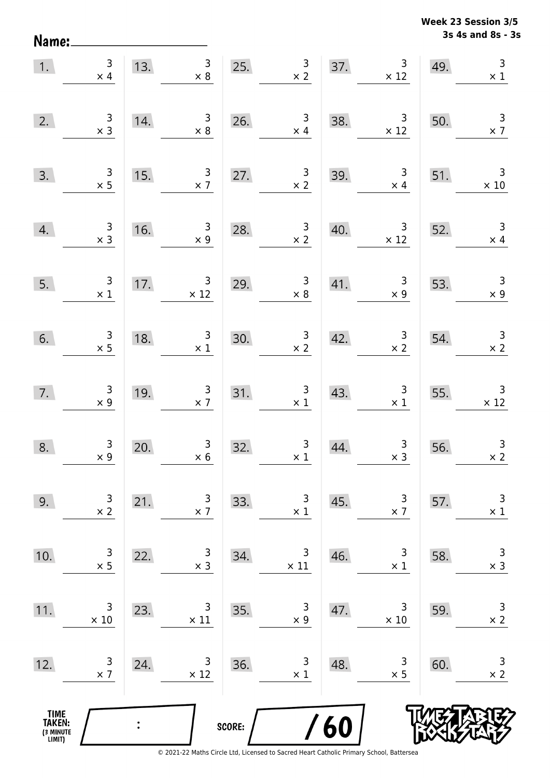Name:

**3s 4s and 8s - 3s Week 23 Session 3/5** 

| 1.                                            | $\begin{array}{c} 3 \\ \times 4 \end{array}$ | 13.            | 3 <sup>7</sup><br>$\times 8$                  |        | $\begin{array}{c} 3 \\ \times 2 \end{array}$<br>25. |     | 37. $3/12$                                    | 49. | $\overline{3}$<br>$\overline{\phantom{1}}$ $\times$ 1 |
|-----------------------------------------------|----------------------------------------------|----------------|-----------------------------------------------|--------|-----------------------------------------------------|-----|-----------------------------------------------|-----|-------------------------------------------------------|
| 2.                                            | $\begin{array}{c} 3 \\ \times 3 \end{array}$ | 14.            | $\begin{array}{r} 3 \\ \times 8 \end{array}$  |        | 26. $\frac{3}{x 4}$                                 | 38. | $\begin{array}{c} 3 \\ \times 12 \end{array}$ | 50. | $\begin{array}{c} 3 \\ \times 7 \end{array}$          |
| 3.                                            | $\begin{array}{c} 3 \\ \times 5 \end{array}$ | 15.            | $\begin{array}{c} 3 \\ \times 7 \end{array}$  | 27.    | $\frac{3}{x^2}$                                     | 39. | $\begin{array}{c} 3 \\ \times 4 \end{array}$  | 51. | $\overline{\phantom{a}}$ 3<br>$\times 10$             |
| 4.                                            | $\begin{array}{c} 3 \\ \times 3 \end{array}$ | 16.            | $\begin{array}{c} 3 \\ \times 9 \end{array}$  | 28.    | $\frac{3}{x^2}$                                     | 40. | $\begin{array}{r} 3 \\ \times 12 \end{array}$ | 52. | $\overline{3}$<br>$\times$ 4                          |
| 5.                                            | $\begin{array}{c} 3 \\ \times 1 \end{array}$ | 17.            | $\begin{array}{c} 3 \\ \times 12 \end{array}$ | 29.    | $\begin{array}{c} 3 \\ \times 8 \end{array}$        | 41. | $\begin{array}{c} 3 \\ \times 9 \end{array}$  | 53. | $\begin{array}{c} 3 \\ \times 9 \end{array}$          |
| 6.                                            | $\begin{array}{c} 3 \\ \times 5 \end{array}$ | 18.            | $\begin{array}{c} 3 \\ \times 1 \end{array}$  | 30.    | $\begin{array}{c} 3 \\ \times 2 \end{array}$        | 42. | $\begin{array}{c} 3 \\ \times 2 \end{array}$  | 54. | $\begin{array}{c} 3 \\ \times 2 \end{array}$          |
| 7.                                            | $\begin{array}{r} 3 \\ \times 9 \end{array}$ | 19.            | $\begin{array}{c} 3 \\ \times 7 \end{array}$  |        | 31. $\begin{array}{c} 3 \\ \times 1 \end{array}$    | 43. | $\begin{array}{c} 3 \\ \times 1 \end{array}$  | 55. | $\begin{array}{c} 3 \\ \times 12 \end{array}$         |
| 8.                                            | $\begin{array}{c} 3 \\ \times 9 \end{array}$ | 20.            | $\begin{array}{c} 3 \\ \times 6 \end{array}$  | 32.    | $\begin{array}{c} 3 \\ \times 1 \end{array}$        | 44. | $\begin{array}{c} 3 \\ x 3 \end{array}$       | 56. | $\begin{array}{c} 3 \\ \times 2 \end{array}$          |
| 9.                                            | 3<br>$\times$ 2                              | 21.            | 3<br>$\times$ 7                               | 33.    | 3<br>$\times$ 1                                     | 45. | 3<br>$\times$ 7                               | 57. | $\mathsf 3$<br>$\times$ 1                             |
| 10.                                           | 3<br>$\times$ 5                              | 22.            | $\mathsf 3$<br>$\times$ 3                     | 34.    | 3<br>$\times$ 11                                    | 46. | 3<br>$\times$ 1                               | 58. | $\mathsf 3$<br>$\times$ 3                             |
| 11.                                           | 3<br>$\times$ 10                             | 23.            | 3<br>$\times$ 11                              | 35.    | 3<br>$\times$ 9                                     | 47. | 3<br>$\times 10$                              | 59. | $\mathsf 3$<br>$\times$ 2                             |
| 12.                                           | 3<br>$\times$ 7                              | 24.            | 3<br>$\times$ 12                              | 36.    | 3<br>$\times$ 1                                     | 48. | 3<br>$\times$ 5                               | 60. | $\mathsf{3}$<br>$\times$ 2                            |
| <b>TIME<br/>TAKEN:</b><br>(3 MINUTE<br>LIMIT) |                                              | $\ddot{\cdot}$ |                                               | SCORE: |                                                     | 60  |                                               |     |                                                       |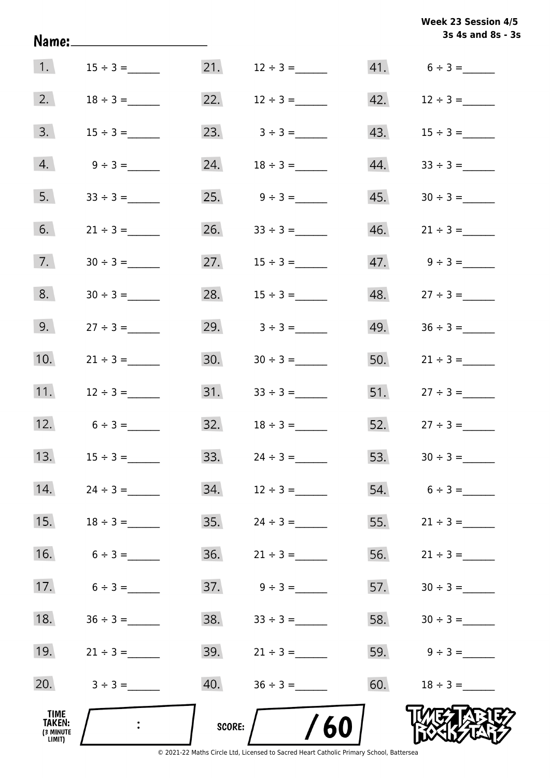|                                       |               |               |                     |     | Week 23 Session 4/5<br>3s 4s and 8s - 3s |
|---------------------------------------|---------------|---------------|---------------------|-----|------------------------------------------|
| 1.                                    | $15 \div 3 =$ |               |                     |     | $41. 6 \div 3 =$                         |
| 2.                                    | $18 \div 3 =$ |               | 22. $12 \div 3 =$   |     |                                          |
| 3.                                    | $15 \div 3 =$ |               | 23. $3 \div 3 =$    |     |                                          |
| 4.                                    | $9 \div 3 =$  | 24.           | $18 \div 3 =$       | 44. |                                          |
| 5.                                    |               |               |                     |     |                                          |
| 6.                                    | $21 \div 3 =$ |               |                     |     |                                          |
| 7.                                    |               |               | 27. $15 \div 3 =$   |     | $47.$ $9 \div 3 =$                       |
| 8.                                    |               | 28.           | $15 \div 3 =$       | 48. | $27 \div 3 =$                            |
| 9.                                    | $27 \div 3 =$ | 29.           | $3 \div 3 =$        | 49. | $36 \div 3 =$                            |
| 10.                                   | $21 \div 3 =$ | 30.           | $30 \div 3 =$       |     | 50. $21 \div 3 =$                        |
| 11.                                   | $12 \div 3 =$ |               | $31.$ $33 \div 3 =$ |     | $51.$ $27 \div 3 =$                      |
| 12.                                   | $6 \div 3 =$  |               | $32.$ $18 \div 3 =$ |     | 52. $27 \div 3 =$                        |
| 13.                                   |               | 33.           |                     | 53. |                                          |
| 14.                                   |               | 34.           | $12 \div 3 =$       | 54. | $6 \div 3 =$                             |
| 15.                                   |               | 35.           | $24 \div 3 =$       | 55. | $21 \div 3 =$                            |
| 16.                                   | $6 \div 3 =$  | 36.           | $21 \div 3 =$       | 56. | $21 \div 3 =$                            |
| 17.                                   | $6 \div 3 =$  | 37.           | $9 \div 3 =$        | 57. | $30 \div 3 =$                            |
| 18.                                   |               | 38.           |                     | 58. |                                          |
| 19.                                   | $21 \div 3 =$ | 39.           | $21 \div 3 =$       | 59. | $9 \div 3 =$                             |
| 20.                                   | $3 \div 3 =$  | 40.           |                     | 60. | $18 \div 3 =$                            |
| TIME<br>TAKEN:<br>(3 MINUTE<br>LIMIT) |               | <b>SCORE:</b> | /60                 |     |                                          |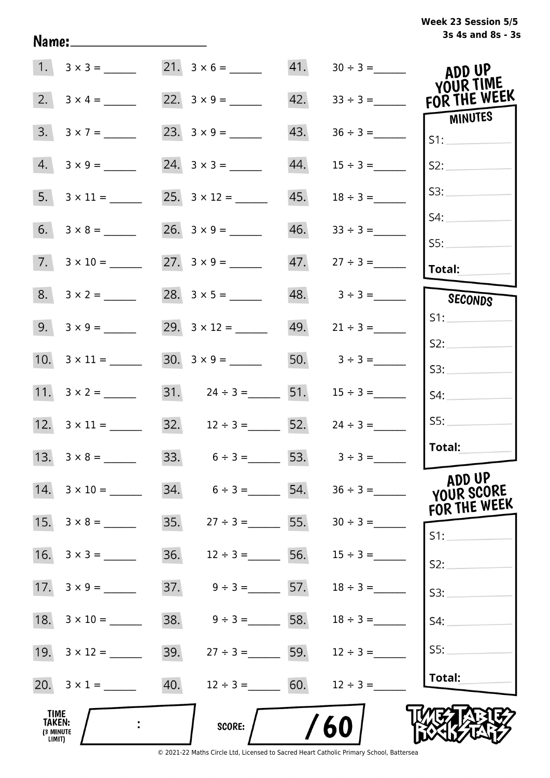| Week 23 Session 5/5 |                   |  |  |
|---------------------|-------------------|--|--|
|                     | 3s 4s and 8s - 3s |  |  |

|                                       |                           | $21. 3 \times 6 =$                  |     | $41. 30 \div 3 =$ | ADD UP<br>YOUR TIME        |
|---------------------------------------|---------------------------|-------------------------------------|-----|-------------------|----------------------------|
| 2.                                    | $3 \times 4 =$            |                                     | 42. | $33 \div 3 =$     | FOR THE WEEK               |
| 3.                                    | $3 \times 7 =$            |                                     | 43. |                   | <b>MINUTES</b><br>S1:      |
| 4.                                    | $3 \times 9 =$            | $24. 3 \times 3 =$                  | 44. | $15 \div 3 =$     | S2:                        |
|                                       | $5. 3 \times 11 =$        |                                     | 45. | $18 \div 3 =$     | S3:                        |
| 6.                                    |                           |                                     | 46. | $33 \div 3 =$     | S4:                        |
|                                       | $7. \quad 3 \times 10 =$  |                                     |     |                   | SS:<br><b>Total:</b>       |
|                                       | $8. 3 \times 2 =$         |                                     |     | $48. 3 \div 3 =$  | SECONDS                    |
|                                       |                           | 29. $3 \times 12 =$                 |     | $49. 21 \div 3 =$ | S1:                        |
|                                       |                           |                                     |     | 50. $3 \div 3 =$  | S2:                        |
|                                       |                           | 31. $24 \div 3 =$ 51. $15 \div 3 =$ |     |                   | S3:<br>S4:                 |
|                                       |                           | 32. $12 \div 3 =$ 52. $24 \div 3 =$ |     |                   | SS:                        |
|                                       |                           | 33. $6 \div 3 = 53.$ $3 \div 3 =$   |     |                   | Total:                     |
|                                       | 13. $3 \times 8 =$        |                                     |     |                   | ADD UP                     |
|                                       | $14. \quad 3 \times 10 =$ | 34.<br>$6 \div 3 = 54.$             |     | $36 \div 3 =$     | YOUR SCORE<br>FOR THE WEEK |
|                                       | 15. $3 \times 8 =$        | 35.<br>$27 \div 3 =$ 55.            |     |                   | S1:                        |
|                                       | 16. $3 \times 3 =$        | 36.<br>$12 \div 3 =$ 56.            |     | $15 \div 3 =$     | S2:                        |
|                                       | 17. $3 \times 9 =$        | 37.<br>$9 \div 3 =$ 57.             |     | $18 \div 3 =$     | S3:                        |
|                                       |                           | 38.<br>$9 \div 3 =$ 58.             |     | $18 \div 3 =$     | S4:                        |
|                                       |                           | 39.<br>$27 \div 3 =$ 59.            |     | $12 \div 3 =$     | S5:                        |
|                                       | 20. $3 \times 1 =$        | 40.<br>$12 \div 3 =$ 60.            |     | $12 \div 3 =$     | Total:                     |
| TIME<br>TAKEN:<br>(3 MINUTE<br>LIMIT) |                           | <b>SCORE:</b>                       |     | 60                |                            |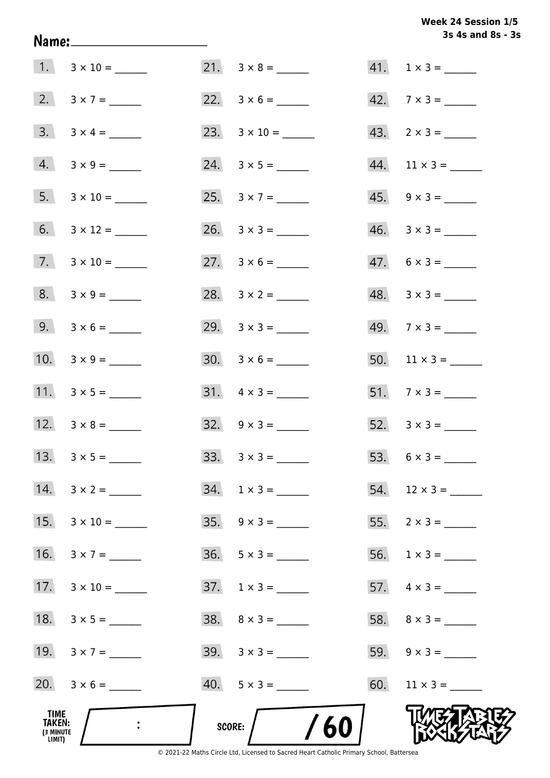Week 24 Session 1/5 3s 4s and 8s - 3s

|                                              |                      |                             | 3s 4s and 8s - 3         |
|----------------------------------------------|----------------------|-----------------------------|--------------------------|
|                                              |                      |                             | $41. 1 \times 3 =$       |
|                                              | 2. $3 \times 7 =$    |                             | $42.7 \times 3 =$        |
|                                              | $3. 3 \times 4 =$    | 23. $3 \times 10 =$         | $43. \quad 2 \times 3 =$ |
|                                              | $4. 3 \times 9 =$    |                             |                          |
|                                              | 5. $3 \times 10 =$   | 25. $3 \times 7 =$          | $45. \quad 9 \times 3 =$ |
|                                              | 6. $3 \times 12 =$   |                             |                          |
|                                              | $7. \ 3 \times 10 =$ | 27. $3 \times 6 =$          | $47. 6 \times 3 =$       |
|                                              | $8. 3 \times 9 =$    | 28. $3 \times 2 =$          | $48. 3 \times 3 =$       |
|                                              | 9. $3 \times 6 =$    | 29. $3 \times 3 =$          | $49.7 \times 3 =$        |
|                                              | 10. $3 \times 9 =$   |                             | $50.$ 11 × 3 = _______   |
|                                              |                      |                             |                          |
|                                              | 12. $3 \times 8 =$   | $32. \quad 9 \times 3 =$    |                          |
|                                              |                      | $33. \quad 3 \times 3 =$    |                          |
| 14.                                          | $3 \times 2 =$       | $34. 1 \times 3 =$          |                          |
| 15.                                          |                      | $35. \quad 9 \times 3 =$    |                          |
| 16.                                          | $3 \times 7 =$       | $36. 5 \times 3 =$          |                          |
| 17.                                          |                      | $37. \quad 1 \times 3 = \_$ |                          |
| 18.                                          |                      |                             |                          |
|                                              | 19. $3 \times 7 =$   |                             | 59. $9 \times 3 =$       |
|                                              | 20. $3 \times 6 =$   |                             |                          |
| TIME<br><b>TAKEN:</b><br>(3 MINUTE<br>LIMIT) |                      | /60<br>SCORE:               |                          |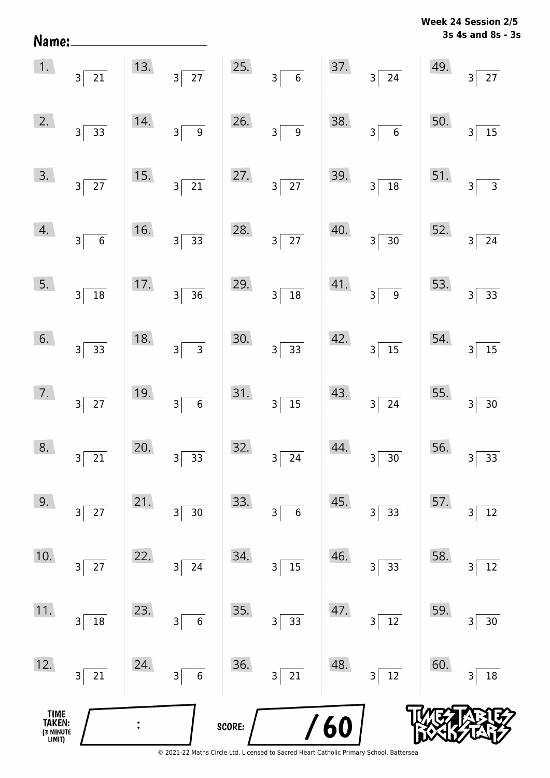| Name:                                 |                                           |     |                             |        |                                             |     |                                            |     | $3s$ 4s and 8s - $3s$                                  |
|---------------------------------------|-------------------------------------------|-----|-----------------------------|--------|---------------------------------------------|-----|--------------------------------------------|-----|--------------------------------------------------------|
| 1.                                    | 3 <sup>5</sup><br>$\overline{21}$         | 13. | $3\overline{27}$            | 25.    | $3\overline{6}$                             | 37. | $3\overline{\smash{)}24}$                  | 49. | $\overline{27}$<br>$\overline{\mathsf{3}}$             |
| 2.                                    | $3\sqrt{ }$<br>$\overline{33}$            | 14. | $\overline{9}$<br>$3\vert$  | 26.    | $3\overline{9}$                             | 38. | $3\overline{6}$                            | 50. | $\overline{15}$<br>3                                   |
| 3.                                    | $3\overline{27}$                          | 15. | $\overline{21}$<br>$3\vert$ | 27.    | $3\overline{27}$                            | 39. | $3\sqrt{18}$                               | 51. | $\overline{\overline{\overline{3}}}$<br>$\overline{3}$ |
| 4.                                    | $3\sqrt{ }$<br>$\overline{\phantom{0}}$ 6 | 16. | $3\overline{)33}$           | 28.    | $3\overline{27}$                            | 40. | $\frac{1}{30}$<br>$3\sqrt{ }$              | 52. | $\overline{24}$<br>3                                   |
| 5.                                    | $3\sqrt{18}$                              | 17. | $3\overline{)36}$           | 29.    | $\boxed{18}$<br>3 <sup>5</sup>              | 41. | $\overline{9}$<br>$3\vert$                 | 53. | $\overline{33}$<br>$\overline{\mathbf{3}}$             |
| 6.                                    | $3 \overline{\smash{)}\ 33}$              | 18. | 3 <sup>5</sup>              | 30.    | $\frac{1}{33}$<br>3 <sup>5</sup>            | 42. | $\overline{15}$<br>$3\vert$                | 54. | $\overline{15}$<br>3                                   |
| 7.                                    | $3\overline{27}$                          | 19. | $\overline{6}$<br>$3\vert$  | 31.    | $3\overline{)15}$                           | 43. | $3\overline{)24}$                          | 55. | $\overline{30}$<br>3                                   |
| 8.                                    | 21<br>$\overline{3}$                      | 20. | 33<br>3                     | 32.    | 24<br>3                                     | 44. | 30<br>3                                    | 56. | $33\,$<br>3                                            |
| 9.                                    | 27<br>3                                   | 21. | $30\,$<br>3                 | 33.    | $\boldsymbol{6}$<br>$\overline{\mathbf{3}}$ | 45. | 33<br>$\mathsf{3}$                         | 57. | $12\,$<br>3                                            |
| 10.                                   | $27$<br>3                                 | 22. | $\overline{24}$<br>3        | 34.    | $\overline{15}$<br>$\overline{\mathbf{3}}$  | 46. | 33<br>3                                    | 58. | $12\,$<br>3                                            |
| 11.                                   | $18\,$<br>3                               | 23. | $\overline{6}$<br>3         | 35.    | 33<br>3                                     | 47. | $\overline{12}$<br>$\overline{\mathsf{3}}$ | 59. | $30\,$<br>3                                            |
| 12.                                   | $21\,$<br>3                               | 24. | $\overline{6}$<br>$3\vert$  | 36.    | $\overline{21}$<br>$\overline{\mathsf{S}}$  | 48. | $\overline{12}$<br>$\overline{\mathsf{S}}$ | 60. | $18\,$<br>3                                            |
| TIME<br>TAKEN:<br>(3 MINUTE<br>LIMIT) |                                           |     |                             | SCORE: |                                             | 60  |                                            |     |                                                        |

**3s 4s and 8s - 3s Week 24 Session 2/5**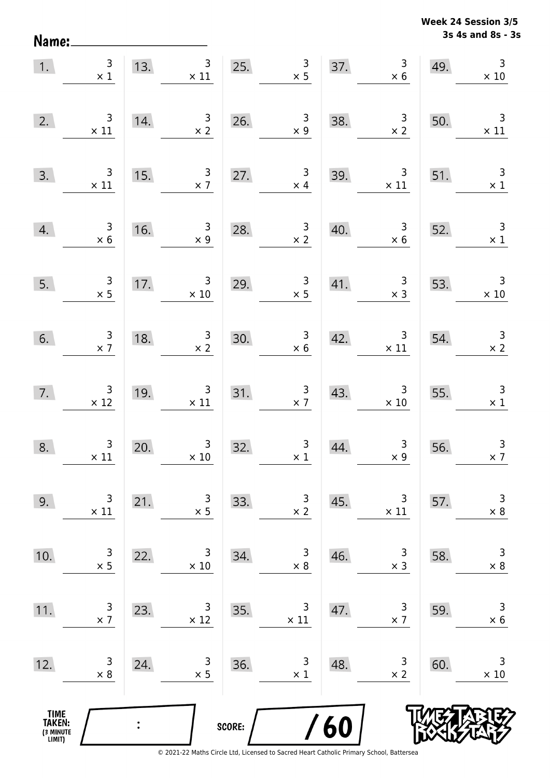Name:

**3s 4s and 8s - 3s Week 24 Session 3/5** 

| 1.                                            | $\begin{array}{c} 3 \\ \times 1 \end{array}$  |                                         | 13. $3 \times 11$ 25.                             |               | $\begin{array}{c} 3 \\ \times 5 \end{array}$     |     | 37. $3^3$                                          | 49. | $\overline{3}$<br>$\times$ 10                 |
|-----------------------------------------------|-----------------------------------------------|-----------------------------------------|---------------------------------------------------|---------------|--------------------------------------------------|-----|----------------------------------------------------|-----|-----------------------------------------------|
| 2.                                            | $\begin{array}{c} 3 \\ \times 11 \end{array}$ | 14.                                     | $\frac{3}{x^2}$                                   |               | 26. $\frac{3}{x 9}$                              | 38. | $\begin{array}{r} 3 \\ \times 2 \end{array}$       | 50. | $\overline{\phantom{a}}$<br>$\times$ 11       |
| 3.                                            | $\begin{array}{c} 3 \\ \times 11 \end{array}$ | 15.                                     | $\frac{3}{x}$                                     | 27.           | $\begin{array}{c} 3 \\ \times 4 \end{array}$     | 39. | $\begin{array}{r} 3 \\ \times 11 \end{array}$      | 51. | $\overline{\mathbf{3}}$<br>$\times$ 1         |
| 4.                                            | $\begin{array}{c} 3 \\ \times 6 \end{array}$  | $\begin{array}{c} 16. \\ - \end{array}$ | $\begin{array}{c} 3 \\ \times 9 \end{array}$      | 28.           | $\frac{3}{x^2}$                                  | 40. | $\begin{array}{c c}\n 3 \\  \times 6\n\end{array}$ | 52. | $\overline{\mathbf{3}}$<br>$\times 1$         |
| 5.                                            | $\begin{array}{c} 3 \\ \times 5 \end{array}$  |                                         | 17. $\begin{array}{r} 3 \\ \times 10 \end{array}$ |               | 29. $3 \times 5$                                 |     | 41. $3 \times 3$ 53.                               |     | $\begin{array}{r} 3 \\ \times 10 \end{array}$ |
| 6.                                            | $\begin{array}{c} 3 \\ \times 7 \end{array}$  | 18.                                     | $\begin{array}{c} 3 \\ \times 2 \end{array}$      | 30.           | $\frac{3}{\times 6}$                             |     | 42. $3 \times 11$                                  | 54. | $\begin{array}{c} 3 \\ \times 2 \end{array}$  |
| 7.                                            | $\begin{array}{r} 3 \\ \times 12 \end{array}$ | 19.                                     | $\begin{array}{c} 3 \\ \times 11 \end{array}$     |               | 31. $\begin{array}{c} 3 \\ \times 7 \end{array}$ | 43. | $\begin{array}{r} 3 \\ \times 10 \end{array}$      | 55. | $\begin{array}{r} 3 \\ \times 1 \end{array}$  |
| 8.                                            | $\begin{array}{c} 3 \\ \times 11 \end{array}$ | 20.                                     | $\begin{array}{r} 3 \\ \times 10 \end{array}$     | 32.           | $\begin{array}{c} 3 \\ \times 1 \end{array}$     | 44. | $\begin{array}{c} 3 \\ \times 9 \end{array}$       | 56. | $\mathsf{3}$<br>$\times$ 7                    |
| 9.                                            | 3<br>$\times$ 11                              | 21.                                     | 3<br>$\times$ 5                                   | 33.           | 3<br>$\times$ 2                                  | 45. | 3<br>$\times$ 11                                   | 57. | 3<br>$\times 8$                               |
| 10.                                           | 3<br>$\times$ 5                               | 22.                                     | 3<br>$\times 10$                                  | 34.           | 3<br>$\times 8$                                  | 46. | 3<br>$\times$ 3                                    | 58. | $\mathsf 3$<br>$\times$ 8                     |
| 11.                                           | 3<br>$\times$ 7                               | 23.                                     | 3<br>$\times$ 12                                  | 35.           | 3<br>$\times$ 11                                 | 47. | 3<br>$\times$ 7                                    | 59. | 3<br>$\times$ 6                               |
| 12.                                           | 3<br>$\times 8$                               | 24.                                     | 3<br>$\times$ 5                                   | 36.           | 3<br>$\times$ 1                                  | 48. | 3<br>$\times$ 2                                    | 60. | 3<br>$\times$ 10                              |
| <b>TIME<br/>TAKEN:</b><br>(3 MINUTE<br>LIMIT) |                                               | $\ddot{\cdot}$                          |                                                   | <b>SCORE:</b> |                                                  | 60  |                                                    |     |                                               |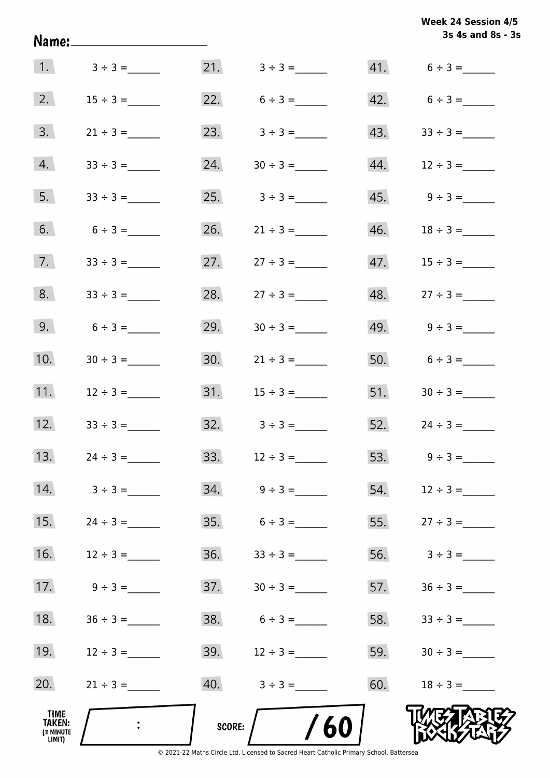|                                       | <u>Name:______________________</u> |        |                                 |     | Week 24 Session 4/5<br>3s 4s and 8s - 3s |
|---------------------------------------|------------------------------------|--------|---------------------------------|-----|------------------------------------------|
|                                       | 1. $3 \div 3 =$                    |        |                                 |     | $41. 6 \div 3 =$                         |
| 2.                                    | $15 \div 3 =$                      |        | 22. $6 \div 3 =$                |     | $42. 6 \div 3 =$                         |
| 3.                                    | $21 \div 3 =$                      |        | 23. $3 \div 3 =$                |     | $43. \hspace{1.5cm} 33 \div 3 =$         |
| 4.                                    | $33 \div 3 =$                      | 24.    | $30 \div 3 =$                   |     |                                          |
| 5.                                    | $33 \div 3 =$                      |        | $25. \hspace{1cm} 3 \div 3 =$   |     |                                          |
| 6.                                    | $6 \div 3 =$                       |        | 26. $21 \div 3 =$               |     |                                          |
| 7.                                    |                                    |        | 27. $27 \div 3 =$               |     |                                          |
| 8.                                    | $33 \div 3 =$                      | 28.    | $27 \div 3 =$                   |     |                                          |
| 9.                                    | $6 \div 3 =$                       | 29.    |                                 |     | 49. $9 \div 3 =$                         |
| 10.                                   | $30 \div 3 =$                      | 30.    | $21 \div 3 =$                   |     | 50. $6 \div 3 =$                         |
| 11.                                   | $12 \div 3 =$                      |        |                                 |     | 51. $30 \div 3 =$                        |
| 12.                                   | $33 \div 3 =$                      | 32.    | $3 \div 3 =$                    |     | $52.$ $24 \div 3 =$                      |
| 13.                                   |                                    |        | 33. $12 \div 3 =$               |     | 53. $9 \div 3 =$                         |
| 14.                                   | $3 \div 3 =$                       | 34.    | $9 \div 3 =$                    | 54. | $12 \div 3 =$                            |
| 15.                                   | $24 \div 3 =$                      | 35.    | $6 \div 3 =$                    | 55. |                                          |
| 16.                                   | $12 \div 3 =$                      | 36.    | $33 \div 3 =$                   | 56. | $3 \div 3 =$                             |
| 17.                                   | $9 \div 3 =$                       | 37.    |                                 | 57. | $36 \div 3 =$                            |
| 18.                                   | $36 \div 3 =$                      | 38.    | $6 \div 3 =$                    | 58. | $33 \div 3 =$                            |
| 19.                                   | $12 \div 3 =$                      |        | $39.$ $12 \div 3 =$             | 59. | $30 \div 3 =$                            |
| 20.                                   | $21 \div 3 =$                      |        | $40. \hspace{1.5cm} 3 \div 3 =$ | 60. | $18 \div 3 =$                            |
| TIME<br>TAKEN:<br>(3 MINUTE<br>LIMIT) |                                    | SCORE: | /60                             |     |                                          |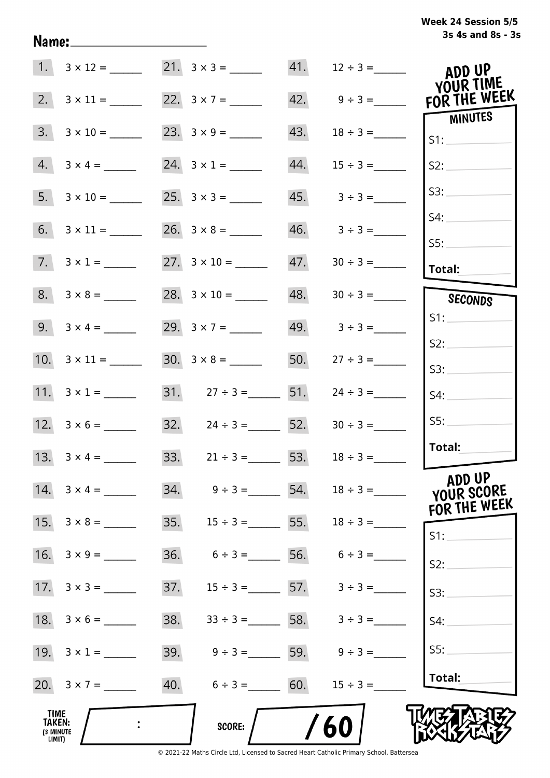### **3s 4s and 8s - 3s Week 24 Session 5/5**

|                                              |                         | 1. $3 \times 12 =$ 21. $3 \times 3 =$ 21. |     |                                 | ADD UP<br>YOUR TIME                  |
|----------------------------------------------|-------------------------|-------------------------------------------|-----|---------------------------------|--------------------------------------|
| 2.                                           | $3 \times 11 =$         | 22. $3 \times 7 =$                        |     | $42. \qquad 9 \div 3 =$         | FOR THE WEEK                         |
| 3.                                           | $3 \times 10 =$         |                                           | 43. |                                 | <b>MINUTES</b><br>S1:                |
| 4.                                           | $3 \times 4 =$          | 24. $3 \times 1 =$                        | 44. | $15 \div 3 =$                   | S2:                                  |
|                                              |                         | $25. 3 \times 3 =$                        |     | $45. 3 \div 3 =$                | S3:                                  |
|                                              |                         |                                           |     | $46. \hspace{1.5cm} 3 \div 3 =$ | S4:                                  |
|                                              | $7. \quad 3 \times 1 =$ |                                           | 47. | $30 \div 3 =$                   | SS:<br>Total:                        |
|                                              |                         |                                           | 48. |                                 | SECONDS                              |
|                                              |                         | 29. $3 \times 7 =$                        |     | $49. \hspace{1.5cm} 3 \div 3 =$ | S1:                                  |
|                                              |                         |                                           | 50. | $27 \div 3 =$                   | S2:<br>S3:                           |
|                                              | 11. $3 \times 1 =$      | 31. $27 \div 3 =$ 51.                     |     | $24 \div 3 =$                   | S4:                                  |
|                                              | 12. $3 \times 6 =$      | 32. $24 \div 3 =$ 52.                     |     | $30 \div 3 =$                   | SS:                                  |
|                                              | 13. $3 \times 4 =$      | 33. $21 \div 3 =$ 53.                     |     | $18 \div 3 =$                   | Total:                               |
|                                              | 14. $3 \times 4 =$      | $34. \hspace{1.5cm} 9 \div 3 =$ 54.       |     | $18 \div 3 =$                   | ADD UP<br>YOUR SCORE<br>FOR THE WEEK |
|                                              |                         | $35.$ $15 \div 3 =$ 55.                   |     | $18 \div 3 =$                   | $S1$ :                               |
|                                              |                         | 36.<br>$6 \div 3 =$ 56. $6 \div 3 =$      |     |                                 | S2:                                  |
|                                              |                         | 37.<br>$15 \div 3 =$ 57. $3 \div 3 =$     |     |                                 | S3:                                  |
|                                              | 18. $3 \times 6 =$      | 38.                                       |     | $33 \div 3 =$ 58. $3 \div 3 =$  | S4:                                  |
|                                              | 19. $3 \times 1 =$      | 39.<br>$9 \div 3 =$ 59. $9 \div 3 =$      |     |                                 | SS:                                  |
|                                              | 20. $3 \times 7 =$      | 40. $6 \div 3 =$ 60.                      |     | $15 \div 3 =$                   | Total:                               |
| TIME<br><b>TAKEN:</b><br>(3 MINUTE<br>LIMIT) |                         | SCORE:                                    |     | 60                              |                                      |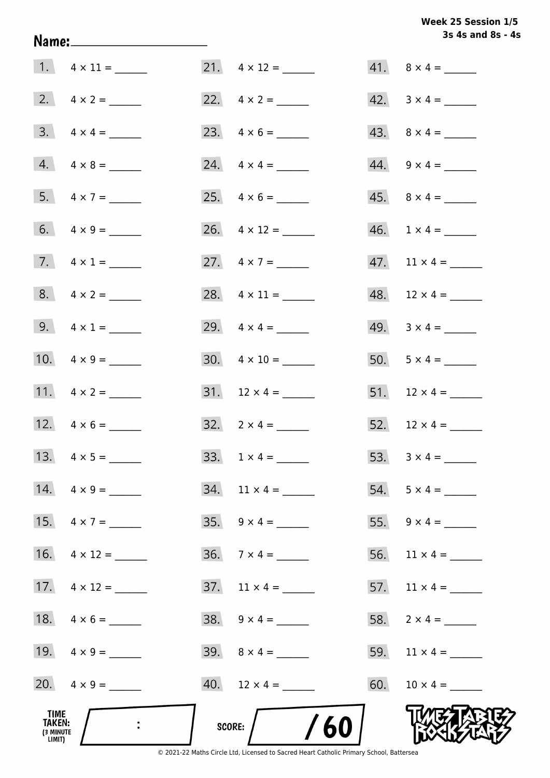**3s 4s and 8s - 4s Week 25 Session 1/5** 

|                                              |                         |                                | 3s 4s and 8s - 4         |
|----------------------------------------------|-------------------------|--------------------------------|--------------------------|
|                                              |                         |                                | $41. \quad 8 \times 4 =$ |
|                                              |                         | 22. $4 \times 2 =$             | $42. \quad 3 \times 4 =$ |
|                                              | $3. \quad 4 \times 4 =$ |                                |                          |
|                                              | $4. \quad 4 \times 8 =$ |                                | $44. \quad 9 \times 4 =$ |
|                                              | 5. $4 \times 7 =$       |                                | $45. \quad 8 \times 4 =$ |
|                                              | 6. $4 \times 9 =$       | 26. $4 \times 12 =$            | $46. 1 \times 4 =$       |
|                                              | 7. $4 \times 1 =$       | 27. $4 \times 7 =$             |                          |
|                                              | $8. 4 \times 2 =$       | 28. $4 \times 11 =$            | $48. 12 \times 4 =$      |
|                                              | 9. $4 \times 1 =$       | 29. $4 \times 4 =$             | 49. $3 \times 4 =$       |
|                                              | 10. $4 \times 9 =$      | $30. \quad 4 \times 10 =$      | 50. $5 \times 4 =$       |
|                                              | 11. $4 \times 2 =$      |                                | 51. $12 \times 4 =$      |
|                                              | 12. $4 \times 6 =$      | 32. $2 \times 4 =$             | 52. $12 \times 4 =$      |
|                                              | 13. $4 \times 5 =$      | $33. 1 \times 4 =$             | 53. $3 \times 4 =$       |
|                                              | 14. $4 \times 9 =$      | $34.$ 11 $\times$ 4 = ________ | $54. 5 \times 4 =$       |
|                                              | 15. $4 \times 7 =$      | $35. \quad 9 \times 4 =$       | 55. $9 \times 4 =$       |
|                                              |                         | $36. 7 \times 4 =$             |                          |
|                                              | 17. $4 \times 12 =$     | $37.$ 11 $\times$ 4 = _______  | 57. $11 \times 4 =$      |
|                                              |                         | $38. \quad 9 \times 4 =$       | 58. $2 \times 4 =$       |
|                                              | 19. $4 \times 9 =$      |                                | 59. $11 \times 4 =$      |
|                                              | 20. $4 \times 9 =$      |                                |                          |
| TIME<br><b>TAKEN:</b><br>(3 MINUTE<br>LIMIT) |                         | /60<br>SCORE:                  |                          |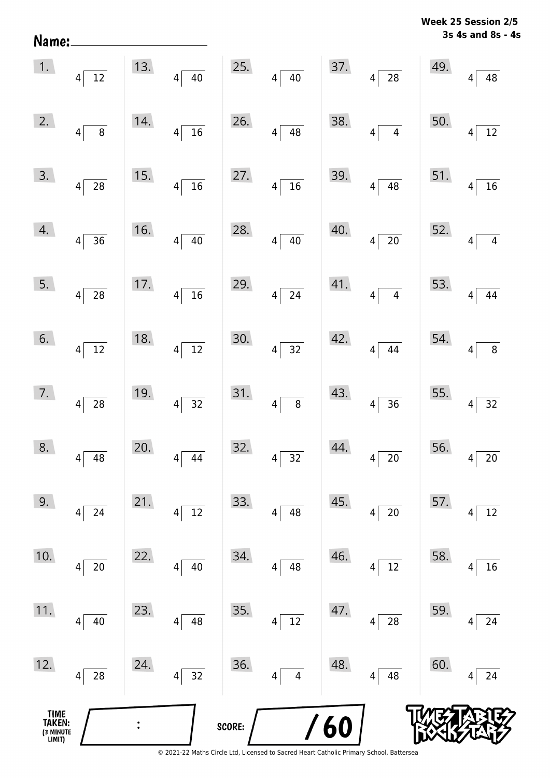| Name:                                         |                                     |     |                                    |        |                                            |      |                                     |     | 3s 4s and 8s - 4s                 |
|-----------------------------------------------|-------------------------------------|-----|------------------------------------|--------|--------------------------------------------|------|-------------------------------------|-----|-----------------------------------|
| 1.                                            | $\overline{12}$<br>$\vert 4 \vert$  | 13. | $\overline{40}$<br>$4\vert$        | 25.    | $\overline{40}$<br>$4\vert$                | 37.  | $\overline{28}$<br>$\vert 4 \vert$  | 49. | 48<br>$\overline{4}$              |
| 2.                                            | 8<br>$\vert 4 \vert$                | 14. | $\overline{16}$<br>$\vert 4 \vert$ | 26.    | $\vert 4 \vert$<br>48                      | 38.  | $\overline{4}$<br> 4                | 50. | $\overline{12}$<br>4 <sup>1</sup> |
| 3.                                            | $\vert 4 \vert$<br>28               | 15. | $\overline{16}$<br>$\vert 4 \vert$ | 27.    | $\overline{4}$<br>$\overline{16}$          | 39.  | $\overline{48}$<br>$\vert 4 \vert$  | 51. | $\overline{16}$<br> 4             |
| 4.                                            | $\left 4\right $<br>$\overline{36}$ | 16. | $\overline{40}$<br>$\vert 4 \vert$ | 28.    | $4\vert$<br>40                             | 40.  | $\overline{20}$<br>$4\vert$         | 52. | $\overline{4}$<br>$\overline{4}$  |
| 5.                                            | $\overline{28}$<br>$\vert 4 \vert$  | 17. | $\overline{16}$<br>$\vert 4 \vert$ | 29.    | $4\vert$<br>$\overline{24}$                | 41.  | $\overline{4}$<br>$\vert 4 \vert$   | 53. | $4 \overline{44}$                 |
| 6.                                            | $\overline{12}$<br>$\vert 4 \vert$  | 18. | $\overline{12}$<br>$\vert 4 \vert$ | 30.    | $4\vert$<br>$\overline{32}$                | 42.  | 44<br>$4\vert$                      | 54. | $\overline{8}$<br>$4\vert$        |
| 7.                                            | $\vert 4 \vert$<br>28               | 19. | $\overline{32}$<br>$4\vert$        | 31.    | $\overline{\phantom{0}}$ 8<br>$4\vert$     | 43.  | $\overline{36}$<br>$\left 4\right $ | 55. | $4 \overline{32}$                 |
| 8.                                            | 48<br>$\overline{\mathbf{4}}$       | 20. | 44<br>4                            | 32.    | 32<br>$\overline{\mathbf{4}}$              | 44.  | $20\,$<br>4                         | 56. | $20\,$<br>4                       |
| 9.                                            | $24\,$<br>$\overline{4}$            | 21. | $12\,$<br>$\vert 4 \vert$          | 33.    | 48<br>$\overline{4}$                       | 45.  | $20\,$<br> 4                        | 57. | $12\,$<br> 4                      |
| 10.                                           | $20\,$<br> 4                        | 22. | $40\,$<br>$\vert 4 \vert$          | 34.    | 48<br>$\vert 4 \vert$                      | 46.  | 12<br> 4                            | 58. | 16<br>4                           |
| 11.                                           | $40\,$<br> 4                        | 23. | 48<br>$\overline{4}$               | 35.    | $\overline{12}$<br>$\vert 4 \vert$         | 47.  | ${\bf 28}$<br>$\vert 4 \vert$       | 59. | 24<br>$\vert 4 \vert$             |
| 12.                                           | ${\bf 28}$<br>$\vert 4 \vert$       | 24. | $\overline{32}$<br>$\vert 4 \vert$ | 36.    | $\overline{\mathbf{4}}$<br>$\vert 4 \vert$ | 48.  | 48<br> 4                            | 60. | 24<br>$\overline{4}$              |
| <b>TIME<br/>TAKEN:</b><br>(3 MINUTE<br>LIMIT) |                                     |     |                                    | SCORE: |                                            | / 60 |                                     |     |                                   |

**Week 25 Session 2/5**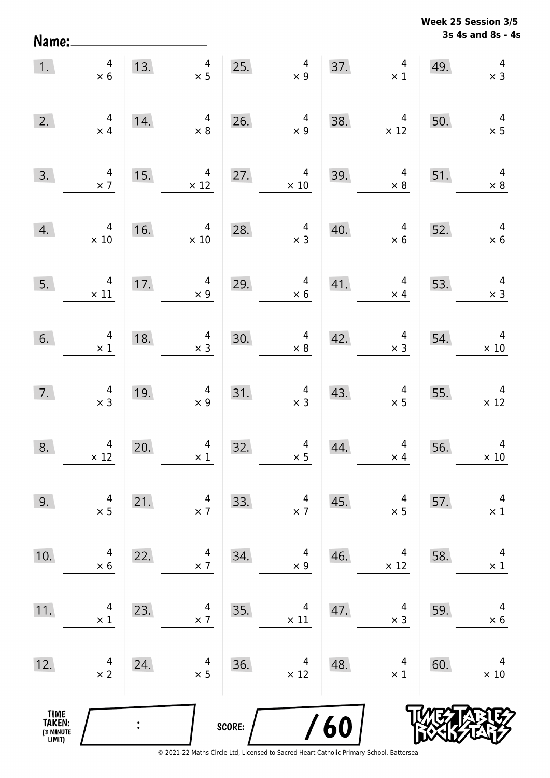Name:

**3s 4s and 8s - 4s Week 25 Session 3/5** 

| 1.                                            | $\overline{a}$<br>$\times$ 6                  | 13.            | $\overline{4}$<br>$\times$ 5                 | 25.    | $\overline{4}$<br>$\times$ 9                 | 37. | $\overline{4}$<br>$\times$ 1                 | 49. | $\overline{4}$<br>$\times$ 3  |
|-----------------------------------------------|-----------------------------------------------|----------------|----------------------------------------------|--------|----------------------------------------------|-----|----------------------------------------------|-----|-------------------------------|
| 2.                                            | $\overline{4}$<br>$\times$ 4                  | 14.            | 4<br>$\times 8$                              | 26.    | $\overline{a}$<br>$\times 9$                 | 38. | 4<br>$\times$ 12                             | 50. | $4 \times 5$                  |
| 3.                                            | $\begin{array}{c} 4 \\ \times 7 \end{array}$  | 15.            | $\overline{4}$<br>$\times$ 12                | 27.    | $\overline{4}$<br>$\times$ 10                | 39. | $\overline{4}$<br>$\times$ 8                 | 51. | $\overline{4}$<br>$\times$ 8  |
| 4.                                            | $\overline{4}$<br>$\times$ 10                 | 16.            | $\overline{4}$<br>$\times$ 10                | 28.    | $\overline{4}$<br>$\times$ 3                 | 40. | $\overline{4}$<br>$\times$ 6                 | 52. | $\overline{4}$<br>$\times$ 6  |
| 5.                                            | $4 \times 11$                                 | 17.            | $\overline{4}$<br>$\times$ 9                 | 29.    | $\overline{4}$<br>$\times 6$                 | 41. | $\overline{4}$<br>$\times$ 4                 | 53. | $\overline{4}$<br>$\times$ 3  |
| 6.                                            | $\begin{array}{c} 4 \\ \times 1 \end{array}$  | 18.            | $\begin{array}{c} 4 \\ \times 3 \end{array}$ | 30.    | $\begin{array}{c} 4 \\ \times 8 \end{array}$ | 42. | $\overline{4}$<br>$\times$ 3                 | 54. | $\overline{4}$<br>$\times 10$ |
| 7.                                            | $\begin{array}{c} 4 \\ \times 3 \end{array}$  | 19.            | $\begin{array}{c} 4 \\ \times 9 \end{array}$ | 31.    | $4 \times 3$                                 | 43. | $\begin{array}{c} 4 \\ \times 5 \end{array}$ | 55. | $\overline{4}$<br>$\times$ 12 |
| 8.                                            | $\begin{array}{c} 4 \\ \times 12 \end{array}$ | 20.            | $\overline{4}$<br>$\times$ 1                 | 32.    | $\overline{a}$<br>$\times$ 5                 | 44. | $\overline{4}$<br>$\times$ 4                 | 56. | $\overline{4}$<br>$\times$ 10 |
| 9.                                            | 4<br>$\times$ 5                               | 21.            | 4<br>$\times$ 7                              | 33.    | 4<br>$\times$ 7                              | 45. | 4<br>$\times$ 5                              | 57. | 4<br>$\times$ 1               |
| 10.                                           | 4<br>$\times$ 6                               | 22.            | 4<br>$\times$ 7                              | 34.    | 4<br>$\times$ 9                              | 46. | 4<br>$\times$ 12                             | 58. | 4<br>$\times$ 1               |
| 11.                                           | 4<br>$\times$ 1                               | 23.            | 4<br>$\times$ 7                              | 35.    | 4<br>$\times$ 11                             | 47. | 4<br>$\times$ 3                              | 59. | 4<br>$\times$ 6               |
| 12.                                           | 4<br>$\times$ 2                               | 24.            | 4<br>$\times$ 5                              | 36.    | 4<br>$\times$ 12                             | 48. | 4<br>$\times$ 1                              | 60. | 4<br>$\times$ 10              |
| <b>TIME<br/>TAKEN:</b><br>(3 MINUTE<br>LIMIT) |                                               | $\ddot{\cdot}$ |                                              | SCORE: |                                              | 60  |                                              |     |                               |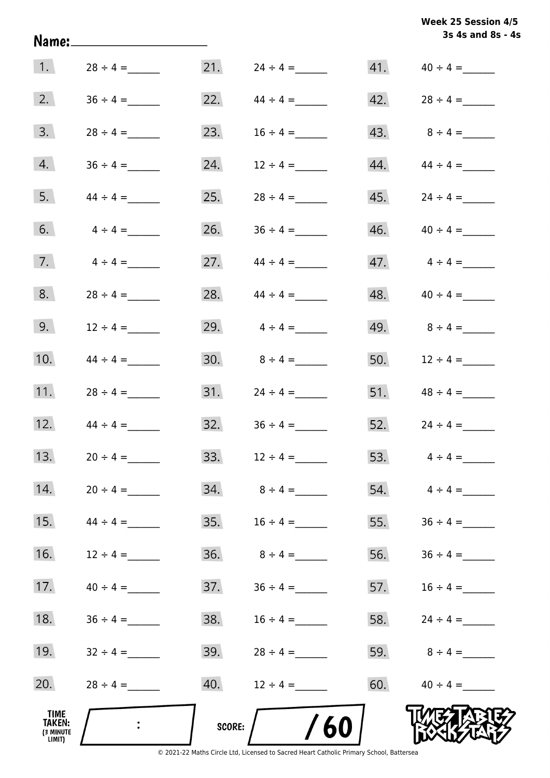| Week 25 Session 4/5 |                   |  |
|---------------------|-------------------|--|
|                     | 3s 4s and 8s - 4s |  |

|                                       |               |        |                   |     | 3s 4s and 8s - 4s       |
|---------------------------------------|---------------|--------|-------------------|-----|-------------------------|
| $\vert 1. \vert$                      | $28 \div 4 =$ |        |                   |     |                         |
| 2.                                    |               | 22.    | $44 \div 4 =$     |     |                         |
| 3.                                    |               | 23.    | $16 \div 4 =$     | 43. | $8 \div 4 =$            |
| 4.                                    |               | 24.    | $12 \div 4 =$     | 44. | $44 \div 4 =$           |
| 5.                                    | $44 \div 4 =$ | 25.    | $28 \div 4 =$     | 45. |                         |
| 6.                                    | $4 \div 4 =$  | 26.    | $36 \div 4 =$     |     | $46.$ $40 \div 4 =$     |
| 7.                                    | $4 \div 4 =$  | 27.    | $44 \div 4 =$     |     | $47.$ $4 \div 4 =$      |
| 8.                                    | $28 \div 4 =$ | 28.    | $44 \div 4 =$     |     |                         |
| 9.                                    | $12 \div 4 =$ | 29.    | $4 \div 4 =$      |     | 49. $8 \div 4 =$        |
| 10.                                   | $44 \div 4 =$ | 30.    | $8 \div 4 =$      |     | 50. $12 \div 4 =$       |
| 11.                                   | $28 \div 4 =$ |        |                   |     |                         |
| 12.                                   | $44 \div 4 =$ | 32.    | $36 \div 4 =$     |     | 52. $24 \div 4 =$       |
| 13.                                   | $20 \div 4 =$ |        | $33. 12 \div 4 =$ |     | 53. $4 \div 4 =$        |
| 14.                                   | $20 \div 4 =$ |        |                   |     | $54. \qquad 4 \div 4 =$ |
| 15.                                   | $44 \div 4 =$ | 35.    | $16 \div 4 =$     |     | 55. $36 \div 4 =$       |
| 16.                                   | $12 \div 4 =$ |        |                   | 56. |                         |
| 17.                                   | $40 \div 4 =$ | 37.    | $36 \div 4 =$     |     | 57. $16 \div 4 =$       |
| 18.                                   | $36 \div 4 =$ | 38.    | $16 \div 4 =$     |     | 58. $24 \div 4 =$       |
| 19.                                   | $32 \div 4 =$ | 39.    | $28 \div 4 =$     |     | 59. $8 \div 4 =$        |
| 20.                                   | $28 \div 4 =$ | 40.    | $12 \div 4 =$     | 60. | $40 \div 4 =$           |
| TIME<br>TAKEN:<br>(3 MINUTE<br>LIMIT) |               | SCORE: | 60                |     |                         |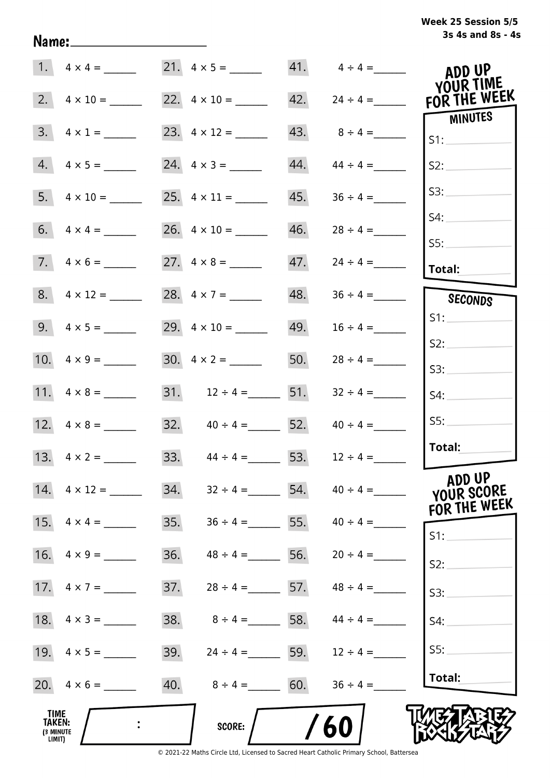| Week 25 Session 5/5 |                   |  |  |
|---------------------|-------------------|--|--|
|                     | 3s 4s and 8s - 4s |  |  |

|                                                     |                         |     |                       |     | $41. \qquad 4 \div 4 =$ | ADD UP                    |
|-----------------------------------------------------|-------------------------|-----|-----------------------|-----|-------------------------|---------------------------|
| 2.                                                  | $4 \times 10 =$         |     | 22. $4 \times 10 =$   | 42. | $24 \div 4 =$           | YOUR TIME<br>FOR THE WEEK |
| 3.                                                  | $4 \times 1 =$          |     | 23. $4 \times 12 =$   | 43. | $8 \div 4 =$            | MINUTES<br>S1:            |
|                                                     | $4.4 \times 5 =$        |     |                       | 44. | $44 \div 4 =$           | S2:                       |
| 5.                                                  | $4 \times 10 =$         |     |                       | 45. |                         | S3:                       |
|                                                     |                         |     |                       | 46. | $28 \div 4 =$           | S4:                       |
|                                                     | $7. \quad 4 \times 6 =$ |     |                       | 47. | $24 \div 4 =$           | 55:<br>Total:             |
|                                                     | $8. 4 \times 12 =$      |     | 28. $4 \times 7 =$    | 48. |                         | SECONDS                   |
|                                                     |                         |     | 29. $4 \times 10 =$   | 49. | $16 \div 4 =$           | S1:                       |
|                                                     |                         |     | 30. $4 \times 2 =$    | 50. | $28 \div 4 =$           | S2:<br>S3:                |
|                                                     |                         |     | 31. $12 \div 4 =$ 51. |     | $32 \div 4 =$           | S4:                       |
|                                                     |                         |     | 32. $40 \div 4 =$ 52. |     | $40 \div 4 =$           | SS:                       |
|                                                     | 13. $4 \times 2 =$      |     | 33. $44 \div 4 =$ 53. |     | $12 \div 4 =$           | Total:                    |
|                                                     | 14. $4 \times 12 =$     | 34. | $32 \div 4 =$         |     | $54.$ $40 \div 4 =$     | ADD UP<br>YOUR SCORE      |
| 15.                                                 | $4 \times 4 =$          | 35. | $36 \div 4 =$         | 55. | $40 \div 4 =$           | FOR THE WEEK<br>$S1$ :    |
| 16.                                                 | $4 \times 9 =$          | 36. | $48 \div 4 =$         | 56. |                         | S2:                       |
|                                                     |                         | 37. | $28 \div 4 = 57.$     |     | $48 \div 4 =$           | S3:                       |
|                                                     | 18. $4 \times 3 =$      | 38. | $8 \div 4 = 58.$      |     | $44 \div 4 =$           | S4:                       |
|                                                     | 19. $4 \times 5 =$      | 39. | $24 \div 4 =$ 59.     |     | $12 \div 4 =$           | S5:                       |
|                                                     |                         | 40. | $8 \div 4 = 60.$      |     | $36 \div 4 =$           | Total:                    |
| <b>TIME</b><br><b>TAKEN:</b><br>(3 MINUTE<br>LIMIT) |                         |     | SCORE:                |     | 60                      |                           |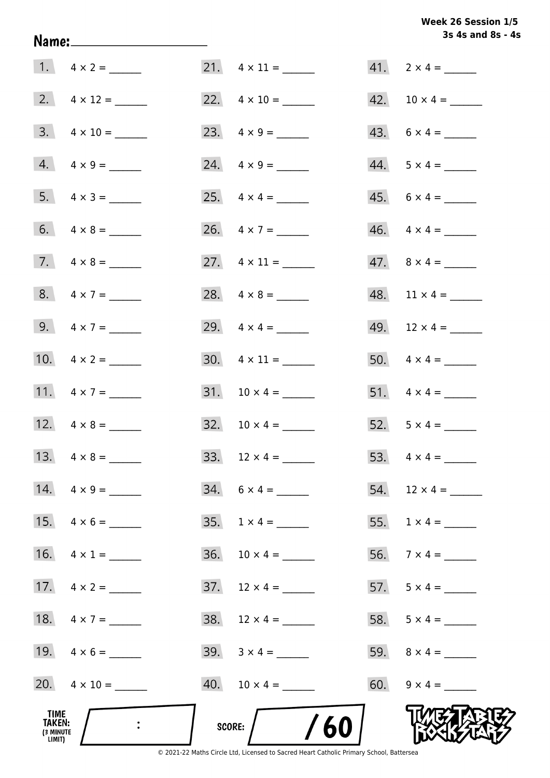# **3s 4s and 8s - 4s Week 26 Session 1/5**

|                                              |                           | 3s 4s and 8s - 4         |
|----------------------------------------------|---------------------------|--------------------------|
|                                              |                           |                          |
|                                              |                           | $42. 10 \times 4 =$      |
| $3. \quad 4 \times 10 =$                     | 23. $4 \times 9 =$        | $43. 6 \times 4 =$       |
| $4. \quad 4 \times 9 =$                      | $24. \quad 4 \times 9 =$  | $44. 5 \times 4 =$       |
| 5. $4 \times 3 =$                            | 25. $4 \times 4 =$        | $45. 6 \times 4 =$       |
|                                              | 26. $4 \times 7 =$        | $46. \quad 4 \times 4 =$ |
| 7. $4 \times 8 =$                            | 27. $4 \times 11 =$       | $47. \ 8 \times 4 =$     |
| 8. $4 \times 7 =$                            | 28. $4 \times 8 =$        |                          |
| 9. $4 \times 7 =$                            |                           | 49. $12 \times 4 =$      |
| 10. $4 \times 2 =$                           | $30. \quad 4 \times 11 =$ |                          |
| 11. $4 \times 7 =$                           |                           |                          |
| 12. $4 \times 8 =$                           | $32. 10 \times 4 =$       | 52. $5 \times 4 =$       |
|                                              |                           |                          |
| 14. $4 \times 9 =$                           | $34. 6 \times 4 =$        | 54. $12 \times 4 =$      |
| 15. $4 \times 6 =$                           | $35. 1 \times 4 =$        |                          |
| 16. $4 \times 1 =$                           | $36. 10 \times 4 =$       |                          |
|                                              | $37.$ 12 x 4 = ______     | 57. $5 \times 4 =$       |
| 18. $4 \times 7 =$                           |                           |                          |
| 19. $4 \times 6 =$                           |                           |                          |
| 20. $4 \times 10 =$                          |                           | 60. $9 \times 4 =$       |
| TIME<br><b>TAKEN:</b><br>(3 MINUTE<br>LIMIT) | /60<br>score:             |                          |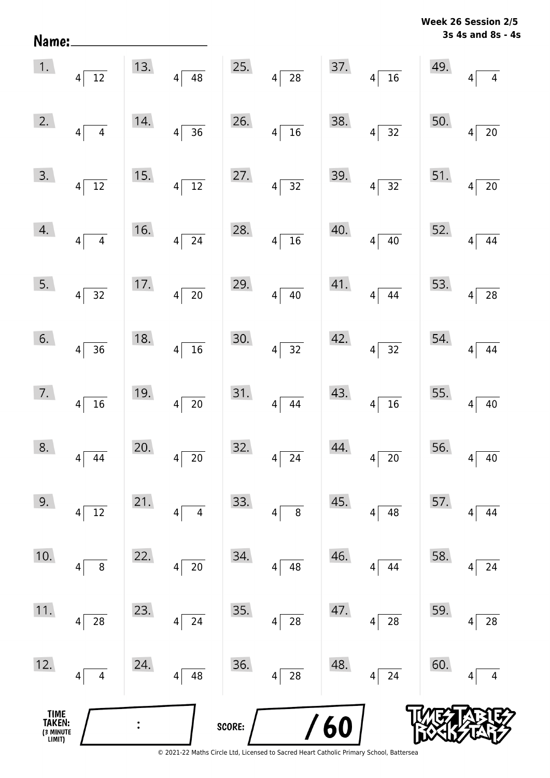| Week 26 Session 2/5 |  |
|---------------------|--|
| 3s 4s and 8s - 4s   |  |

|                                       | $\begin{array}{ c c }\n\hline\n1. & 4 & 12\n\end{array}$ | 13. | $4\overline{)48}$             |        | 25. $4\overline{)28}$         |     | 37. $4\sqrt{16}$      | 49.             | $\overline{4}$<br>$\overline{4}$  |
|---------------------------------------|----------------------------------------------------------|-----|-------------------------------|--------|-------------------------------|-----|-----------------------|-----------------|-----------------------------------|
| 2.                                    | $4\sqrt{4}$                                              | 14. | $4\overline{)36}$             | 26.    | $4\overline{)16}$             | 38. | $4\overline{)32}$     | 50.             | $\overline{20}$<br>$\overline{4}$ |
| 3.                                    | $4\sqrt{12}$                                             | 15. | $4\sqrt{12}$                  | 27.    | $4\overline{)32}$             |     | 39. $4\overline{)32}$ | 51.             | $\frac{1}{20}$<br>$\overline{4}$  |
| 4.                                    | $4\overline{4}$                                          | 16. | $4\sqrt{24}$                  | 28.    | $4\overline{)16}$             | 40. | $4\sqrt{40}$          | 52.             | $\boxed{44}$<br>$4\sqrt{ }$       |
| 5.                                    | $4\sqrt{32}$                                             | 17. | $4\overline{20}$              | 29.    | $4\sqrt{40}$                  |     | 41. $4\sqrt{44}$      | 53.             | $4\overline{28}$                  |
| 6.                                    | $4\overline{)36}$                                        | 18. | $4\overline{)16}$             | 30.    | $4\overline{)32}$             |     | 42. $4\sqrt{32}$      | 54.             | $\boxed{44}$<br>$4\vert$          |
| 7.                                    | $4\overline{16}$                                         | 19. | $4\overline{20}$              | 31.    | $4 \overline{)44}$            | 43. | $4\sqrt{16}$          | 55. $4\sqrt{ }$ | $\frac{1}{40}$                    |
| 8.                                    | $4\overline{)44}$                                        | 20. | $4\sqrt{20}$                  | 32.    | $4\overline{\smash{)}\ 24}$   | 44. | $4\sqrt{20}$          | 56. $4\sqrt{ }$ | 40                                |
| 9.                                    | 12<br>4                                                  | 21. | $\overline{\mathcal{A}}$<br>4 | 33.    | 8<br>4                        | 45. | 48<br> 4              | 57.             | 44<br>4                           |
| 10.                                   | $\, 8$<br>4                                              | 22. | $20\,$<br>4                   | 34.    | 48<br>$\overline{\mathbf{4}}$ | 46. | 44<br>4               | 58.             | 24<br>4                           |
| 11.                                   | 28<br>4                                                  | 23. | 24<br>4                       | 35.    | ${\bf 28}$<br>4               | 47. | 28<br> 4              | 59.             | 28<br>4                           |
| 12.                                   | 4<br>4                                                   | 24. | 48<br>4                       | 36.    | 28<br>4                       | 48. | 24<br> 4              | 60.             | 4<br>4                            |
| TIME<br>TAKEN:<br>(3 MINUTE<br>LIMIT) |                                                          |     |                               | SCORE: |                               | 60  |                       |                 |                                   |

Name: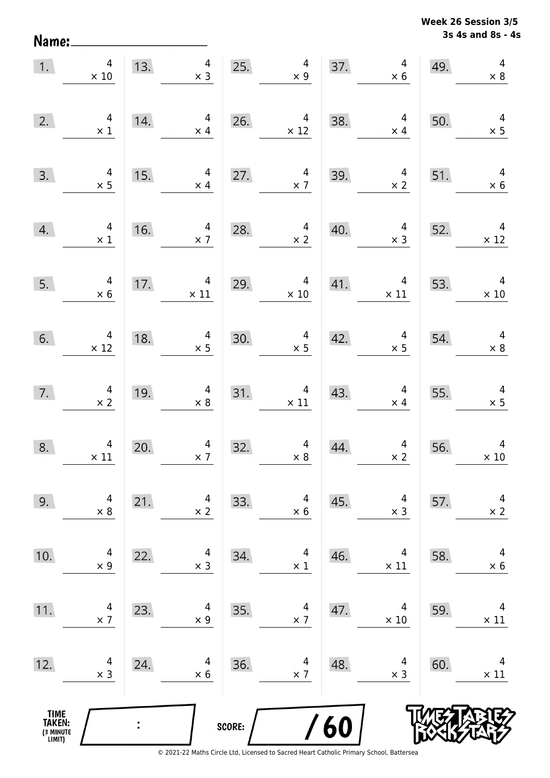**3s 4s and 8s - 4s Week 26 Session 3/5** 

| 1.                                            | $\overline{4}$<br>$\times$ 10                 |     | 4<br>13.<br>$\times$ 3                        |        | 25. $\begin{array}{c} 4 \\ \times 9 \end{array}$ | 37. | $\overline{4}$<br>$\times$ 6                 | 49. | $\overline{4}$<br>$\times$ 8                 |
|-----------------------------------------------|-----------------------------------------------|-----|-----------------------------------------------|--------|--------------------------------------------------|-----|----------------------------------------------|-----|----------------------------------------------|
| 2.                                            | $\begin{array}{c} 4 \\ \times 1 \end{array}$  | 14. | $\overline{4}$<br>$\times$ 4                  | 26.    | $\overline{4}$<br>$\times$ 12                    | 38. | $\overline{4}$<br>$\times$ 4                 | 50. | $4 \times 5$                                 |
| 3.                                            | $4 \times 5$                                  | 15. | $\overline{a}$<br>$\times$ 4                  | 27.    | $\overline{4}$<br>$\times 7$                     | 39. | $\overline{4}$<br>$\times$ 2                 | 51. | $\overline{4}$<br>$\times$ 6                 |
| 4.                                            | $\begin{array}{c} 4 \\ \times 1 \end{array}$  | 16. | $\overline{4}$<br>$\times$ 7                  | 28.    | $\overline{4}$<br>$\times$ 2                     | 40. | $\overline{4}$<br>$\times$ 3                 | 52. | $\begin{array}{c}4 \ \times 12\end{array}$   |
| 5.                                            | $4 \times 6$                                  | 17. | $\begin{array}{c} 4 \\ \times 11 \end{array}$ | 29.    | $\overline{4}$<br>$\times$ 10                    | 41. | $\overline{4}$<br>$\times$ 11                | 53. | $\overline{4}$<br>$\times$ 10                |
| 6.                                            | $\begin{array}{c} 4 \\ \times 12 \end{array}$ | 18. | $\begin{array}{r} 4 \\ \times 5 \end{array}$  | 30.    | $\overline{\mathbf{r}}$<br>$\times$ 5            | 42. | $\overline{4}$<br>$\times$ 5                 | 54. | $\begin{array}{c} 4 \\ \times 8 \end{array}$ |
| 7.                                            | $4 \times 2$                                  | 19. | $4 \times 8$                                  |        | 31. $4 \times 11$                                | 43. | $\overline{4}$<br>$\times$ 4                 | 55. | $4 \times 5$                                 |
| 8.                                            | $\begin{array}{c} 4 \\ \times 11 \end{array}$ | 20. | $\begin{array}{c} 4 \\ \times 7 \end{array}$  | 32.    | $\begin{array}{c} 4 \\ \times 8 \end{array}$     | 44. | $\begin{array}{c} 4 \\ \times 2 \end{array}$ | 56. | $\overline{4}$<br>$\times$ 10                |
| 9.                                            | 4<br>$\times 8$                               | 21. | 4<br>$\times$ 2                               | 33.    | 4<br>$\times$ 6                                  | 45. | 4<br>$\times$ 3                              | 57. | 4<br>$\times 2$                              |
| 10.                                           | 4<br>$\times$ 9                               | 22. | 4<br>$\times$ 3                               | 34.    | 4<br>$\times$ 1                                  | 46. | 4<br>$\times$ 11                             | 58. | 4<br>$\times$ 6                              |
| 11.                                           | 4<br>$\times$ 7                               | 23. | 4<br>$\times$ 9                               | 35.    | 4<br>$\times$ 7                                  | 47. | 4<br>$\times 10$                             | 59. | 4<br>$\times$ 11                             |
| 12.                                           | 4<br>$\times$ 3                               | 24. | 4<br>$\times 6$                               | 36.    | 4<br>$\times$ 7                                  | 48. | 4<br>$\times$ 3                              | 60. | 4<br>$\times$ 11                             |
| <b>TIME<br/>TAKEN:</b><br>(3 MINUTE<br>LIMIT) |                                               |     |                                               | SCORE: |                                                  | 60  |                                              |     |                                              |

Name: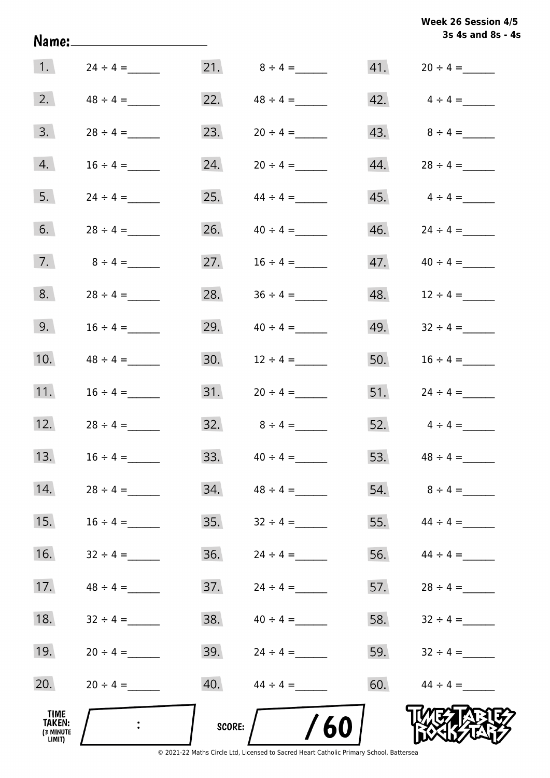| Week 26 Session 4/5 |                   |  |
|---------------------|-------------------|--|
|                     | 3s 4s and 8s - 4s |  |

|                                                     |               |        |                  |     | 3s 4s and 8s - 4s               |
|-----------------------------------------------------|---------------|--------|------------------|-----|---------------------------------|
| $\vert 1. \vert$                                    | $24 \div 4 =$ |        | 21. $8 \div 4 =$ |     | $41. 20 \div 4 =$               |
| 2.                                                  | $48 \div 4 =$ | 22.    | $48 \div 4 =$    |     | $42. \qquad 4 \div 4 =$         |
| 3.                                                  |               | 23.    |                  |     | 43. $8 \div 4 =$                |
| 4.                                                  |               | 24.    | $20 \div 4 =$    | 44. | $28 \div 4 =$                   |
| 5.                                                  | $24 \div 4 =$ | 25.    | $44 \div 4 =$    |     | $45. \hspace{1.5cm} 4 \div 4 =$ |
| 6.                                                  | $28 \div 4 =$ | 26.    | $40 \div 4 =$    |     |                                 |
| 7.                                                  | $8 \div 4 =$  | 27.    | $16 \div 4 =$    |     |                                 |
| 8.                                                  | $28 \div 4 =$ | 28.    |                  |     |                                 |
| 9.                                                  | $16 \div 4 =$ | 29.    | $40 \div 4 =$    | 49. | $32 \div 4 =$                   |
| 10.                                                 |               | 30.    | $12 \div 4 =$    | 50. | $16 \div 4 =$                   |
| 11.                                                 | $16 \div 4 =$ | 31.    | $20 \div 4 =$    | 51. |                                 |
| 12.                                                 |               | 32.    | $8 \div 4 =$     | 52. | $4 \div 4 =$                    |
| 13.                                                 | $16 \div 4 =$ | 33.    | $40 \div 4 =$    |     | 53. $48 \div 4 =$               |
| 14.                                                 | $28 \div 4 =$ | 34.    | $48 \div 4 =$    |     |                                 |
| 15.                                                 | $16 \div 4 =$ | 35.    | $32 \div 4 =$    |     | 55. $44 \div 4 =$               |
| 16.                                                 |               | 36.    |                  |     | 56. $44 \div 4 =$               |
| 17.                                                 |               | 37.    | $24 \div 4 =$    |     | 57. $28 \div 4 =$               |
| 18.                                                 | $32 \div 4 =$ | 38.    | $40 \div 4 =$    | 58. | $32 \div 4 =$                   |
| 19.                                                 | $20 \div 4 =$ | 39.    | $24 \div 4 =$    | 59. | $32 \div 4 =$                   |
| 20.                                                 | $20 \div 4 =$ | 40.    | $44 \div 4 =$    | 60. | $44 \div 4 =$                   |
| <b>TIME</b><br><b>TAKEN:</b><br>(3 MINUTE<br>LIMIT) |               | SCORE: | 60               |     |                                 |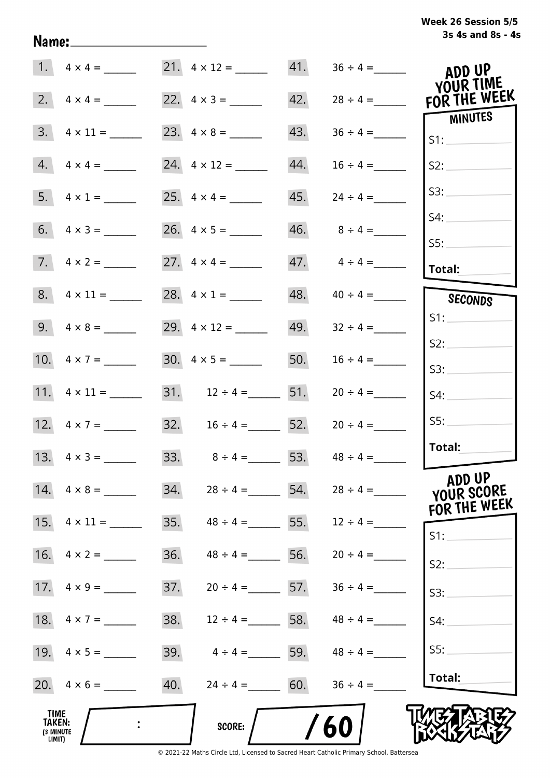| Week 26 Session 5/5 |                   |  |  |
|---------------------|-------------------|--|--|
|                     | 3s 4s and 8s - 4s |  |  |

|                                       | 21. $4 \times 12 =$      | 41.               |               | ADD UP<br>YOUR TIME   |
|---------------------------------------|--------------------------|-------------------|---------------|-----------------------|
| 2.<br>$4 \times 4 =$                  | 22. $4 \times 3 =$       | 42.               | $28 \div 4 =$ | FOR THE WEEK          |
| 3.                                    |                          | 43.               |               | <b>MINUTES</b><br>S1: |
| 4.<br>$4 \times 4 =$                  | 24. $4 \times 12 =$      | 44.               | $16 \div 4 =$ | S2:                   |
|                                       |                          | 45.               | $24 \div 4 =$ | S3:                   |
|                                       |                          | 46.               | $8 \div 4 =$  | S4:<br>SS:            |
|                                       |                          | 47.               | $4 \div 4 =$  | Total:                |
| $8. \quad 4 \times 11 =$              | 28. $4 \times 1 =$       | 48.               | $40 \div 4 =$ | SECONDS               |
|                                       | 29. $4 \times 12 =$      | 49.               | $32 \div 4 =$ | S1:                   |
| 10. $4 \times 7 =$                    | 30. $4 \times 5 =$       | 50.               | $16 \div 4 =$ | S2:                   |
|                                       |                          |                   |               | S3:                   |
| 11. $4 \times 11 =$                   | 31. $12 \div 4 =$ 51.    |                   | $20 \div 4 =$ | S4:                   |
|                                       | 32. $16 \div 4 =$ 52.    |                   | $20 \div 4 =$ | SS:                   |
|                                       | 33. $8 \div 4 = 53$ .    |                   | $48 \div 4 =$ | Total:                |
| 14. $4 \times 8 =$                    | 34.                      | $28 \div 4 = 54.$ | $28 \div 4 =$ | ADD UP<br>YOUR SCORE  |
| 15. $4 \times 11 =$                   | 35.<br>$48 \div 4 = 55.$ |                   | $12 \div 4 =$ | FOR THE WEEK<br>S1:   |
| 16.<br>$4 \times 2 =$                 | 36.<br>$48 \div 4 =$     | 56.               | $20 \div 4 =$ | S2:                   |
| 17.<br>$4 \times 9 =$                 | 37.<br>$20 \div 4 =$ 57. |                   | $36 \div 4 =$ | S3:                   |
| 18. $4 \times 7 =$                    | 38.<br>$12 \div 4 = 58.$ |                   | $48 \div 4 =$ | S4:                   |
|                                       | 39.<br>$4 \div 4 = 59.$  |                   | $48 \div 4 =$ | SS:                   |
| $20. \quad 4 \times 6 =$              | 40.<br>$24 \div 4 = 60.$ |                   | $36 \div 4 =$ | Total:                |
| TIME<br>TAKEN:<br>(3 MINUTE<br>LIMIT) | <b>SCORE:</b>            |                   | 60            |                       |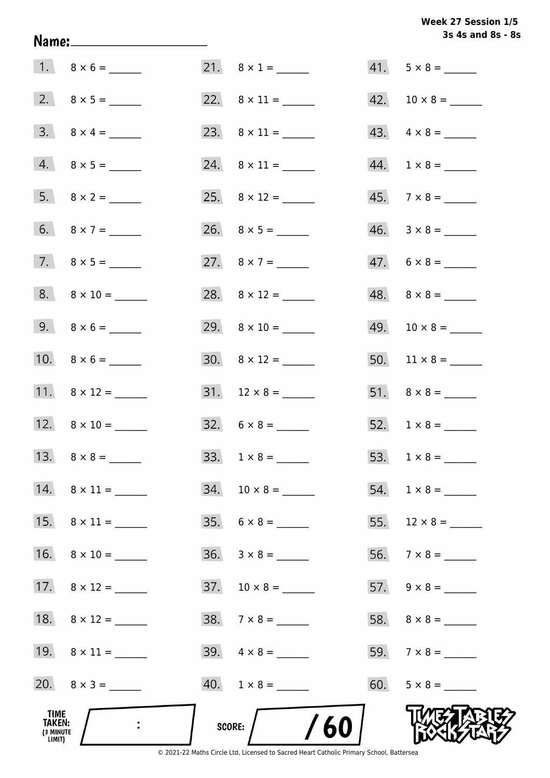# **3s 4s and 8s - 8s Week 27 Session 1/5**

| TIME<br>TAKEN:<br>(3 MINUTE<br>LIMIT) |                           | /60<br>SCORE:             |                          |
|---------------------------------------|---------------------------|---------------------------|--------------------------|
|                                       | 20. $8 \times 3 =$        | $40. 1 \times 8 =$        | $60. 5 \times 8 =$       |
|                                       |                           |                           |                          |
|                                       |                           | $38. 7 \times 8 =$        |                          |
|                                       | 17. $8 \times 12 =$       |                           |                          |
|                                       |                           |                           |                          |
|                                       |                           | $35. 6 \times 8 =$        |                          |
|                                       | 14. $8 \times 11 =$       | $34. 10 \times 8 =$       |                          |
|                                       |                           |                           |                          |
|                                       | 12. $8 \times 10 =$       | $32. 6 \times 8 =$        |                          |
|                                       | 11. $8 \times 12 =$       |                           |                          |
|                                       |                           | $30. \quad 8 \times 12 =$ |                          |
|                                       | 9. $8 \times 6 =$         |                           |                          |
|                                       | $8. \qquad 8 \times 10 =$ |                           |                          |
|                                       |                           | 27. $8 \times 7 =$        | $47. 6 \times 8 =$       |
|                                       |                           |                           |                          |
|                                       |                           |                           | $45.7 \times 8 =$        |
|                                       | $4.8 \times 5 =$          |                           |                          |
|                                       |                           |                           | $43. \quad 4 \times 8 =$ |
|                                       |                           |                           |                          |
|                                       |                           | $21. \quad 8 \times 1 =$  | $41. 5 \times 8 =$       |

Name: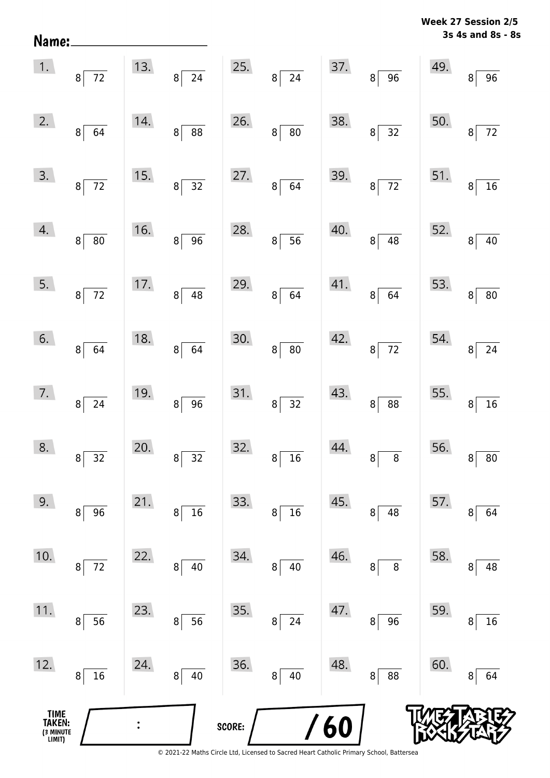| Name:                                 |                                   |                |                                    |        |                                 |     |                                   |     | MEEK TI SEPSION TIS<br>3s 4s and 8s - 8s |
|---------------------------------------|-----------------------------------|----------------|------------------------------------|--------|---------------------------------|-----|-----------------------------------|-----|------------------------------------------|
| 1.                                    | $8\sqrt{72}$                      | 13.            | $\overline{24}$<br>$\mathbf{8}$    | 25.    | $\mathbf{8}$<br>$\overline{24}$ | 37. | $\overline{96}$<br>$8\sqrt{ }$    | 49. | 96<br>8                                  |
| 2.                                    | 64<br>8                           | 14.            | $\overline{\textbf{88}}$<br>$\, 8$ | 26.    | 80<br>$\, 8$                    | 38. | $\overline{32}$<br>8 <sup>1</sup> | 50. | $72\,$<br>8                              |
| 3.                                    | $\overline{72}$<br>8 <sup>1</sup> | 15.            | $\overline{32}$<br>$\bf 8$         | 27.    | 64<br>$\bf 8$                   | 39. | $8\overline{72}$                  | 51. | 16<br>8                                  |
| 4.                                    | 8 <br>80                          | 16.            | 96<br>$\, 8$                       | 28.    | 56<br>$\bf{8}$                  | 40. | 48<br>8 <sup>2</sup>              | 52. | $40\,$<br>8 <sup>1</sup>                 |
| 5.                                    | $8 \overline{)72}$                | 17.            | $\sqrt{48}$<br>$\bf 8$             | 29.    | $\bf 8$<br>64                   | 41. | $8 \mid 64$                       | 53. | $\bf{8}$<br>${\bf 80}$                   |
| 6.                                    | 8 <sup>1</sup><br>64              | 18.            | 64<br>$\, 8$                       | 30.    | 80<br>$\,8\,$                   | 42. | $\overline{72}$<br>8              | 54. | 24<br>8                                  |
| 7.                                    | $8^{\circ}$<br>24                 | 19.            | $\overline{96}$<br>$\bf 8$         | 31.    | 32<br>8 <sup>1</sup>            | 43. | 88<br>8                           | 55. | 16<br>8                                  |
| 8.                                    | 32<br>8                           | 20.            | $32\,$<br>8                        | 32.    | $16\,$<br>8                     | 44. | $\bf 8$<br>8                      | 56. | $80\,$<br>8                              |
| 9.                                    | 96<br>8                           | 21.            | $16\,$<br>8                        | 33.    | ${\bf 16}$<br>8                 | 45. | 48<br>8                           | 57. | 64<br>8                                  |
| 10.                                   | $72\,$<br>8                       | 22.            | $40\,$<br>8                        | 34.    | $40\,$<br>8                     | 46. | 8<br>8                            | 58. | 48<br>8                                  |
| 11.                                   | 56<br>8                           | 23.            | 56<br>8                            | 35.    | 24<br>8                         | 47. | 96<br>8                           | 59. | 16<br>8                                  |
| 12.                                   | 16<br>8                           | 24.            | $40\,$<br>8                        | 36.    | $40\,$<br>8                     | 48. | 88<br>8                           | 60. | 64<br>8                                  |
| TIME<br>TAKEN:<br>(3 MINUTE<br>LIMIT) |                                   | $\ddot{\cdot}$ |                                    | SCORE: |                                 | 60  |                                   |     |                                          |

**Week 27 Session 2/5**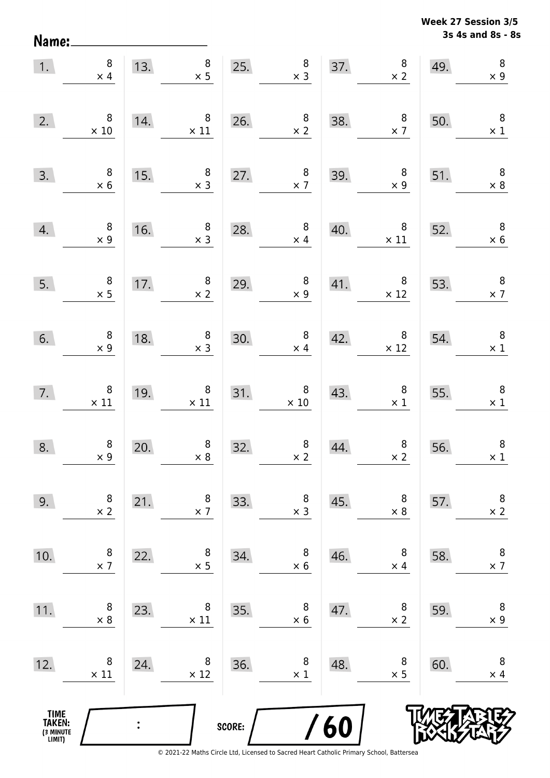Name:

**3s 4s and 8s - 8s Week 27 Session 3/5** 

| 1.                                            | $\bf 8$<br>$\times$ 4                        | 13. | $\begin{array}{c} 8 \\ \times 5 \end{array}$  | 25.    | $\begin{array}{c} 8 \\ \times 3 \end{array}$               | 37. | $\begin{array}{c} 8 \\ \times 2 \end{array}$ | 49. | $\boldsymbol{8}$<br>$\times$ 9           |
|-----------------------------------------------|----------------------------------------------|-----|-----------------------------------------------|--------|------------------------------------------------------------|-----|----------------------------------------------|-----|------------------------------------------|
| 2.                                            | $\, 8$<br>$\times$ 10                        | 14. | $\,8\,$<br>$\times$ 11                        | 26.    | $\begin{array}{c} 8 \\ \times 2 \end{array}$               | 38. | $\begin{array}{c} 8 \\ \times 7 \end{array}$ | 50. | $\overline{\phantom{0}}$ 8<br>$\times$ 1 |
| 3.                                            | $\begin{array}{c} 8 \\ \times 6 \end{array}$ | 15. | $\, 8$<br>$\times$ 3                          | 27.    | $\begin{array}{c} 8 \\ \times 7 \end{array}$               | 39. | $\,8\,$<br>$\times$ 9                        | 51. | $\overline{\phantom{0}}$ 8<br>$\times 8$ |
| 4.                                            | $\begin{array}{c} 8 \\ \times 9 \end{array}$ | 16. | $\begin{array}{c} 8 \\ \times 3 \end{array}$  | 28.    | $\begin{array}{c} 8 \\ \times 4 \end{array}$               | 40. | $\overline{\phantom{0}}$ 8<br>$\times$ 11    | 52. | $\overline{\phantom{0}}$<br>$\times$ 6   |
| 5.                                            | $\begin{array}{c} 8 \\ \times 5 \end{array}$ | 17. | $\begin{array}{c} 8 \\ \times 2 \end{array}$  | 29.    | $\begin{array}{c} 8 \\ \times 9 \end{array}$               | 41. | $\overline{\mathbf{8}}$<br>$\times$ 12       | 53. | $\overline{\phantom{a}}$<br>$\times$ 7   |
| 6.                                            | $\begin{array}{c} 8 \\ \times 9 \end{array}$ | 18. | $\begin{array}{c} 8 \\ \times 3 \end{array}$  | 30.    | $\begin{array}{c} 8 \\ \times 4 \end{array}$               | 42. | $\overline{\mathbf{8}}$<br>$\times$ 12       | 54. | $\overline{\phantom{a}}$<br>$\times$ 1   |
| 7.                                            | $\overline{\phantom{0}}$ 8<br>$\times$ 11    | 19. | $\begin{array}{c} 8 \\ \times 11 \end{array}$ |        | $\begin{array}{c c}\n 31. & 8 \\  \times 10\n \end{array}$ | 43. | 8 <sup>8</sup><br>$\times$ 1                 | 55. | $\overline{\phantom{a}}$<br>$\times$ 1   |
| 8.                                            | $\begin{array}{c} 8 \\ \times 9 \end{array}$ | 20. | $\begin{array}{c} 8 \\ \times 8 \end{array}$  | 32.    | $\begin{array}{c} 8 \\ \times 2 \end{array}$               | 44. | $\begin{array}{c} 8 \\ \times 2 \end{array}$ | 56. | $\boldsymbol{8}$<br>$\times$ 1           |
| 9.                                            | 8<br>$\times$ 2                              | 21. | 8<br>$\times$ 7                               | 33.    | 8<br>$\times$ 3                                            | 45. | 8<br>$\times 8$                              | 57. | 8<br>$\times$ 2                          |
| 10.                                           | 8<br>$\times$ 7                              | 22. | 8<br>$\times$ 5                               | 34.    | 8<br>$\times 6$                                            | 46. | 8<br>$\times$ 4                              | 58. | $\, 8$<br>$\times$ 7                     |
| 11.                                           | 8<br>$\times 8$                              | 23. | 8<br>$\times$ 11                              | 35.    | 8<br>$\times$ 6                                            | 47. | 8<br>$\times 2$                              | 59. | $\,8\,$<br>$\times$ 9                    |
| 12.                                           | 8<br>$\times$ 11                             | 24. | 8<br>$\times$ 12                              | 36.    | 8<br>$\times$ 1                                            | 48. | 8<br>$\times$ 5                              | 60. | $\, 8$<br>$\times$ 4                     |
| <b>TIME<br/>TAKEN:</b><br>(3 MINUTE<br>LIMIT) |                                              |     |                                               | SCORE: |                                                            | 60  |                                              |     |                                          |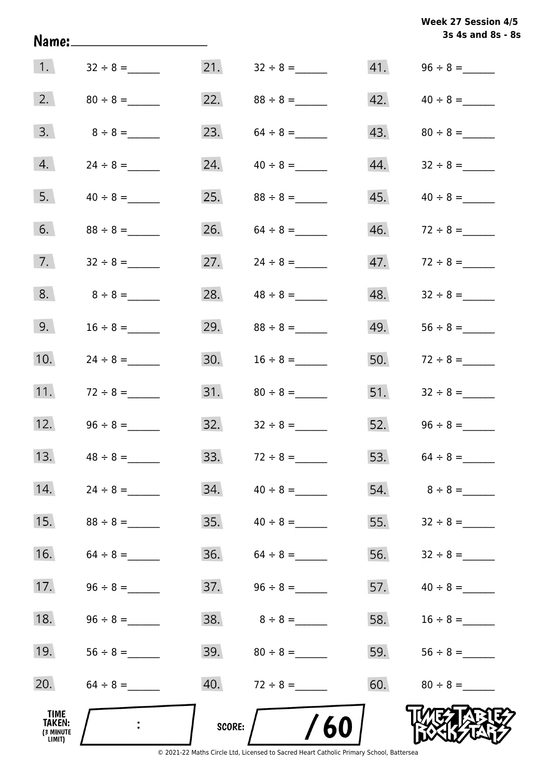|                                       | Name:_________________________ |        |                                  |     | 3s 4s and 8s - 8s                |
|---------------------------------------|--------------------------------|--------|----------------------------------|-----|----------------------------------|
| $\vert 1. \vert$                      | $32 \div 8 =$                  |        | 21. $32 \div 8 =$                |     |                                  |
| 2.                                    |                                |        | 22. $88 \div 8 =$                |     | $42. \hspace{1.5cm} 40 \div 8 =$ |
| 3.                                    | $8 \div 8 =$                   | 23.    |                                  | 43. |                                  |
| 4.                                    |                                | 24.    | $40 \div 8 =$                    |     |                                  |
| 5.                                    |                                |        |                                  | 45. | $40 \div 8 =$                    |
| 6.                                    |                                | 26.    | $64 \div 8 =$                    | 46. |                                  |
| 7.                                    |                                | 27.    | $24 \div 8 =$                    | 47. | $72 \div 8 =$                    |
| 8.                                    | $8 \div 8 =$                   | 28.    | $48 \div 8 =$                    | 48. |                                  |
| 9.                                    | $16 \div 8 =$                  | 29.    | $88 \div 8 =$                    | 49. |                                  |
| 10.                                   |                                | 30.    | $16 \div 8 =$                    | 50. | $72 \div 8 =$                    |
| 11.                                   | $72 \div 8 =$                  |        |                                  | 51. |                                  |
| 12.                                   |                                |        | $32. \hspace{1.5cm} 32 \div 8 =$ |     | 52. $96 \div 8 =$                |
| 13.                                   |                                | 33.    |                                  | 53. | $64 \div 8 =$                    |
| 14.                                   |                                | 34.    | $40 \div 8 =$                    |     | 54. $8 \div 8 =$                 |
| 15.                                   |                                | 35.    | $40 \div 8 =$                    | 55. |                                  |
| 16.                                   | $64 \div 8 =$                  | 36.    | $64 \div 8 =$                    | 56. |                                  |
| 17.                                   |                                |        |                                  | 57. | $40 \div 8 =$                    |
| 18.                                   |                                |        |                                  | 58. |                                  |
| 19.                                   |                                |        |                                  | 59. |                                  |
| 20.                                   |                                |        | 40. $72 \div 8 =$                | 60. | $80 \div 8 =$                    |
| TIME<br>TAKEN:<br>(3 MINUTE<br>LIMIT) |                                | SCORE: | /60                              |     |                                  |

**Week 27 Session 4/5**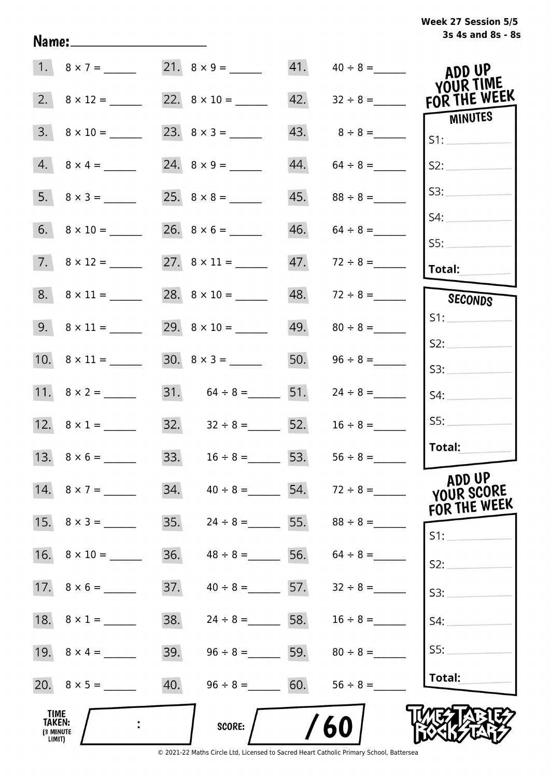|                                              |                          |     |                       |     | 41. $40 \div 8 =$               | ADD UP<br>YOUR TIME                  |
|----------------------------------------------|--------------------------|-----|-----------------------|-----|---------------------------------|--------------------------------------|
|                                              |                          |     |                       | 42. | $32 \div 8 =$                   | FOR THE WEEK                         |
|                                              | $3. \quad 8 \times 10 =$ |     |                       |     | $43. 8 \div 8 =$                | MINUTES<br>S1:                       |
|                                              | $4. 8 \times 4 =$        |     |                       | 44. | $64 \div 8 =$                   | S2:                                  |
|                                              | $5. \quad 8 \times 3 =$  |     |                       | 45. | $88 \div 8 =$                   | S3:                                  |
|                                              |                          |     |                       |     | $46. 64 \div 8 =$               | S4:                                  |
|                                              |                          |     |                       |     | $47.$ $72 \div 8 =$             | SS:<br>Total:                        |
|                                              |                          |     |                       |     | $48. 72 \div 8 =$               | <b>SECONDS</b>                       |
|                                              |                          |     |                       |     |                                 | S1:                                  |
|                                              |                          |     |                       | 50. |                                 | S2:                                  |
|                                              |                          |     | 31. $64 \div 8 =$ 51. |     | $24 \div 8 =$                   | S3:                                  |
|                                              |                          |     |                       |     |                                 | S4:<br>SS:                           |
|                                              | 12. $8 \times 1 =$       |     | 32. $32 \div 8 =$ 52. |     | $16 \div 8 =$                   | Total:                               |
|                                              |                          |     | 33. $16 \div 8 =$ 53. |     | $56 \div 8 =$                   |                                      |
|                                              | 14. $8 \times 7 =$       | 34. |                       |     | $40 \div 8 =$ 54. $72 \div 8 =$ | ADD UP<br>YOUR SCORE<br>FOR THE WEEK |
|                                              | 15. $8 \times 3 =$       | 35. | $24 \div 8 =$ 55.     |     |                                 | $S1$ :                               |
|                                              | 16. $8 \times 10 =$      | 36. | $48 \div 8 =$         | 56. | $64 \div 8 =$                   | S2:                                  |
|                                              |                          | 37. | $40 \div 8 =$ 57.     |     | $32 \div 8 =$                   | S3:                                  |
|                                              | 18. $8 \times 1 =$       | 38. | $24 \div 8 =$ 58.     |     | $16 \div 8 =$                   | S4:                                  |
|                                              | 19. $8 \times 4 =$       | 39. | $96 \div 8 =$ 59.     |     | $80 \div 8 =$                   | SS:                                  |
|                                              |                          | 40. | $96 \div 8 = 60.$     |     | $56 \div 8 =$                   | Total:                               |
| TIME<br><b>TAKEN:</b><br>(3 MINUTE<br>LIMIT) |                          |     | <b>SCORE:</b>         |     | 60                              |                                      |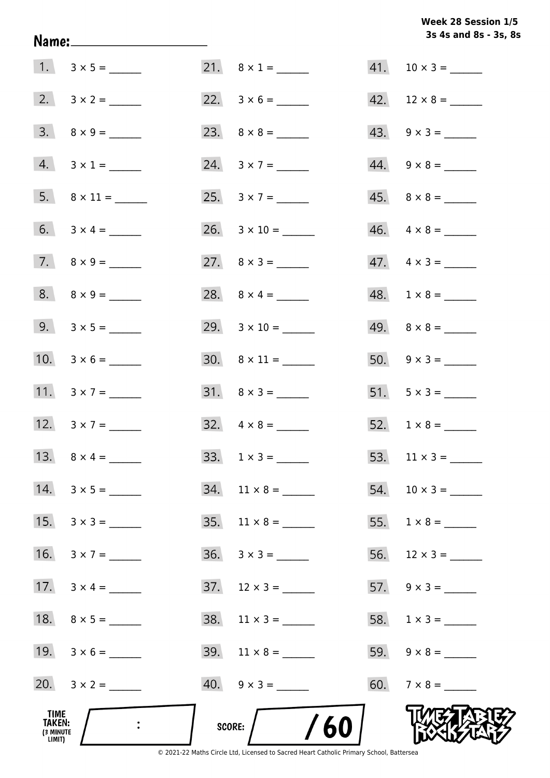Week 28 Session 1/5 3s 4s and 8s - 3s, 8s

| TIME<br>TAKEN:<br>(3 MINUTE<br>LIMIT) |                         | /60<br>SCORE:             |                          |
|---------------------------------------|-------------------------|---------------------------|--------------------------|
|                                       | 20. $3 \times 2 =$      | $40. \quad 9 \times 3 =$  |                          |
|                                       | 19. $3 \times 6 =$      | $39. \quad 11 \times 8 =$ |                          |
|                                       |                         | $38.$ 11 x 3 = ______     |                          |
|                                       | 17. $3 \times 4 =$      | $37. \quad 12 \times 3 =$ |                          |
|                                       | 16. $3 \times 7 =$      |                           |                          |
|                                       |                         | $35. \quad 11 \times 8 =$ | 55. $1 \times 8 =$       |
|                                       |                         | $34.$ 11 × 8 = ______     |                          |
|                                       |                         |                           | 53. $11 \times 3 =$      |
|                                       | 12. $3 \times 7 =$      | $32. \quad 4 \times 8 =$  |                          |
|                                       | 11. $3 \times 7 =$      | $31. \quad 8 \times 3 =$  | 51. $5 \times 3 =$       |
|                                       | 10. $3 \times 6 =$      | $30.8 \times 11 =$        | 50. $9 \times 3 =$       |
|                                       | 9. $3 \times 5 =$       | 29. $3 \times 10 =$       |                          |
|                                       | $8. \quad 8 \times 9 =$ |                           |                          |
|                                       |                         | 27. $8 \times 3 =$        | $47. \quad 4 \times 3 =$ |
|                                       |                         |                           | $46. \quad 4 \times 8 =$ |
|                                       |                         |                           |                          |
|                                       | $4. 3 \times 1 =$       | 24. $3 \times 7 =$        |                          |
|                                       |                         |                           | $43. \quad 9 \times 3 =$ |
|                                       |                         |                           | 42. $12 \times 8 =$      |
|                                       |                         |                           |                          |

Name: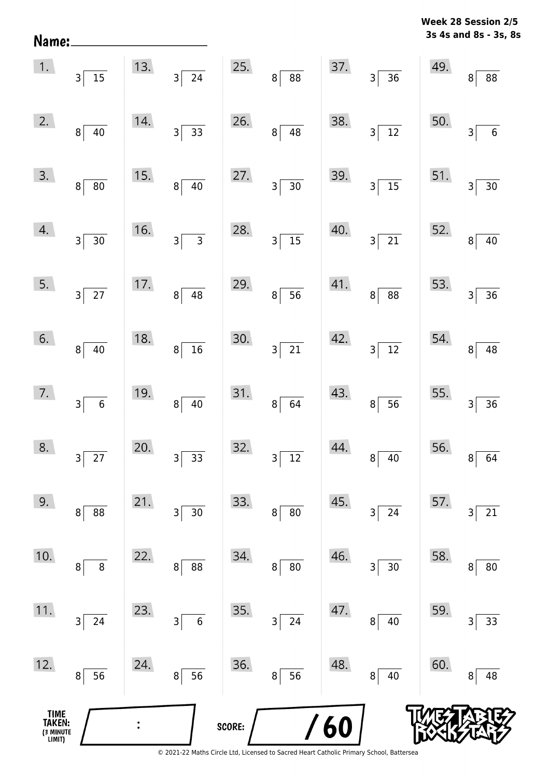| Name:                                         |                                            |     |                     |        |                                            |     |                             |     | 3s 4s and 8s - 3s, 8s             |
|-----------------------------------------------|--------------------------------------------|-----|---------------------|--------|--------------------------------------------|-----|-----------------------------|-----|-----------------------------------|
| 1.                                            | $3\vert$<br>15                             | 13. | $3\overline{24}$    | 25.    | 8 <sup>1</sup><br>88                       | 37. | $\overline{36}$<br>3        | 49. | 88<br>8 <sup>1</sup>              |
| 2.                                            | 8 <sup>1</sup><br>40                       | 14. | $3 \overline{)33}$  | 26.    | 48<br>8                                    | 38. | $\overline{12}$<br>3        | 50. | $\,6$<br>3                        |
| 3.                                            | 8 <sup>1</sup><br>$80\,$                   | 15. | $40\,$<br>$8 \vert$ | 27.    | 30<br>$\overline{\mathbf{3}}$              | 39. | $\overline{15}$<br>3        | 51. | $30\,$<br>$\overline{\mathsf{3}}$ |
| 4.                                            | 30<br>$\overline{\mathsf{3}}$              | 16. | $\overline{3}$<br>3 | 28.    | $15\,$<br>$\overline{\mathsf{3}}$          | 40. | $\overline{21}$<br>3        | 52. | $40\,$<br>8 <sup>1</sup>          |
| 5.                                            | $\overline{27}$<br>3 <sup>2</sup>          | 17. | 48<br>8             | 29.    | $\overline{56}$<br>8                       | 41. | $\overline{88}$<br>8        | 53. | 36<br>$\overline{3}$              |
| 6.                                            | 8 <sup>1</sup><br>40                       | 18. | $8\overline{)16}$   | 30.    | $\overline{21}$<br>$\overline{\mathsf{3}}$ | 42. | $\overline{12}$<br>$3\vert$ | 54. | 48<br>8 <sup>1</sup>              |
| 7.                                            | $\overline{6}$<br>$\overline{\mathbf{3}}$  | 19. | 40<br>$8\vert$      | 31.    | 64<br>8 <sup>2</sup>                       | 43. | 56<br>8 <sup>2</sup>        | 55. | 36<br>$\mathsf{3}$                |
| 8.                                            | $\overline{27}$<br>$\overline{\mathbf{3}}$ | 20. | 33<br>3             | 32.    | $\overline{12}$<br>3                       | 44. | 40<br>8                     | 56. | 64<br>8                           |
| 9.                                            | 88<br>8                                    | 21. | $30\,$<br>3         | 33.    | 80<br>8                                    | 45. | 24<br>3                     | 57. | $21\,$<br>3                       |
| 10.                                           | 8<br>8                                     | 22. | 88<br>8             | 34.    | 80<br>8                                    | 46. | 30<br>3                     | 58. | $80\,$<br>8                       |
| 11.                                           | 24<br>3                                    | 23. | $\overline{6}$<br>3 | 35.    | 24<br>3                                    | 47. | 40<br>8                     | 59. | 33<br>3                           |
| 12.                                           | 56<br>8                                    | 24. | 56<br>8             | 36.    | 56<br>8                                    | 48. | $40\,$<br>$\, 8$            | 60. | 48<br>8                           |
| <b>TIME<br/>TAKEN:</b><br>(3 MINUTE<br>LIMIT) |                                            |     |                     | SCORE: |                                            | 60  |                             |     |                                   |

**Week 28 Session 2/5**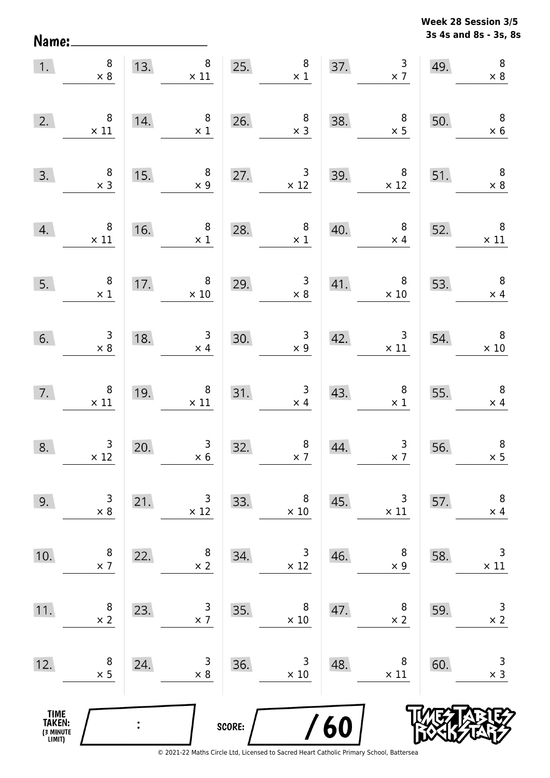Name:

**3s 4s and 8s - 3s, 8s Week 28 Session 3/5** 

| 1.                                            | $\begin{array}{c} 8 \\ \times 8 \end{array}$  | 13.            | $\begin{array}{ c c c }\n \hline\n & 8 & 25. \\  \hline\n x 11 & & \n\end{array}$ |        | $\begin{array}{c} 8 \\ \times 1 \end{array}$        |     | $\frac{3}{2}$<br>37.                              | 49.                                    | $\, 8$<br>$\times 8$                          |
|-----------------------------------------------|-----------------------------------------------|----------------|-----------------------------------------------------------------------------------|--------|-----------------------------------------------------|-----|---------------------------------------------------|----------------------------------------|-----------------------------------------------|
| 2.                                            | $\,8\,$<br>$\times$ 11                        | 14.            | $\overline{\phantom{0}}$ 8<br>$\times$ 1                                          |        | 26. $\begin{array}{r} 8 \\ \times 3 \end{array}$    | 38. | $\begin{array}{r} 8 \\ \times 5 \end{array}$      | 50.                                    | $\overline{\phantom{a}}$<br>$\times$ 6        |
| 3.                                            | $\begin{array}{c} 8 \\ \times 3 \end{array}$  | 15.            | $\begin{array}{c} 8 \\ \times 9 \end{array}$                                      |        | 27. $3 \times 12$                                   | 39. | $\begin{array}{r} 8 \\ \times 12 \end{array}$     | 51.                                    | $\overline{\phantom{0}}$<br>$\times$ 8        |
|                                               | 4. $8 \times 11$                              | 16.            | 8 <sup>8</sup><br>$\times$ 1                                                      | 28.    | $\begin{array}{r} 8 \\ \times 1 \end{array}$        | 40. | 8 <sup>1</sup><br>$\times$ 4                      | 52.                                    | $\begin{array}{c} 8 \\ \times 11 \end{array}$ |
| 5.                                            | $\overline{\phantom{0}}$ 8<br>$\times$ 1      |                | 17. $\begin{array}{r} 8 \\ \times 10 \end{array}$                                 |        | $\begin{array}{r} 3 \\ \times 8 \end{array}$<br>29. |     | 41. $\begin{array}{r} 8 \\ \times 10 \end{array}$ | $\begin{array}{c}\n53. \\ \end{array}$ | $\begin{array}{c} 8 \\ \times 4 \end{array}$  |
| 6.                                            | $\begin{array}{c} 3 \\ \times 8 \end{array}$  | 18.            | $\begin{array}{c} 3 \\ \times 4 \end{array}$                                      | 30.    | $\begin{array}{c} 3 \\ \times 9 \end{array}$<br>30. |     | 42. $3 \times 11$                                 | 54.                                    | $\overline{\phantom{0}}$<br>$\times$ 10       |
| 7.                                            | $\begin{array}{c} 8 \\ \times 11 \end{array}$ | 19.            | $\begin{array}{c} 8 \\ \times 11 \end{array}$                                     |        | 31. $\begin{array}{r} 3 \\ \times 4 \end{array}$    | 43. | $\begin{array}{c} 8 \\ \times 1 \end{array}$      | 55.                                    | $\begin{array}{r} 8 \\ \times 4 \end{array}$  |
| 8.                                            | $\begin{array}{r} 3 \\ \times 12 \end{array}$ | 20.            | $\begin{array}{c} 3 \\ \times 6 \end{array}$                                      | 32.    | $\begin{array}{c} 8 \\ \times 7 \end{array}$        | 44. | $\frac{3}{x}$                                     | 56.                                    | $\, 8$<br>$\times$ 5                          |
| 9.                                            | 3<br>$\times$ 8                               | 21.            | 3<br>$\times$ 12                                                                  | 33.    | 8<br>$\times$ 10                                    | 45. | 3<br>$\times$ 11                                  | 57.                                    | $\, 8$<br>$\times$ 4                          |
| 10.                                           | 8<br>$\times$ 7                               | 22.            | 8<br>$\times 2$                                                                   | 34.    | 3<br>$\times$ 12                                    | 46. | 8<br>$\times$ 9                                   | 58.                                    | $\mathsf 3$<br>$\times$ 11                    |
| 11.                                           | 8<br>$\times$ 2                               | 23.            | 3<br>$\times$ 7                                                                   | 35.    | 8<br>$\times$ 10                                    | 47. | 8<br>$\times$ 2                                   | 59.                                    | $\mathsf 3$<br>$\times$ 2                     |
| 12.                                           | 8<br>$\times$ 5                               | 24.            | 3<br>$\times$ 8                                                                   | 36.    | 3<br>$\times$ 10                                    | 48. | 8<br>$\times$ 11                                  | 60.                                    | 3<br>$\times$ 3                               |
| <b>TIME<br/>TAKEN:</b><br>(3 MINUTE<br>LIMIT) |                                               | $\ddot{\cdot}$ |                                                                                   | SCORE: |                                                     | 60  |                                                   |                                        |                                               |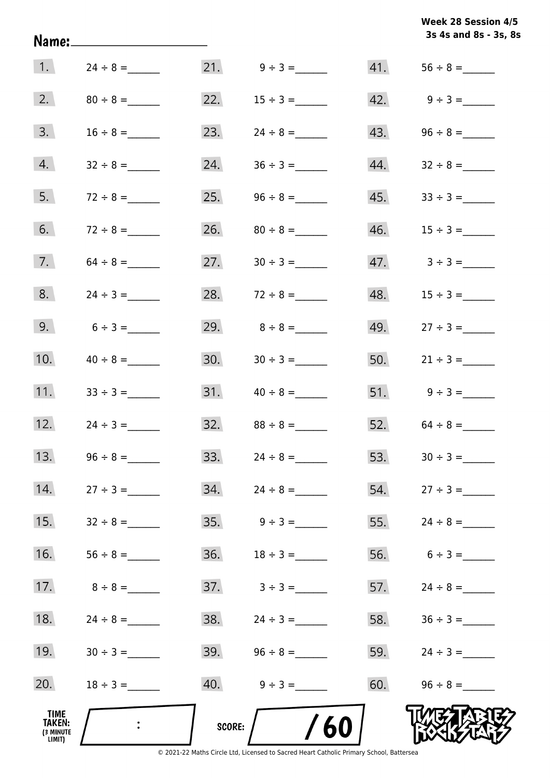| Week 28 Session 4/5   |  |
|-----------------------|--|
| 3s 4s and 8s - 3s, 8s |  |

|                                       |               |        |                                  |     | 3s 4s and 8s - 3s, 8            |
|---------------------------------------|---------------|--------|----------------------------------|-----|---------------------------------|
| $\vert$ 1.                            |               |        |                                  | 41. |                                 |
| 2.                                    |               | 22.    |                                  |     |                                 |
| 3.                                    | $16 \div 8 =$ | 23.    |                                  | 43. |                                 |
| 4.                                    | $32 \div 8 =$ | 24.    |                                  | 44. |                                 |
| 5.                                    | $72 \div 8 =$ | 25.    | $96 \div 8 =$                    | 45. | $33 \div 3 =$                   |
| 6.                                    | $72 \div 8 =$ |        |                                  | 46. | $15 \div 3 =$                   |
| 7.                                    |               | 27.    |                                  |     | $47. \hspace{1.5cm} 3 \div 3 =$ |
| 8.                                    | $24 \div 3 =$ |        | 28. $72 \div 8 =$                | 48. | $15 \div 3 =$                   |
| 9.                                    | $6 \div 3 =$  |        | 29. $8 \div 8 =$                 |     | 49. $27 \div 3 =$               |
| 10.                                   |               |        |                                  |     |                                 |
| 11.                                   |               |        |                                  |     | 51. $9 \div 3 =$                |
| 12.                                   | $24 \div 3 =$ | 32.    | $88 \div 8 =$                    |     | 52. $64 \div 8 =$               |
| 13.                                   | $96 \div 8 =$ | 33.    | $24 \div 8 =$                    | 53. |                                 |
| 14.                                   | $27 \div 3 =$ |        |                                  |     |                                 |
| 15.                                   | $32 \div 8 =$ |        |                                  | 55. | $24 \div 8 =$                   |
| 16.                                   |               | 36.    | $18 \div 3 =$                    |     | 56. $6 \div 3 =$                |
| 17.                                   | $8 \div 8 =$  |        |                                  |     | 57. $24 \div 8 =$               |
| 18.                                   | $24 \div 8 =$ |        | $38. \hspace{1.5cm} 24 \div 3 =$ |     |                                 |
| 19.                                   | $30 \div 3 =$ |        | $39.$ $96 \div 8 =$              |     | 59. $24 \div 3 =$               |
| 20.                                   | $18 \div 3 =$ |        |                                  |     | $60.$ $96 \div 8 =$             |
| TIME<br>TAKEN:<br>(3 MINUTE<br>LIMIT) |               | SCORE: | 60                               |     |                                 |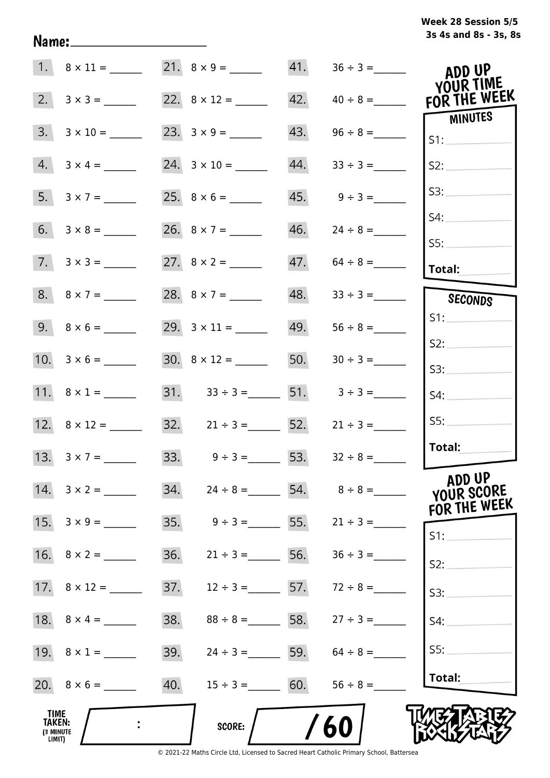# **3s 4s and 8s - 3s, 8s Week 28 Session 5/5**

|                                              |                         |     |                                      | 41. |                          | ADD UP<br>YOUR TIME    |
|----------------------------------------------|-------------------------|-----|--------------------------------------|-----|--------------------------|------------------------|
| 2.                                           |                         |     |                                      |     | $42. \qquad 40 \div 8 =$ | FOR THE WEEK           |
| 3.                                           | $3 \times 10 =$         |     |                                      | 43. |                          | <b>MINUTES</b><br>S1:  |
| 4.                                           |                         |     |                                      | 44. | $33 \div 3 =$            | S2:                    |
|                                              | 5. $3 \times 7 =$       |     |                                      |     | $45.$ $9 \div 3 =$       | S3:                    |
|                                              | $6. 3 \times 8 =$       |     | 26. $8 \times 7 =$                   |     |                          | S4:                    |
|                                              | $7. \quad 3 \times 3 =$ |     |                                      |     | $47. 64 \div 8 =$        | SS:<br>Total:          |
|                                              |                         |     | 28. $8 \times 7 =$                   |     |                          | SECONDS                |
|                                              |                         |     |                                      |     | $49. 56 \div 8 =$        | S1:                    |
|                                              |                         |     |                                      | 50. | $30 \div 3 =$            | S2:<br>S3:             |
|                                              | 11. $8 \times 1 =$      |     | 31. $33 \div 3 =$ 51. $3 \div 3 =$   |     |                          | S4:                    |
|                                              |                         |     | $32. \hspace{1.5cm} 21 \div 3 =$ 52. |     | $21 \div 3 =$            | SS:                    |
|                                              | 13. $3 \times 7 =$      |     | 33. $9 \div 3 =$ 53. $32 \div 8 =$   |     |                          | Total:                 |
|                                              |                         |     | $34. \qquad 24 \div 8 =$             |     |                          | ADD UP<br>YOUR SCORE   |
|                                              |                         | 35. | $9 \div 3 =$ 55.                     |     | $21 \div 3 =$            | FOR THE WEEK<br>$S1$ : |
|                                              |                         | 36. | $21 \div 3 =$                        |     | 56. $36 \div 3 =$        | S2:                    |
|                                              |                         | 37. | $12 \div 3 =$ 57. $72 \div 8 =$      |     |                          | S3:                    |
|                                              | 18. $8 \times 4 =$      | 38. | $88 \div 8 =$ 58.                    |     | $27 \div 3 =$            | S4:                    |
|                                              | 19. $8 \times 1 =$      | 39. | $24 \div 3 =$ 59.                    |     | $64 \div 8 =$            | SS:                    |
|                                              |                         | 40. | $15 \div 3 = 60.$                    |     | $56 \div 8 =$            | Total:                 |
| TIME<br><b>TAKEN:</b><br>(3 MINUTE<br>LIMIT) |                         |     | <b>SCORE:</b>                        |     | 60                       |                        |

Name: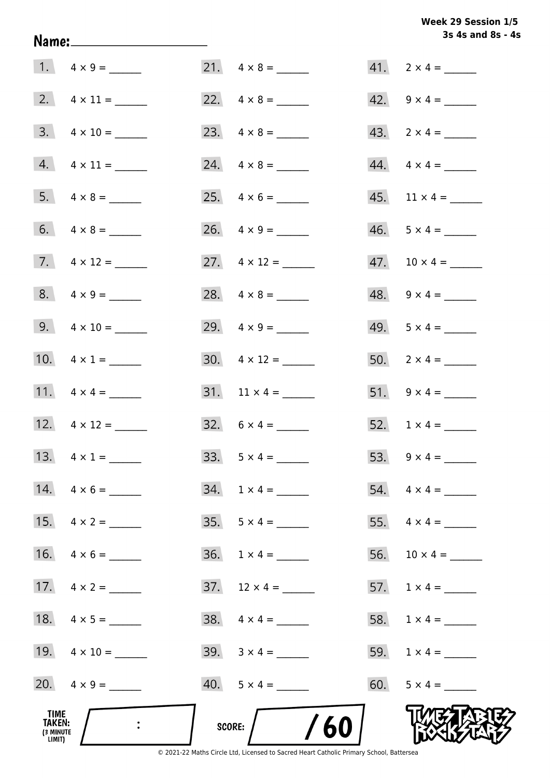# Week 29 Session 1/5 3s 4s and 8s - 4s

|                                              |                          |                             | 3s 4s and 8s - 4               |
|----------------------------------------------|--------------------------|-----------------------------|--------------------------------|
|                                              |                          |                             |                                |
|                                              |                          |                             | 42. $9 \times 4 =$             |
|                                              | $3. \quad 4 \times 10 =$ | 23. $4 \times 8 =$          | 43. $2 \times 4 =$             |
|                                              | $4. \quad 4 \times 11 =$ | 24. $4 \times 8 =$          | $44. \quad 4 \times 4 =$       |
|                                              |                          |                             | $45.$ 11 $\times$ 4 = ________ |
|                                              | 6. $4 \times 8 =$        | 26. $4 \times 9 =$          | $46. 5 \times 4 =$             |
|                                              | 7. $4 \times 12 =$       | 27. $4 \times 12 =$         |                                |
|                                              | $8. 4 \times 9 =$        | 28. $4 \times 8 =$          | $48. 9 \times 4 =$             |
|                                              | 9. $4 \times 10 =$       | 29. $4 \times 9 =$          | $49. 5 \times 4 =$             |
|                                              | 10. $4 \times 1 =$       | $30. \quad 4 \times 12 =$   | $50.$ 2 x 4 = _______          |
|                                              |                          |                             | 51. $9 \times 4 =$             |
|                                              | 12. $4 \times 12 =$      | 32. $6 \times 4 =$          | 52. $1 \times 4 =$             |
|                                              | 13. $4 \times 1 =$       |                             | 53. $9 \times 4 =$             |
|                                              | 14. $4 \times 6 =$       | $34. 1 \times 4 =$          | $54. \quad 4 \times 4 =$       |
|                                              | 15. $4 \times 2 =$       | $35. 5 \times 4 =$          | 55. $4 \times 4 =$             |
|                                              |                          | $36. \quad 1 \times 4 = \_$ |                                |
|                                              | 17. $4 \times 2 =$       |                             | 57. $1 \times 4 =$             |
|                                              |                          |                             |                                |
|                                              | 19. $4 \times 10 =$      |                             |                                |
|                                              | 20. $4 \times 9 =$       |                             | 60. $5 \times 4 =$             |
| TIME<br><b>TAKEN:</b><br>(3 MINUTE<br>LIMIT) |                          | /60<br>SCORE:               |                                |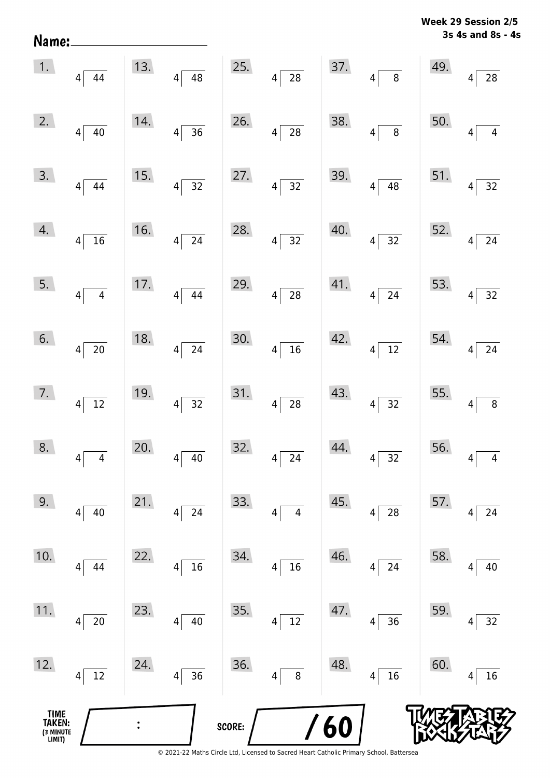**3s 4s and 8s - 4s Week 29 Session 2/5** 

| TIME<br>TAKEN:<br>(3 MINUTE<br>LIMIT) |                        |     |                                | SCORE: |                        | 60  |                                   |                                         |                                     |
|---------------------------------------|------------------------|-----|--------------------------------|--------|------------------------|-----|-----------------------------------|-----------------------------------------|-------------------------------------|
| 12.                                   | $12\,$<br>4            | 24. | 36<br>4                        | 36.    | 8<br>$\overline{4}$    | 48. | $4$ 16                            | 60.                                     | 16<br>4                             |
| 11.                                   | 20<br>4                | 23. | $40\,$<br>4                    | 35.    | $12\,$<br>4            | 47. | 36<br>$4\vert$                    | 59.                                     | 32<br>4                             |
| 10.                                   | 44<br> 4               | 22. | 16<br>4                        | 34.    | $16\,$<br>4            | 46. | 24<br>$\vert 4 \vert$             | 58.                                     | 40<br>4                             |
| 9.                                    | 4 <br>40               | 21. | 24<br>4                        | 33.    | 4<br>4                 | 45. | 28<br> 4                          | 57.                                     | 24<br>4                             |
| 8.                                    | $4\overline{4}$        | 20. | $\overline{40}$<br>$4\sqrt{ }$ | 32.    | $4\overline{24}$       | 44. | $4\overline{)32}$                 | 56.                                     | $\overline{4}$<br>$\overline{4}$    |
| 7.                                    | $4\overline{12}$       | 19. | $4\overline{)32}$              | 31.    | $4\sqrt{28}$           | 43. | $4\overline{)32}$                 | 55. $4\sqrt{ }$                         | $\boxed{8}$                         |
| 6.                                    | $4\overline{20}$       | 18. | $4\overline{24}$               | 30.    | $4\overline{16}$       |     | $42.$ $4 \overline{)12}$          |                                         | 54. $4\overline{)24}$               |
| 5.                                    | $4\overline{4}$        | 17. | $4\overline{)44}$              | 29.    | $4\overline{28}$       |     | $41.$ $4 \overline{)24}$          | 53.                                     | $4\overline{)32}$                   |
| 4.                                    | $4\overline{16}$       | 16. | $4\overline{24}$               | 28.    | $4\overline{)32}$      | 40. | $4\overline{)32}$                 | 52.                                     | $\sqrt{24}$<br>$4\sqrt{ }$          |
| 3.                                    | $4\overline{)44}$      | 15. | $4\overline{)32}$              | 27.    | $4\overline{)32}$      |     | 39. $4\sqrt{48}$                  | $\begin{bmatrix} 51. & 4 \end{bmatrix}$ | $\sqrt{32}$                         |
| 2.                                    | $4\sqrt{40}$           | 14. | $4\overline{)36}$              | 26.    | $4\overline{28}$       | 38. | $4\overline{8}$                   | 50.                                     | $\overline{4}$<br>$\overline{4}$    |
|                                       | $1.$ $4\overline{)44}$ |     | 13. $4\sqrt{48}$               |        | 25. $4 \overline{)28}$ |     | $37.$ $4 \overline{\smash{)}\ 8}$ | 49.                                     | $\left 4\right $<br>$\overline{28}$ |

Name: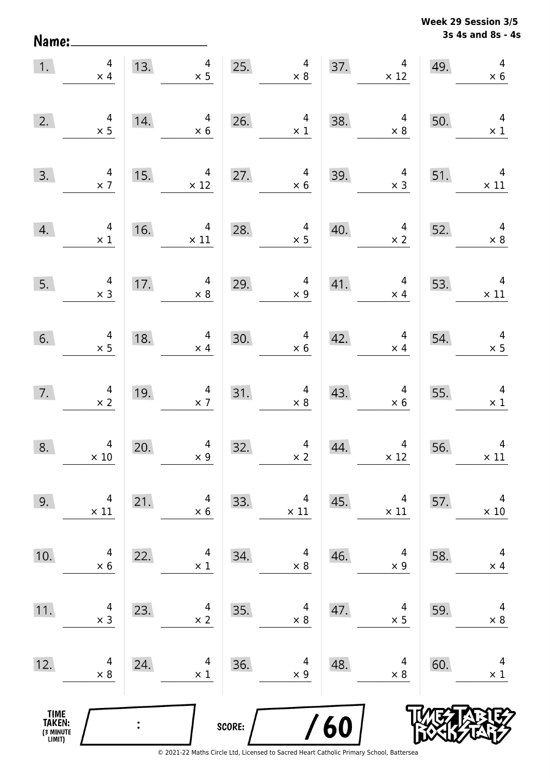**3s 4s and 8s - 4s Week 29 Session 3/5** 

| 1.                                            | $\overline{4}$<br>$\times$ 4                    | 13.            | $\overline{4}$<br>$\times$ 5                 | 25.    | $\begin{array}{c} 4 \\ \times 8 \end{array}$ |     | $\overline{4}$<br>37.<br>$\times$ 12         | 49. | $\overline{4}$<br>$\times$ 6                 |
|-----------------------------------------------|-------------------------------------------------|----------------|----------------------------------------------|--------|----------------------------------------------|-----|----------------------------------------------|-----|----------------------------------------------|
| 2.                                            | $4 \times 5$                                    | 14.            | 4<br>$\times$ 6                              | 26.    | $\overline{\mathbf{r}}$<br>$\times 1$        | 38. | $\overline{4}$<br>$\times$ 8                 | 50. | $\overline{4}$<br>$\times$ 1                 |
| 3.                                            | $\begin{array}{c} 4 \\ \times 7 \end{array}$    | 15.            | $\overline{4}$<br>$\times$ 12                | 27.    | $\overline{4}$<br>$\times 6$                 | 39. | $\overline{a}$<br>$\times$ 3                 | 51. | $\overline{4}$<br>$\times$ 11                |
| 4.                                            | $\begin{array}{c} 4 \\ \times 1 \end{array}$    | 16.            | $\overline{4}$<br>$\times$ 11                | 28.    | $\overline{a}$<br>$\times$ 5                 | 40. | $\overline{4}$<br>$\times$ 2                 | 52. | $\overline{4}$<br>$\times 8$                 |
| 5.                                            | $\overline{4}$<br>$\times$ 3                    | 17.            | $\overline{4}$<br>$\times$ 8                 | 29.    | $\overline{4}$<br>$\times$ 9                 |     | $41.$ $4$<br>$\times$ 4                      | 53. | $\overline{4}$<br>$\times$ 11                |
| 6.                                            | $4 \times 5$                                    | 18.            | $\overline{4}$<br>$\times$ 4                 | 30.    | $\overline{\mathbf{4}}$<br>$\times$ 6        | 42. | $\overline{4}$<br>$\times$ 4                 | 54. | $\begin{array}{r} 4 \\ \times 5 \end{array}$ |
| 7.                                            | $\begin{array}{c} 4 \\ \times 2 \end{array}$    | 19.            | $\begin{array}{c} 4 \\ \times 7 \end{array}$ | 31.    | $\begin{array}{c} 4 \\ \times 8 \end{array}$ | 43. | $\begin{array}{c} 4 \\ \times 6 \end{array}$ | 55. | $\overline{4}$<br>$\times$ 1                 |
| 8.                                            | $\begin{array}{c} 4 \\ \times \ 10 \end{array}$ | 20.            | $4$<br>$\times 9$                            | 32.    | $\begin{array}{c} 4 \\ \times 2 \end{array}$ | 44. | $\overline{4}$<br>$\times$ 12                | 56. | $\overline{4}$<br>$\times$ 11                |
| 9.                                            | 4<br>$\times$ 11                                | 21.            | 4<br>$\times$ 6                              | 33.    | 4<br>$\times$ 11                             | 45. | 4<br>$\times$ 11                             | 57. | 4<br>$\times$ 10                             |
| 10.                                           | 4<br>$\times 6$                                 | 22.            | 4<br>$\times$ 1                              | 34.    | 4<br>$\times$ 8                              | 46. | 4<br>$\times$ 9                              | 58. | 4<br>$\times$ 4                              |
| 11.                                           | 4<br>$\times$ 3                                 | 23.            | 4<br>$\times 2$                              | 35.    | 4<br>$\times 8$                              | 47. | 4<br>$\times$ 5                              | 59. | 4<br>$\times$ 8                              |
| 12.                                           | 4<br>$\times 8$                                 | 24.            | 4<br>$\times$ 1                              | 36.    | 4<br>$\times$ 9                              | 48. | 4<br>$\times$ 8                              | 60. | 4<br>$\times$ 1                              |
| <b>TIME<br/>TAKEN:</b><br>(3 MINUTE<br>LIMIT) |                                                 | $\ddot{\cdot}$ |                                              | SCORE: |                                              | 60  |                                              |     |                                              |

Name: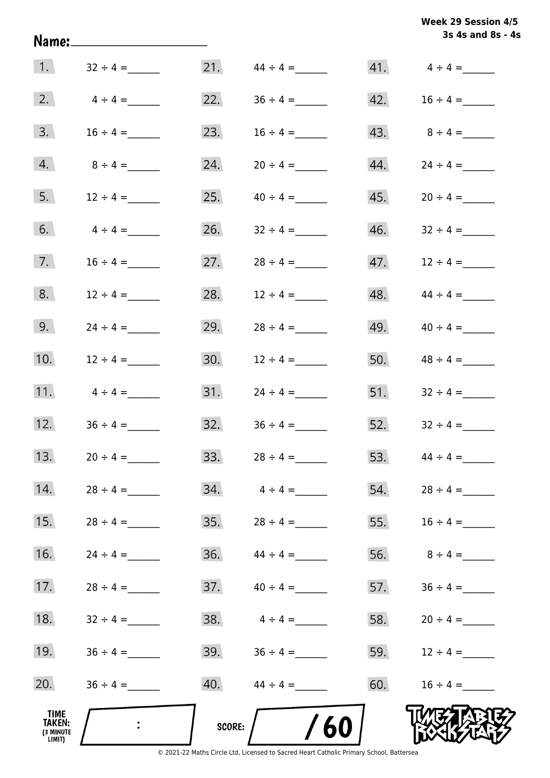| <b>Week 29 Session 4/5</b> |  |
|----------------------------|--|
| 3s 4s and 8s - 4s          |  |

|                                       |                  |        |                         |     | 3s 4s and 8s - 4    |
|---------------------------------------|------------------|--------|-------------------------|-----|---------------------|
|                                       | 1. $32 \div 4 =$ |        | $21.$ $44 \div 4 =$     |     |                     |
| 2.                                    | $4 \div 4 =$     | 22.    | $36 \div 4 =$           | 42. | $16 \div 4 =$       |
| 3.                                    | $16 \div 4 =$    | 23.    | $16 \div 4 =$           | 43. | $8 \div 4 =$        |
| 4.                                    | $8 \div 4 =$     | 24.    |                         | 44. | $24 \div 4 =$       |
| 5.                                    | $12 \div 4 =$    | 25.    | $40 \div 4 =$           | 45. |                     |
| 6.                                    | $4 \div 4 =$     | 26.    | $32 \div 4 =$           | 46. | $32 \div 4 =$       |
| 7.                                    | $16 \div 4 =$    | 27.    | $28 \div 4 =$           | 47. | $12 \div 4 =$       |
| 8.                                    | $12 \div 4 =$    | 28.    | $12 \div 4 =$           | 48. | $44 \div 4 =$       |
| 9.                                    | $24 \div 4 =$    | 29.    | $28 \div 4 =$           | 49. | $40 \div 4 =$       |
| 10.                                   | $12 \div 4 =$    | 30.    | $12 \div 4 =$           | 50. | $48 \div 4 =$       |
| 11.                                   | $4 \div 4 =$     | 31.    | $24 \div 4 =$           | 51. | $32 \div 4 =$       |
| 12.                                   | $36 \div 4 =$    | 32.    | $36 \div 4 =$           | 52. | $32 \div 4 =$       |
| 13.                                   | $20 \div 4 =$    | 33.    | $28 \div 4 =$           | 53. | $44 \div 4 =$       |
| 14.                                   | $28 \div 4 =$    |        | $34. \qquad 4 \div 4 =$ |     | $54.$ $28 \div 4 =$ |
| 15.                                   | $28 \div 4 =$    | 35.    | $28 \div 4 =$           | 55. | $16 \div 4 =$       |
| 16.                                   |                  |        | $36.$ $44 \div 4 =$     | 56. | $8 \div 4 =$        |
| 17.                                   | $28 \div 4 =$    |        |                         | 57. |                     |
| 18.                                   | $32 \div 4 =$    | 38.    | $4 \div 4 =$            |     | 58. $20 \div 4 =$   |
| 19.                                   | $36 \div 4 =$    |        | 39. $36 \div 4 =$       | 59. | $12 \div 4 =$       |
| 20.                                   | $36 \div 4 =$    |        | $40.$ $44 \div 4 =$     | 60. | $16 \div 4 =$       |
| TIME<br>TAKEN:<br>(3 MINUTE<br>LIMIT) |                  | SCORE: | 60                      |     |                     |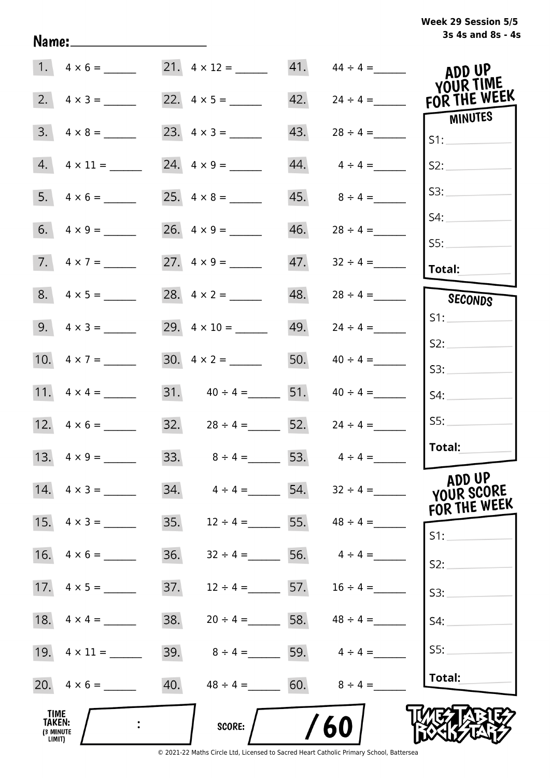| Week 29 Session 5/5 |                   |  |  |
|---------------------|-------------------|--|--|
|                     | 3s 4s and 8s - 4s |  |  |

| 1.                                           | $4 \times 6 =$           | 21. $4 \times 12 =$ |                       | $41.$ $44 \div 4 =$             | ADD UP                    |
|----------------------------------------------|--------------------------|---------------------|-----------------------|---------------------------------|---------------------------|
| 2.                                           | $4 \times 3 =$           |                     |                       | 42.<br>$24 \div 4 =$            | YOUR TIME<br>FOR THE WEEK |
| 3.                                           | $4 \times 8 =$           |                     | 43.                   | $28 \div 4 =$                   | <b>MINUTES</b><br>S1:     |
| 4.                                           |                          | 24. $4 \times 9 =$  | 44.                   | $4 \div 4 =$                    | S2:                       |
| 5.                                           | $4 \times 6 =$           |                     | 45.                   | $8 \div 4 =$                    | S3:                       |
|                                              |                          |                     | 46.                   | $28 \div 4 =$                   | S4:                       |
|                                              | $7. \quad 4 \times 7 =$  |                     |                       | 47.<br>$32 \div 4 =$            | SS:<br>Total:             |
|                                              |                          |                     | 48.                   | $28 \div 4 =$                   | SECONDS                   |
|                                              | 9. $4 \times 3 =$        |                     |                       | 49.<br>$24 \div 4 =$            | S1:                       |
|                                              | 10. $4 \times 7 =$       | 30. $4 \times 2 =$  |                       | 50. $40 \div 4 =$               | S2:<br>S3:                |
|                                              |                          |                     | 31. $40 \div 4 =$ 51. | $40 \div 4 =$                   | S4:                       |
|                                              |                          |                     | 32. $28 \div 4 =$ 52. | $24 \div 4 =$                   | SS:                       |
|                                              | 13. $4 \times 9 =$       |                     | 33. $8 \div 4 = 53$ . | $4 \div 4 =$                    | Total:                    |
|                                              | $14. \quad 4 \times 3 =$ | 34.                 | $4 \div 4 =$ 54.      | $32 \div 4 =$                   | ADD UP<br>YOUR SCORE      |
| 15.                                          | $4 \times 3 =$           | 35.                 | $12 \div 4 =$ 55.     | $48 \div 4 =$                   | FOR THE WEEK<br>S1:       |
| 16.                                          | $4 \times 6 =$           | 36.                 | 56.<br>$32 \div 4 =$  | $4 \div 4 =$                    | S2:                       |
| 17.                                          | $4 \times 5 =$           | 37.                 | $12 \div 4 =$ 57.     | $16 \div 4 =$                   | S3:                       |
|                                              |                          | 38.                 |                       | $20 \div 4 = 58.$ $48 \div 4 =$ | S4:                       |
|                                              |                          | 39.                 |                       | $8 \div 4 = 59.$ $4 \div 4 =$   | SS:                       |
|                                              | $20. \quad 4 \times 6 =$ | 40.                 | $48 \div 4 = 60.$     | $8 \div 4 =$                    | Total:                    |
| <b>TIME</b><br>TAKEN:<br>(3 MINUTE<br>LIMIT) |                          | SCORE:              |                       | 60                              |                           |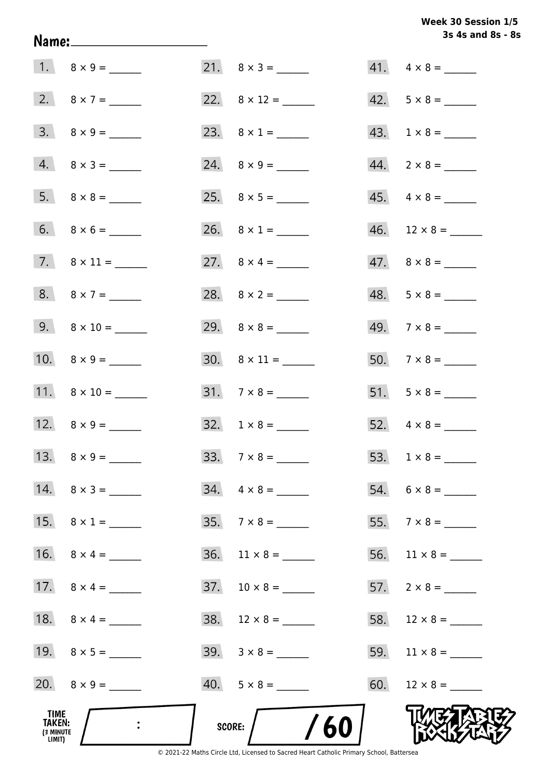# Week 30 Session 1/5 3s 4s and 8s - 8s

| TIME<br>TAKEN:<br>(3 MINUTE<br>LIMIT) | $\ddot{\phantom{1}}$     |     | /60<br>SCORE:            |     |                          |
|---------------------------------------|--------------------------|-----|--------------------------|-----|--------------------------|
|                                       |                          |     | $40. 5 \times 8 =$       | 60. |                          |
|                                       | 19. $8 \times 5 =$       |     | $39. \quad 3 \times 8 =$ | 59. | $11 \times 8 =$          |
|                                       | 18. $8 \times 4 =$       |     |                          | 58. |                          |
|                                       | 17. $8 \times 4 =$       |     |                          |     | 57. $2 \times 8 =$       |
|                                       |                          | 36. |                          | 56. | $11 \times 8 =$          |
|                                       | 15. $8 \times 1 =$       |     | $35. 7 \times 8 =$       |     |                          |
|                                       | $14. \quad 8 \times 3 =$ |     | $34. \quad 4 \times 8 =$ |     |                          |
|                                       |                          |     |                          |     |                          |
|                                       | 12. $8 \times 9 =$       |     | $32. 1 \times 8 =$       |     |                          |
|                                       | 11. $8 \times 10 =$      |     | $31. 7 \times 8 =$       |     |                          |
|                                       |                          |     | $30. 8 \times 11 =$      |     |                          |
|                                       | 9. $8 \times 10 =$       |     |                          |     |                          |
|                                       | 8. $8 \times 7 =$        |     |                          |     | $48. 5 \times 8 =$       |
|                                       |                          |     | 27. $8 \times 4 =$       |     | $47. \quad 8 \times 8 =$ |
|                                       |                          |     |                          |     |                          |
|                                       |                          |     |                          |     | $45. \quad 4 \times 8 =$ |
|                                       | $4. 8 \times 3 =$        |     |                          |     | $44. \quad 2 \times 8 =$ |
|                                       |                          |     |                          |     | $43. 1 \times 8 =$       |
|                                       |                          |     | 22. $8 \times 12 =$      |     | $42. 5 \times 8 =$       |
|                                       |                          |     |                          |     | $41. \quad 4 \times 8 =$ |

Name: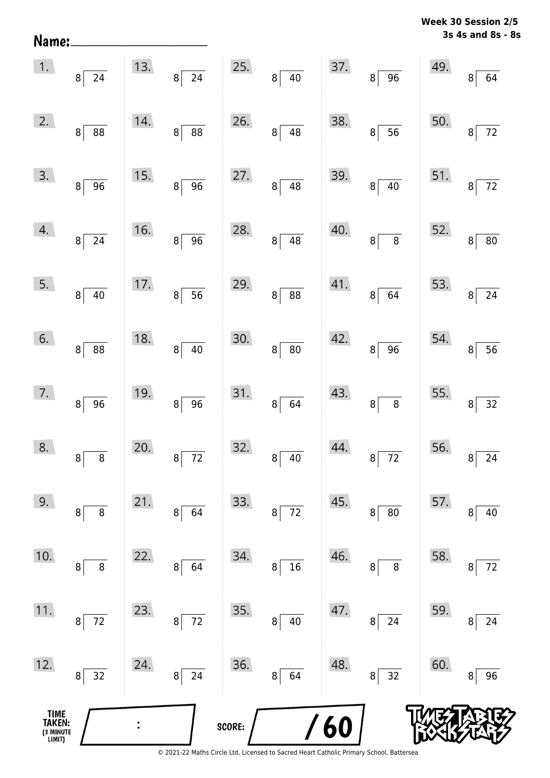| Name:                                 |                      |                |                                   |        |                       |     |                                      | 17 CC | v<br>ניג ווטוככ<br>3s 4s and 8s - 8s |
|---------------------------------------|----------------------|----------------|-----------------------------------|--------|-----------------------|-----|--------------------------------------|-------|--------------------------------------|
| 1.                                    | $8\overline{24}$     | 13.            | $\overline{24}$<br>8 <sup>2</sup> | 25.    | $\bf{8}$<br>40        | 37. | $\overline{96}$<br>8 <sup>1</sup>    | 49.   | 8 <sup>1</sup><br>64                 |
| 2.                                    | 88<br> 8             | 14.            | 88<br>$\bf 8$                     | 26.    | 48<br>$\bf{8}$        | 38. | 56<br>8                              | 50.   | $72\,$<br>8                          |
| 3.                                    | 8 <sup>1</sup><br>96 | 15.            | 96<br>$\, 8$                      | 27.    | $\bf{8}$<br>48        | 39. | $40\,$<br>8 <sup>2</sup>             | 51.   | $72\,$<br>8                          |
| 4.                                    | $8\vert$<br>24       | 16.            | 96<br>$\, 8$                      | 28.    | $\bf{8}$<br>48        | 40. | $\overline{\bf 8}$<br>8 <sup>1</sup> | 52.   | ${\bf 80}$<br>8 <sup>1</sup>         |
| 5.                                    | 8 <br>40             | 17.            | $\overline{56}$<br>$\bf{8}$       | 29.    | 88<br>$\,8\,$         | 41. | 64<br>8 <sup>1</sup>                 | 53.   | $24\,$<br>8 <sup>1</sup>             |
| 6.                                    | 8 <sup>1</sup><br>88 | 18.            | $40\,$<br>$\bf 8$                 | 30.    | $\bf 8$<br>${\bf 80}$ | 42. | 96<br>8 <sup>1</sup>                 | 54.   | 56<br>8                              |
| 7.                                    | $8 \mid 96$          | 19.            | $\overline{96}$<br>$\bf 8$        | 31.    | $\bf{8}$<br>64        | 43. | $\overline{8}$<br>8                  | 55.   | 32<br>8                              |
| 8.                                    | 8<br>8               | 20.            | $72\,$<br>8                       | 32.    | $40\,$<br>8           | 44. | 72<br>8                              | 56.   | 24<br>8                              |
| 9.                                    | $\bf 8$<br>8         | 21.            | 64<br>8                           | 33.    | $72\,$<br>8           | 45. | ${\bf 80}$<br>8                      | 57.   | $40\,$<br>8                          |
| 10.                                   | $\bf 8$<br>8         | 22.            | 64<br>8                           | 34.    | ${\bf 16}$<br>8       | 46. | $\bf 8$<br>8                         | 58.   | $72\,$<br>8                          |
| 11.                                   | $72$<br>8            | 23.            | $72\,$<br>8                       | 35.    | $40\,$<br>8           | 47. | 24<br>8                              | 59.   | 24<br>8                              |
| 12.                                   | 32<br>8              | 24.            | $24\,$<br>8                       | 36.    | 64<br>8               | 48. | $\overline{32}$<br>8                 | 60.   | 96<br>8                              |
| TIME<br>TAKEN:<br>(3 MINUTE<br>LIMIT) |                      | $\ddot{\cdot}$ |                                   | SCORE: |                       | 60  |                                      |       |                                      |

**Week 30 Session 2/5**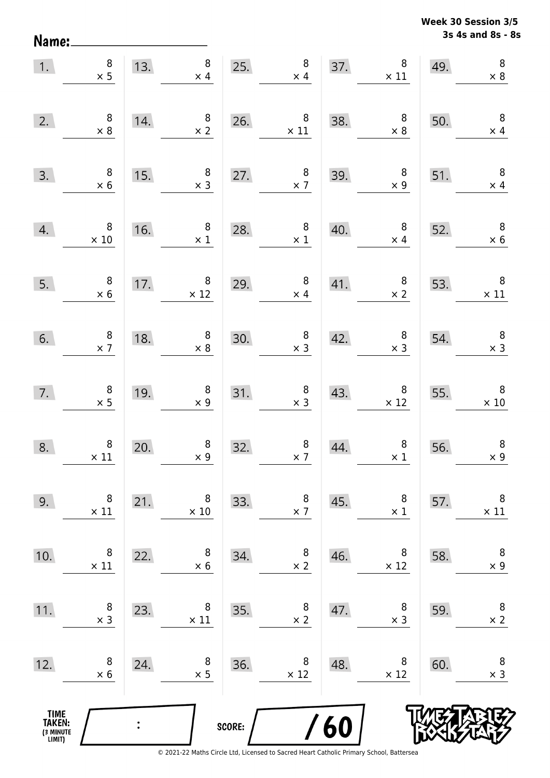**3s 4s and 8s - 8s Week 30 Session 3/5** 

| 1.                                    | $\begin{array}{c} 8 \\ \times 5 \end{array}$  |     | 8<br>13.<br>$\times$ 4                            | 25.    | $\boldsymbol{8}$<br>$\times$ 4               |     | 8 <sub>o</sub><br>37. $8 \times 11$              | 49. | $\, 8$<br>$\times 8$                          |
|---------------------------------------|-----------------------------------------------|-----|---------------------------------------------------|--------|----------------------------------------------|-----|--------------------------------------------------|-----|-----------------------------------------------|
| 2.                                    | $\begin{array}{c} 8 \\ \times 8 \end{array}$  | 14. | $\begin{array}{c} 8 \\ \times 2 \end{array}$      |        | 26. $8 \times 11$                            | 38. | $\begin{array}{r} 8 \\ \times 8 \end{array}$     | 50. | $\overline{\phantom{0}}$ 8<br>$\times$ 4      |
| 3.                                    | $\begin{array}{r} 8 \\ \times 6 \end{array}$  | 15. | $\begin{array}{c} 8 \\ \times 3 \end{array}$      | 27.    | $\begin{array}{c} 8 \\ \times 7 \end{array}$ | 39. | $\begin{array}{c} 8 \\ \times 9 \end{array}$     | 51. | $\overline{\phantom{0}}$ 8<br>$\times$ 4      |
| 4.                                    | $\overline{\phantom{0}}$ 8<br>$\times 10$     | 16. | 8 <sup>8</sup><br>$\times$ 1                      | 28.    | 8 <sup>1</sup><br>$\times$ 1                 | 40. | 8 <sup>1</sup><br>$\times$ 4                     | 52. | $\overline{\mathbf{8}}$<br>$\times 6$         |
| 5.                                    | $\begin{array}{c} 8 \\ \times 6 \end{array}$  |     | 17. $\begin{array}{r} 8 \\ \times 12 \end{array}$ | 29.    | $\begin{array}{c} 8 \\ \times 4 \end{array}$ |     | 41. $\begin{array}{c} 8 \\ \times 2 \end{array}$ | 53. | $\begin{array}{c} 8 \\ \times 11 \end{array}$ |
| 6.                                    | $\begin{array}{c} 8 \\ \times 7 \end{array}$  | 18. | $\begin{array}{c} 8 \\ \times 8 \end{array}$      | 30.    | $\begin{array}{c} 8 \\ \times 3 \end{array}$ | 42. | $\begin{array}{c} 8 \\ \times 3 \end{array}$     | 54. | $\begin{array}{c} 8 \\ \times 3 \end{array}$  |
| 7.                                    | $\begin{array}{c} 8 \\ \times 5 \end{array}$  | 19. | $\begin{array}{c} 8 \\ \times 9 \end{array}$      |        | 31. $8 \times 3$                             | 43. | $\begin{array}{r} 8 \\ \times 12 \end{array}$    | 55. | $\overline{\phantom{0}}$ 8<br>$\times 10$     |
| 8.                                    | $\begin{array}{c} 8 \\ \times 11 \end{array}$ | 20. | $\begin{array}{c} 8 \\ \times 9 \end{array}$      | 32.    | $\begin{array}{c} 8 \\ \times 7 \end{array}$ | 44. | $\begin{array}{c} 8 \\ \times 1 \end{array}$     | 56. | $\, 8$<br>$\times 9$                          |
| 9.                                    | 8<br>$\times$ 11                              | 21. | 8<br>$\times$ 10                                  | 33.    | 8<br>$\times$ 7                              | 45. | 8<br>$\times$ 1                                  | 57. | $\, 8$<br>$\times$ 11                         |
| 10.                                   | 8<br>$\times$ 11                              | 22. | 8<br>$\times 6$                                   | 34.    | 8<br>$\times 2$                              | 46. | 8<br>$\times$ 12                                 | 58. | $\, 8$<br>$\times$ 9                          |
| 11.                                   | 8<br>$\times$ 3                               | 23. | 8<br>$\times$ 11                                  | 35.    | 8<br>$\times$ 2                              | 47. | 8<br>$\times$ 3                                  | 59. | 8<br>$\times$ 2                               |
| 12.                                   | 8<br>$\times 6$                               | 24. | 8<br>$\times$ 5                                   | 36.    | 8<br>$\times$ 12                             | 48. | 8<br>$\times$ 12                                 | 60. | $\,8\,$<br>$\times$ 3                         |
| TIME<br>TAKEN:<br>(3 MINUTE<br>LIMIT) |                                               |     |                                                   | SCORE: |                                              | 60  |                                                  |     |                                               |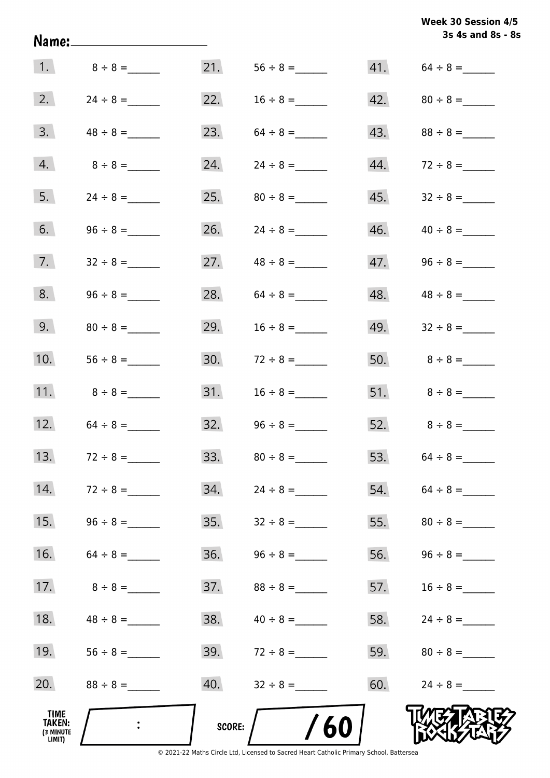| Week 30 Session 4/5 |  |
|---------------------|--|
| 3s 4s and 8s - 8s   |  |
|                     |  |

| 1.                                    | $8 \div 8 =$  | 21.    |               |     |                   |
|---------------------------------------|---------------|--------|---------------|-----|-------------------|
| 2.                                    |               | 22.    |               |     | 42. $80 \div 8 =$ |
| 3.                                    |               | 23.    |               | 43. |                   |
| 4.                                    | $8 \div 8 =$  | 24.    | $24 \div 8 =$ | 44. |                   |
| 5.                                    | $24 \div 8 =$ | 25.    | $80 \div 8 =$ | 45. |                   |
| 6.                                    |               | 26.    | $24 \div 8 =$ | 46. |                   |
| 7.                                    |               | 27.    | $48 \div 8 =$ | 47. |                   |
| 8.                                    |               | 28.    |               | 48. | $48 \div 8 =$     |
| 9.                                    |               | 29.    | $16 \div 8 =$ | 49. |                   |
| 10.                                   |               | 30.    | $72 \div 8 =$ |     | 50. $8 \div 8 =$  |
| 11.                                   | $8 \div 8 =$  | 31.    | $16 \div 8 =$ |     |                   |
| 12.                                   | $64 \div 8 =$ | 32.    |               |     | 52. $8 \div 8 =$  |
| 13.                                   | $72 \div 8 =$ | 33.    | $80 \div 8 =$ |     | 53. $64 \div 8 =$ |
| 14.                                   | $72 \div 8 =$ | 34.    | $24 \div 8 =$ |     | 54. $64 \div 8 =$ |
| 15.                                   | $96 \div 8 =$ | 35.    | $32 \div 8 =$ |     |                   |
| 16.                                   | $64 \div 8 =$ | 36.    |               | 56. |                   |
| 17.                                   | $8 \div 8 =$  | 37.    | $88 \div 8 =$ | 57. | $16 \div 8 =$     |
| 18.                                   | $48 \div 8 =$ | 38.    | $40 \div 8 =$ | 58. |                   |
| 19.                                   |               | 39.    | $72 \div 8 =$ | 59. | $80 \div 8 =$     |
| 20.                                   |               | 40.    | $32 \div 8 =$ | 60. | $24 \div 8 =$     |
| TIME<br>TAKEN:<br>(3 MINUTE<br>LIMIT) |               | SCORE: | 60            |     |                   |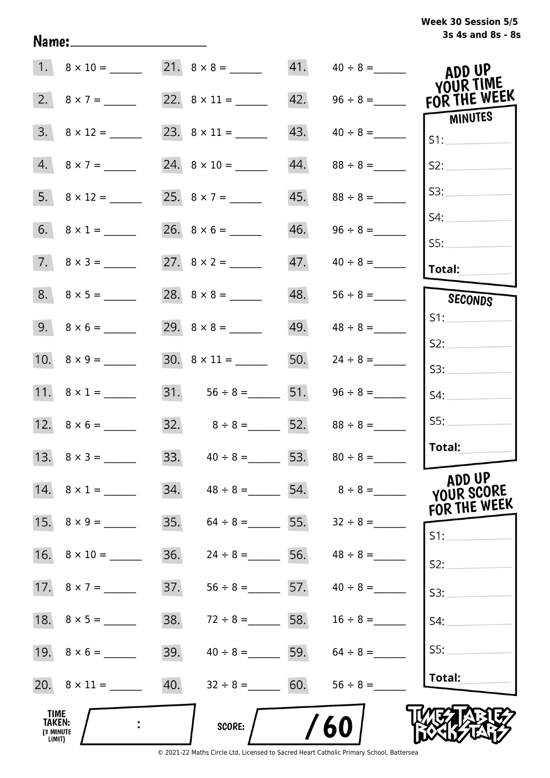# **3s 4s and 8s - 8s Week 30 Session 5/5**

|                                       | $1. \quad 8 \times 10 =$ |                                     |                   |     | 21. $8 \times 8 =$ 41. $40 \div 8 =$  | ADD UP<br>YOUR TIME    |
|---------------------------------------|--------------------------|-------------------------------------|-------------------|-----|---------------------------------------|------------------------|
|                                       |                          |                                     |                   |     | 22. $8 \times 11 =$ 42. $96 \div 8 =$ | FOR THE WEEK           |
|                                       | $3. \quad 8 \times 12 =$ |                                     |                   | 43. |                                       | <b>MINUTES</b><br>S1:  |
|                                       | $4. 8 \times 7 =$        | $24. \quad 8 \times 10 =$           |                   | 44. | $88 \div 8 =$                         | S2:                    |
|                                       | $5. \quad 8 \times 12 =$ | 25. $8 \times 7 =$                  |                   |     |                                       | S3:                    |
|                                       | 6. $8 \times 1 =$        |                                     |                   |     |                                       | S4:                    |
|                                       | $7. \quad 8 \times 3 =$  |                                     |                   |     |                                       | SS:<br><b>Total:</b>   |
|                                       |                          |                                     |                   | 48. |                                       | SECONDS                |
|                                       |                          |                                     |                   | 49. | $48 \div 8 =$                         | S1:                    |
|                                       |                          |                                     |                   | 50. | $24 \div 8 =$                         | S2:<br>S3:             |
|                                       | 11. $8 \times 1 =$       | $31.$ $56 \div 8 =$ 51.             |                   |     |                                       | S4:                    |
|                                       |                          | $32. \hspace{1.5cm} 8 \div 8 =$ 52. |                   |     | $88 \div 8 =$                         | SS:                    |
|                                       |                          |                                     |                   |     | 33. $40 \div 8 =$ 53. $80 \div 8 =$   | Total:                 |
|                                       | 14. $8 \times 1 =$       | 34.                                 |                   |     | $48 \div 8 =$ 54. $8 \div 8 =$        | ADD UP<br>YOUR SCORE   |
|                                       |                          | 35.                                 | $64 \div 8 =$ 55. |     | $32 \div 8 =$                         | FOR THE WEEK<br>$S1$ : |
|                                       | 16. $8 \times 10 =$      | 36.                                 | $24 \div 8 =$ 56. |     | $48 \div 8 =$                         | S2:                    |
|                                       |                          | 37.                                 | $56 \div 8 =$ 57. |     | $40 \div 8 =$                         | S3:                    |
|                                       | 18. $8 \times 5 =$       | 38.                                 | $72 \div 8 =$ 58. |     | $16 \div 8 =$                         | S4:                    |
|                                       | 19. $8 \times 6 =$       | 39.                                 | $40 \div 8 =$ 59. |     | $64 \div 8 =$                         | S5:                    |
|                                       |                          | 40.                                 | $32 \div 8 = 60.$ |     | $56 \div 8 =$                         | Total:                 |
| TIME<br>TAKEN:<br>(3 MINUTE<br>LIMIT) |                          |                                     | <b>SCORE:</b>     |     | 60                                    |                        |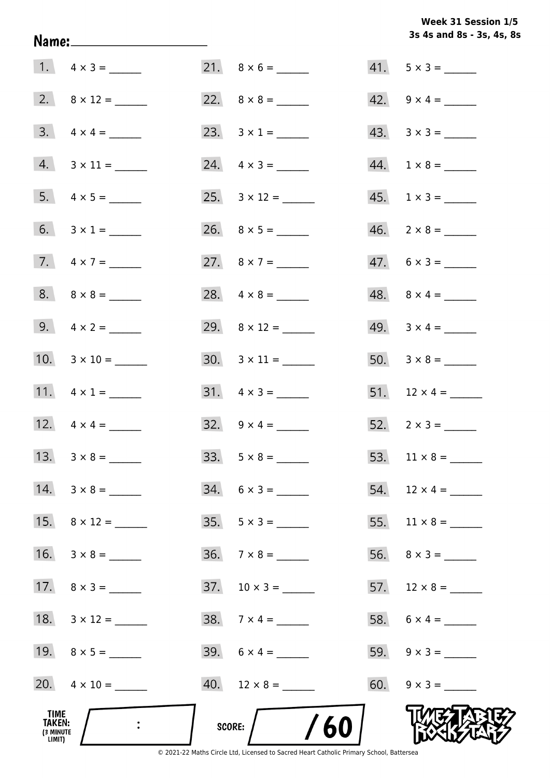# **3s 4s and 8s - 3s, 4s, 8s Week 31 Session 1/5**

| TIME<br>TAKEN:<br>(3 MINUTE<br>LIMIT) |                         | /60<br>SCORE:            |                          |
|---------------------------------------|-------------------------|--------------------------|--------------------------|
|                                       | 20. $4 \times 10 =$     | $40.$ 12 x 8 = ______    | 60. $9 \times 3 =$       |
|                                       | 19. $8 \times 5 =$      | 39. $6 \times 4 =$       |                          |
|                                       | 18. $3 \times 12 =$     |                          |                          |
|                                       | 17. $8 \times 3 =$      | $37. 10 \times 3 =$      |                          |
|                                       | 16. $3 \times 8 =$      | $36. \quad 7 \times 8 =$ |                          |
|                                       | 15. $8 \times 12 =$     | $35. \quad 5 \times 3 =$ |                          |
|                                       |                         | $34. 6 \times 3 =$       | 54. $12 \times 4 =$      |
|                                       |                         |                          |                          |
|                                       |                         |                          |                          |
|                                       | 11. $4 \times 1 =$      | $31. \quad 4 \times 3 =$ | 51. $12 \times 4 =$      |
|                                       |                         |                          |                          |
|                                       | 9. $4 \times 2 =$       |                          | 49. $3 \times 4 =$       |
|                                       |                         | 28. $4 \times 8 =$       | $48. \quad 8 \times 4 =$ |
|                                       | 7. $4 \times 7 =$       | 27. $8 \times 7 =$       | $47. 6 \times 3 =$       |
|                                       |                         |                          | $46. 2 \times 8 =$       |
|                                       | $5. 4 \times 5 =$       |                          | $45. 1 \times 3 =$       |
|                                       | $4. 3 \times 11 =$      | $24. \quad 4 \times 3 =$ | $44. 1 \times 8 =$       |
|                                       | $3. \quad 4 \times 4 =$ |                          | $43. \quad 3 \times 3 =$ |
|                                       |                         |                          | 42. $9 \times 4 =$       |
|                                       | 1. $4 \times 3 =$       |                          | $41. 5 \times 3 =$       |

Name: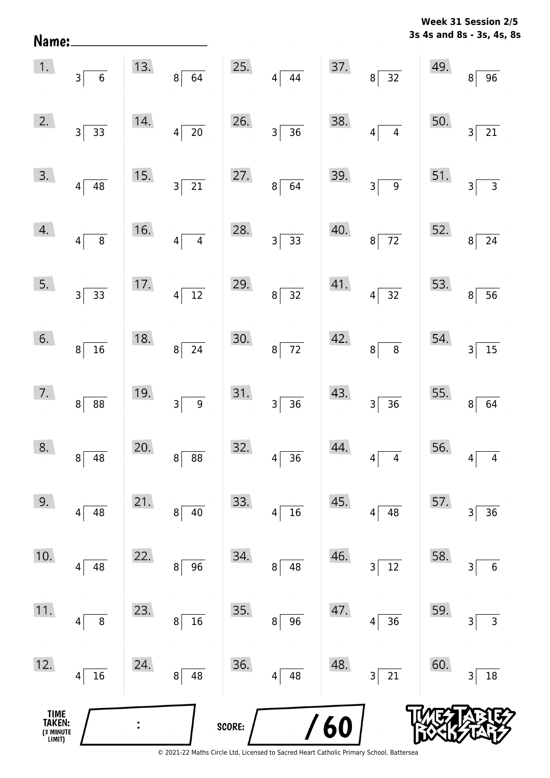**3s 4s and 8s - 3s, 4s, 8s Week 31 Session 2/5** 

| Name:                                 |                                   |     |                                            |        |                      |     |                                     |     | 3s 4s and 8s - 3s, 4s, 8   |
|---------------------------------------|-----------------------------------|-----|--------------------------------------------|--------|----------------------|-----|-------------------------------------|-----|----------------------------|
| 1.                                    | 3 <br>$\,$ 6 $\,$                 | 13. | $\overline{64}$<br>$8^{\frac{1}{2}}$       | 25.    | $4\sqrt{44}$         | 37. | $\frac{1}{32}$<br>$8^{\frac{1}{2}}$ | 49. | $\overline{96}$<br>8       |
| 2.                                    | $3\vert$<br>$\overline{33}$       | 14. | $\overline{20}$<br>$\overline{\mathbf{4}}$ | 26.    | $3\overline{)36}$    | 38. | $\overline{4}$<br>$\vert 4 \vert$   | 50. | $\overline{21}$<br>3       |
| 3.                                    | $4\vert$<br>48                    | 15. | $\overline{21}$<br>3 <sup>5</sup>          | 27.    | $8\overline{64}$     | 39. | $\overline{9}$<br>$3\vert$          | 51. | $\overline{3}$<br>3        |
| 4.                                    | $\overline{8}$<br> 4              | 16. | $\overline{4}$<br>$\overline{\mathbf{4}}$  | 28.    | $3\overline{)33}$    | 40. | $\overline{72}$<br>$8\vert$         | 52. | $\overline{24}$<br>8       |
| 5.                                    | $3\vert$<br>$\overline{33}$       | 17. | $\overline{12}$<br>$\overline{\mathbf{4}}$ | 29.    | $8\overline{)32}$    | 41. | $\overline{32}$<br>$4\sqrt{ }$      | 53. | $\overline{56}$<br>$\bf 8$ |
| 6.                                    | 16<br>8 <sup>1</sup>              | 18. | $\overline{24}$<br>$\mathbf{8}$            | 30.    | $8\overline{72}$     | 42. | $\bf 8$<br>$8\vert$                 | 54. | $\overline{15}$<br>3       |
| 7.                                    | 8 <sup>1</sup><br>88              | 19. | $\overline{9}$<br>$3\vert$                 | 31.    | $3 \overline{)36}$   | 43. | $\overline{36}$<br>$3\vert$         | 55. | 8<br>64                    |
| 8.                                    | 48<br>8                           | 20. | 88<br>8                                    | 32.    | 36<br>4              | 44. | $\overline{\mathbf{4}}$<br>4        | 56. | 4<br>4                     |
| 9.                                    | 48<br>4                           | 21. | 40<br>8                                    | 33.    | 16<br> 4             | 45. | 48<br>$\vert 4 \vert$               | 57. | 36<br>3                    |
| 10.                                   | 48<br>4                           | 22. | 96<br>8                                    | 34.    | 48<br>8 <sup>1</sup> | 46. | $12\,$<br>$\overline{\mathbf{3}}$   | 58. | $\,6\,$<br>3               |
| 11.                                   | $\bf 8$<br>4                      | 23. | $16\,$<br>8                                | 35.    | 96<br>8 <sup>2</sup> | 47. | 36<br>$\vert 4 \vert$               | 59. | 3<br>3                     |
| 12.                                   | $16\,$<br>$\overline{\mathbf{4}}$ | 24. | 48<br>8                                    | 36.    | 48<br>$4\vert$       | 48. | $21\,$<br>$3\vert$                  | 60. | $18\,$<br>3                |
| TIME<br>TAKEN:<br>(3 MINUTE<br>LIMIT) |                                   |     |                                            | SCORE: |                      | 60  |                                     |     |                            |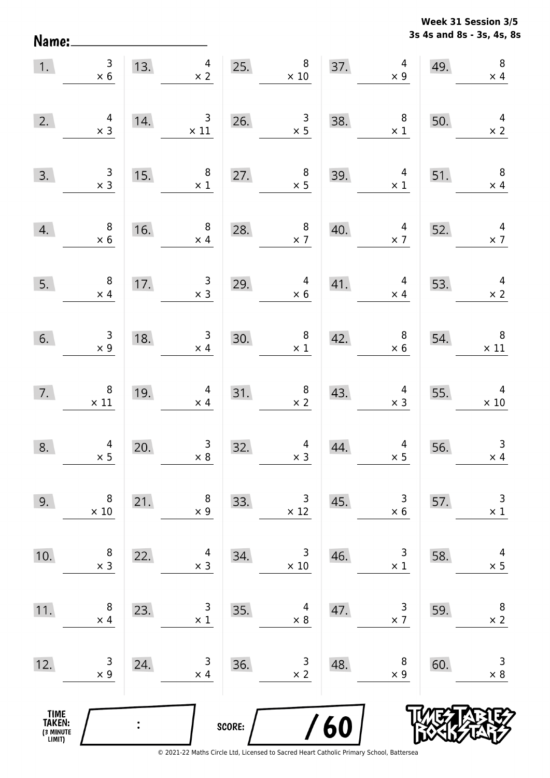**3s 4s and 8s - 3s, 4s, 8s Week 31 Session 3/5** 

| 1.                                            | $\begin{array}{c} 3 \\ \times 6 \end{array}$  |                | $\overline{4}$<br>13.<br>$\times$ 2          | 25.    | $8\phantom{1}$<br>$\times$ 10                       | 37. | $\overline{4}$<br>$\times$ 9                 | 49. | $\, 8$<br>$\times$ 4                         |
|-----------------------------------------------|-----------------------------------------------|----------------|----------------------------------------------|--------|-----------------------------------------------------|-----|----------------------------------------------|-----|----------------------------------------------|
| 2.                                            | $\begin{array}{c} 4 \\ \times 3 \end{array}$  | 14.            | $\overline{\phantom{a}}$ 3<br>$\times$ 11    | 26.    | $\begin{array}{c} 3 \\ \times 5 \end{array}$        | 38. | $\begin{array}{c} 8 \\ \times 1 \end{array}$ | 50. | $\begin{array}{c} 4 \\ \times 2 \end{array}$ |
| 3.                                            | $\begin{array}{c} 3 \\ \times 3 \end{array}$  | 15.            | $\,8\,$<br>$\times$ 1                        | 27.    | $\begin{array}{c} 8 \\ \times 5 \end{array}$        | 39. | $\overline{4}$<br>$\times$ 1                 | 51. | $\overline{\phantom{0}}$<br>$\times$ 4       |
| 4.                                            | $\begin{array}{c} 8 \\ \times 6 \end{array}$  | 16.            | $8\phantom{1}$<br>$\times$ 4                 |        | $\begin{array}{c} 8 \\ \times 7 \end{array}$<br>28. | 40. | $\overline{4}$<br>$\times$ 7                 | 52. | $\overline{4}$<br>$\times$ 7                 |
| 5.                                            | $\overline{\phantom{a}}$<br>$\times$ 4        | 17.            | $\overline{\mathbf{3}}$<br>$\times$ 3        | 29.    | $\overline{4}$<br>$\times 6$                        |     | $41.$ $4$<br>$\times$ 4                      | 53. | $\overline{4}$<br>$\times$ 2                 |
| 6.                                            | $\begin{array}{c} 3 \\ \times 9 \end{array}$  | 18.            | $\begin{array}{c} 3 \\ \times 4 \end{array}$ | 30.    | $\begin{array}{c} 8 \\ \times 1 \end{array}$        | 42. | $\begin{array}{c} 8 \\ \times 6 \end{array}$ | 54. | $\overline{\phantom{0}}$<br>$\times$ 11      |
| 7.                                            | $\begin{array}{c} 8 \\ \times 11 \end{array}$ | 19.            | $\overline{4}$<br>$\times$ 4                 | 31.    | $\begin{array}{c} 8 \\ \times 2 \end{array}$        | 43. | $\begin{array}{c} 4 \\ \times 3 \end{array}$ | 55. | $\overline{4}$<br>$\times 10$                |
| 8.                                            | $\begin{array}{c} 4 \\ \times 5 \end{array}$  | 20.            | $\begin{array}{c} 3 \\ \times 8 \end{array}$ | 32.    | $\overline{a}$<br>$\times$ 3                        | 44. | $\begin{array}{c} 4 \\ \times 5 \end{array}$ | 56. | $\mathbf{3}$<br>$\times$ 4                   |
| 9.                                            | 8<br>$\times$ 10                              | 21.            | 8<br>$\times$ 9                              | 33.    | 3<br>$\times$ 12                                    | 45. | 3<br>$\times$ 6                              | 57. | 3<br>$\times$ 1                              |
| 10.                                           | 8<br>$\times$ 3                               | 22.            | 4<br>$\times$ 3                              | 34.    | 3<br>$\times 10$                                    | 46. | 3<br>$\times$ 1                              | 58. | 4<br>$\times$ 5                              |
| 11.                                           | 8<br>$\times$ 4                               | 23.            | 3<br>$\times$ 1                              | 35.    | 4<br>$\times 8$                                     | 47. | 3<br>$\times$ 7                              | 59. | 8<br>$\times$ 2                              |
| 12.                                           | 3<br>$\times$ 9                               | 24.            | 3<br>$\times$ 4                              | 36.    | 3<br>$\times$ 2                                     | 48. | 8<br>$\times$ 9                              | 60. | 3<br>$\times$ 8                              |
| <b>TIME<br/>TAKEN:</b><br>(3 MINUTE<br>LIMIT) |                                               | $\ddot{\cdot}$ |                                              | SCORE: |                                                     | 60  |                                              |     |                                              |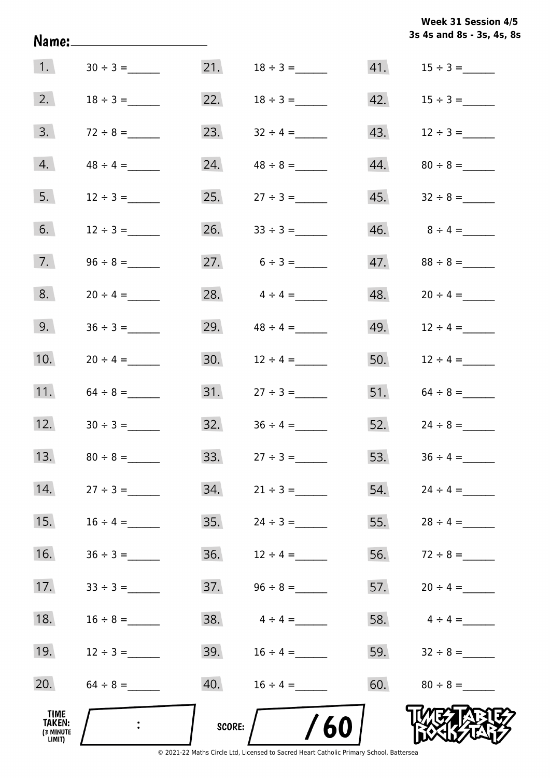|                                                     |               |               |                                                                                               |     | 3s 4s and 8s - 3s, 4s, 8s |
|-----------------------------------------------------|---------------|---------------|-----------------------------------------------------------------------------------------------|-----|---------------------------|
| $\vert 1. \vert$                                    |               |               | 21. $18 \div 3 =$                                                                             |     |                           |
| 2.                                                  | $18 \div 3 =$ |               | 22. $18 \div 3 =$                                                                             |     | 42. $15 \div 3 =$         |
| 3.                                                  |               | 23.           | $32 \div 4 =$                                                                                 |     | 43. $12 \div 3 =$         |
| 4.                                                  | $48 \div 4 =$ | 24.           |                                                                                               |     |                           |
| 5.                                                  | $12 \div 3 =$ | 25.           | $27 \div 3 =$                                                                                 |     |                           |
| 6.                                                  | $12 \div 3 =$ |               | 26. $33 \div 3 =$                                                                             |     |                           |
| 7.                                                  |               |               | 27. $6 \div 3 =$                                                                              |     |                           |
| 8.                                                  | $20 \div 4 =$ | 28.           | $4 \div 4 =$                                                                                  |     | $48. 20 \div 4 =$         |
| 9.                                                  |               | 29.           | $48 \div 4 =$                                                                                 |     | 49. $12 \div 4 =$         |
| 10.                                                 | $20 \div 4 =$ |               | 30. $12 \div 4 =$                                                                             |     | 50. $12 \div 4 =$         |
| 11.                                                 |               |               |                                                                                               |     |                           |
| 12.                                                 |               |               |                                                                                               |     | 52. $24 \div 8 =$         |
| 13.                                                 |               | 33.           | $27 \div 3 =$                                                                                 | 53. | $36 \div 4 =$             |
| 14.                                                 | $27 \div 3 =$ | 34.           | $21 \div 3 =$                                                                                 | 54. | $24 \div 4 =$             |
| 15.                                                 |               | 35.           |                                                                                               | 55. |                           |
| 16.                                                 | $36 \div 3 =$ | 36.           | $12 \div 4 =$                                                                                 | 56. | $72 \div 8 =$             |
| 17.                                                 | $33 \div 3 =$ | 37.           |                                                                                               | 57. |                           |
| 18.                                                 |               | 38.           | $4 \div 4 =$                                                                                  | 58. | $4 \div 4 =$              |
| 19.                                                 | $12 \div 3 =$ | 39.           |                                                                                               | 59. |                           |
| 20.                                                 | $64 \div 8 =$ | 40.           | $16 \div 4 =$                                                                                 | 60. | $80 \div 8 =$             |
| <b>TIME</b><br><b>TAKEN:</b><br>(3 MINUTE<br>LIMIT) |               | <b>SCORE:</b> | 60<br>© 2021-22 Maths Circle Ltd, Licensed to Sacred Heart Catholic Primary School, Battersea |     |                           |

**Week 31 Session 4/5**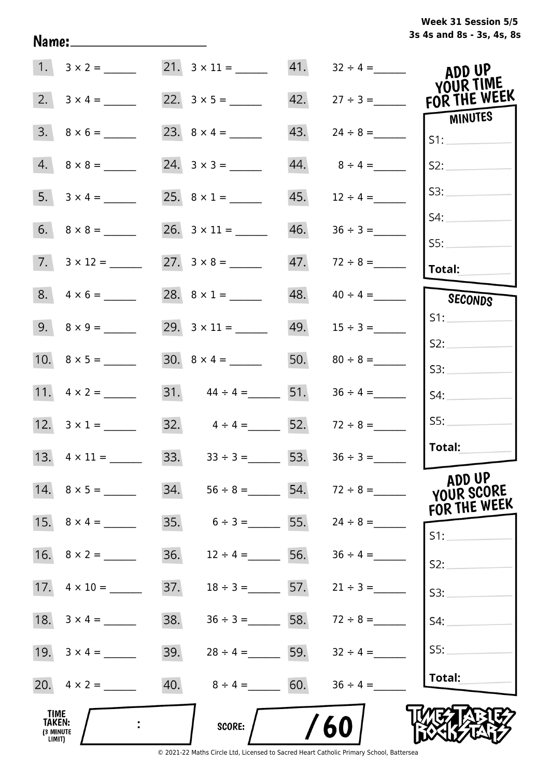|  | Week 31 Session 5/5       |  |  |  |
|--|---------------------------|--|--|--|
|  | 3s 4s and 8s - 3s, 4s, 8s |  |  |  |

| 1.                                                  |                          | $21. \quad 3 \times 11 =$                           | 41. | $32 \div 4 =$     | ADD UP<br>YOUR TIME  |
|-----------------------------------------------------|--------------------------|-----------------------------------------------------|-----|-------------------|----------------------|
| 2.                                                  | $3 \times 4 =$           |                                                     | 42. | $27 \div 3 =$     | FOR THE WEEK         |
| 3.                                                  |                          |                                                     | 43. |                   | MINUTES<br>S1:       |
| 4.                                                  | $8 \times 8 =$           | $24. 3 \times 3 =$                                  | 44. | $8 \div 4 =$      | S2:                  |
|                                                     |                          | 25. $8 \times 1 =$                                  | 45. | $12 \div 4 =$     | S3:                  |
|                                                     |                          |                                                     | 46. | $36 \div 3 =$     | S4:<br>SS:           |
|                                                     | $7. \quad 3 \times 12 =$ | $27. \quad 3 \times 8 =$                            | 47. | $72 \div 8 =$     | Total:               |
|                                                     | $8. 4 \times 6 =$        | 28. $8 \times 1 =$                                  | 48. | $40 \div 4 =$     | SECONDS              |
|                                                     |                          | 29. $3 \times 11 =$                                 | 49. | $15 \div 3 =$     | S1:                  |
|                                                     |                          |                                                     |     | 50. $80 \div 8 =$ | S2:<br>S3:           |
|                                                     | 11. $4 \times 2 =$       | 31. $44 \div 4 =$ 51.                               |     | $36 \div 4 =$     | S4:                  |
|                                                     |                          | 32. $4 \div 4 =$ 52. $72 \div 8 =$                  |     |                   | SS:                  |
|                                                     |                          | $33. \hspace{1.5cm} 33 \div 3 = \hspace{1.5cm} 53.$ |     |                   | Total:               |
|                                                     | 14. $8 \times 5 =$       | 34.<br>$56 \div 8 =$ 54.                            |     |                   | ADD UP<br>YOUR SCORE |
|                                                     |                          | 35.<br>$6 \div 3 =$                                 | 55. |                   | FOR THE WEEK<br>S1:  |
|                                                     | 16. $8 \times 2 =$       | 36.<br>$12 \div 4 =$                                | 56. |                   | S2:                  |
| 17.                                                 | $4 \times 10 =$          | 37.<br>$18 \div 3 =$ 57.                            |     | $21 \div 3 =$     | S3:                  |
|                                                     |                          | 38.<br>$36 \div 3 =$ 58.                            |     | $72 \div 8 =$     | S4:                  |
|                                                     |                          | 39.<br>$28 \div 4 =$ 59.                            |     | $32 \div 4 =$     | SS:                  |
|                                                     |                          | 40.<br>$8 \div 4 = 60.$                             |     | $36 \div 4 =$     | Total:               |
| <b>TIME</b><br><b>TAKEN:</b><br>(3 MINUTE<br>LIMIT) |                          | <b>SCORE:</b>                                       |     | /60               |                      |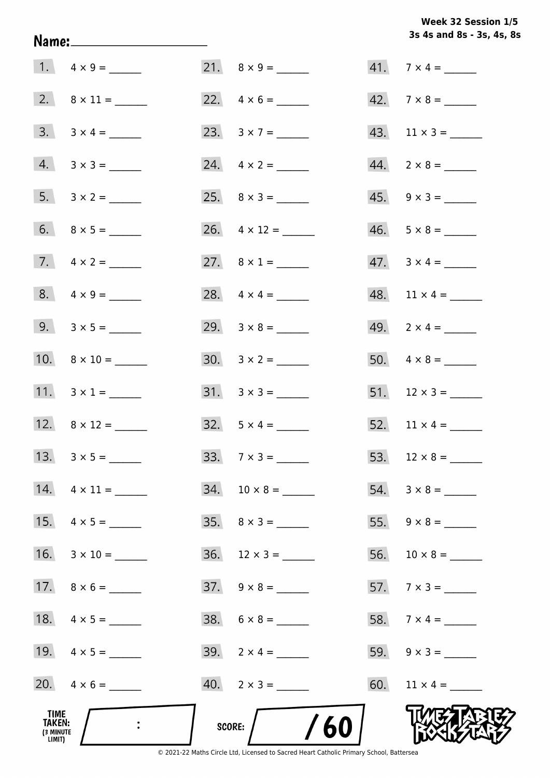**3s 4s and 8s - 3s, 4s, 8s Week 32 Session 1/5** 

| TIME<br>TAKEN:<br>(3 MINUTE<br>LIMIT) |                     | SCORE: $/$ /60           |                             |
|---------------------------------------|---------------------|--------------------------|-----------------------------|
|                                       | 20. $4 \times 6 =$  | $40. \quad 2 \times 3 =$ |                             |
|                                       | 19. $4 \times 5 =$  | 39. $2 \times 4 =$       |                             |
|                                       |                     | $38. 6 \times 8 =$       | 58. $7 \times 4 =$          |
|                                       | 17. $8 \times 6 =$  | $37. \quad 9 \times 8 =$ | 57. $7 \times 3 =$          |
|                                       |                     | $36.$ 12 × 3 = _______   |                             |
|                                       | 15. $4 \times 5 =$  |                          |                             |
|                                       | 14. $4 \times 11 =$ |                          |                             |
|                                       |                     | 33. $7 \times 3 =$       | 53. $12 \times 8 =$         |
|                                       | 12. $8 \times 12 =$ | $32. 5 \times 4 =$       |                             |
|                                       | 11. $3 \times 1 =$  | $31. \quad 3 \times 3 =$ |                             |
|                                       |                     |                          |                             |
|                                       | 9. $3 \times 5 =$   |                          | 49. $2 \times 4 =$          |
|                                       | 8. $4 \times 9 =$   |                          |                             |
|                                       |                     | 27. $8 \times 1 =$       | $47. \quad 3 \times 4 = \_$ |
|                                       |                     |                          | $46. 5 \times 8 =$          |
|                                       |                     |                          | $45. \quad 9 \times 3 =$    |
|                                       | $4. 3 \times 3 =$   | 24. $4 \times 2 =$       | $44. \quad 2 \times 8 =$    |
|                                       | $3. 3 \times 4 =$   |                          | 43. $11 \times 3 =$         |
|                                       |                     |                          | $42.7 \times 8 =$           |
|                                       |                     |                          | $41.7 \times 4 =$           |

Name: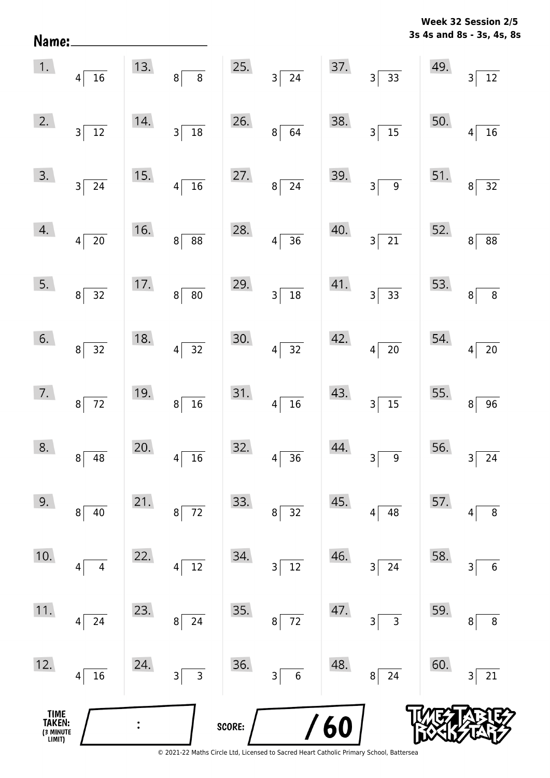| Name <mark>:</mark>                   |                              |     |                                    |        |                                   |     |                                |     | 3s 4s and 8s - 3s, 4s, 8s |
|---------------------------------------|------------------------------|-----|------------------------------------|--------|-----------------------------------|-----|--------------------------------|-----|---------------------------|
| 1.                                    | $4\vert$<br>$16\,$           | 13. | $\bf 8$<br> 8                      | 25.    | $\overline{24}$<br>$\mathsf{3}$   | 37. | 33<br>3                        | 49. | 3<br>12                   |
| 2.                                    | 12<br>3                      | 14. | $18\,$<br>$3\vert$                 | 26.    | 64<br>$\bf 8$                     | 38. | $\overline{15}$<br>3           | 50. | 16<br>4                   |
| 3.                                    | $3\vert$<br>24               | 15. | $\overline{16}$<br>$\vert 4 \vert$ | 27.    | 24<br>$\bf 8$                     | 39. | $\overline{9}$<br>$\mathsf{3}$ | 51. | 32<br>$\bf 8$             |
| 4.                                    | $20\,$<br>$\vert 4 \vert$    | 16. | 88<br> 8                           | 28.    | $\overline{36}$<br>4              | 40. | $\overline{21}$<br>3           | 52. | 88<br>8                   |
| 5.                                    | $8\vert$<br>32               | 17. | 80<br> 8                           | 29.    | ${\bf 18}$<br>$\mathsf{3}$        | 41. | $3 \overline{)33}$             | 53. | $\bf 8$<br>$\bf 8$        |
| 6.                                    | 32<br>8                      | 18. | $4\overline{)32}$                  | 30.    | $\overline{32}$<br>$\overline{4}$ | 42. | $4\overline{20}$               | 54. | $20\,$<br>4               |
| 7.                                    | $72$<br>8                    | 19. | $\overline{16}$<br>$\bf{8}$        | 31.    | $\overline{16}$<br>4              | 43. | $3 \overline{)15}$             | 55. | 96<br>8                   |
| 8.                                    | 48<br>8                      | 20. | $\overline{16}$<br>4               | 32.    | $\overline{36}$<br>4              | 44. | 9<br>3                         | 56. | 24<br>3                   |
| 9.                                    | 8<br>40                      | 21. | $72\,$<br>8                        | 33.    | 32<br>8                           | 45. | 48<br>4                        | 57. | $\, 8$<br>4               |
| 10.                                   | $\overline{\mathbf{4}}$<br>4 | 22. | $12\,$<br>$\overline{4}$           | 34.    | 12<br>3                           | 46. | 24<br>3                        | 58. | $\boldsymbol{6}$<br>3     |
| 11.                                   | 24<br>4                      | 23. | $24\,$<br>8                        | 35.    | $72\,$<br>8                       | 47. | $\overline{3}$<br>3            | 59. | $\bf 8$<br>8              |
| 12.                                   | 16<br>4                      | 24. | $\overline{3}$<br>$3\vert$         | 36.    | $\boldsymbol{6}$<br>3             | 48. | 24<br>8                        | 60. | $21\,$<br>3               |
| TIME<br>TAKEN:<br>(3 MINUTE<br>LIMIT) |                              |     |                                    | SCORE: |                                   | 60  |                                |     |                           |

**Week 32 Session 2/5**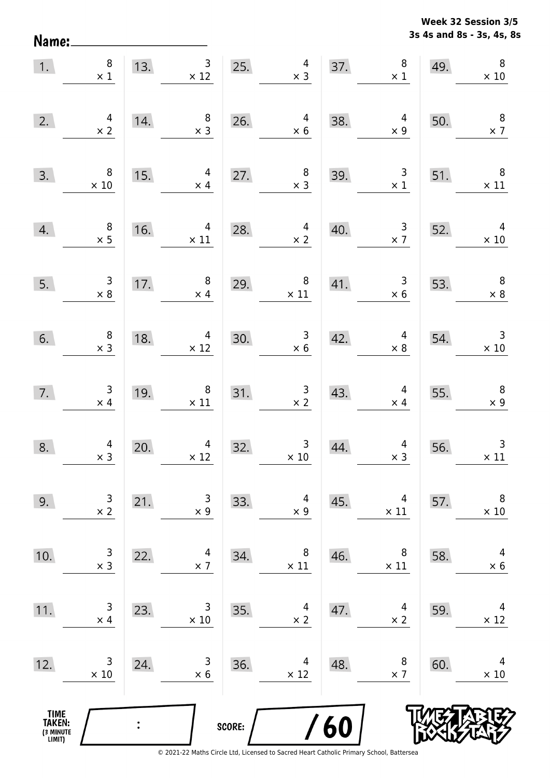**3s 4s and 8s - 3s, 4s, 8s Week 32 Session 3/5** 

| $\overline{1}$ .                      | $\begin{array}{c} 8 \\ \times 1 \end{array}$ | 13. |                                                   |        | $\begin{array}{ c c c }\n \hline\n & 3 & 25. & 4 \\  \times 12 & & \times 3 \\  \hline\n\end{array}$ |     | 37. $8 \times 1$                                                                              | 49. | $\,8\,$<br>$\times$ 10                                                                       |
|---------------------------------------|----------------------------------------------|-----|---------------------------------------------------|--------|------------------------------------------------------------------------------------------------------|-----|-----------------------------------------------------------------------------------------------|-----|----------------------------------------------------------------------------------------------|
| 2.                                    | $\begin{array}{c} 4 \\ \times 2 \end{array}$ | 14. | $\begin{array}{c} 8 \\ \times 3 \end{array}$      |        | 26. $4 \times 6$                                                                                     | 38. | $\overline{4}$<br>$\times$ 9                                                                  | 50. | $\overline{\mathbf{8}}$<br>$\times$ 7                                                        |
| 3.                                    | $\overline{\phantom{a}}$<br>$\times$ 10      | 15. | 4<br>$\times$ 4                                   |        | 27. $\begin{array}{r} 8 \\ \times 3 \end{array}$                                                     | 39. | $\begin{array}{r} 3 \\ \times 1 \end{array}$                                                  | 51. | $\overline{\phantom{a}}$ 8<br>$\times$ 11                                                    |
| 4.                                    | $\begin{array}{c} 8 \\ \times 5 \end{array}$ | 16. | $\begin{array}{r} 4 \\ \times 11 \end{array}$     | 28.    | $\begin{array}{c} 4 \\ \times 2 \end{array}$                                                         | 40. | $\begin{array}{@{}c@{\hspace{1em}}c@{\hspace{1em}}}\n & 3 & 52. \\  \times 7 & & \end{array}$ |     | $\overline{4}$<br>$\times 10$                                                                |
| 5.                                    | $\begin{array}{r} 3 \\ \times 8 \end{array}$ |     | 17. $\begin{array}{c} 8 \\ \times 4 \end{array}$  |        | 29. $\begin{array}{r} 8 \\ \times 11 \end{array}$                                                    | 41. |                                                                                               |     | $\begin{array}{ c c c } \hline 3 & 53. & 8 \\ \hline x & 6 & \times 8 \\ \hline \end{array}$ |
| 6.                                    | $\begin{array}{c} 8 \\ \times 3 \end{array}$ |     | 18. $4 \times 12$                                 |        | 30. $\begin{array}{r} 3 \\ \times 6 \end{array}$                                                     |     | 42. $\begin{array}{c} 4 \\ \times 8 \end{array}$ 54.                                          |     | $\begin{array}{r} 3 \\ \times 10 \end{array}$                                                |
| 7.                                    | $\begin{array}{c} 3 \\ \times 4 \end{array}$ | 19. | 19. $\begin{array}{c} 8 \\ \times 11 \end{array}$ |        | 31. $\begin{array}{r} 3 \\ \times 2 \end{array}$                                                     |     | 43. $4^{4} \times 4$                                                                          | 55. | $\begin{array}{c} 8 \\ \times 9 \end{array}$                                                 |
| 8.                                    | $\begin{array}{c} 4 \\ \times 3 \end{array}$ | 20. | $\begin{array}{c} 4 \\ \times 12 \end{array}$     | 32.    | $\begin{array}{c} 3 \\ \times 10 \end{array}$                                                        | 44. | $\begin{array}{c c} 4 \\ \times 3 \end{array}$                                                | 56. | $\overline{3}$<br>$\times$ 11                                                                |
| 9.                                    | 3<br>$\times$ 2                              | 21. | 3<br>$\times$ 9                                   | 33.    | 4<br>$\times$ 9                                                                                      | 45. | 4<br>$\times$ 11                                                                              | 57. | 8<br>$\times$ 10                                                                             |
| 10.                                   | 3<br>$\times$ 3                              | 22. | 4<br>$\times$ 7                                   | 34.    | 8<br>$\times$ 11                                                                                     | 46. | 8<br>$\times$ 11                                                                              | 58. | 4<br>$\times$ 6                                                                              |
| 11.                                   | 3<br>$\times$ 4                              | 23. | 3<br>$\times 10$                                  | 35.    | 4<br>$\times 2$                                                                                      | 47. | 4<br>$\times 2$                                                                               | 59. | 4<br>$\times$ 12                                                                             |
| 12.                                   | 3<br>$\times$ 10                             | 24. | 3<br>$\times$ 6                                   | 36.    | 4<br>$\times$ 12                                                                                     | 48. | 8<br>$\times$ 7                                                                               | 60. | 4<br>$\times$ 10                                                                             |
| TIME<br>TAKEN:<br>(3 MINUTE<br>LIMIT) |                                              |     |                                                   | SCORE: |                                                                                                      | /60 |                                                                                               |     |                                                                                              |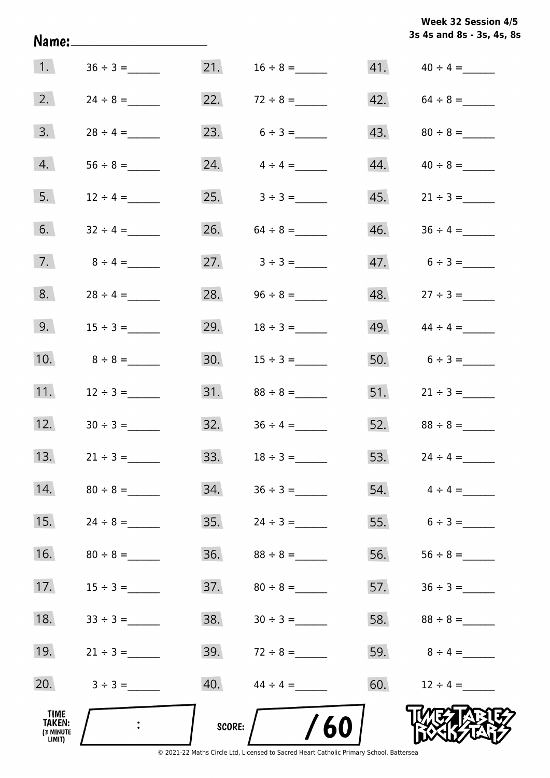|                                              | Name:_______________________ |               |                               |     | 3s 4s and 8s - 3s, 4s, 8s |
|----------------------------------------------|------------------------------|---------------|-------------------------------|-----|---------------------------|
| 1.                                           |                              |               | 21. $16 \div 8 =$             |     |                           |
| 2.                                           |                              |               | 22. $72 \div 8 =$             |     | $42. 64 \div 8 =$         |
| 3.                                           | $28 \div 4 =$                |               | 23. $6 \div 3 =$              |     |                           |
| 4.                                           |                              |               | 24. $4 \div 4 =$              | 44. |                           |
| 5.                                           | $12 \div 4 =$                |               | $25. \hspace{1cm} 3 \div 3 =$ |     |                           |
| 6.                                           | $32 \div 4 =$                |               | 26. $64 \div 8 =$             | 46. |                           |
| 7.                                           | $8 \div 4 =$                 |               | 27. $3 \div 3 =$              |     | $47.6 \div 3 =$           |
| 8.                                           | $28 \div 4 =$                |               | 28. $96 \div 8 =$             |     |                           |
| 9.                                           |                              |               | 29. $18 \div 3 =$             |     | 49. $44 \div 4 =$         |
| 10.                                          | $8 \div 8 =$                 |               |                               |     | 50. $6 \div 3 =$          |
| 11.                                          | $12 \div 3 =$                |               |                               |     |                           |
| 12.                                          |                              |               | $32.$ $36 \div 4 =$           |     |                           |
| 13.                                          | $21 \div 3 =$                | 33.           |                               | 53. | $24 \div 4 =$             |
| 14.                                          | $80 \div 8 =$                | 34.           | $36 \div 3 =$                 |     | $54. \qquad 4 \div 4 =$   |
| 15.                                          | $24 \div 8 =$                | 35.           | $24 \div 3 =$                 |     | 55. $6 \div 3 =$          |
| 16.                                          | $80 \div 8 =$                | 36.           |                               | 56. |                           |
| 17.                                          |                              | 37.           | $80 \div 8 =$                 | 57. |                           |
| 18.                                          |                              | 38.           | $30 \div 3 =$                 |     |                           |
| 19.                                          | $21 \div 3 =$                |               | 39. $72 \div 8 =$             |     | 59. $8 \div 4 =$          |
| 20.                                          | $3 \div 3 =$                 | 40.           | $44 \div 4 =$                 | 60. | $12 \div 4 =$             |
| TIME<br><b>TAKEN:</b><br>(3 MINUTE<br>LIMIT) |                              | <b>SCORE:</b> | /60                           |     |                           |

**3s 4s and 8s - 3s, 4s, 8s**

**Week 32 Session 4/5** 

© 2021-22 Maths Circle Ltd, Licensed to Sacred Heart Catholic Primary School, Battersea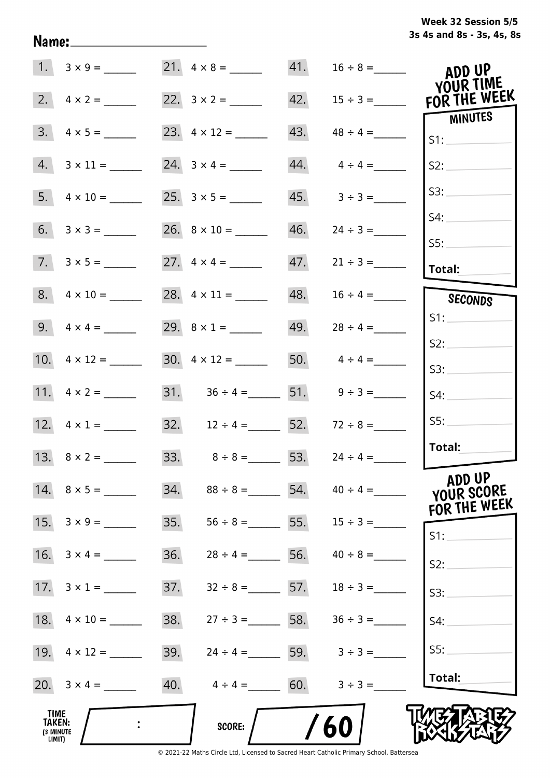# **3s 4s and 8s - 3s, 4s, 8s Week 32 Session 5/5**

|                                              | $1. 3 \times 9 =$  |     |                                     |     | 41. $16 \div 8 =$               | ADD UP<br>YOUR TIME                  |
|----------------------------------------------|--------------------|-----|-------------------------------------|-----|---------------------------------|--------------------------------------|
| 2.                                           | $4 \times 2 =$     |     | 22. $3 \times 2 =$                  | 42. | $15 \div 3 =$                   | FOR THE WEEK                         |
| 3.                                           | $4 \times 5 =$     |     |                                     | 43. |                                 | MINUTES<br>S1:                       |
| 4.                                           | $3 \times 11 =$    |     |                                     | 44. | $4 \div 4 =$                    | S2:                                  |
| 5.                                           | $4 \times 10 =$    |     |                                     |     | $45. 3 \div 3 =$                | S3:                                  |
| 6.                                           | $3 \times 3 =$     |     |                                     | 46. | $24 \div 3 =$                   | S4:                                  |
|                                              | $7. 3 \times 5 =$  |     |                                     | 47. | $21 \div 3 =$                   | SS:                                  |
|                                              |                    |     |                                     |     |                                 | Total:                               |
|                                              | $8. 4 \times 10 =$ |     |                                     | 48. | $16 \div 4 =$                   | SECONDS                              |
|                                              | 9. $4 \times 4 =$  |     | 29. $8 \times 1 =$                  | 49. | $28 \div 4 =$                   | S1:                                  |
|                                              |                    |     |                                     |     |                                 | S2:                                  |
|                                              |                    |     | $30. \quad 4 \times 12 =$           |     | 50. $4 \div 4 =$                | S3:                                  |
|                                              | 11. $4 \times 2 =$ |     | 31. $36 \div 4 =$ 51. $9 \div 3 =$  |     |                                 | S4:                                  |
|                                              | 12. $4 \times 1 =$ |     | 32. $12 \div 4 =$ 52. $72 \div 8 =$ |     |                                 | SS:                                  |
|                                              |                    |     | 33. $8 \div 8 = 53$ .               |     | $24 \div 4 =$                   | Total:                               |
|                                              | 14. $8 \times 5 =$ | 34. |                                     |     | $88 \div 8 =$ 54. $40 \div 4 =$ | ADD UP<br>YOUR SCORE<br>FOR THE WEEK |
|                                              | 15. $3 \times 9 =$ | 35. | $56 \div 8 =$ 55.                   |     | $15 \div 3 =$                   | S1:                                  |
| 16.                                          | $3 \times 4 =$     | 36. | $28 \div 4 =$                       | 56. | $40 \div 8 =$                   | S2:                                  |
|                                              |                    | 37. | $32 \div 8 = 57.$                   |     | $18 \div 3 =$                   | S3:                                  |
| 18.                                          | $4 \times 10 =$    | 38. | $27 \div 3 = 58.$                   |     | $36 \div 3 =$                   | S4:                                  |
|                                              |                    | 39. | $24 \div 4 =$ 59. $3 \div 3 =$      |     |                                 | S5:                                  |
|                                              |                    | 40. | $4 \div 4 = 60.$ $3 \div 3 =$       |     |                                 | Total:                               |
| <b>TIME</b><br>TAKEN:<br>(3 MINUTE<br>LIMIT) |                    |     | SCORE:                              |     | 60                              |                                      |

Name: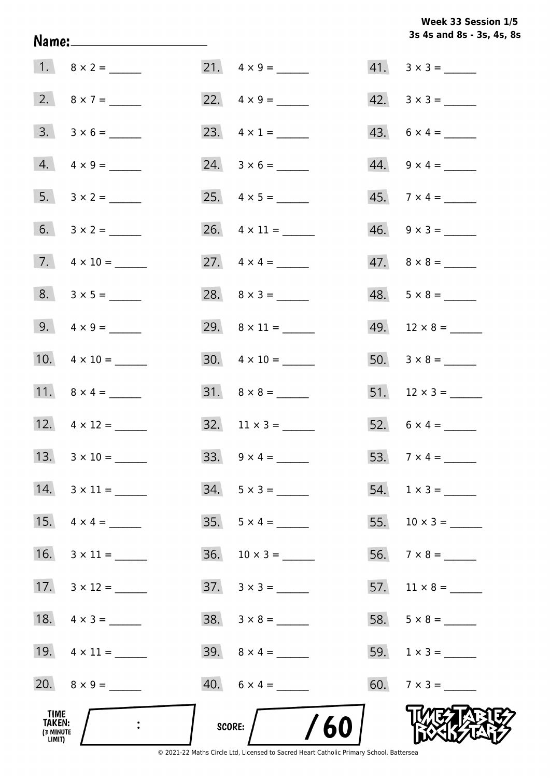**3s 4s and 8s - 3s, 4s, 8s Week 33 Session 1/5** 

| TIME<br>TAKEN:<br>(3 MINUTE<br>LIMIT) |                     | /60<br>SCORE:             |                          |
|---------------------------------------|---------------------|---------------------------|--------------------------|
|                                       | 20. $8 \times 9 =$  | $40. 6 \times 4 =$        |                          |
|                                       | 19. $4 \times 11 =$ | 39. $8 \times 4 =$        |                          |
|                                       | 18. $4 \times 3 =$  | $38. 3 \times 8 =$        |                          |
|                                       | 17. $3 \times 12 =$ | $37. \quad 3 \times 3 =$  |                          |
| 16.                                   |                     |                           |                          |
|                                       |                     |                           | 55. $10 \times 3 =$      |
|                                       | 14. $3 \times 11 =$ | $34. 5 \times 3 =$        |                          |
|                                       | 13. $3 \times 10 =$ |                           |                          |
|                                       | 12. $4 \times 12 =$ | $32. \quad 11 \times 3 =$ | 52. $6 \times 4 =$       |
|                                       |                     | $31. \quad 8 \times 8 =$  |                          |
|                                       | 10. $4 \times 10 =$ | $30. \quad 4 \times 10 =$ |                          |
|                                       | 9. $4 \times 9 =$   |                           | $49.$ 12 × 8 = ______    |
|                                       | $8. 3 \times 5 =$   |                           | $48. 5 \times 8 =$       |
|                                       |                     | 27. $4 \times 4 =$        | $47. \quad 8 \times 8 =$ |
|                                       |                     | 26. $4 \times 11 =$       | $46. \quad 9 \times 3 =$ |
|                                       |                     |                           | $45.7 \times 4 =$        |
|                                       | $4. \ 4 \times 9 =$ |                           | $44. \quad 9 \times 4 =$ |
|                                       |                     |                           | $43. 6 \times 4 =$       |
|                                       | 2. $8 \times 7 =$   |                           | $42. \quad 3 \times 3 =$ |
|                                       |                     | $21. \quad 4 \times 9 =$  |                          |

Name: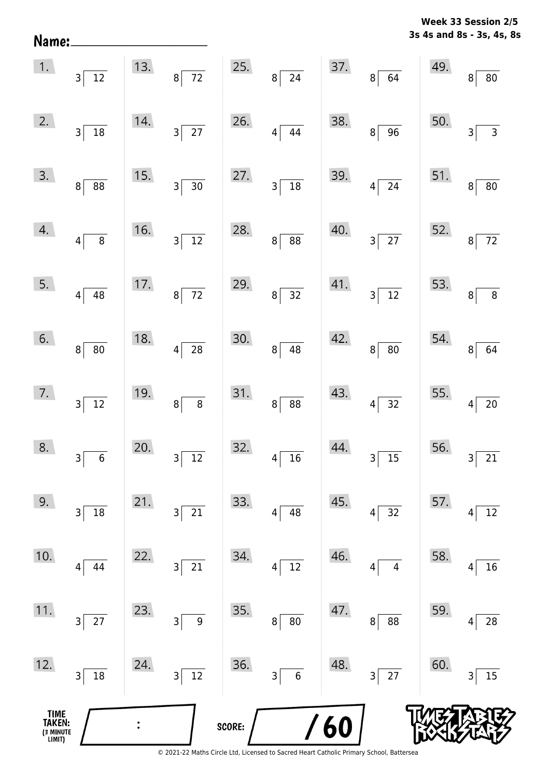|                           | Week 33 Session 2/5 |
|---------------------------|---------------------|
| 3s 4s and 8s - 3s, 4s, 8s |                     |

|                                       | $\begin{array}{ c c }\n\hline\n1. & 3 & 12\n\end{array}$ |     | 13. $8\overline{72}$          |        | 25. $8 \overline{)24}$                      |     | 37.864                                                          | 49.                                          | $\mathbf{8}$<br>$\overline{80}$                                  |
|---------------------------------------|----------------------------------------------------------|-----|-------------------------------|--------|---------------------------------------------|-----|-----------------------------------------------------------------|----------------------------------------------|------------------------------------------------------------------|
| 2.                                    | $3\overline{)18}$                                        | 14. | $3\overline{27}$              | 26.    | $4\overline{)44}$                           | 38. | $8\sqrt{96}$                                                    | 50.                                          | $\overline{3}$<br>$\overline{\overline{\overline{\overline{3}}}$ |
| 3.                                    | $8 \overline{\smash{)}\ 88}$                             | 15. | $3\overline{)30}$             | 27.    | $3\overline{)18}$                           |     | $39.$ $4 \overline{)24}$                                        | 51.                                          | $\overline{8}$<br>$\boxed{80}$                                   |
| 4.                                    | $4\overline{8}$                                          | 16. | $3\overline{)12}$             | 28.    | $8 \overline{) 88}$                         |     | $40.$ $3\overline{)27}$                                         |                                              | 52. $8\overline{72}$                                             |
| 5.                                    | $4\overline{)48}$                                        |     | 17. $8\sqrt{72}$              | 29.    | $8\overline{)32}$                           |     | $\begin{array}{ c c }\n 41. & \n \hline\n 3 & 12\n \end{array}$ | 53. $\begin{bmatrix} 53. \\ 8 \end{bmatrix}$ | $\overline{\qquad \qquad }$                                      |
| 6.                                    | $8\overline{)}80$                                        | 18. | $4\overline{28}$              | 30.    | $8\sqrt{48}$                                | 42. | $8 \overline{) 80}$                                             |                                              | 54. $8\overline{64}$                                             |
| 7.                                    | $3\overline{)12}$                                        | 19. | $8\overline{8}$               | 31.    | $8 \overline{\smash{)}\ 88}$                | 43. | $4\overline{)32}$                                               | 55. $4\lceil$                                | $\overline{20}$                                                  |
| 8.                                    | $\overline{\phantom{0}}$ 6<br>$3\vert$                   | 20. | $3\sqrt{12}$                  | 32.    | $4\overline{)16}$                           | 44. | $3\overline{)15}$                                               | 56.                                          | $3\overline{21}$                                                 |
| 9.                                    | $18\,$<br>$\overline{3}$                                 | 21. | 21<br>$\overline{\mathbf{3}}$ | 33.    | 48<br>4                                     | 45. | 32<br> 4                                                        | 57.                                          | $12\,$<br>4                                                      |
| 10.                                   | 44<br>4                                                  | 22. | 21<br>3                       | 34.    | 12<br>$\overline{\mathbf{4}}$               | 46. | $\overline{\mathbf{4}}$<br>4                                    | 58.                                          | 16<br>4                                                          |
| 11.                                   | 27<br>$\overline{3}$                                     | 23. | 3<br>$\boldsymbol{9}$         | 35.    | $\bf 8$<br>$80\,$                           | 47. | 88<br>8 <sup>1</sup>                                            | 59.                                          | 28<br>4                                                          |
| 12.                                   | $18\,$<br>$\overline{3}$                                 | 24. | $\overline{12}$<br>3          | 36.    | $\overline{\mathsf{3}}$<br>$\boldsymbol{6}$ | 48. | $3\overline{)27}$                                               | 60.                                          | 15<br>3                                                          |
| TIME<br>TAKEN:<br>(3 MINUTE<br>LIMIT) |                                                          |     |                               | SCORE: |                                             | 60  |                                                                 |                                              |                                                                  |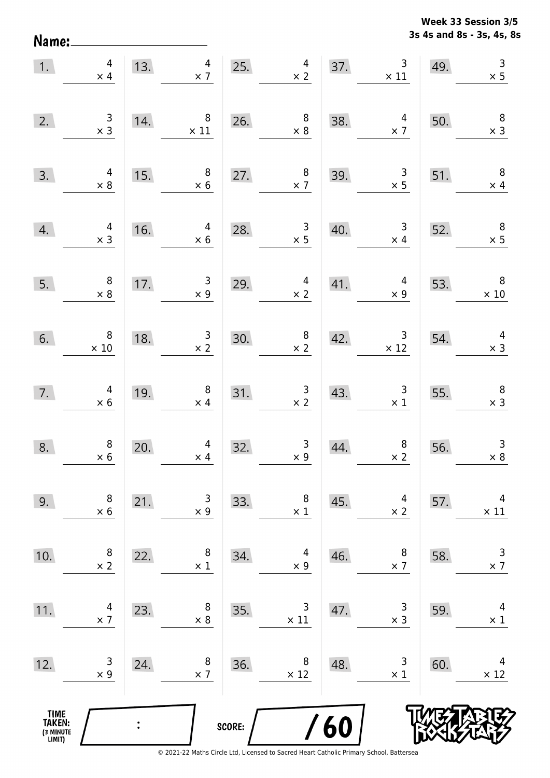**3s 4s and 8s - 3s, 4s, 8s Week 33 Session 3/5** 

| 1.                                    | $\overline{4}$<br>$\times$ 4                  | 13.            | $\overline{4}$<br>$\times$ 7                 |        | 25.<br>$\begin{array}{c} 4 \\ \times 2 \end{array}$ | 37. | $\mathsf{3}$<br>$\times$ 11                  | 49. | $\begin{array}{c} 3 \\ \times 5 \end{array}$ |
|---------------------------------------|-----------------------------------------------|----------------|----------------------------------------------|--------|-----------------------------------------------------|-----|----------------------------------------------|-----|----------------------------------------------|
| 2.                                    | $\begin{array}{c} 3 \\ \times 3 \end{array}$  | 14.            | $\,8\,$<br>$\times$ 11                       | 26.    | $\begin{array}{c} 8 \\ \times 8 \end{array}$        | 38. | $\overline{4}$<br>$\times$ 7                 | 50. | $\begin{array}{c} 8 \\ \times 3 \end{array}$ |
| 3.                                    | $4 \times 8$                                  | 15.            | $\, 8$<br>$\times$ 6                         | 27.    | $\begin{array}{c} 8 \\ \times 7 \end{array}$        | 39. | $\begin{array}{c} 3 \\ \times 5 \end{array}$ | 51. | $\boldsymbol{8}$<br>$\times$ 4               |
| 4.                                    | $\begin{array}{c} 4 \\ \times 3 \end{array}$  | 16.            | 4<br>$\times$ 6                              | 28.    | $\begin{array}{c} 3 \\ \times 5 \end{array}$        | 40. | $\overline{\mathbf{3}}$<br>$\times$ 4        | 52. | $\overline{\mathbf{8}}$<br>$\times$ 5        |
| 5.                                    | $\begin{array}{c} 8 \\ \times 8 \end{array}$  | 17.            | $\begin{array}{c} 3 \\ \times 9 \end{array}$ | 29.    | $\overline{a}$<br>$\times$ 2                        | 41. | $\overline{4}$<br>$\times$ 9                 | 53. | $\overline{\phantom{0}}$ 8<br>$\times$ 10    |
| 6.                                    | $\begin{array}{c} 8 \\ \times 10 \end{array}$ | 18.            | $\begin{array}{c} 3 \\ \times 2 \end{array}$ | 30.    | $\begin{array}{c} 8 \\ \times 2 \end{array}$        | 42. | $\overline{3}$<br>$\times 12$                | 54. | $\begin{array}{c} 4 \\ \times 3 \end{array}$ |
| 7.                                    | $\begin{array}{c} 4 \\ \times 6 \end{array}$  | 19.            | $\boldsymbol{8}$<br>$\times$ 4               | 31.    | $\begin{array}{c} 3 \\ \times 2 \end{array}$        | 43. | $\begin{array}{c} 3 \\ \times 1 \end{array}$ | 55. | $\overline{\phantom{a}}$<br>$\times$ 3       |
| 8.                                    | $\begin{array}{c} 8 \\ \times 6 \end{array}$  | 20.            | $\overline{4}$<br>$\times$ 4                 | 32.    | $\begin{array}{c} 3 \\ \times 9 \end{array}$        | 44. | $\begin{array}{c} 8 \\ \times 2 \end{array}$ | 56. | $\mathsf 3$<br>$\times 8$                    |
| 9.                                    | 8<br>$\times 6$                               | 21.            | 3<br>$\times$ 9                              | 33.    | 8<br>$\times$ 1                                     | 45. | 4<br>$\times$ 2                              | 57. | 4<br>$\times$ 11                             |
| 10.                                   | 8<br>$\times$ 2                               | 22.            | 8<br>$\times$ 1                              | 34.    | 4<br>$\times$ 9                                     | 46. | 8<br>$\times$ 7                              | 58. | $\mathsf 3$<br>$\times$ 7                    |
| 11.                                   | 4<br>$\times$ 7                               | 23.            | 8<br>$\times 8$                              | 35.    | 3<br>$\times$ 11                                    | 47. | $\mathsf 3$<br>$\times$ 3                    | 59. | 4<br>$\times$ 1                              |
| 12.                                   | 3<br>$\times$ 9                               | 24.            | 8<br>$\times$ 7                              | 36.    | 8<br>$\times$ 12                                    | 48. | 3<br>$\times$ 1                              | 60. | 4<br>$\times$ 12                             |
| TIME<br>TAKEN:<br>(3 MINUTE<br>LIMIT) |                                               | $\ddot{\cdot}$ |                                              | SCORE: |                                                     | 60  |                                              |     |                                              |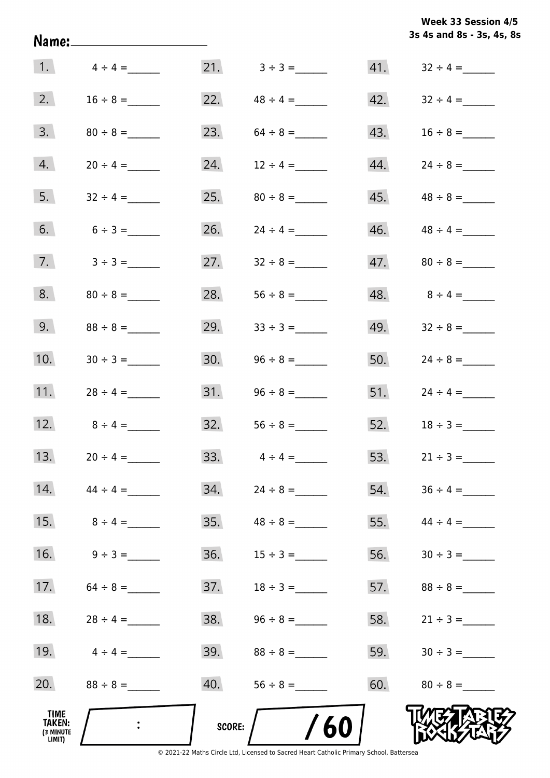|                                              | Name:_________________________ |        |               |     | 3s 4s and 8s - 3s, 4s, 8 |
|----------------------------------------------|--------------------------------|--------|---------------|-----|--------------------------|
|                                              | 1. $4 \div 4 =$                |        |               |     |                          |
| 2.                                           | $16 \div 8 =$                  | 22.    | $48 \div 4 =$ | 42. | $32 \div 4 =$            |
| 3.                                           |                                | 23.    |               | 43. |                          |
| 4.                                           | $20 \div 4 =$                  | 24.    | $12 \div 4 =$ | 44. |                          |
| 5.                                           |                                | 25.    |               | 45. | $48 \div 8 =$            |
| 6.                                           | $6 \div 3 =$                   | 26.    | $24 \div 4 =$ | 46. |                          |
| 7.                                           | $3 \div 3 =$                   | 27.    | $32 \div 8 =$ | 47. | $80 \div 8 =$            |
| 8.                                           | $80 \div 8 =$                  | 28.    |               | 48. | $8 \div 4 =$             |
| 9.                                           | $88 \div 8 =$                  | 29.    | $33 \div 3 =$ | 49. | $32 \div 8 =$            |
| 10.                                          |                                | 30.    |               |     | 50. $24 \div 8 =$        |
| 11.                                          | $28 \div 4 =$                  |        |               |     | $51.$ $24 \div 4 =$      |
| 12.                                          | $8 \div 4 =$                   | 32.    | $56 \div 8 =$ |     | 52. $18 \div 3 =$        |
| 13.                                          | $20 \div 4 =$                  | 33.    | $4 \div 4 =$  | 53. | $21 \div 3 =$            |
| 14.                                          | $44 \div 4 =$                  | 34.    | $24 \div 8 =$ | 54. | $36 \div 4 =$            |
| 15.                                          | $8 \div 4 =$                   | 35.    | $48 \div 8 =$ | 55. | $44 \div 4 =$            |
| 16.                                          | $9 \div 3 =$                   | 36.    | $15 \div 3 =$ | 56. |                          |
| 17.                                          | $64 \div 8 =$                  | 37.    | $18 \div 3 =$ | 57. | $88 \div 8 =$            |
| 18.                                          | $28 \div 4 =$                  | 38.    | $96 \div 8 =$ | 58. | $21 \div 3 =$            |
| 19.                                          | $4 \div 4 =$                   | 39.    | $88 \div 8 =$ | 59. |                          |
| 20.                                          | $88 \div 8 =$                  | 40.    |               | 60. | $80 \div 8 =$            |
| TIME<br><b>TAKEN:</b><br>(3 MINUTE<br>LIMIT) |                                | SCORE: | /60           |     |                          |

**3s 4s and 8s - 3s, 4s, 8s**

**Week 33 Session 4/5**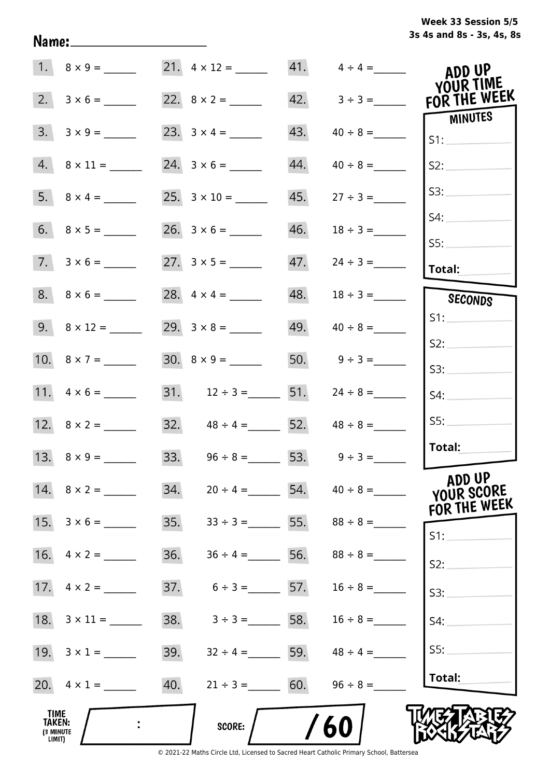|  | Week 33 Session 5/5       |  |  |  |
|--|---------------------------|--|--|--|
|  | 3s 4s and 8s - 3s, 4s, 8s |  |  |  |

|                                       |                             |     |                                     |     | $41. \qquad 4 \div 4 =$         | ADD UP                               |
|---------------------------------------|-----------------------------|-----|-------------------------------------|-----|---------------------------------|--------------------------------------|
| 2.                                    | $3 \times 6 =$              |     |                                     |     | $42. \qquad 3 \div 3 =$         | YOUR TIME<br>FOR THE WEEK            |
| 3.                                    |                             |     | 23. $3 \times 4 =$                  | 43. |                                 | MINUTES<br>S1:                       |
|                                       | $4. \quad 8 \times 11 = \_$ |     |                                     | 44. | $40 \div 8 =$                   | S2:                                  |
|                                       |                             |     |                                     | 45. | $27 \div 3 =$                   | S3:                                  |
|                                       |                             |     |                                     | 46. |                                 | S4:                                  |
|                                       | $7. 3 \times 6 =$           |     |                                     | 47. |                                 | SS:<br>Total:                        |
|                                       | $8. \quad 8 \times 6 =$     |     |                                     | 48. | $18 \div 3 =$                   | SECONDS                              |
|                                       | 9. $8 \times 12 =$          |     |                                     | 49. | $40 \div 8 =$                   | S1:                                  |
|                                       |                             |     |                                     |     | 50. $9 \div 3 =$                | S2:                                  |
|                                       | 11. $4 \times 6 =$          |     | 31. $12 \div 3 =$ 51. $24 \div 8 =$ |     |                                 | S3:<br>S4:                           |
|                                       |                             |     | 32. $48 \div 4 =$ 52. $48 \div 8 =$ |     |                                 | SS:                                  |
|                                       | 13. $8 \times 9 =$          |     | 33. $96 \div 8 = 53. 9 \div 3 =$    |     |                                 | Total:                               |
|                                       | 14. $8 \times 2 =$          | 34. |                                     |     | $20 \div 4 =$ 54. $40 \div 8 =$ | ADD UP<br>YOUR SCORE<br>FOR THE WEEK |
|                                       | 15. $3 \times 6 =$          | 35. | $33 \div 3 =$ 55.                   |     | $88 \div 8 =$                   | $S1$ :                               |
| 16.                                   | $4 \times 2 =$              | 36. | $36 \div 4 =$                       | 56. | $88 \div 8 =$                   | S2:                                  |
| 17.                                   | $4 \times 2 =$              | 37. | $6 \div 3 =$ 57. $16 \div 8 =$      |     |                                 | S3:                                  |
|                                       |                             | 38. | $3 \div 3 =$ 58. $16 \div 8 =$      |     |                                 | S4:                                  |
|                                       |                             | 39. | $32 \div 4 =$ 59.                   |     | $48 \div 4 =$                   | S5:                                  |
|                                       | 20. $4 \times 1 =$          | 40. | $21 \div 3 = 60.$                   |     | $96 \div 8 =$                   | Total:                               |
| TIME<br>TAKEN:<br>(3 MINUTE<br>LIMIT) |                             |     | <b>SCORE:</b>                       |     | /60                             |                                      |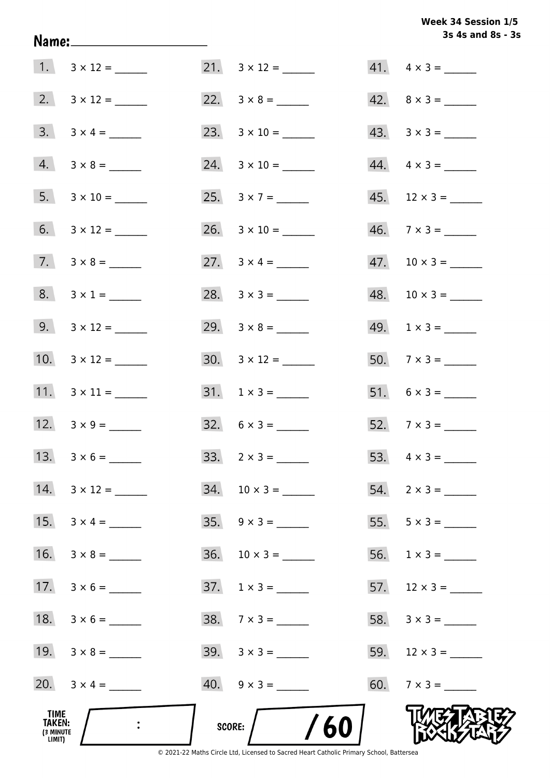**3s 4s and 8s - 3s Week 34 Session 1/5** 

|                                              |                         |                          | 3s 4s and 8s - 3         |
|----------------------------------------------|-------------------------|--------------------------|--------------------------|
|                                              |                         |                          | $41. \quad 4 \times 3 =$ |
|                                              |                         |                          | $42. \quad 8 \times 3 =$ |
|                                              | $3. 3 \times 4 =$       |                          | $43. \quad 3 \times 3 =$ |
|                                              | $4. 3 \times 8 =$       |                          | $44. \quad 4 \times 3 =$ |
|                                              | $5. 3 \times 10 =$      | 25. $3 \times 7 =$       | $45.$ 12 × 3 = ______    |
|                                              | 6. $3 \times 12 =$      | 26. $3 \times 10 =$      | $46. \quad 7 \times 3 =$ |
|                                              | $7. \quad 3 \times 8 =$ | 27. $3 \times 4 =$       |                          |
|                                              | $8. 3 \times 1 =$       | 28. $3 \times 3 =$       | $48. 10 \times 3 =$      |
|                                              | 9. $3 \times 12 =$      |                          | $49. 1 \times 3 =$       |
|                                              |                         |                          | $50.7 \times 3 =$        |
|                                              |                         |                          |                          |
|                                              | 12. $3 \times 9 =$      | $32. 6 \times 3 =$       | 52. $7 \times 3 =$       |
| 13.                                          |                         | $33. \quad 2 \times 3 =$ |                          |
| 14.                                          | $3 \times 12 =$         |                          | $54. 2 \times 3 =$       |
| 15.                                          | $3 \times 4 =$          | $35. \quad 9 \times 3 =$ |                          |
| 16.                                          | $3 \times 8 =$          | $36. 10 \times 3 =$      | $56. 1 \times 3 =$       |
| 17.                                          | $3 \times 6 =$          | $37. 1 \times 3 =$       | $57.$ 12 × 3 = ______    |
| 18.                                          | $3 \times 6 =$          |                          |                          |
|                                              |                         |                          |                          |
|                                              | 20. $3 \times 4 =$      |                          | 60. $7 \times 3 =$       |
| TIME<br><b>TAKEN:</b><br>(3 MINUTE<br>LIMIT) |                         | /60<br>SCORE:            |                          |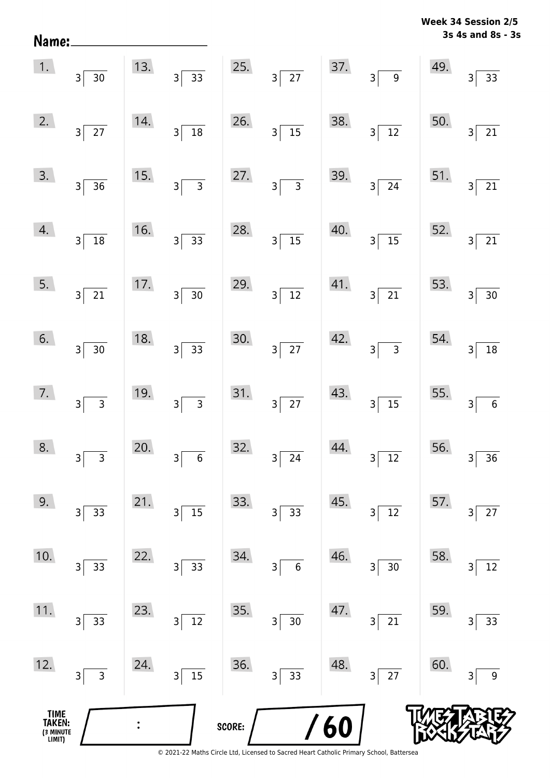| Name:                                 |                                |     |                                                        |        |                                             |     |                                            |     | 3S 4S and 8S - 3                                      |
|---------------------------------------|--------------------------------|-----|--------------------------------------------------------|--------|---------------------------------------------|-----|--------------------------------------------|-----|-------------------------------------------------------|
| 1.                                    | $3\overline{)30}$              | 13. | $3\overline{)33}$                                      |        | 25. $3\overline{)27}$                       | 37. | $3\overline{9}$                            | 49. | $\overline{33}$<br>$\overline{3}$                     |
| 2.                                    | $3\overline{27}$               | 14. | $\frac{1}{18}$<br>$3\vert$                             | 26.    | $3\overline{)15}$                           | 38. | $3\sqrt{12}$                               | 50. | $\overline{21}$<br>$\overline{\mathbf{3}}$            |
| 3.                                    | $3\sqrt{36}$                   | 15. | 3 <sup>5</sup>                                         | 27.    | $3\overline{3}$                             | 39. | $3\overline{24}$                           | 51. | $\overline{21}$<br>$\overline{3}$                     |
| 4.                                    | $3\sqrt{18}$                   | 16. | $3\overline{)33}$                                      | 28.    | $3\overline{)15}$                           | 40. | $3\sqrt{15}$                               | 52. | $\overline{21}$<br>$\overline{3}$                     |
| 5.                                    | $3\sqrt{21}$                   | 17. | $3\overline{)30}$                                      | 29.    | $3\sqrt{12}$                                | 41. | $3\sqrt{21}$                               | 53. | $\overline{30}$<br>$\overline{3}$                     |
| 6.                                    | $3 \overline{)30}$             | 18. | $3\overline{)33}$                                      | 30.    | $3\overline{27}$                            | 42. | $3\overline{3}$                            | 54. | $\overline{18}$<br>3                                  |
| 7.                                    | $3\overline{3}$                | 19. | $\overline{\overline{\phantom{a}3}}$<br>3 <sup>5</sup> | 31.    | $3\overline{27}$                            | 43. | $3\overline{)15}$                          | 55. | $\overline{\phantom{0}}$ 6<br>$\overline{\mathbf{3}}$ |
| 8.                                    | 3<br>3                         | 20. | $\boldsymbol{6}$<br>3                                  | 32.    | 24<br>3                                     | 44. | $\overline{12}$<br>3                       | 56. | $\overline{36}$<br>3                                  |
| 9.                                    | 33<br>$\mathsf 3$              | 21. | $15\,$<br>$\overline{\mathbf{3}}$                      | 33.    | 33<br>3 <sup>1</sup>                        | 45. | 12<br>3                                    | 57. | 27<br>3                                               |
| 10.                                   | 33<br>$\mathsf{3}$             | 22. | 33<br>$\vert$ 3                                        | 34.    | $\boldsymbol{6}$<br>$\overline{\mathsf{3}}$ | 46. | $30\,$<br>3                                | 58. | $12\,$<br>3                                           |
| 11.                                   | 33<br>$\mathsf{3}$             | 23. | $12\,$<br>$\overline{\mathbf{3}}$                      | 35.    | $\overline{30}$<br>$\overline{\mathbf{3}}$  | 47. | $\overline{21}$<br>$\overline{\mathsf{3}}$ | 59. | 33<br>3                                               |
| 12.                                   | $\overline{3}$<br>$\mathsf{3}$ | 24. | $\overline{15}$<br>$\overline{\mathsf{3}}$             | 36.    | $\overline{33}$<br>$3\vert$                 | 48. | $\overline{27}$<br>3                       | 60. | $\boldsymbol{9}$<br>3                                 |
| TIME<br>TAKEN:<br>(3 MINUTE<br>LIMIT) |                                |     |                                                        | SCORE: |                                             | 60  |                                            |     |                                                       |

© 2021-22 Maths Circle Ltd, Licensed to Sacred Heart Catholic Primary School, Battersea

**3s 4s and 8s - 3s Week 34 Session 2/5**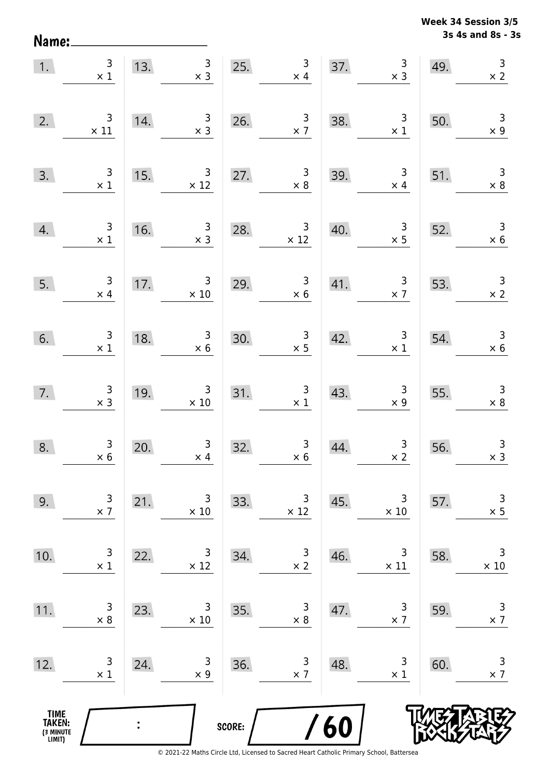**3s 4s and 8s - 3s Week 34 Session 3/5** 

| 1.                                    | $\begin{array}{c} 3 \\ \times 1 \end{array}$  | 13.                                    | $\begin{array}{c c}\n 3 \\  \times 3\n \end{array}$ |        | 25. $\frac{3}{x 4}$                              |     | $\begin{array}{c} 3 \\ x 3 \end{array}$<br>37.       | 49.                                                                                           | $\begin{array}{c} 3 \\ \times 2 \end{array}$ |
|---------------------------------------|-----------------------------------------------|----------------------------------------|-----------------------------------------------------|--------|--------------------------------------------------|-----|------------------------------------------------------|-----------------------------------------------------------------------------------------------|----------------------------------------------|
| 2.                                    | $\begin{array}{c} 3 \\ \times 11 \end{array}$ | 14.                                    | $\begin{array}{c} 3 \\ \times 3 \end{array}$        |        | 26. $\frac{3}{x7}$                               | 38. | $\begin{array}{c} 3 \\ \times 1 \end{array}$         | 50.                                                                                           | $\begin{array}{c} 3 \\ \times 9 \end{array}$ |
| 3.                                    | $\begin{array}{c} 3 \\ \times 1 \end{array}$  | 15.                                    | $\frac{3}{\times 12}$                               |        | 27. $\begin{array}{r} 3 \\ \times 8 \end{array}$ | 39. | $\begin{array}{r} 3 \\ \times 4 \end{array}$         | 51.                                                                                           | $\begin{array}{c} 3 \\ \times 8 \end{array}$ |
| 4.                                    | $\frac{3}{x1}$                                | 16.                                    | $\begin{array}{c} 3 \\ \times 3 \end{array}$        | 28.    | $\begin{array}{r} 3 \\ \times 12 \end{array}$    | 40. |                                                      | $\begin{array}{@{}c@{\hspace{1em}}c@{\hspace{1em}}}\n & 3 & 52. \\  \times 5 & & \end{array}$ | $\begin{array}{c} 3 \\ \times 6 \end{array}$ |
| 5.                                    | $\frac{3}{x 4}$                               | $\begin{array}{c}\n17. \\ \end{array}$ | $\begin{array}{r} 3 \\ \times 10 \end{array}$       | 29.    | $\begin{array}{r} 3 \\ \times 6 \end{array}$     |     | 41.                                                  | $\begin{array}{ c c } \hline 3 & 53. \\ \hline \times 7 & \hline \end{array}$                 | $\begin{array}{r} 3 \\ \times 2 \end{array}$ |
| 6.                                    | $\frac{3}{x1}$                                | $\frac{18.}{\frac{1}{2}}$              | $\begin{array}{r} 3 \\ \times 6 \end{array}$        |        | 30. $\begin{array}{r} 3 \\ \times 5 \end{array}$ |     | 42. $\begin{array}{c} 3 \\ \times 1 \end{array}$ 54. |                                                                                               | $\begin{array}{r} 3 \\ \times 6 \end{array}$ |
| 7.                                    | $\begin{array}{c} 3 \\ \times 3 \end{array}$  | 19.                                    | $\begin{array}{r} 3 \\ \times 10 \end{array}$       |        | 31. $\begin{array}{c} 3 \\ \times 1 \end{array}$ | 43. | $\begin{array}{c} 3 \\ \times 9 \end{array}$         | 55.                                                                                           | $\begin{array}{c} 3 \\ \times 8 \end{array}$ |
| 8.                                    | $\begin{array}{c} 3 \\ \times 6 \end{array}$  | 20.                                    | $\begin{array}{c} 3 \\ \times 4 \end{array}$        | 32.    | $\begin{array}{c} 3 \\ \times 6 \end{array}$     | 44. | $\begin{array}{c c} 3 \\ \times 2 \end{array}$       | 56.                                                                                           | $\begin{array}{c} 3 \\ x 3 \end{array}$      |
| 9.                                    | 3<br>$\times$ 7                               | 21.                                    | 3<br>$\times$ 10                                    | 33.    | 3<br>$\times$ 12                                 | 45. | 3<br>$\times 10$                                     | 57.                                                                                           | 3<br>$\times$ 5                              |
| 10.                                   | 3<br>$\times$ 1                               | 22.                                    | 3<br>$\times$ 12                                    | 34.    | $\overline{3}$<br>$\times$ 2                     | 46. | 3<br>$\times$ 11                                     | 58.                                                                                           | $\mathsf 3$<br>$\times$ 10                   |
| 11.                                   | 3<br>$\times 8$                               | 23.                                    | 3<br>$\times 10$                                    | 35.    | 3<br>$\times 8$                                  | 47. | $\mathsf 3$<br>$\times$ 7                            | 59.                                                                                           | $\mathsf 3$<br>$\times$ 7                    |
| 12.                                   | 3<br>$\times$ 1                               | 24.                                    | 3<br>$\times$ 9                                     | 36.    | 3<br>$\times$ 7                                  | 48. | 3<br>$\times$ 1                                      | 60.                                                                                           | 3<br>$\times$ 7                              |
| TIME<br>TAKEN:<br>(3 MINUTE<br>LIMIT) |                                               |                                        |                                                     | SCORE: |                                                  | 60  |                                                      |                                                                                               |                                              |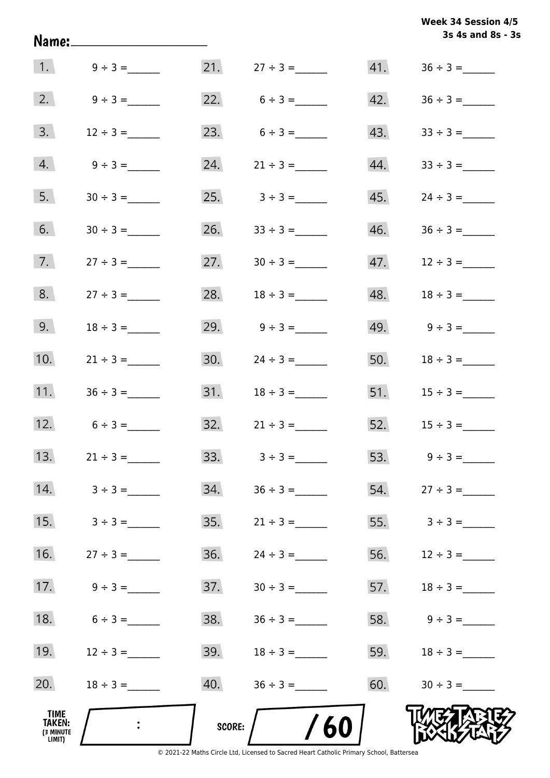| 1. $9 \div 3 =$<br>2.<br>$9 \div 3 =$<br>3.<br>23.<br>$12 \div 3 =$<br>4.<br>24.<br>$9 \div 3 =$<br>5.<br>25.<br>6.<br>26.<br>$30 \div 3 =$<br>7.<br>27.<br>$27 \div 3 =$<br>8.<br>28.<br>$27 \div 3 =$ |                  |     | 3s 4s and 8s - 3s |
|---------------------------------------------------------------------------------------------------------------------------------------------------------------------------------------------------------|------------------|-----|-------------------|
|                                                                                                                                                                                                         |                  |     |                   |
|                                                                                                                                                                                                         | 22. $6 \div 3 =$ | 42. |                   |
|                                                                                                                                                                                                         | $6 \div 3 =$     | 43. |                   |
|                                                                                                                                                                                                         | $21 \div 3 =$    | 44. | $33 \div 3 =$     |
|                                                                                                                                                                                                         | $3 \div 3 =$     | 45. | $24 \div 3 =$     |
|                                                                                                                                                                                                         | $33 \div 3 =$    | 46. |                   |
|                                                                                                                                                                                                         | $30 \div 3 =$    | 47. | $12 \div 3 =$     |
|                                                                                                                                                                                                         | $18 \div 3 =$    | 48. |                   |
| 9.<br>29.<br>$18 \div 3 =$                                                                                                                                                                              | $9 \div 3 =$     | 49. | $9 \div 3 =$      |
| 10.<br>30.<br>$21 \div 3 =$                                                                                                                                                                             | $24 \div 3 =$    | 50. |                   |
| 11.<br>$36 \div 3 =$                                                                                                                                                                                    |                  |     |                   |
| 12.<br>32.<br>$6 \div 3 =$                                                                                                                                                                              | $21 \div 3 =$    | 52. | $15 \div 3 =$     |
| 13.<br>33.<br>$21 \div 3 =$                                                                                                                                                                             | $3 \div 3 =$     | 53. | $9 \div 3 =$      |
| 14.<br>34.<br>$3 \div 3 =$                                                                                                                                                                              | $36 \div 3 =$    | 54. |                   |
| 15.<br>35.<br>$3 \div 3 =$                                                                                                                                                                              | $21 \div 3 =$    | 55. | $3 \div 3 =$      |
| 16.<br>36.<br>$27 \div 3 =$                                                                                                                                                                             | $24 \div 3 =$    | 56. | $12 \div 3 =$     |
| 17.<br>37.<br>$9 \div 3 =$                                                                                                                                                                              |                  | 57. | $18 \div 3 =$     |
| 18.<br>38.<br>$6 \div 3 =$                                                                                                                                                                              | $36 \div 3 =$    | 58. | $9 \div 3 =$      |
| 19.<br>39.<br>$12 \div 3 =$                                                                                                                                                                             |                  | 59. |                   |
| 20.<br>40.<br>$18 \div 3 =$                                                                                                                                                                             | $18 \div 3 =$    |     |                   |
| <b>TIME</b><br>TAKEN:<br>SCORE:<br>(3 MINUTE<br>LIMIT)<br>© 2021-22 Maths Circle Ltd, Licensed to Sacred Heart Catholic Primary School, Battersea                                                       |                  | 60. |                   |

**3s 4s and 8s - 3s Week 34 Session 4/5**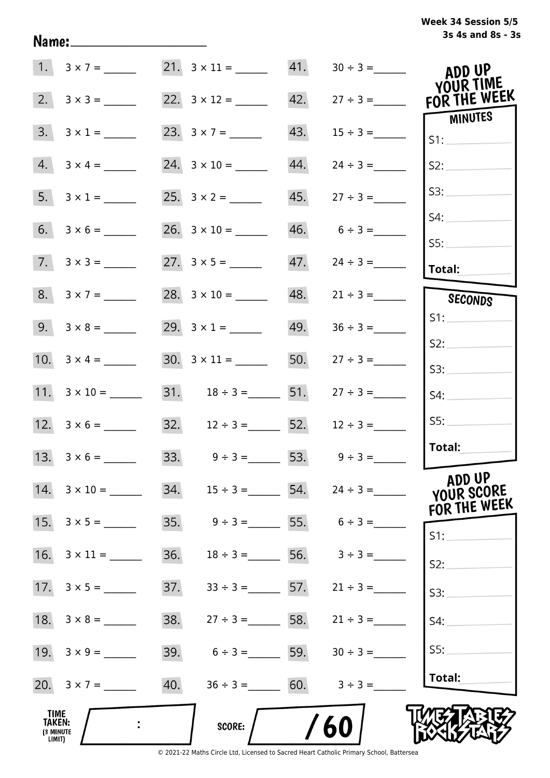| Week 34 Session 5/5 |  |
|---------------------|--|
| 3s 4s and 8s - 3s   |  |

|                                       | 1. $3 \times 7 =$  | 21. $3 \times 11 =$ 41. |                   |                                     | ADD UP<br>YOUR TIME   |
|---------------------------------------|--------------------|-------------------------|-------------------|-------------------------------------|-----------------------|
| 2.                                    | $3 \times 3 =$     |                         | 42.               | $27 \div 3 =$                       | FOR THE WEEK          |
| 3.                                    | $3 \times 1 =$     | 23. $3 \times 7 =$      | 43.               |                                     | <b>MINUTES</b><br>S1: |
| 4.                                    |                    | $24. 3 \times 10 =$     | 44.               | $24 \div 3 =$                       | S2:                   |
| 5.                                    | $3 \times 1 =$     |                         | 45.               | $27 \div 3 =$                       | S3:                   |
| 6.                                    | $3 \times 6 =$     |                         | 46.               | $6 \div 3 =$                        | S4:<br>SS:            |
| 7.                                    | $3 \times 3 =$     |                         | 47.               |                                     | <b>Total:</b>         |
|                                       | $8. 3 \times 7 =$  | 28. $3 \times 10 =$     | 48.               | $21 \div 3 =$                       | SECONDS               |
|                                       |                    | 29. $3 \times 1 =$      | 49.               | $36 \div 3 =$                       | S1:                   |
|                                       | 10. $3 \times 4 =$ |                         | 50.               | $27 \div 3 =$                       | S2:<br>S3:            |
|                                       |                    |                         |                   | 31. $18 \div 3 =$ 51. $27 \div 3 =$ | S4:                   |
|                                       |                    | $32. \t12 \div 3 = 52.$ |                   | $12 \div 3 =$                       | S5:                   |
|                                       |                    |                         |                   | 33. $9 \div 3 = 53.$ $9 \div 3 =$   | Total:                |
| 14.                                   | $3 \times 10 =$    | $34.$ $15 \div 3 =$ 54. |                   | $24 \div 3 =$                       | ADD UP<br>YOUR SCORE  |
|                                       | 15. $3 \times 5 =$ | 35.                     |                   | $9 \div 3 =$ 55. $6 \div 3 =$       | FOR THE WEEK<br>S1:   |
| 16.                                   |                    | 36.                     | $18 \div 3 =$     | 56. $3 \div 3 =$                    | S2:                   |
|                                       | 17. $3 \times 5 =$ | 37.                     | $33 \div 3 =$ 57. | $21 \div 3 =$                       | S3:                   |
|                                       | 18. $3 \times 8 =$ | 38.                     | $27 \div 3 =$     | 58. $21 \div 3 =$                   | S4:                   |
|                                       |                    | 39.                     | $6 \div 3 =$ 59.  | $30 \div 3 =$                       | S5:                   |
|                                       | 20. $3 \times 7 =$ | 40.                     | $36 \div 3 = 60.$ | $3 \div 3 =$                        | Total:                |
| TIME<br>TAKEN:<br>(3 MINUTE<br>LIMIT) |                    | <b>SCORE:</b>           |                   | 60                                  |                       |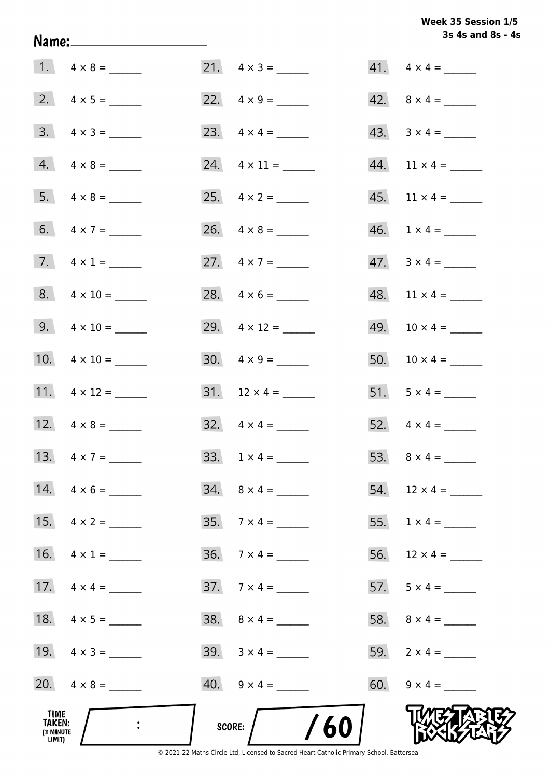# Week 35 Session 1/5 3s 4s and 8s - 4s

|                                              |                         |                          | 3s 4s and 8s - 4         |
|----------------------------------------------|-------------------------|--------------------------|--------------------------|
|                                              |                         | 21. $4 \times 3 =$       | $41. \quad 4 \times 4 =$ |
|                                              |                         | 22. $4 \times 9 =$       | 42. $8 \times 4 =$       |
|                                              | $3. \quad 4 \times 3 =$ |                          | $43. \quad 3 \times 4 =$ |
|                                              | $4. \quad 4 \times 8 =$ |                          |                          |
|                                              |                         |                          |                          |
|                                              | 6. $4 \times 7 =$       | 26. $4 \times 8 =$       | $46. 1 \times 4 =$       |
|                                              | 7. $4 \times 1 =$       | 27. $4 \times 7 =$       | $47. \quad 3 \times 4 =$ |
|                                              | $8. 4 \times 10 =$      | 28. $4 \times 6 =$       |                          |
|                                              | 9. $4 \times 10 =$      | 29. $4 \times 12 =$      | 49. $10 \times 4 =$      |
|                                              | 10. $4 \times 10 =$     |                          | 50. $10 \times 4 =$      |
|                                              | 11. $4 \times 12 =$     |                          | 51. $5 \times 4 =$       |
|                                              | 12. $4 \times 8 =$      | $32. \quad 4 \times 4 =$ | 52. $4 \times 4 =$       |
|                                              | 13. $4 \times 7 =$      |                          |                          |
|                                              | 14. $4 \times 6 =$      | $34. \quad 8 \times 4 =$ | 54. $12 \times 4 =$      |
|                                              | 15. $4 \times 2 =$      | 35. $7 \times 4 =$       |                          |
|                                              | 16. $4 \times 1 =$      | $36. \quad 7 \times 4 =$ | 56. $12 \times 4 =$      |
|                                              |                         | $37.7 \times 4 =$        | 57. $5 \times 4 =$       |
|                                              |                         | $38. \quad 8 \times 4 =$ |                          |
|                                              | 19. $4 \times 3 =$      |                          | 59. $2 \times 4 =$       |
|                                              | 20. $4 \times 8 =$      |                          | 60. $9 \times 4 =$       |
| TIME<br><b>TAKEN:</b><br>(3 MINUTE<br>LIMIT) | $\mathbf{L}$            | /60/<br><b>SCORE:</b>    |                          |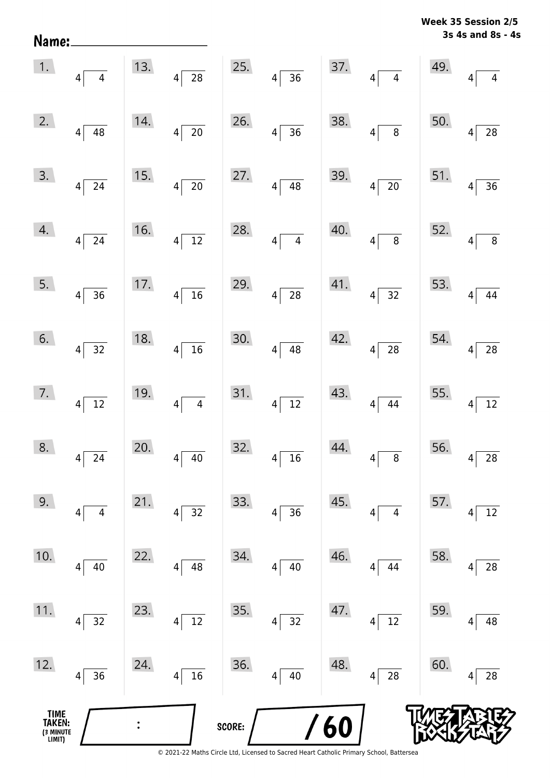**3s 4s and 8s - 4s Week 35 Session 2/5** 

| 1.                                   | $4\overline{4}$             | 13. | $4\overline{28}$ |        | 25. $4\overline{)36}$         |     | 37. $4\overline{)4}$      | 49. | $\overline{4}$                    |
|--------------------------------------|-----------------------------|-----|------------------|--------|-------------------------------|-----|---------------------------|-----|-----------------------------------|
| 2.                                   | $4\sqrt{48}$                | 14. | $4\overline{20}$ | 26.    | $4\overline{)36}$             | 38. | $4\overline{8}$           | 50. | $\overline{28}$<br>$\overline{4}$ |
| 3.                                   | $4\overline{24}$            | 15. | $4\sqrt{20}$     | 27.    | $4\overline{)48}$             | 39. | $4\overline{20}$          |     | 51. $4\overline{)36}$             |
| 4.                                   | $4\overline{24}$            | 16. | $4\sqrt{12}$     | 28.    | $4\overline{4}$               | 40. | $4\overline{8}$           | 52. | $\overline{8}$<br>$\overline{4}$  |
| 5.                                   | $4\sqrt{36}$                | 17. | $4\sqrt{16}$     | 29.    | $4\overline{28}$              | 41. | $4\overline{)32}$         | 53. | $\overline{44}$<br>$\overline{4}$ |
| 6.                                   | $4\overline{)32}$           | 18. | $4\sqrt{16}$     | 30.    | $4\overline{)48}$             | 42. | $4\overline{28}$          | 54. | $\frac{1}{28}$<br>$4\sqrt{ }$     |
| 7.                                   | $4\overline{12}$            | 19. | $4\overline{4}$  | 31.    | $4\sqrt{12}$                  | 43. | $4\sqrt{44}$              | 55. | $\frac{1}{12}$<br>$\overline{4}$  |
| 8.                                   | $\overline{24}$<br>$4\vert$ | 20. | $4\sqrt{40}$     | 32.    | $4\sqrt{16}$                  | 44. | $4\sqrt{8}$               | 56. | $4\overline{28}$                  |
| 9.                                   | $\overline{4}$<br>4         | 21. | 32<br>4          | 33.    | 36<br>$\overline{\mathbf{4}}$ | 45. | $\overline{4}$<br>4       | 57. | 12<br>4                           |
| 10.                                  | 40<br>4                     | 22. | 48<br>4          | 34.    | 40<br>4                       | 46. | 44<br>4                   | 58. | 28<br>4                           |
| 11.                                  | 32<br>$\overline{4}$        | 23. | $12\,$<br>4      | 35.    | 32<br>$\overline{\mathbf{4}}$ | 47. | $12\,$<br>$\vert 4 \vert$ | 59. | 48<br>4                           |
| 12.                                  | 36<br>$\overline{4}$        | 24. | 16<br>4          | 36.    | $40\,$<br>4                   | 48. | ${\bf 28}$<br> 4          | 60. | 28<br>4                           |
| TIME<br>TAKEN:<br>3 MINUTE<br>LIMIT) |                             |     |                  | SCORE: |                               | 60  |                           |     |                                   |

Name: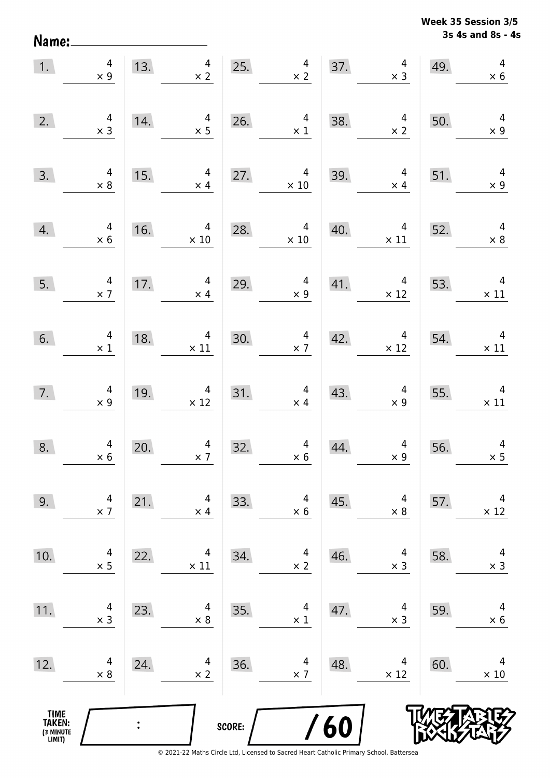**3s 4s and 8s - 4s Week 35 Session 3/5** 

| 1.                                    | $4 \times 9$                                   |     | 13. $4 \times 2$                                                                                          |        | 25. $4 \times 2$                             |                                           | $\begin{array}{c} 4 \\ \times 3 \end{array}$<br>37.                           | 49. | $\overline{4}$<br>$\times 6$                  |
|---------------------------------------|------------------------------------------------|-----|-----------------------------------------------------------------------------------------------------------|--------|----------------------------------------------|-------------------------------------------|-------------------------------------------------------------------------------|-----|-----------------------------------------------|
| 2.                                    | $4 \times 3$                                   | 14. | $\begin{array}{c} 4 \\ \times 5 \end{array}$                                                              | 26.    | $\overline{4}$<br>$\times$ 1                 | 38.                                       | $\overline{4}$<br>$\times$ 2                                                  | 50. | $\overline{4}$<br>$\times$ 9                  |
| 3.                                    | $4 \times 8$                                   |     | $\overline{4}$<br>$\overline{\phantom{a}15.}$<br>$\times$ 4                                               |        | 27. $4 \times 10$                            | 39.                                       | $\overline{4}$<br>$\times$ 4                                                  | 51. | $\overline{\phantom{a}}$<br>$\times$ 9        |
| 4.                                    | $\begin{array}{c}\n4 \\ \times 6\n\end{array}$ |     | 16. $4 \times 10$                                                                                         |        | 28. $4 \times 10$                            | 40.                                       | $\begin{array}{ c c } \hline & 4 & 52. \\ \hline & x 11 & \hline \end{array}$ |     | $4 \times 8$                                  |
| 5.                                    | $\frac{4}{\times 7}$                           |     | 17. $4 \times 4$                                                                                          | 29.    | $\begin{array}{c} 4 \\ \times 9 \end{array}$ |                                           | 41. $4 \times 12$                                                             | 53. | $\begin{array}{c} 4 \\ \times 11 \end{array}$ |
| 6.                                    | $\begin{array}{c} 4 \\ \times 1 \end{array}$   | 18. | $\begin{array}{c c} & 4 \\ \times 11 & \end{array}$                                                       | 30.    | $\begin{array}{c} 4 \\ \times 7 \end{array}$ | 42.                                       | $\begin{array}{c}\n4 \\ \times 12\n\end{array}$                               | 54. | $\begin{array}{c} 4 \\ \times 11 \end{array}$ |
| 7.                                    | $\begin{array}{c} 4 \\ \times 9 \end{array}$   |     | $\begin{array}{c}\n4 \\ \times 12\n\end{array}$<br>$\begin{array}{c c} \hline 19. & \\\hline \end{array}$ |        | 31. $4 \times 4$                             | $\begin{array}{c}\n 43. \\  -\end{array}$ | $\begin{array}{r}4\\ \times 9\end{array}$                                     |     | 55. $4 \times 11$                             |
| 8.                                    | $4 \times 6$                                   | 20. | $\frac{4}{\times 7}$                                                                                      | 32.    | $\begin{array}{c} 4 \\ \times 6 \end{array}$ | 44.                                       | $\begin{array}{c} 4 \\ \times 9 \end{array}$                                  | 56. | $\overline{a}$<br>$\times$ 5                  |
| 9.                                    | 4<br>$\times$ 7                                | 21. | 4<br>$\times$ 4                                                                                           | 33.    | 4<br>$\times$ 6                              | 45.                                       | 4<br>$\times$ 8                                                               | 57. | 4<br>$\times$ 12                              |
| 10.                                   | 4<br>$\times$ 5                                | 22. | 4<br>$\times$ 11                                                                                          | 34.    | 4<br>$\times$ 2                              | 46.                                       | 4<br>$\times$ 3                                                               | 58. | 4<br>$\times$ 3                               |
| 11.                                   | 4<br>$\times$ 3                                | 23. | 4<br>$\times 8$                                                                                           | 35.    | 4<br>$\times$ 1                              | 47.                                       | 4<br>$\times$ 3                                                               | 59. | 4<br>$\times$ 6                               |
| 12.                                   | 4<br>$\times 8$                                | 24. | 4<br>$\times$ 2                                                                                           | 36.    | 4<br>$\times$ 7                              | 48.                                       | 4<br>$\times$ 12                                                              | 60. | 4<br>$\times$ 10                              |
| TIME<br>TAKEN:<br>(3 MINUTE<br>LIMIT) |                                                |     |                                                                                                           | SCORE: |                                              | 60                                        |                                                                               |     |                                               |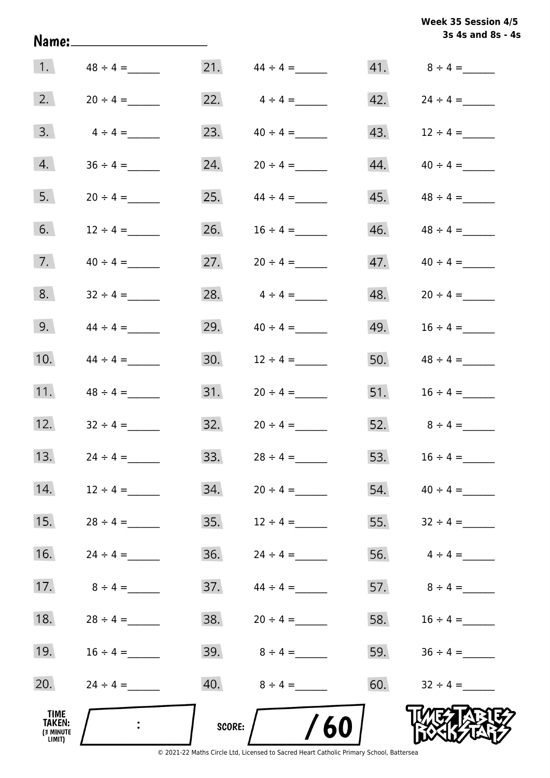| Week 35 Session 4/5 |  |
|---------------------|--|
| 3s 4s and 8s - 4s   |  |

|                                       |                  |        |                     |     | 3s 4s and 8s - 4    |
|---------------------------------------|------------------|--------|---------------------|-----|---------------------|
|                                       | 1. $48 \div 4 =$ |        | $21.$ $44 \div 4 =$ |     |                     |
| 2.                                    |                  | 22.    | $4 \div 4 =$        | 42. | $24 \div 4 =$       |
| 3.                                    | $4 \div 4 =$     | 23.    |                     | 43. | $12 \div 4 =$       |
| 4.                                    |                  | 24.    |                     | 44. | $40 \div 4 =$       |
| 5.                                    | $20 \div 4 =$    | 25.    | $44 \div 4 =$       | 45. | $48 \div 4 =$       |
| 6.                                    | $12 \div 4 =$    | 26.    | $16 \div 4 =$       | 46. | $48 \div 4 =$       |
| 7.                                    | $40 \div 4 =$    | 27.    | $20 \div 4 =$       | 47. | $40 \div 4 =$       |
| 8.                                    | $32 \div 4 =$    | 28.    | $4 \div 4 =$        | 48. | $20 \div 4 =$       |
| 9.                                    | $44 \div 4 =$    | 29.    | $40 \div 4 =$       | 49. | $16 \div 4 =$       |
| 10.                                   | $44 \div 4 =$    | 30.    | $12 \div 4 =$       | 50. | $48 \div 4 =$       |
| 11.                                   | $48 \div 4 =$    | 31.    | $20 \div 4 =$       | 51. | $16 \div 4 =$       |
| 12.                                   | $32 \div 4 =$    | 32.    | $20 \div 4 =$       | 52. | $8 \div 4 =$        |
| 13.                                   | $24 \div 4 =$    | 33.    | $28 \div 4 =$       | 53. | $16 \div 4 =$       |
| 14.                                   | $12 \div 4 =$    | 34.    | $20 \div 4 =$       |     | $54.$ $40 \div 4 =$ |
| 15.                                   | $28 \div 4 =$    | 35.    | $12 \div 4 =$       | 55. | $32 \div 4 =$       |
| 16.                                   | $24 \div 4 =$    | 36.    | $24 \div 4 =$       |     | 56. $4 \div 4 =$    |
| 17.                                   | $8 \div 4 =$     | 37.    | $44 \div 4 =$       |     | 57. $8 \div 4 =$    |
| 18.                                   | $28 \div 4 =$    | 38.    | $20 \div 4 =$       |     | 58. $16 \div 4 =$   |
| 19.                                   | $16 \div 4 =$    | 39.    | $8 \div 4 =$        |     | 59. $36 \div 4 =$   |
| 20.                                   | $24 \div 4 =$    | 40.    | $8 \div 4 =$        | 60. | $32 \div 4 =$       |
| TIME<br>TAKEN:<br>(3 MINUTE<br>LIMIT) |                  | SCORE: | 60                  |     |                     |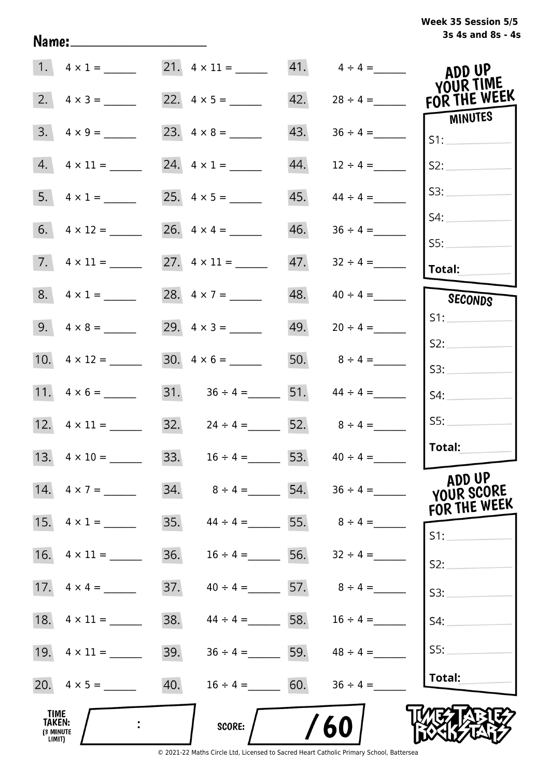| Week 35 Session 5/5 |                   |  |  |
|---------------------|-------------------|--|--|
|                     | 3s 4s and 8s - 4s |  |  |

|                                       |                     |     | $21. \quad 4 \times 11 =$           |     | $41. \qquad 4 \div 4 =$ | ADD UP<br>YOUR TIME                  |
|---------------------------------------|---------------------|-----|-------------------------------------|-----|-------------------------|--------------------------------------|
| 2.                                    | $4 \times 3 =$      |     |                                     | 42. | $28 \div 4 =$           | FOR THE WEEK                         |
| 3.                                    | $4 \times 9 =$      |     |                                     | 43. |                         | <b>MINUTES</b><br>S1:                |
| 4.                                    | $4 \times 11 =$     |     | 24. $4 \times 1 =$                  | 44. | $12 \div 4 =$           | S2:                                  |
| 5.                                    | $4 \times 1 =$      |     |                                     | 45. | $44 \div 4 =$           | S3:                                  |
| 6.                                    |                     |     |                                     | 46. | $36 \div 4 =$           | S4:                                  |
|                                       |                     |     |                                     | 47. | $32 \div 4 =$           | SS:<br>Total:                        |
|                                       | 8. $4 \times 1 =$   |     | 28. $4 \times 7 =$                  | 48. | $40 \div 4 =$           | SECONDS                              |
|                                       |                     |     |                                     | 49. | $20 \div 4 =$           | S1:                                  |
|                                       | 10. $4 \times 12 =$ |     | $30. \quad 4 \times 6 =$            |     | 50. $8 \div 4 =$        | S2:<br>S3:                           |
|                                       | 11. $4 \times 6 =$  |     | 31. $36 \div 4 =$ 51. $44 \div 4 =$ |     |                         | S4:                                  |
|                                       |                     |     | 32. $24 \div 4 = 52. 8 \div 4 =$    |     |                         | SS:                                  |
|                                       |                     |     | 33. $16 \div 4 = 53.$ $40 \div 4 =$ |     |                         | Total:                               |
|                                       | 14. $4 \times 7 =$  | 34. | $8 \div 4 =$ 54. $36 \div 4 =$      |     |                         | ADD UP<br>YOUR SCORE<br>FOR THE WEEK |
|                                       | 15. $4 \times 1 =$  | 35. | $44 \div 4 =$ 55. $8 \div 4 =$      |     |                         | S1:                                  |
| 16.                                   | $4 \times 11 =$     | 36. | $16 \div 4 =$                       | 56. | $32 \div 4 =$           | S2:                                  |
| 17.                                   | $4 \times 4 =$      | 37. | $40 \div 4 =$ 57.                   |     | $8 \div 4 =$            | S3:                                  |
| 18.                                   | $4 \times 11 =$     | 38. | $44 \div 4 =$ 58. $16 \div 4 =$     |     |                         | S4:                                  |
|                                       |                     | 39. | $36 \div 4 =$ 59. $48 \div 4 =$     |     |                         | S5:                                  |
|                                       | 20. $4 \times 5 =$  | 40. | $16 \div 4 = 60.$                   |     | $36 \div 4 =$           | Total:                               |
| TIME<br>TAKEN:<br>(3 MINUTE<br>LIMIT) |                     |     | <b>SCORE:</b>                       |     | 60                      |                                      |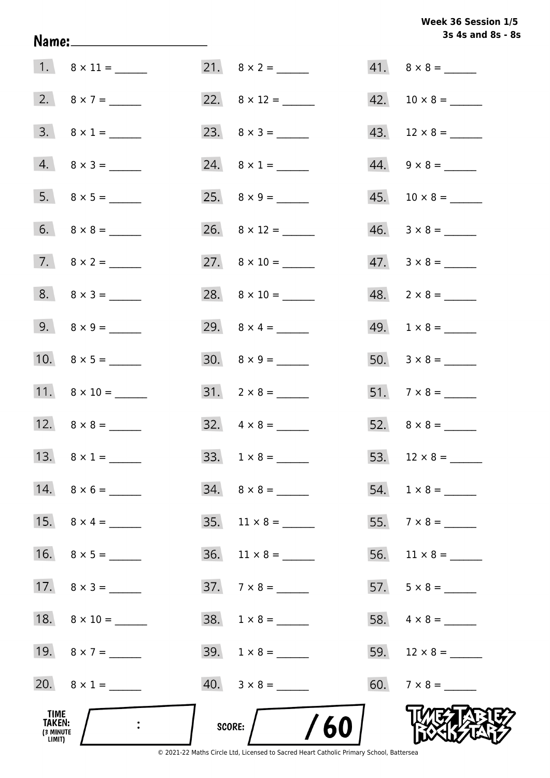# Week 36 Session 1/5 3s 4s and 8s - 8s

| TIME<br>TAKEN:<br>(3 MINUTE<br>LIMIT) | $\ddot{\phantom{1}}$    | /60<br>SCORE:                |                          |
|---------------------------------------|-------------------------|------------------------------|--------------------------|
|                                       | 20. $8 \times 1 =$      | $40. \quad 3 \times 8 =$     |                          |
|                                       | 19. $8 \times 7 =$      | $39. 1 \times 8 =$           |                          |
|                                       | 18. $8 \times 10 =$     | $38. 1 \times 8 =$           |                          |
|                                       | 17. $8 \times 3 =$      | $37.7 \times 8 =$            |                          |
|                                       |                         | $36.$ 11 × 8 = _______       |                          |
|                                       | 15. $8 \times 4 =$      | $35. \quad 11 \times 8 = \_$ |                          |
|                                       |                         |                              |                          |
|                                       | 13. $8 \times 1 =$      |                              |                          |
|                                       |                         | $32. \quad 4 \times 8 =$     |                          |
|                                       | 11. $8 \times 10 =$     | $31. \quad 2 \times 8 =$     |                          |
|                                       |                         | $30. \quad 8 \times 9 =$     |                          |
|                                       | 9. $8 \times 9 =$       |                              |                          |
|                                       | $8. \quad 8 \times 3 =$ |                              | $48. 2 \times 8 =$       |
|                                       |                         |                              | $47. \quad 3 \times 8 =$ |
|                                       |                         |                              |                          |
|                                       |                         |                              |                          |
|                                       | $4. 8 \times 3 =$       | 24. $8 \times 1 =$           | $44. \quad 9 \times 8 =$ |
|                                       | $3. \ 8 \times 1 =$     |                              | 43. $12 \times 8 =$      |
|                                       | 2. $8 \times 7 =$       |                              | $42. 10 \times 8 =$      |
|                                       |                         |                              | $41. \quad 8 \times 8 =$ |

Name: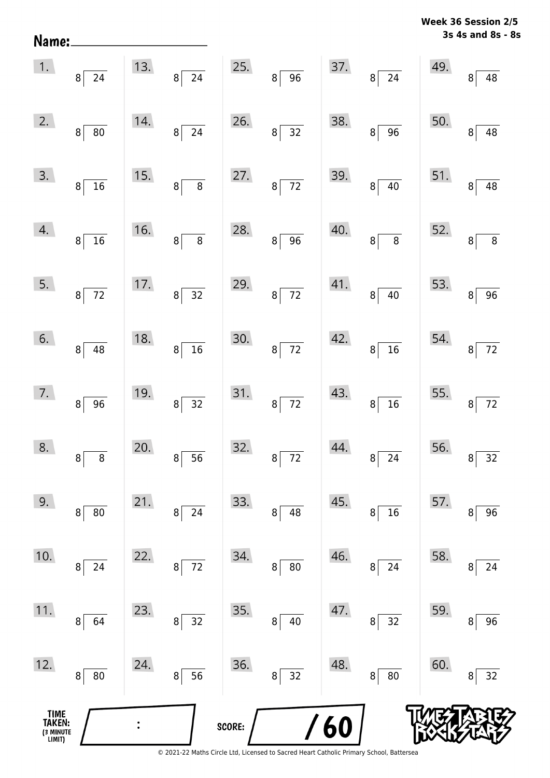**3s 4s and 8s - 8s Week 36 Session 2/5** 

| 1.                                   | $8\overline{)24}$                  |     | 13. $8 \overline{)24}$ |        | 25. $8 \overline{)96}$ |     | 37. $8 \overline{)24}$   | 49.       | $\overline{48}$<br>$\mathbf{8}$   |
|--------------------------------------|------------------------------------|-----|------------------------|--------|------------------------|-----|--------------------------|-----------|-----------------------------------|
| 2.                                   | $\overline{80}$<br>$\vert 8 \vert$ | 14. | $8\overline{)24}$      | 26.    | $8\overline{)32}$      | 38. | $8\sqrt{96}$             | 50.       | $\overline{48}$<br>$\mathbf{8}$   |
| 3.                                   | 8 <sup>°</sup><br>$\frac{1}{16}$   | 15. | $8\overline{8}$        | 27.    | $8\overline{72}$       | 39. | $8\sqrt{40}$             | 51.       | $\overline{8}$<br>$\overline{48}$ |
| 4.                                   | $8\lceil$<br>$\frac{1}{16}$        | 16. | $8\overline{8}$        | 28.    | $8\sqrt{96}$           | 40. | $8\overline{8}$          | 52.       | 8                                 |
| 5.                                   | $8\overline{72}$                   | 17. | $8\overline{)32}$      | 29.    | $8\overline{72}$       | 41. | $8\sqrt{40}$             | 53.       | $\overline{96}$<br>$\overline{8}$ |
| 6.                                   | $\overline{8}$<br>$\overline{48}$  | 18. | $8\sqrt{16}$           | 30.    | $8\overline{72}$       | 42. | $8\sqrt{16}$             | 54.       | $8\overline{72}$                  |
| 7.                                   | 8 <br>$\overline{96}$              | 19. | $8\overline{)32}$      | 31.    | $8\overline{72}$       | 43. | $8\sqrt{16}$             | $55.$ $8$ | $\boxed{72}$                      |
| 8.                                   | $\mathbf{8}$                       | 20. | $8\overline{)}56$      | 32.    | $8\overline{72}$       | 44. | $8\sqrt{24}$             |           | 56. $8\overline{)32}$             |
| 9.                                   | 80<br>8                            | 21. | 24<br>8                | 33.    | 48<br>$\bf 8$          | 45. | 16<br>8                  | 57.       | 96<br>8                           |
| 10.                                  | 24<br>8                            | 22. | 72<br>8                | 34.    | $80\,$<br>8            | 46. | 24<br>8                  | 58.       | 24<br>8                           |
| 11.                                  | 64<br>8                            | 23. | 32<br>8                | 35.    | $\, 8$<br>$40\,$       | 47. | 32<br>8 <sup>1</sup>     | 59.       | 96<br>8                           |
| 12.                                  | ${\bf 80}$<br>8                    | 24. | 56<br>8                | 36.    | 32<br>$\bf 8$          | 48. | $80\,$<br>8 <sup>1</sup> | 60.       | 32<br>8                           |
| TIME<br>TAKEN:<br>3 MINUTE<br>LIMIT) |                                    |     |                        | SCORE: |                        | 60  |                          |           |                                   |

Name: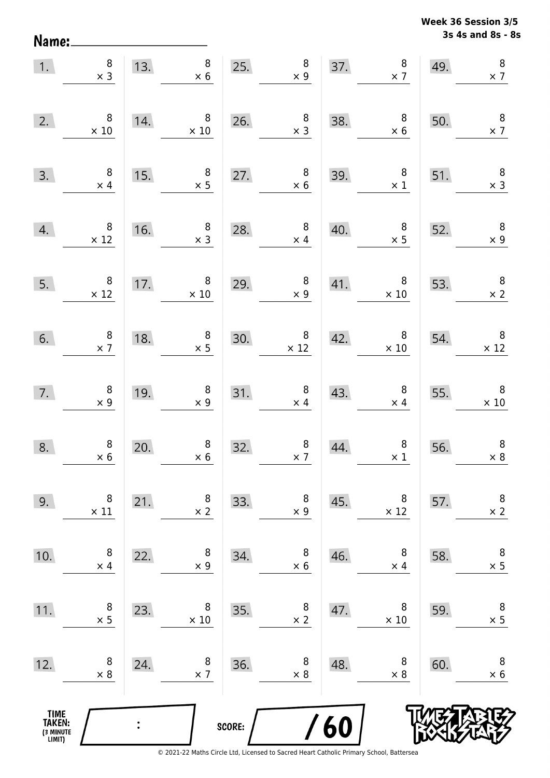**3s 4s and 8s - 8s Week 36 Session 3/5** 

| 1.                                    | $\begin{array}{c} 8 \\ \times 3 \end{array}$  |                | 13. $\begin{array}{r} 8 \\ \times 6 \end{array}$  | 25.           | $\begin{array}{c} 8 \\ \times 9 \end{array}$     |                   | $\begin{array}{c} 8 \\ \times 7 \end{array}$<br>37.       | 49.                                                                                           | $\, 8$<br>$\times$ 7                          |
|---------------------------------------|-----------------------------------------------|----------------|---------------------------------------------------|---------------|--------------------------------------------------|-------------------|-----------------------------------------------------------|-----------------------------------------------------------------------------------------------|-----------------------------------------------|
| 2.                                    | $\,8\,$<br>$\times$ 10                        | 14.            | $\overline{\phantom{0}}$ 8<br>$\times 10$         |               | 26. $\begin{array}{r} 8 \\ \times 3 \end{array}$ | 38.               | $\begin{array}{r} 8 \\ \times 6 \end{array}$              | 50.                                                                                           | $\boldsymbol{8}$<br>$\times$ 7                |
| 3.                                    | $\begin{array}{c} 8 \\ \times 4 \end{array}$  | 15.            | $\begin{array}{c} 8 \\ \times 5 \end{array}$      | 27.           | $\begin{array}{c}\n 8 \\  \times 6\n\end{array}$ | 39.               | $\begin{array}{r} 8 \\ \times 1 \end{array}$              | 51.                                                                                           | $\begin{array}{c} 8 \\ \times 3 \end{array}$  |
| 4.                                    | $\begin{array}{c} 8 \\ \times 12 \end{array}$ | 16.            | $\begin{array}{c} 8 \\ \times 3 \end{array}$      | 28.           | $\begin{array}{c} 8 \\ \times 4 \end{array}$     | 40.               |                                                           | $\begin{array}{@{}c@{\hspace{1em}}c@{\hspace{1em}}}\n & 8 & 52. \\  \times 5 & & \end{array}$ | $\overline{\mathbf{8}}$<br>$\times$ 9         |
| 5.                                    | $\begin{array}{c} 8 \\ \times 12 \end{array}$ |                | 17. $\begin{array}{r} 8 \\ \times 10 \end{array}$ | 29.           | $\begin{array}{c} 8 \\ \times 9 \end{array}$     |                   | $\begin{array}{c c}\n41. & & 8 \\ \times 10\n\end{array}$ | 53.                                                                                           | $\overline{\phantom{a}}$<br>$\times 2$        |
| 6.                                    | $\begin{array}{c} 8 \\ \times 7 \end{array}$  | 18.            | $\begin{array}{c} 8 \\ \times 5 \end{array}$      | 30.           | $\begin{array}{c} 8 \\ \times 12 \end{array}$    | $\overline{42}$ . | $\begin{array}{c} 8 \\ \times 10 \end{array}$             | 54.                                                                                           | $\begin{array}{c} 8 \\ \times 12 \end{array}$ |
| 7.                                    | $\begin{array}{c} 8 \\ \times 9 \end{array}$  | 19.            | $\begin{array}{c} 8 \\ \times 9 \end{array}$      |               | 31. $\begin{array}{r} 8 \\ \times 4 \end{array}$ | 43.               | $\begin{array}{c} 8 \\ \times 4 \end{array}$              | 55.                                                                                           | $\begin{array}{c} 8 \\ \times 10 \end{array}$ |
| 8.                                    | $8$<br>$\times 6$                             | 20.            | $\begin{array}{c} 8 \\ \times 6 \end{array}$      | 32.           | $\begin{array}{c} 8 \\ \times 7 \end{array}$     | 44.               | $\begin{array}{c} 8 \\ \times 1 \end{array}$              | 56.                                                                                           | $\, 8$<br>$\times$ 8                          |
| 9.                                    | 8<br>$\times$ 11                              | 21.            | 8<br>$\times$ 2                                   | 33.           | 8<br>$\times$ 9                                  | 45.               | 8<br>$\times$ 12                                          | 57.                                                                                           | $\,8\,$<br>$\times$ 2                         |
| 10.                                   | 8<br>$\times$ 4                               | 22.            | 8<br>$\times$ 9                                   | 34.           | 8<br>$\times$ 6                                  | 46.               | 8<br>$\times$ 4                                           | 58.                                                                                           | $\, 8$<br>$\times$ 5                          |
| 11.                                   | 8<br>$\times$ 5                               | 23.            | 8<br>$\times$ 10                                  | 35.           | 8<br>$\times$ 2                                  | 47.               | 8<br>$\times 10$                                          | 59.                                                                                           | $\,8\,$<br>$\times$ 5                         |
| 12.                                   | 8<br>$\times 8$                               | 24.            | 8<br>$\times$ 7                                   | 36.           | 8<br>$\times 8$                                  | 48.               | 8<br>$\times 8$                                           | 60.                                                                                           | 8<br>$\times$ 6                               |
| TIME<br>TAKEN:<br>(3 MINUTE<br>LIMIT) |                                               | $\ddot{\cdot}$ |                                                   | <b>SCORE:</b> |                                                  | 60                |                                                           |                                                                                               |                                               |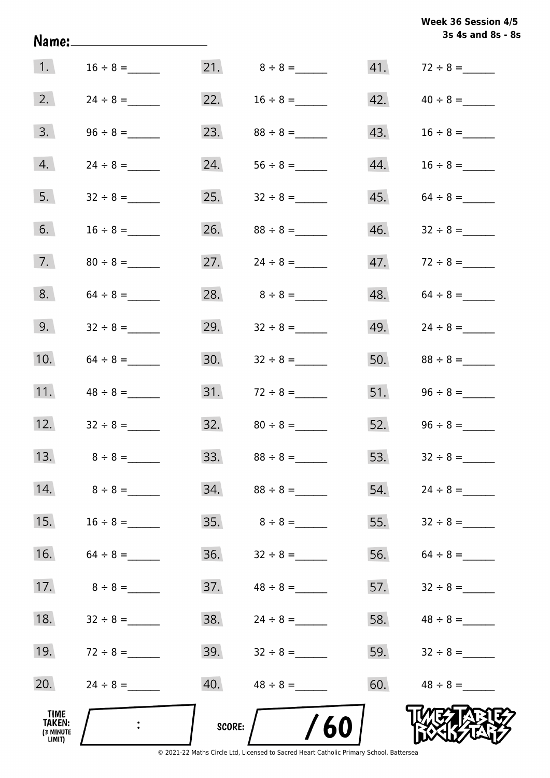|                                       | Name:______________________ |               |               |     | Week 36 Session 4/5<br>3s 4s and 8s - 8s |
|---------------------------------------|-----------------------------|---------------|---------------|-----|------------------------------------------|
| 1.                                    | $16 \div 8 =$               |               |               | 41. | $72 \div 8 =$                            |
| 2.                                    | $24 \div 8 =$               | 22.           | $16 \div 8 =$ | 42. | $40 \div 8 =$                            |
| 3.                                    |                             | 23.           | $88 \div 8 =$ | 43. |                                          |
| 4.                                    | $24 \div 8 =$               | 24.           |               | 44. | $16 \div 8 =$                            |
| 5.                                    |                             | 25.           | $32 \div 8 =$ | 45. | $64 \div 8 =$                            |
| 6.                                    |                             | 26.           |               | 46. |                                          |
| 7.                                    |                             | 27.           |               |     |                                          |
| 8.                                    |                             | 28.           | $8 \div 8 =$  | 48. |                                          |
| 9.                                    |                             | 29.           |               | 49. |                                          |
| 10.                                   | $64 \div 8 =$               |               |               | 50. | $88 \div 8 =$                            |
| 11.                                   | $48 \div 8 =$               |               |               |     | $51.$ $96 \div 8 =$                      |
| 12.                                   | $32 \div 8 =$               | 32.           | $80 \div 8 =$ |     | 52. $96 \div 8 =$                        |
| 13.                                   | $8 \div 8 =$                | 33.           | $88 \div 8 =$ | 53. |                                          |
| 14.                                   | $8 \div 8 =$                | 34.           | $88 \div 8 =$ | 54. |                                          |
| 15.                                   |                             | 35.           | $8 \div 8 =$  | 55. |                                          |
| 16.                                   |                             | 36.           |               | 56. |                                          |
| 17.                                   | $8 \div 8 =$                | 37.           | $48 \div 8 =$ | 57. | $32 \div 8 =$                            |
| 18.                                   | $32 \div 8 =$               | 38.           | $24 \div 8 =$ | 58. | $48 \div 8 =$                            |
| 19.                                   | $72 \div 8 =$               | 39.           |               | 59. |                                          |
| 20.                                   |                             | 40.           |               | 60. |                                          |
| TIME<br>TAKEN:<br>(3 MINUTE<br>LIMIT) |                             | <b>SCORE:</b> | /60           |     |                                          |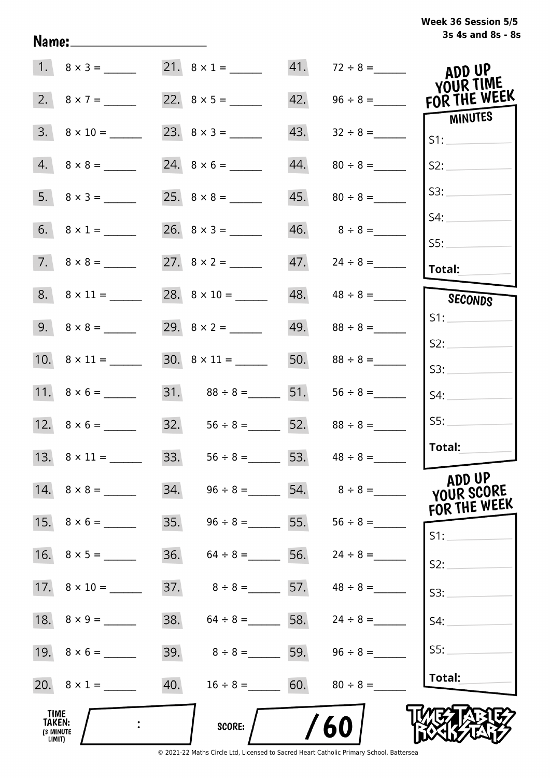| Week 36 Session 5/5 |                   |  |  |
|---------------------|-------------------|--|--|
|                     | 3s 4s and 8s - 8s |  |  |

|                                        |                          |     | 21. $8 \times 1 =$                  |     | $41. 72 \div 8 =$               | ADD UP<br>YOUR TIME  |
|----------------------------------------|--------------------------|-----|-------------------------------------|-----|---------------------------------|----------------------|
|                                        | 2. $8 \times 7 =$        |     |                                     |     | $42. \qquad 96 \div 8 =$        | FOR THE WEEK         |
|                                        | $3. \quad 8 \times 10 =$ |     |                                     | 43. |                                 | MINUTES<br>S1:       |
|                                        | $4. 8 \times 8 =$        |     |                                     |     |                                 | S2:                  |
|                                        |                          |     |                                     |     |                                 | S3:                  |
|                                        |                          |     |                                     |     | $46. \hspace{1.5cm} 8 \div 8 =$ | S4:                  |
|                                        | $7. \quad 8 \times 8 =$  |     |                                     |     |                                 | SS:<br>Total:        |
|                                        | $8. \quad 8 \times 11 =$ |     |                                     |     | $48. \qquad 48 \div 8 =$        | SECONDS              |
|                                        |                          |     |                                     |     |                                 | S1:                  |
|                                        |                          |     | $30. \quad 8 \times 11 =$           |     | 50. $88 \div 8 =$               | S2:<br>S3:           |
|                                        |                          |     | 31. $88 \div 8 =$ 51.               |     | $56 \div 8 =$                   | S4:                  |
|                                        |                          |     | 32. $56 \div 8 =$ 52. $88 \div 8 =$ |     |                                 | SS:                  |
|                                        |                          |     | 33. $56 \div 8 =$ 53. $48 \div 8 =$ |     |                                 | Total:               |
|                                        |                          |     | 34. $96 \div 8 =$ 54. $8 \div 8 =$  |     |                                 | ADD UP<br>YOUR SCORE |
|                                        | 15. $8 \times 6 =$       |     | 35. $96 \div 8 =$ 55. $56 \div 8 =$ |     |                                 | FOR THE WEEK<br>S1:  |
|                                        |                          | 36. | $64 \div 8 =$ 56. $24 \div 8 =$     |     |                                 | S2:                  |
|                                        |                          |     | 37. $8 \div 8 =$ 57. $48 \div 8 =$  |     |                                 | S3:                  |
|                                        |                          | 38. | $64 \div 8 =$ 58. $24 \div 8 =$     |     |                                 | S4:                  |
|                                        |                          | 39. | $8 \div 8 =$ 59.                    |     | $96 \div 8 =$                   | SS:                  |
|                                        | 20. $8 \times 1 =$       |     | 40. $16 \div 8 =$ 60.               |     | $80 \div 8 =$                   | Total:               |
| _TIME<br>TAKEN:<br>(3 MINUTE<br>LIMIT) |                          |     | <b>SCORE:</b>                       |     | 60                              |                      |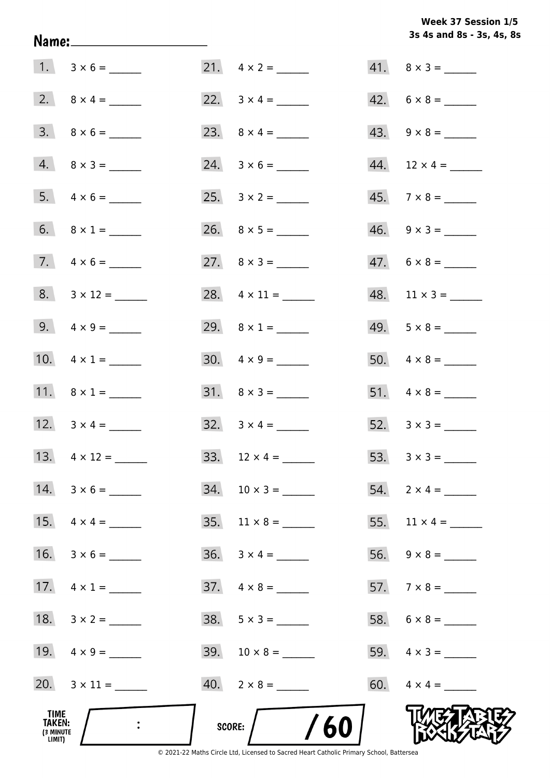Week 37 Session 1/5 3s 4s and 8s - 3s, 4s, 8s

|                                              |                         |                             | 3s 4s and 8s - 3s, 4s, 8 |
|----------------------------------------------|-------------------------|-----------------------------|--------------------------|
|                                              | $1. 3 \times 6 =$       | 21. $4 \times 2 =$          | $41. \quad 8 \times 3 =$ |
|                                              |                         | 22. $3 \times 4 =$          | $42. 6 \times 8 =$       |
|                                              | $3. \quad 8 \times 6 =$ | 23. $8 \times 4 =$          |                          |
|                                              | $4. 8 \times 3 =$       | $24. 3 \times 6 =$          |                          |
|                                              |                         |                             | $45.7 \times 8 =$        |
|                                              | 6. $8 \times 1 =$       |                             | $46. \quad 9 \times 3 =$ |
|                                              | 7. $4 \times 6 =$       | 27. $8 \times 3 =$          | $47. 6 \times 8 =$       |
|                                              | 8. $3 \times 12 =$      | 28. $4 \times 11 =$         | $48.$ 11 × 3 = ______    |
|                                              | 9. $4 \times 9 =$       | 29. $8 \times 1 =$          | $49. 5 \times 8 =$       |
|                                              | 10. $4 \times 1 =$      | $30. \quad 4 \times 9 =$    |                          |
|                                              | 11. $8 \times 1 =$      | $31. \quad 8 \times 3 =$    |                          |
|                                              | 12. $3 \times 4 =$      | $32. \quad 3 \times 4 =$    |                          |
|                                              | 13. $4 \times 12 =$     |                             |                          |
|                                              | $14. 3 \times 6 =$      |                             | 54. $2 \times 4 =$       |
|                                              | 15. $4 \times 4 =$      | $35. \quad 11 \times 8 =$   | 55. $11 \times 4 =$      |
|                                              |                         | $36. \quad 3 \times 4 = \_$ |                          |
|                                              | 17. $4 \times 1 =$      |                             |                          |
|                                              |                         |                             |                          |
|                                              | 19. $4 \times 9 =$      |                             | 59. $4 \times 3 =$       |
|                                              | 20. $3 \times 11 =$     |                             |                          |
| TIME<br><b>TAKEN:</b><br>(3 MINUTE<br>LIMIT) |                         | SCORE: $/$ /60              |                          |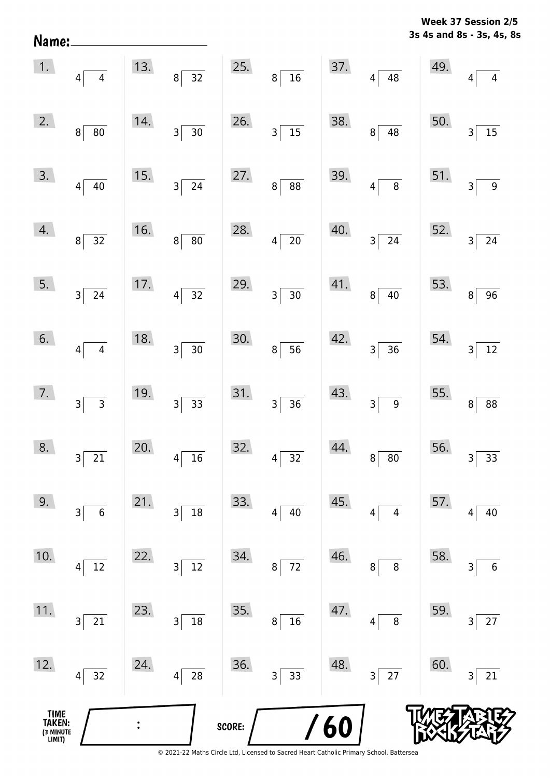**3s 4s and 8s - 3s, 4s, 8s Week 37 Session 2/5** 

| TIME<br>TAKEN:<br>(3 MINUTE<br>LIMIT) |                                   |     |                       | SCORE: |                                             | $\sqrt{60}$ |                                                    |                                        |                                   |
|---------------------------------------|-----------------------------------|-----|-----------------------|--------|---------------------------------------------|-------------|----------------------------------------------------|----------------------------------------|-----------------------------------|
| 12.                                   | 32<br>$\vert 4 \vert$             | 24. | 28<br>4               | 36.    | 3<br>33                                     | 48.         | $27$<br>3                                          | 60.                                    | 21<br>3                           |
| 11.                                   | 21<br>3                           | 23. | 18<br>3               | 35.    | 16<br>$\bf 8$                               | 47.         | $\, 8$<br>4                                        | 59.                                    | 27<br>3                           |
| 10.                                   | 12<br>4                           | 22. | 12<br>3               | 34.    | $72\,$<br>$\bf 8$                           | 46.         | $\bf 8$<br>8                                       | 58.                                    | $\boldsymbol{6}$<br>3             |
| 9.                                    | 3<br>$\boldsymbol{6}$             | 21. | 18<br>3               | 33.    | 40<br>4                                     | 45.         | $\overline{\mathbf{4}}$<br>$\vert 4 \vert$         | 57.                                    | 40<br>4                           |
| 8.                                    | 3 <sup>2</sup><br>$\overline{21}$ | 20. | $4\overline{)16}$     | 32.    | $4\overline{)32}$                           | 44.         | $8\sqrt{80}$                                       |                                        | 56. $3\overline{)33}$             |
| 7.                                    | $3\overline{)}$ 3                 | 19. | $3\overline{)33}$     | 31.    | $3\overline{)36}$                           | 43.         | $3\overline{9}$                                    | 55. $\begin{bmatrix} 55 \end{bmatrix}$ | $\boxed{88}$                      |
| 6.                                    | $4\overline{4}$                   | 18. | $3\overline{)30}$     | 30.    | $8\overline{)}56$                           |             | $\begin{array}{ c c }\n 42. & 3 & 36\n\end{array}$ | 54.                                    | $\boxed{12}$<br>3 <sup>1</sup>    |
| 5.                                    | $3\overline{\smash{)}24}$         | 17. | $4\overline{)32}$     | 29.    | $3\overline{)30}$                           | 41.         | $8\sqrt{40}$                                       | 53.                                    | $8\sqrt{96}$                      |
| 4.                                    | $8\overline{)32}$                 | 16. | $8\sqrt{80}$          | 28.    | $4\overline{20}$                            | 40.         | $3\overline{)24}$                                  | 52.                                    | $\overline{24}$<br>$\overline{3}$ |
| 3.                                    | $4\overline{)40}$                 | 15. | $3\overline{)24}$     | 27.    | $8 \overline{) 88}$                         |             | 39. $4\overline{\smash{)}\,8}$                     |                                        | 51. $3\overline{)9}$              |
| 2.                                    | 8 <sup>1</sup><br>$\overline{80}$ | 14. | $3\overline{)30}$     | 26.    | $3\overline{)15}$                           | 38.         | $8\overline{)48}$                                  | 50.                                    | $\overline{3}$<br>$\frac{1}{15}$  |
| 1.                                    | $4\overline{4}$                   |     | 13. $8\overline{)32}$ |        | 25. $8\overline{)16}$ 37. $4\overline{)48}$ |             |                                                    | 49.                                    | $4\sqrt{ }$<br>$\overline{4}$     |

Name: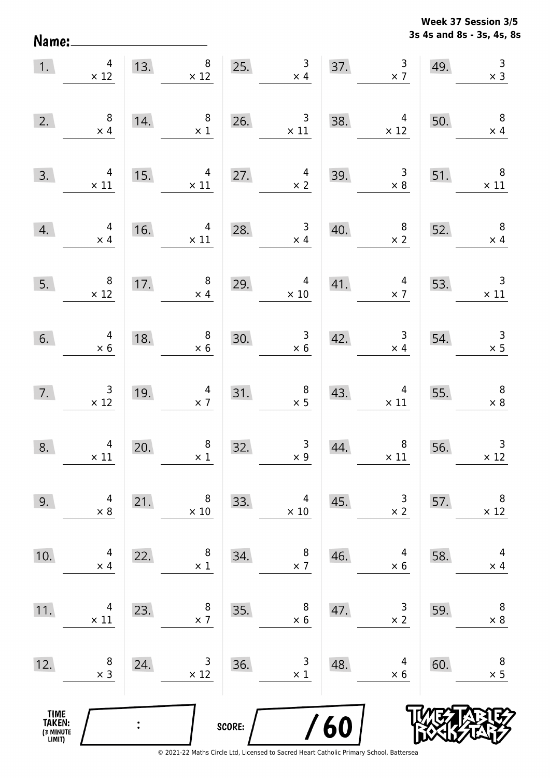Name:

**3s 4s and 8s - 3s, 4s, 8s Week 37 Session 3/5** 

| 1.                                    | $\overline{4}$<br>$\times$ 12                   | 13. | $8\phantom{.}$<br>$\times$ 12                | 25.    | $\overline{\mathbf{3}}$<br>$\times$ 4               | 37. | $\begin{array}{c} 3 \\ \times 7 \end{array}$    | 49. | $\overline{3}$<br>$\times$ 3                 |
|---------------------------------------|-------------------------------------------------|-----|----------------------------------------------|--------|-----------------------------------------------------|-----|-------------------------------------------------|-----|----------------------------------------------|
| 2.                                    | $\,8\,$<br>$\times$ 4                           | 14. | 8<br>$\times$ 1                              | 26.    | $\begin{array}{c} 3 \\ \times 11 \end{array}$       | 38. | $\overline{4}$<br>$\times$ 12                   | 50. | $\overline{\phantom{0}}$ 8<br>$\times$ 4     |
| 3.                                    | 4<br>$\times$ 11                                | 15. | 4<br>$\times$ 11                             | 27.    | $\overline{a}$<br>$\times 2$                        | 39. | $\begin{array}{c} 3 \\ \times 8 \end{array}$    | 51. | $\times$ 11                                  |
| 4.                                    | $\overline{4}$<br>$\times$ 4                    | 16. | $\overline{4}$<br>$\times$ 11                | 28.    | $\mathbf{3}$<br>$\times$ 4                          | 40. | $\begin{array}{c} 8 \\ \times 2 \end{array}$    | 52. | $\overline{\phantom{0}}$<br>$\times$ 4       |
| 5.                                    | $\overline{\phantom{0}}$ 8<br>$\times$ 12       | 17. | $\, 8$<br>$\times$ 4                         | 29.    | $\overline{4}$<br>$\times$ 10                       | 41. | $\overline{4}$<br>$\times$ 7                    | 53. | $\overline{\phantom{a}}$<br>$\times$ 11      |
| 6.                                    | $\overline{a}$<br>$\times$ 6                    | 18. | $\begin{array}{c} 8 \\ \times 6 \end{array}$ | 30.    | $\begin{array}{r} 3 \\ \times 6 \end{array}$        | 42. | $\begin{array}{c} 3 \\ \times 4 \end{array}$    | 54. | $\begin{array}{c} 3 \\ \times 5 \end{array}$ |
| 7.                                    | $\begin{array}{c} 3 \\ \times 12 \end{array}$   | 19. | $\overline{4}$<br>$\times$ 7                 |        | $\begin{array}{c} 8 \\ \times 5 \end{array}$<br>31. | 43. | $\begin{array}{c} 4 \\ \times 11 \end{array}$   | 55. | $\overline{\mathbf{8}}$<br>$\times$ 8        |
| 8.                                    | $\begin{array}{c} 4 \\ \times \ 11 \end{array}$ | 20. | $\begin{array}{c} 8 \\ \times 1 \end{array}$ | 32.    | $\begin{array}{c} 3 \\ \times 9 \end{array}$        | 44. | $\begin{array}{c} 8 \\ \times \ 11 \end{array}$ | 56. | $\mathsf 3$<br>$\times$ 12                   |
| 9.                                    | 4<br>$\times 8$                                 | 21. | 8<br>$\times$ 10                             | 33.    | 4<br>$\times$ 10                                    | 45. | 3<br>$\times$ 2                                 | 57. | 8<br>$\times$ 12                             |
| 10.                                   | 4<br>$\times$ 4                                 | 22. | 8<br>$\times$ 1                              | 34.    | 8<br>$\times$ 7                                     | 46. | 4<br>$\times$ 6                                 | 58. | 4<br>$\times$ 4                              |
| 11.                                   | 4<br>$\times$ 11                                | 23. | 8<br>$\times$ 7                              | 35.    | 8<br>$\times 6$                                     | 47. | 3<br>$\times$ 2                                 | 59. | $\,8\,$<br>$\times$ 8                        |
| 12.                                   | 8<br>$\times$ 3                                 | 24. | 3<br>$\times$ 12                             | 36.    | 3<br>$\times$ 1                                     | 48. | 4<br>$\times$ 6                                 | 60. | $\,8\,$<br>$\times$ 5                        |
| TIME<br>TAKEN:<br>(3 MINUTE<br>LIMIT) |                                                 |     |                                              | SCORE: |                                                     | /60 |                                                 |     |                                              |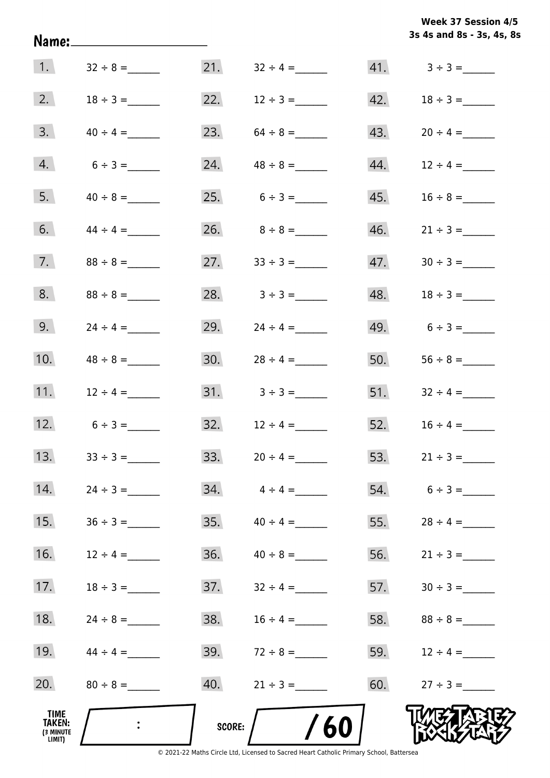|                                       |               |            |                       |     | 3s 4s and 8s - 3s, 4s, 8s |
|---------------------------------------|---------------|------------|-----------------------|-----|---------------------------|
| $\vert$ 1.                            | $32 \div 8 =$ |            | 21. $32 \div 4 =$     |     |                           |
| 2.                                    | $18 \div 3 =$ | 22.        | $12 \div 3 =$         | 42. |                           |
| 3.                                    | $40 \div 4 =$ |            | 23. $64 \div 8 =$     | 43. |                           |
| 4.                                    | $6 \div 3 =$  |            | 24. $48 \div 8 =$     |     |                           |
| 5.                                    | $40 \div 8 =$ |            | 25. $6 \div 3 =$      | 45. |                           |
| 6.                                    | $44 \div 4 =$ |            |                       |     |                           |
| 7.                                    | $88 \div 8 =$ |            | 27. $33 \div 3 =$     | 47. |                           |
| 8.                                    | $88 \div 8 =$ |            | 28. $3 \div 3 =$      |     |                           |
| 9.                                    |               |            | 29. $24 \div 4 =$     |     | 49. $6 \div 3 =$          |
| 10.                                   |               |            |                       | 50. |                           |
| 11.                                   | $12 \div 4 =$ |            |                       |     | 51. $32 \div 4 =$         |
| 12.                                   | $6 \div 3 =$  |            |                       |     |                           |
| 13.                                   | $33 \div 3 =$ |            |                       |     | 53. $21 \div 3 =$         |
| 14.                                   | $24 \div 3 =$ |            | $34. \t\t 4 \div 4 =$ |     | $54. 6 \div 3 =$          |
| 15.                                   |               |            |                       | 55. |                           |
| 16.                                   | $12 \div 4 =$ |            |                       |     | 56. $21 \div 3 =$         |
| 17.                                   | $18 \div 3 =$ |            |                       |     |                           |
| 18.                                   | $24 \div 8 =$ |            |                       |     |                           |
| 19.                                   | $44 \div 4 =$ |            | 39. $72 \div 8 =$     |     | 59. $12 \div 4 =$         |
| 20.                                   | $80 \div 8 =$ |            |                       |     | 60. $27 \div 3 =$         |
| TIME<br>TAKEN:<br>(3 MINUTE<br>LIMIT) |               | SCORE: $/$ | 60                    |     |                           |

**Week 37 Session 4/5**